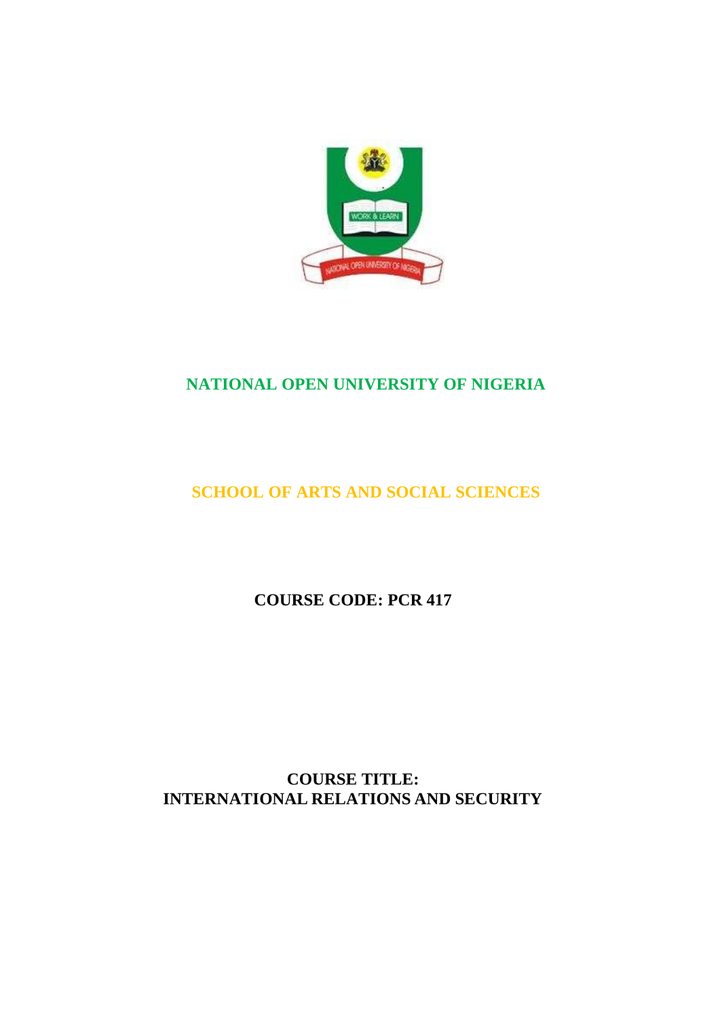

# **NATIONAL OPEN UNIVERSITY OF NIGERIA**

# **SCHOOL OF ARTS AND SOCIAL SCIENCES**

**COURSE CODE: PCR 417**

**COURSE TITLE: INTERNATIONAL RELATIONS AND SECURITY**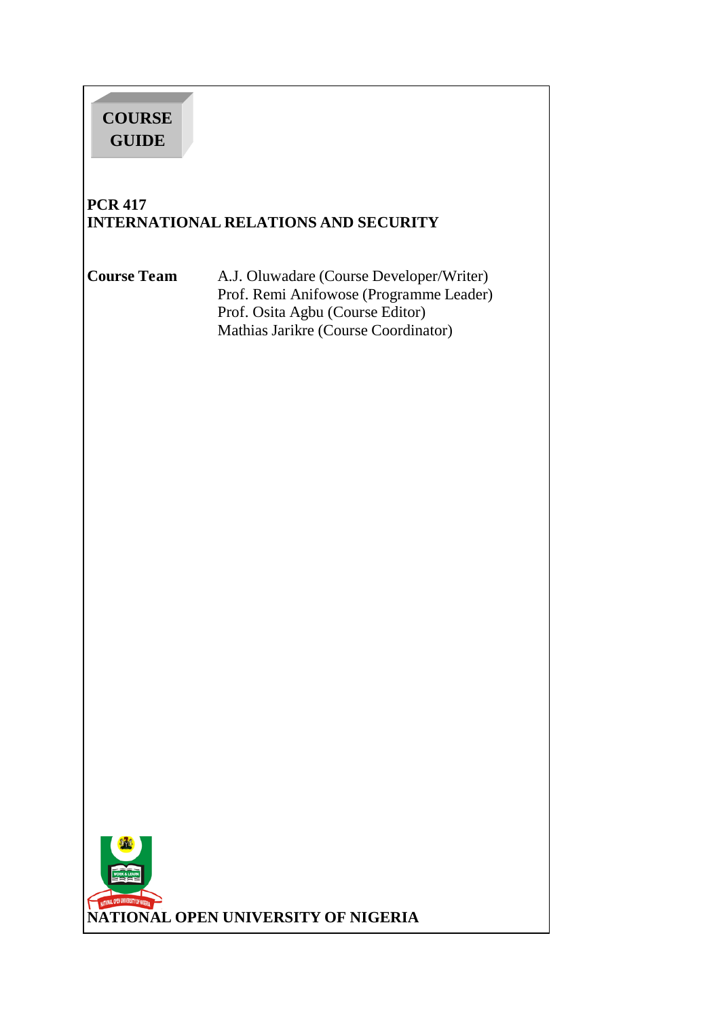# **COURSE GUIDE PCR 417 INTERNATIONAL RELATIONS AND SECURITY Course Team** A.J. Oluwadare (Course Developer/Writer) Prof. Remi Anifowose (Programme Leader) Prof. Osita Agbu (Course Editor) Mathias Jarikre (Course Coordinator) **NATIONAL OPEN UNIVERSITY OF NIGERIA**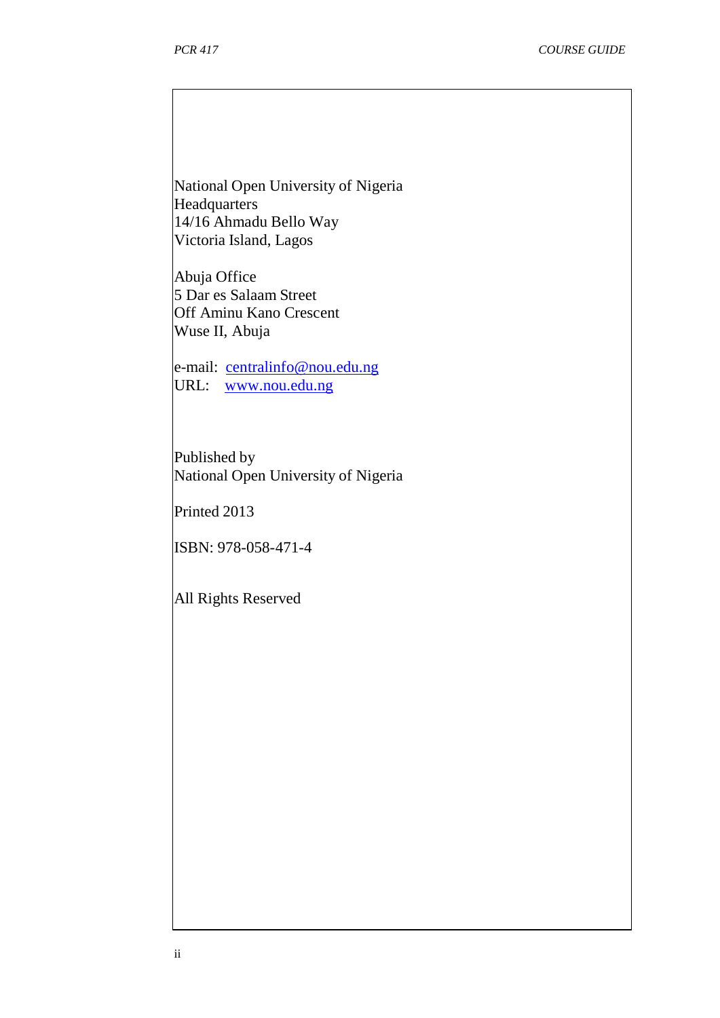National Open University of Nigeria Headquarters 14/16 Ahmadu Bello Way Victoria Island, Lagos

Abuja Office 5 Dar es Salaam Street Off Aminu Kano Crescent Wuse II, Abuja

e-mail: [centralinfo@nou.edu.ng](mailto:centralinfo@nou.edu.ng) URL: [www.nou.edu.ng](http://www.nou.edu.ng/)

Published by National Open University of Nigeria

Printed 2013

ISBN: 978-058-471-4

All Rights Reserved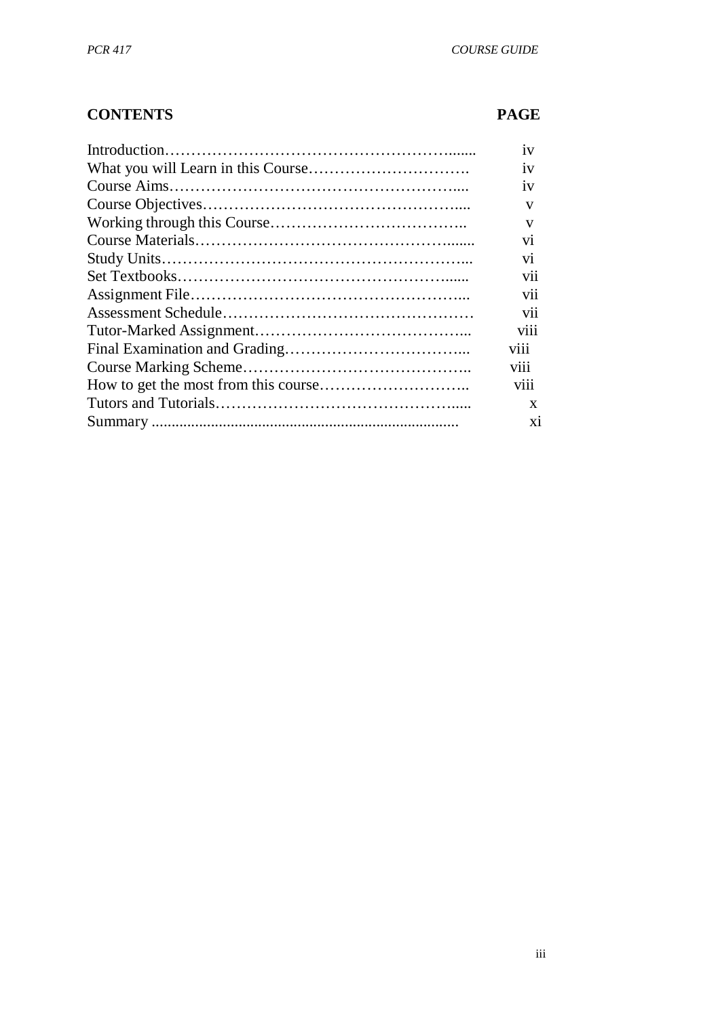# **CONTENTS PAGE**

| 1V              |
|-----------------|
| 1V              |
| 1V              |
| V               |
| V               |
| V1              |
| V1              |
| V11             |
| V11             |
| V11             |
| V111            |
| V111            |
| V <sub>11</sub> |
| V111            |
| X               |
| X1              |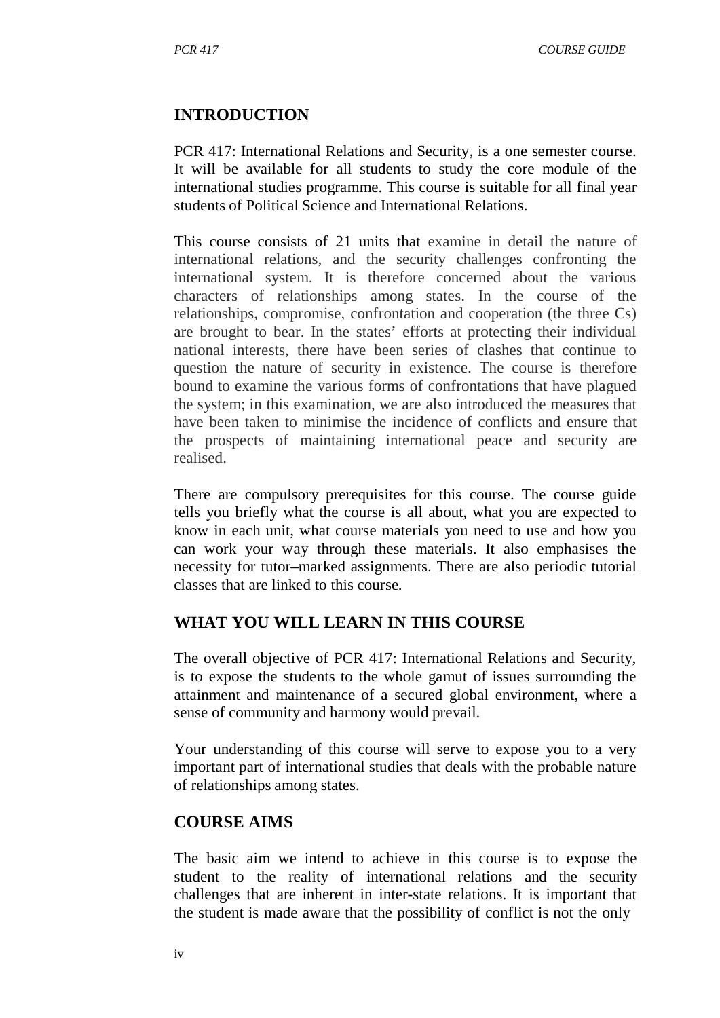#### **INTRODUCTION**

PCR 417: International Relations and Security, is a one semester course. It will be available for all students to study the core module of the international studies programme. This course is suitable for all final year students of Political Science and International Relations.

This course consists of 21 units that examine in detail the nature of international relations, and the security challenges confronting the international system. It is therefore concerned about the various characters of relationships among states. In the course of the relationships, compromise, confrontation and cooperation (the three Cs) are brought to bear. In the states' efforts at protecting their individual national interests, there have been series of clashes that continue to question the nature of security in existence. The course is therefore bound to examine the various forms of confrontations that have plagued the system; in this examination, we are also introduced the measures that have been taken to minimise the incidence of conflicts and ensure that the prospects of maintaining international peace and security are realised.

There are compulsory prerequisites for this course. The course guide tells you briefly what the course is all about, what you are expected to know in each unit, what course materials you need to use and how you can work your way through these materials. It also emphasises the necessity for tutor–marked assignments. There are also periodic tutorial classes that are linked to this course.

#### **WHAT YOU WILL LEARN IN THIS COURSE**

The overall objective of PCR 417: International Relations and Security, is to expose the students to the whole gamut of issues surrounding the attainment and maintenance of a secured global environment, where a sense of community and harmony would prevail.

Your understanding of this course will serve to expose you to a very important part of international studies that deals with the probable nature of relationships among states.

#### **COURSE AIMS**

The basic aim we intend to achieve in this course is to expose the student to the reality of international relations and the security challenges that are inherent in inter-state relations. It is important that the student is made aware that the possibility of conflict is not the only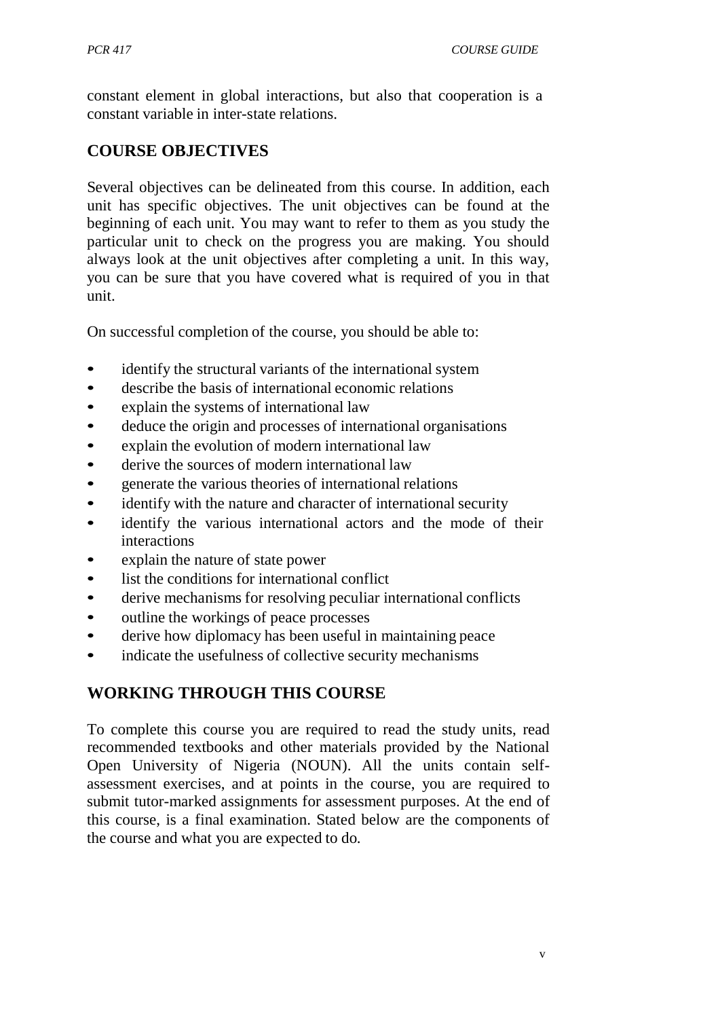constant element in global interactions, but also that cooperation is a constant variable in inter-state relations.

### **COURSE OBJECTIVES**

Several objectives can be delineated from this course. In addition, each unit has specific objectives. The unit objectives can be found at the beginning of each unit. You may want to refer to them as you study the particular unit to check on the progress you are making. You should always look at the unit objectives after completing a unit. In this way, you can be sure that you have covered what is required of you in that unit.

On successful completion of the course, you should be able to:

- identify the structural variants of the international system
- describe the basis of international economic relations
- explain the systems of international law
- deduce the origin and processes of international organisations
- explain the evolution of modern international law
- derive the sources of modern international law
- generate the various theories of international relations
- identify with the nature and character of international security
- identify the various international actors and the mode of their interactions
- explain the nature of state power
- list the conditions for international conflict
- derive mechanisms for resolving peculiar international conflicts
- outline the workings of peace processes
- derive how diplomacy has been useful in maintaining peace
- indicate the usefulness of collective security mechanisms

#### **WORKING THROUGH THIS COURSE**

To complete this course you are required to read the study units, read recommended textbooks and other materials provided by the National Open University of Nigeria (NOUN). All the units contain selfassessment exercises, and at points in the course, you are required to submit tutor-marked assignments for assessment purposes. At the end of this course, is a final examination. Stated below are the components of the course and what you are expected to do.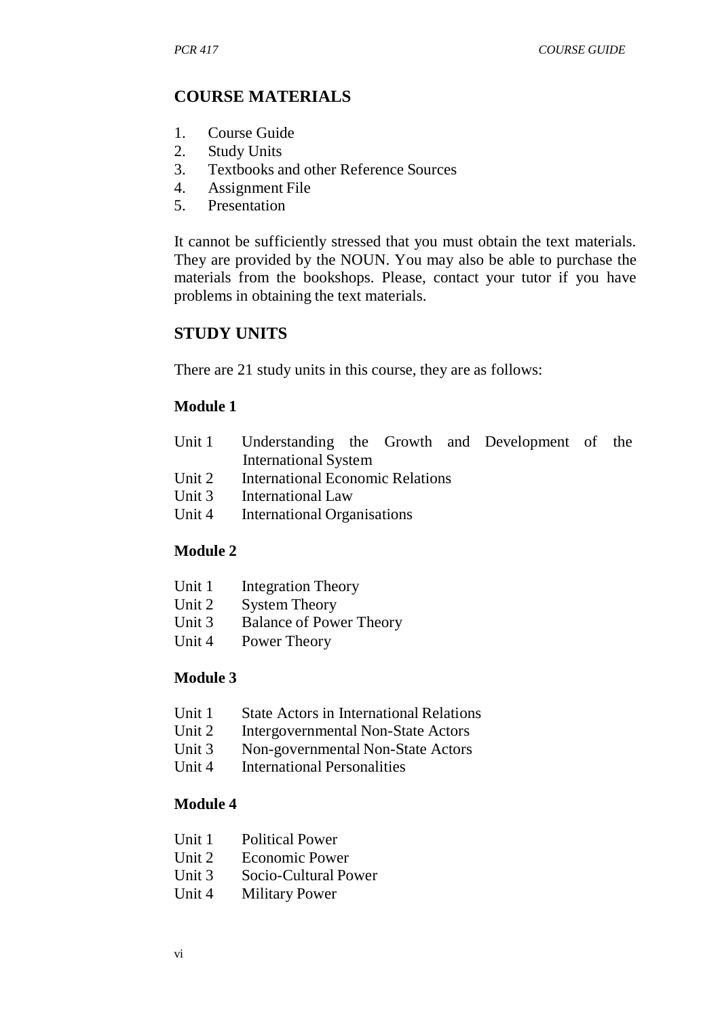#### **COURSE MATERIALS**

- 1. Course Guide
- 2. Study Units<br>3 Textbooks a
- 3. Textbooks and other Reference Sources
- 4. Assignment File
- 5. Presentation

It cannot be sufficiently stressed that you must obtain the text materials. They are provided by the NOUN. You may also be able to purchase the materials from the bookshops. Please, contact your tutor if you have problems in obtaining the text materials.

#### **STUDY UNITS**

There are 21 study units in this course, they are as follows:

#### **Module 1**

| Unit 1 Understanding the Growth and Development of the |  |  |  |
|--------------------------------------------------------|--|--|--|
| <b>International System</b>                            |  |  |  |

- Unit 2 International Economic Relations<br>Unit 3 International Law
- International Law
- Unit 4 International Organisations

#### **Module 2**

- Unit 1 Integration Theory
- Unit 2 System Theory
- Unit 3 Balance of Power Theory
- Unit 4 Power Theory

#### **Module 3**

- Unit 1 State Actors in International Relations
- Unit 2 Intergovernmental Non-State Actors
- Unit 3 Non-governmental Non-State Actors<br>Unit 4 International Personalities
- **International Personalities**

#### **Module 4**

- Unit 1 Political Power
- Unit 2 Economic Power
- Unit 3 Socio-Cultural Power
- Unit 4 Military Power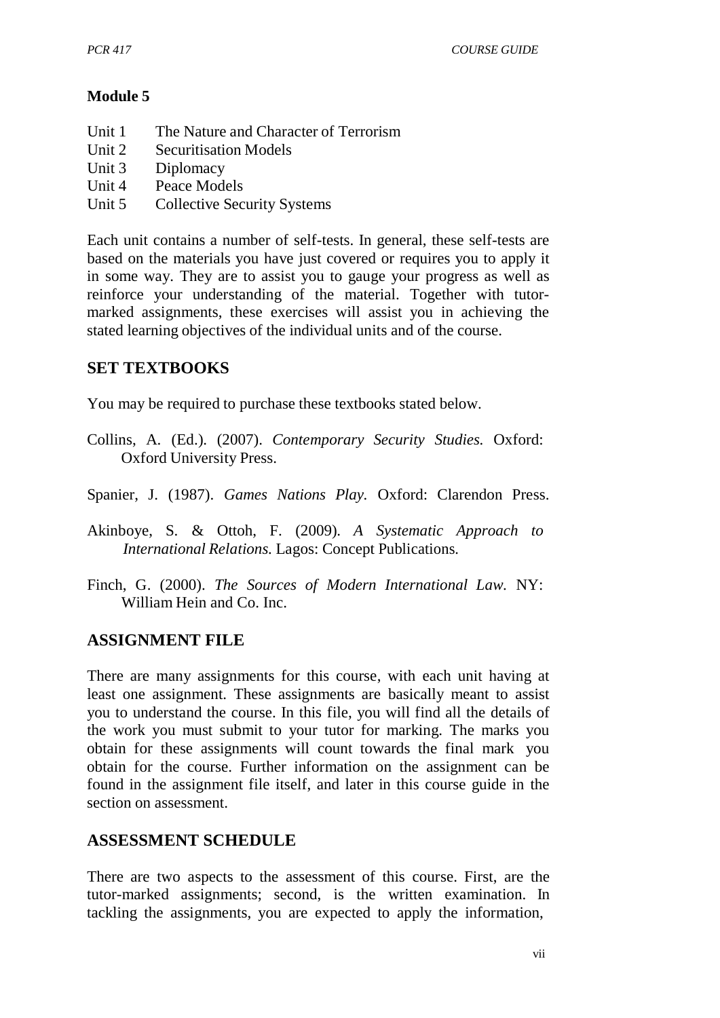#### **Module 5**

- Unit 1 The Nature and Character of Terrorism
- Unit 2 Securitisation Models
- Unit 3 Diplomacy<br>Unit 4 Peace Mode
- Peace Models
- Unit 5 Collective Security Systems

Each unit contains a number of self-tests. In general, these self-tests are based on the materials you have just covered or requires you to apply it in some way. They are to assist you to gauge your progress as well as reinforce your understanding of the material. Together with tutormarked assignments, these exercises will assist you in achieving the stated learning objectives of the individual units and of the course.

#### **SET TEXTBOOKS**

You may be required to purchase these textbooks stated below.

- Collins, A. (Ed.). (2007). *Contemporary Security Studies.* Oxford: Oxford University Press.
- Spanier, J. (1987). *Games Nations Play.* Oxford: Clarendon Press.
- Akinboye, S. & Ottoh, F. (2009). *A Systematic Approach to International Relations.* Lagos: Concept Publications.
- Finch, G. (2000). *The Sources of Modern International Law*. NY: William Hein and Co. Inc.

#### **ASSIGNMENT FILE**

There are many assignments for this course, with each unit having at least one assignment. These assignments are basically meant to assist you to understand the course. In this file, you will find all the details of the work you must submit to your tutor for marking. The marks you obtain for these assignments will count towards the final mark you obtain for the course. Further information on the assignment can be found in the assignment file itself, and later in this course guide in the section on assessment.

#### **ASSESSMENT SCHEDULE**

There are two aspects to the assessment of this course. First, are the tutor-marked assignments; second, is the written examination. In tackling the assignments, you are expected to apply the information,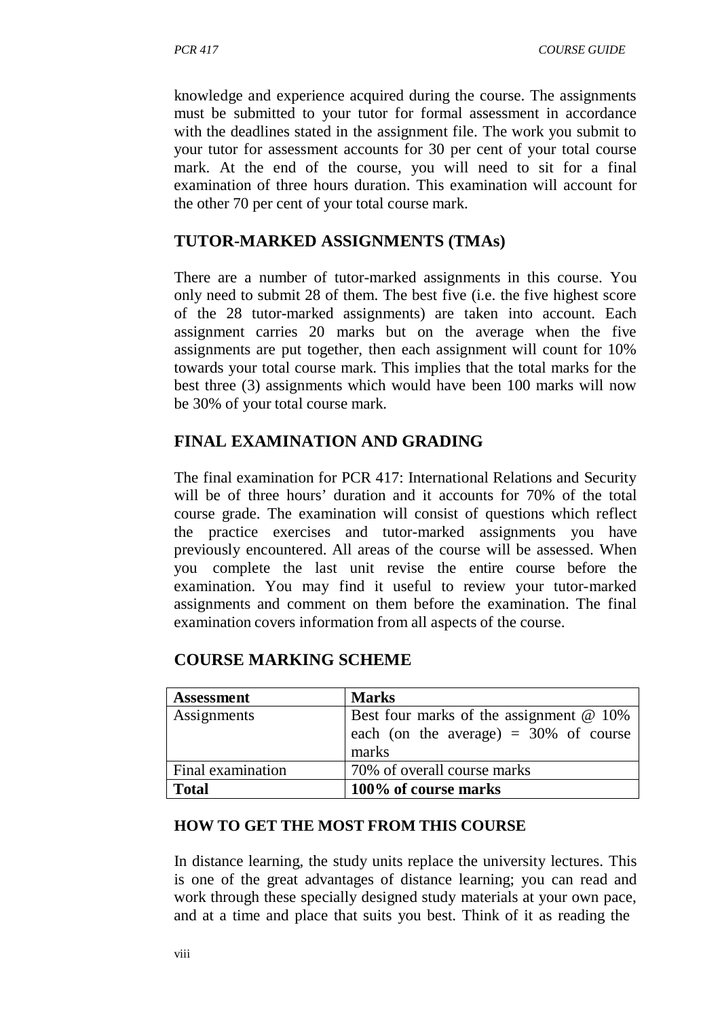knowledge and experience acquired during the course. The assignments must be submitted to your tutor for formal assessment in accordance with the deadlines stated in the assignment file. The work you submit to your tutor for assessment accounts for 30 per cent of your total course mark. At the end of the course, you will need to sit for a final examination of three hours duration. This examination will account for the other 70 per cent of your total course mark.

#### **TUTOR-MARKED ASSIGNMENTS (TMAs)**

There are a number of tutor-marked assignments in this course. You only need to submit 28 of them. The best five (i.e. the five highest score of the 28 tutor-marked assignments) are taken into account. Each assignment carries 20 marks but on the average when the five assignments are put together, then each assignment will count for 10% towards your total course mark. This implies that the total marks for the best three (3) assignments which would have been 100 marks will now be 30% of your total course mark.

### **FINAL EXAMINATION AND GRADING**

The final examination for PCR 417: International Relations and Security will be of three hours' duration and it accounts for 70% of the total course grade. The examination will consist of questions which reflect the practice exercises and tutor-marked assignments you have previously encountered. All areas of the course will be assessed. When you complete the last unit revise the entire course before the examination. You may find it useful to review your tutor-marked assignments and comment on them before the examination. The final examination covers information from all aspects of the course.

| <b>Assessment</b> | <b>Marks</b>                              |
|-------------------|-------------------------------------------|
| Assignments       | Best four marks of the assignment $@$ 10% |
|                   | each (on the average) = $30\%$ of course  |
|                   | marks                                     |
| Final examination | 70% of overall course marks               |
| <b>Total</b>      | 100% of course marks                      |

#### **COURSE MARKING SCHEME**

#### **HOW TO GET THE MOST FROM THIS COURSE**

In distance learning, the study units replace the university lectures. This is one of the great advantages of distance learning; you can read and work through these specially designed study materials at your own pace, and at a time and place that suits you best. Think of it as reading the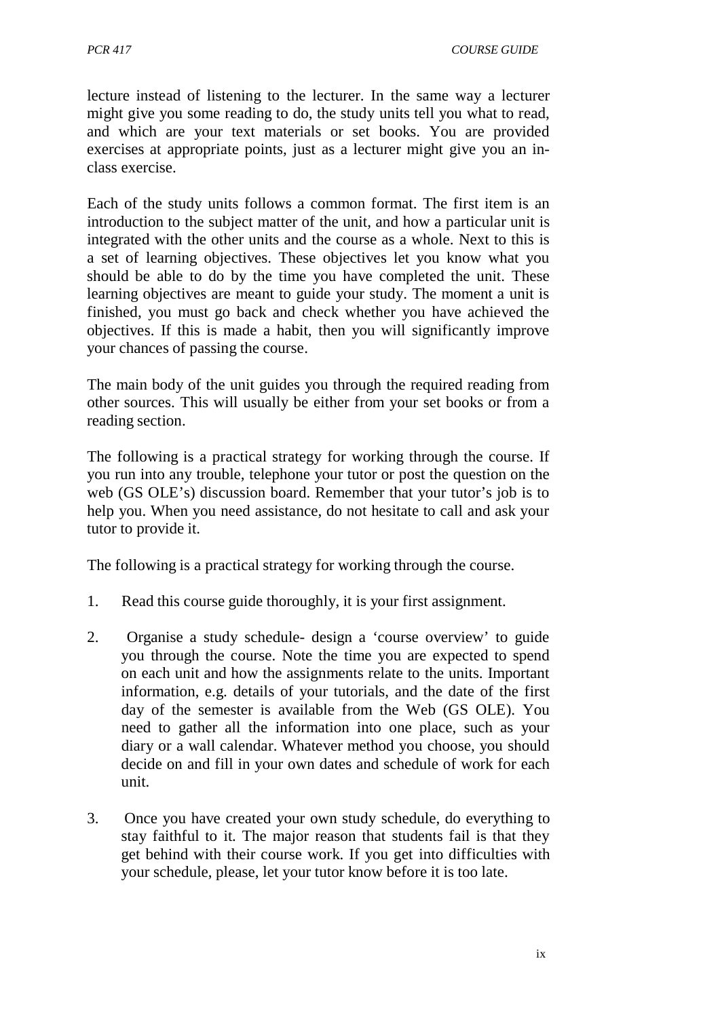lecture instead of listening to the lecturer. In the same way a lecturer might give you some reading to do, the study units tell you what to read, and which are your text materials or set books. You are provided exercises at appropriate points, just as a lecturer might give you an inclass exercise.

Each of the study units follows a common format. The first item is an introduction to the subject matter of the unit, and how a particular unit is integrated with the other units and the course as a whole. Next to this is a set of learning objectives. These objectives let you know what you should be able to do by the time you have completed the unit. These learning objectives are meant to guide your study. The moment a unit is finished, you must go back and check whether you have achieved the objectives. If this is made a habit, then you will significantly improve your chances of passing the course.

The main body of the unit guides you through the required reading from other sources. This will usually be either from your set books or from a reading section.

The following is a practical strategy for working through the course. If you run into any trouble, telephone your tutor or post the question on the web (GS OLE's) discussion board. Remember that your tutor's job is to help you. When you need assistance, do not hesitate to call and ask your tutor to provide it.

The following is a practical strategy for working through the course.

- 1. Read this course guide thoroughly, it is your first assignment.
- 2. Organise a study schedule- design a 'course overview' to guide you through the course. Note the time you are expected to spend on each unit and how the assignments relate to the units. Important information, e.g. details of your tutorials, and the date of the first day of the semester is available from the Web (GS OLE). You need to gather all the information into one place, such as your diary or a wall calendar. Whatever method you choose, you should decide on and fill in your own dates and schedule of work for each unit.
- 3. Once you have created your own study schedule, do everything to stay faithful to it. The major reason that students fail is that they get behind with their course work. If you get into difficulties with your schedule, please, let your tutor know before it is too late.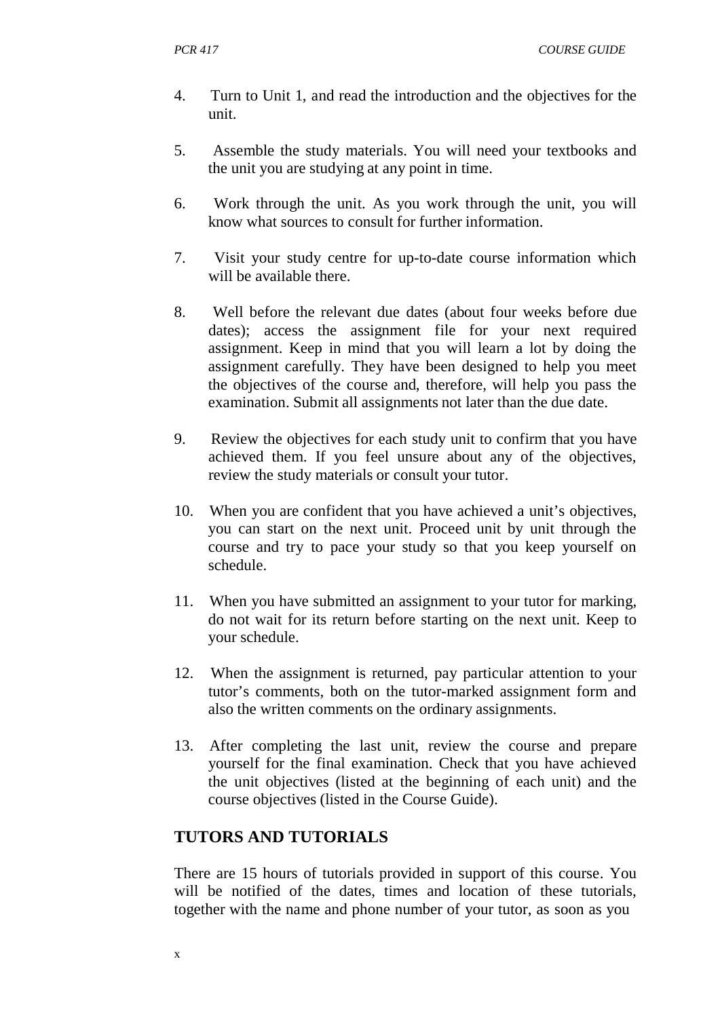- 4. Turn to Unit 1, and read the introduction and the objectives for the unit.
- 5. Assemble the study materials. You will need your textbooks and the unit you are studying at any point in time.
- 6. Work through the unit. As you work through the unit, you will know what sources to consult for further information.
- 7. Visit your study centre for up-to-date course information which will be available there.
- 8. Well before the relevant due dates (about four weeks before due dates); access the assignment file for your next required assignment. Keep in mind that you will learn a lot by doing the assignment carefully. They have been designed to help you meet the objectives of the course and, therefore, will help you pass the examination. Submit all assignments not later than the due date.
- 9. Review the objectives for each study unit to confirm that you have achieved them. If you feel unsure about any of the objectives, review the study materials or consult your tutor.
- 10. When you are confident that you have achieved a unit's objectives, you can start on the next unit. Proceed unit by unit through the course and try to pace your study so that you keep yourself on schedule.
- 11. When you have submitted an assignment to your tutor for marking, do not wait for its return before starting on the next unit. Keep to your schedule.
- 12. When the assignment is returned, pay particular attention to your tutor's comments, both on the tutor-marked assignment form and also the written comments on the ordinary assignments.
- 13. After completing the last unit, review the course and prepare yourself for the final examination. Check that you have achieved the unit objectives (listed at the beginning of each unit) and the course objectives (listed in the Course Guide).

#### **TUTORS AND TUTORIALS**

There are 15 hours of tutorials provided in support of this course. You will be notified of the dates, times and location of these tutorials, together with the name and phone number of your tutor, as soon as you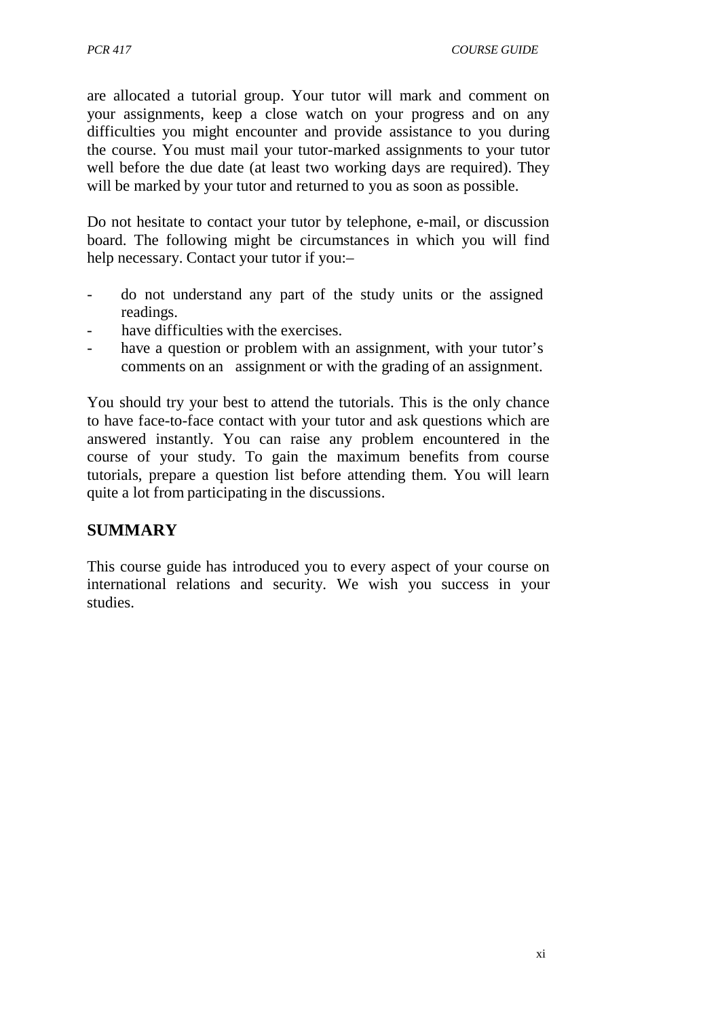are allocated a tutorial group. Your tutor will mark and comment on your assignments, keep a close watch on your progress and on any difficulties you might encounter and provide assistance to you during the course. You must mail your tutor-marked assignments to your tutor well before the due date (at least two working days are required). They will be marked by your tutor and returned to you as soon as possible.

Do not hesitate to contact your tutor by telephone, e-mail, or discussion board. The following might be circumstances in which you will find help necessary. Contact your tutor if you:-

- do not understand any part of the study units or the assigned readings.
- have difficulties with the exercises.
- have a question or problem with an assignment, with your tutor's comments on an assignment or with the grading of an assignment.

You should try your best to attend the tutorials. This is the only chance to have face-to-face contact with your tutor and ask questions which are answered instantly. You can raise any problem encountered in the course of your study. To gain the maximum benefits from course tutorials, prepare a question list before attending them. You will learn quite a lot from participating in the discussions.

#### **SUMMARY**

This course guide has introduced you to every aspect of your course on international relations and security. We wish you success in your studies.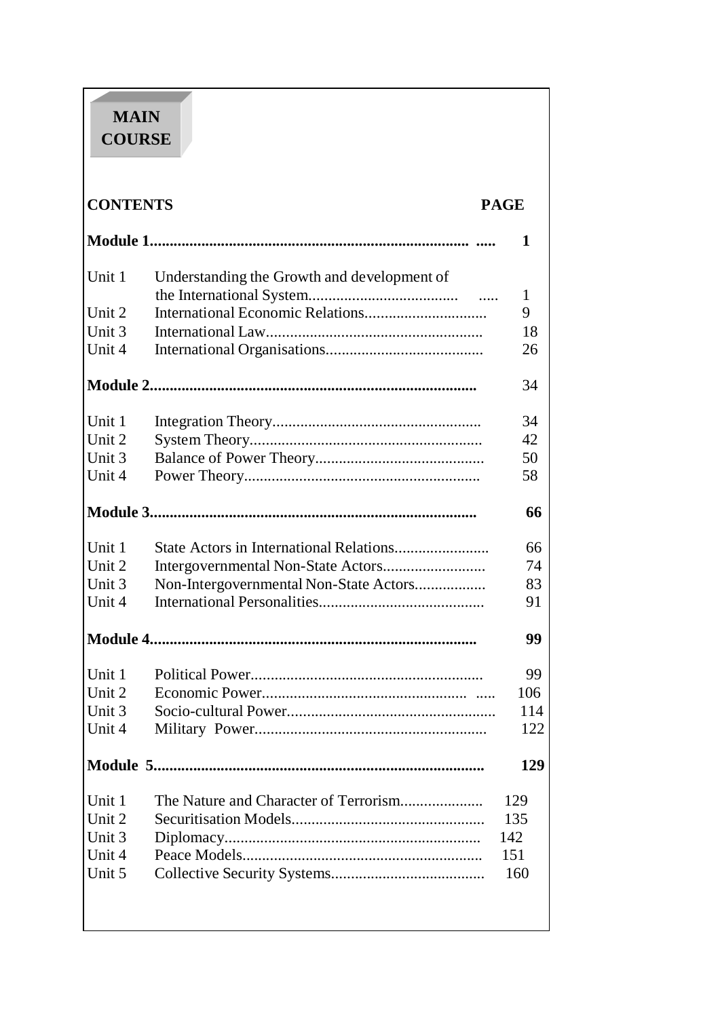# **MAIN COURSE**

| <b>CONTENTS</b> |                                             | <b>PAGE</b> |
|-----------------|---------------------------------------------|-------------|
|                 |                                             | 1           |
| Unit 1          | Understanding the Growth and development of |             |
|                 |                                             | 1           |
| Unit 2          |                                             | 9           |
| Unit 3          |                                             | 18          |
| Unit 4          |                                             | 26          |
|                 |                                             | 34          |
| Unit 1          |                                             | 34          |
| Unit 2          |                                             | 42          |
| Unit 3          |                                             | 50          |
| Unit 4          |                                             | 58          |
|                 |                                             | 66          |
| Unit 1          |                                             | 66          |
| Unit 2          |                                             | 74          |
| Unit 3          | Non-Intergovernmental Non-State Actors      | 83          |
| Unit 4          |                                             | 91          |
|                 |                                             | 99          |
| Unit 1          |                                             | 99          |
| Unit 2          |                                             | 106         |
| Unit 3          |                                             | 114         |
| Unit 4          |                                             | 122         |
|                 |                                             | 129         |
| Unit 1          | The Nature and Character of Terrorism       | 129         |
| Unit 2          |                                             | 135         |
| Unit 3          |                                             | 142         |
| Unit 4          |                                             | 151         |

Unit 5 Collective Security Systems....................................... 160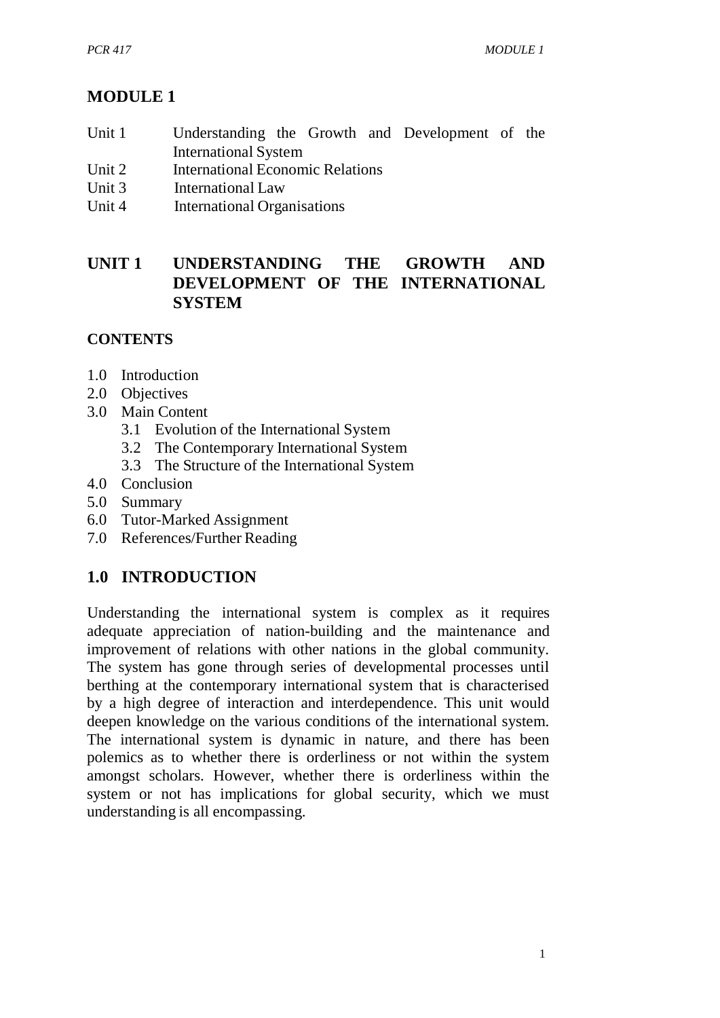# **MODULE 1**

- Unit 1 Understanding the Growth and Development of the International System
- Unit 2 International Economic Relations
- Unit 3 International Law
- Unit 4 International Organisations

# **UNIT 1 UNDERSTANDING THE GROWTH AND DEVELOPMENT OF THE INTERNATIONAL SYSTEM**

# **CONTENTS**

- 1.0 Introduction
- 2.0 Objectives
- 3.0 Main Content
	- 3.1 Evolution of the International System
	- 3.2 The Contemporary International System
	- 3.3 The Structure of the International System
- 4.0 Conclusion
- 5.0 Summary
- 6.0 Tutor-Marked Assignment
- 7.0 References/Further Reading

# **1.0 INTRODUCTION**

Understanding the international system is complex as it requires adequate appreciation of nation-building and the maintenance and improvement of relations with other nations in the global community. The system has gone through series of developmental processes until berthing at the contemporary international system that is characterised by a high degree of interaction and interdependence. This unit would deepen knowledge on the various conditions of the international system. The international system is dynamic in nature, and there has been polemics as to whether there is orderliness or not within the system amongst scholars. However, whether there is orderliness within the system or not has implications for global security, which we must understanding is all encompassing.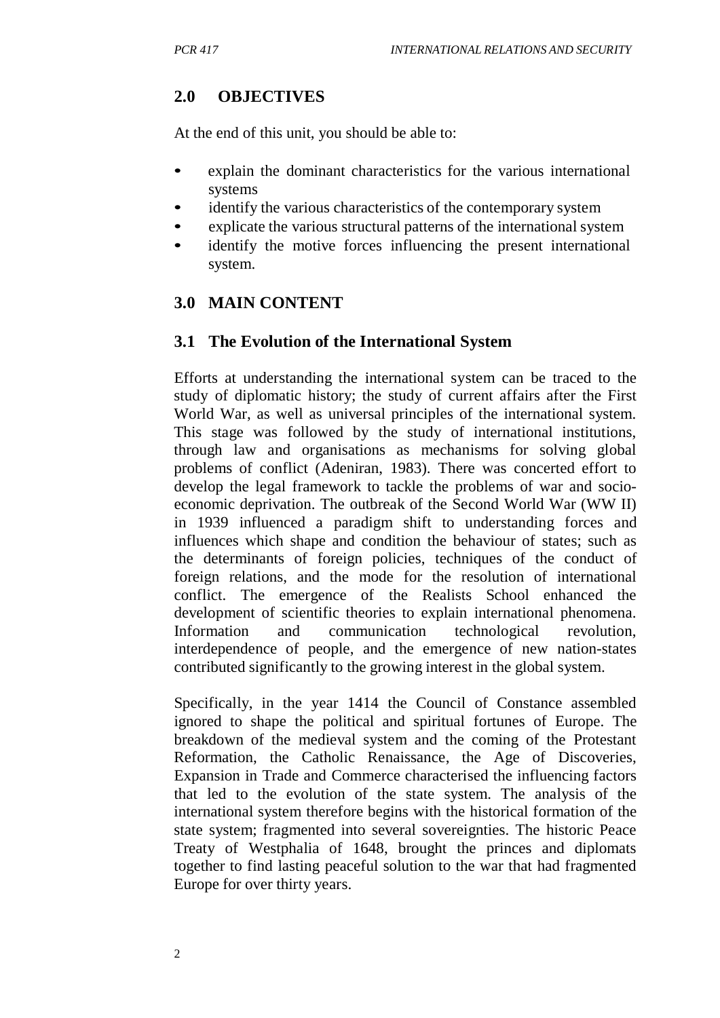# **2.0 OBJECTIVES**

At the end of this unit, you should be able to:

- explain the dominant characteristics for the various international systems
- identify the various characteristics of the contemporary system
- explicate the various structural patterns of the international system
- identify the motive forces influencing the present international system.

# **3.0 MAIN CONTENT**

#### **3.1 The Evolution of the International System**

Efforts at understanding the international system can be traced to the study of diplomatic history; the study of current affairs after the First World War, as well as universal principles of the international system. This stage was followed by the study of international institutions, through law and organisations as mechanisms for solving global problems of conflict (Adeniran, 1983). There was concerted effort to develop the legal framework to tackle the problems of war and socioeconomic deprivation. The outbreak of the Second World War (WW II) in 1939 influenced a paradigm shift to understanding forces and influences which shape and condition the behaviour of states; such as the determinants of foreign policies, techniques of the conduct of foreign relations, and the mode for the resolution of international conflict. The emergence of the Realists School enhanced the development of scientific theories to explain international phenomena. Information and communication technological revolution, interdependence of people, and the emergence of new nation-states contributed significantly to the growing interest in the global system.

Specifically, in the year 1414 the Council of Constance assembled ignored to shape the political and spiritual fortunes of Europe. The breakdown of the medieval system and the coming of the Protestant Reformation, the Catholic Renaissance, the Age of Discoveries, Expansion in Trade and Commerce characterised the influencing factors that led to the evolution of the state system. The analysis of the international system therefore begins with the historical formation of the state system; fragmented into several sovereignties. The historic Peace Treaty of Westphalia of 1648, brought the princes and diplomats together to find lasting peaceful solution to the war that had fragmented Europe for over thirty years.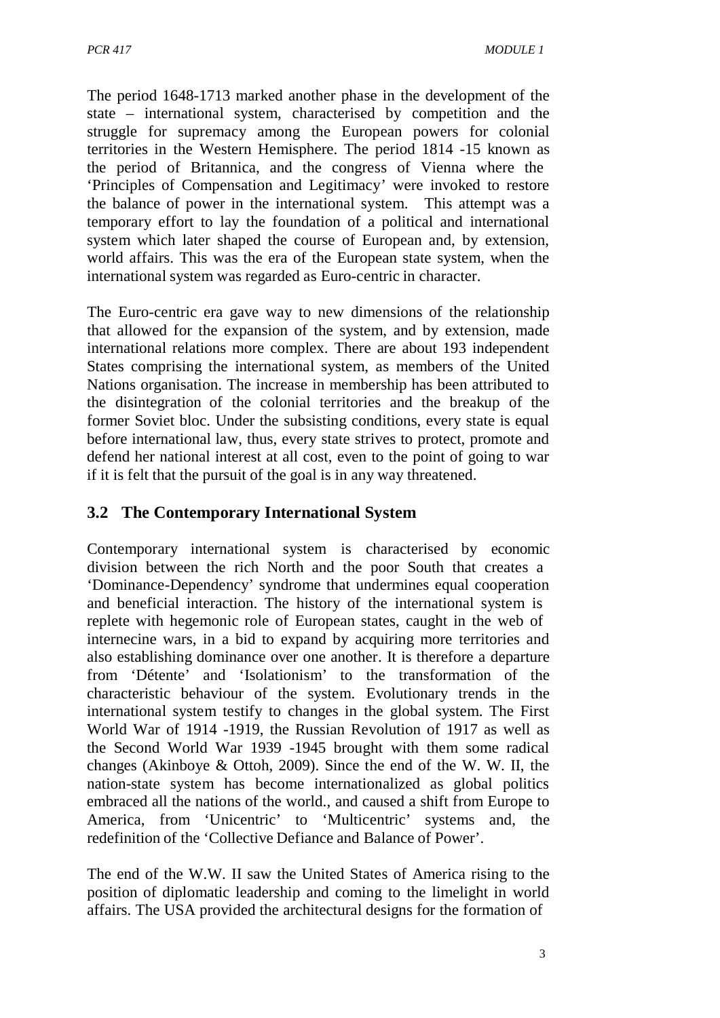The period 1648-1713 marked another phase in the development of the state – international system, characterised by competition and the struggle for supremacy among the European powers for colonial territories in the Western Hemisphere. The period 1814 -15 known as the period of Britannica, and the congress of Vienna where the 'Principles of Compensation and Legitimacy' were invoked to restore the balance of power in the international system. This attempt was a temporary effort to lay the foundation of a political and international system which later shaped the course of European and, by extension, world affairs. This was the era of the European state system, when the international system was regarded as Euro-centric in character.

The Euro-centric era gave way to new dimensions of the relationship that allowed for the expansion of the system, and by extension, made international relations more complex. There are about 193 independent States comprising the international system, as members of the United Nations organisation. The increase in membership has been attributed to the disintegration of the colonial territories and the breakup of the former Soviet bloc. Under the subsisting conditions, every state is equal before international law, thus, every state strives to protect, promote and defend her national interest at all cost, even to the point of going to war if it is felt that the pursuit of the goal is in any way threatened.

#### **3.2 The Contemporary International System**

Contemporary international system is characterised by economic division between the rich North and the poor South that creates a 'Dominance-Dependency' syndrome that undermines equal cooperation and beneficial interaction. The history of the international system is replete with hegemonic role of European states, caught in the web of internecine wars, in a bid to expand by acquiring more territories and also establishing dominance over one another. It is therefore a departure from 'Détente' and 'Isolationism' to the transformation of the characteristic behaviour of the system. Evolutionary trends in the international system testify to changes in the global system. The First World War of 1914 -1919, the Russian Revolution of 1917 as well as the Second World War 1939 -1945 brought with them some radical changes (Akinboye & Ottoh, 2009). Since the end of the W. W. II, the nation-state system has become internationalized as global politics embraced all the nations of the world., and caused a shift from Europe to America, from 'Unicentric' to 'Multicentric' systems and, the redefinition of the 'Collective Defiance and Balance of Power'.

The end of the W.W. II saw the United States of America rising to the position of diplomatic leadership and coming to the limelight in world affairs. The USA provided the architectural designs for the formation of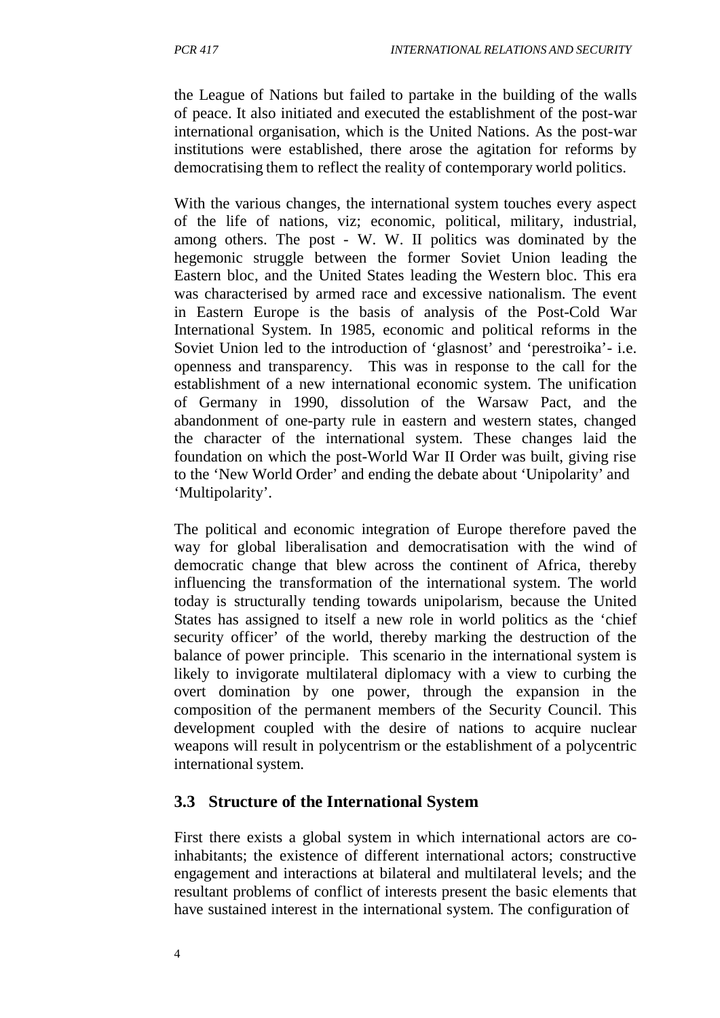the League of Nations but failed to partake in the building of the walls of peace. It also initiated and executed the establishment of the post-war international organisation, which is the United Nations. As the post-war institutions were established, there arose the agitation for reforms by democratising them to reflect the reality of contemporary world politics.

With the various changes, the international system touches every aspect of the life of nations, viz; economic, political, military, industrial, among others. The post - W. W. II politics was dominated by the hegemonic struggle between the former Soviet Union leading the Eastern bloc, and the United States leading the Western bloc. This era was characterised by armed race and excessive nationalism. The event in Eastern Europe is the basis of analysis of the Post-Cold War International System. In 1985, economic and political reforms in the Soviet Union led to the introduction of 'glasnost' and 'perestroika'- i.e. openness and transparency. This was in response to the call for the establishment of a new international economic system. The unification of Germany in 1990, dissolution of the Warsaw Pact, and the abandonment of one-party rule in eastern and western states, changed the character of the international system. These changes laid the foundation on which the post-World War II Order was built, giving rise to the 'New World Order' and ending the debate about 'Unipolarity' and 'Multipolarity'.

The political and economic integration of Europe therefore paved the way for global liberalisation and democratisation with the wind of democratic change that blew across the continent of Africa, thereby influencing the transformation of the international system. The world today is structurally tending towards unipolarism, because the United States has assigned to itself a new role in world politics as the 'chief security officer' of the world, thereby marking the destruction of the balance of power principle. This scenario in the international system is likely to invigorate multilateral diplomacy with a view to curbing the overt domination by one power, through the expansion in the composition of the permanent members of the Security Council. This development coupled with the desire of nations to acquire nuclear weapons will result in polycentrism or the establishment of a polycentric international system.

#### **3.3 Structure of the International System**

First there exists a global system in which international actors are coinhabitants; the existence of different international actors; constructive engagement and interactions at bilateral and multilateral levels; and the resultant problems of conflict of interests present the basic elements that have sustained interest in the international system. The configuration of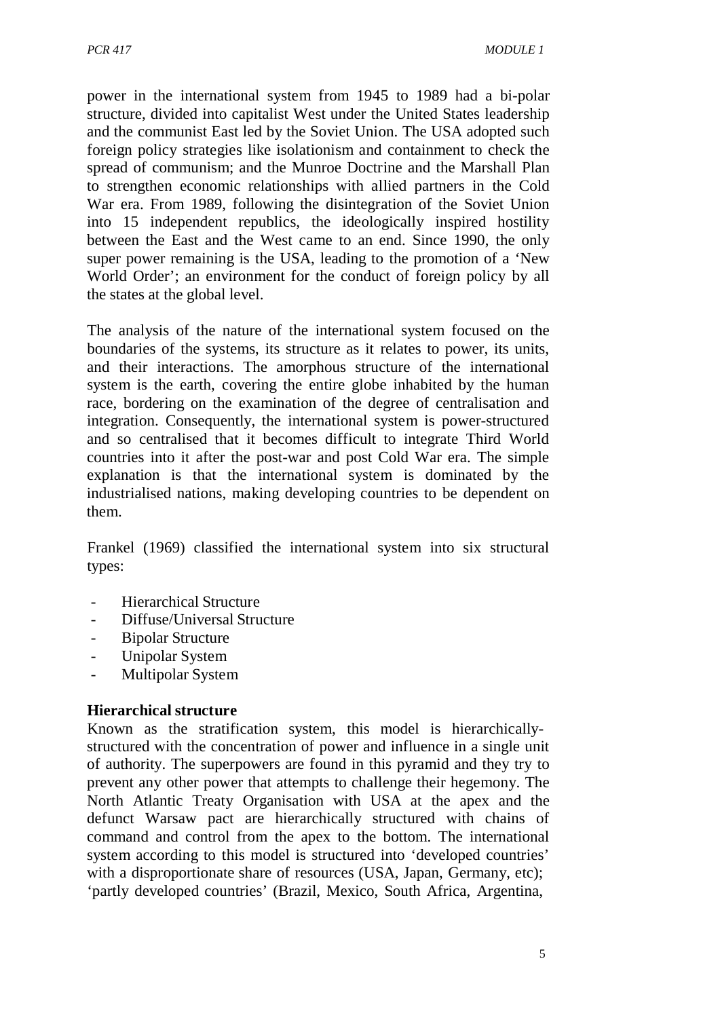power in the international system from 1945 to 1989 had a bi-polar structure, divided into capitalist West under the United States leadership and the communist East led by the Soviet Union. The USA adopted such foreign policy strategies like isolationism and containment to check the spread of communism; and the Munroe Doctrine and the Marshall Plan to strengthen economic relationships with allied partners in the Cold War era. From 1989, following the disintegration of the Soviet Union into 15 independent republics, the ideologically inspired hostility between the East and the West came to an end. Since 1990, the only super power remaining is the USA, leading to the promotion of a 'New World Order'; an environment for the conduct of foreign policy by all the states at the global level.

The analysis of the nature of the international system focused on the boundaries of the systems, its structure as it relates to power, its units, and their interactions. The amorphous structure of the international system is the earth, covering the entire globe inhabited by the human race, bordering on the examination of the degree of centralisation and integration. Consequently, the international system is power-structured and so centralised that it becomes difficult to integrate Third World countries into it after the post-war and post Cold War era. The simple explanation is that the international system is dominated by the industrialised nations, making developing countries to be dependent on them.

Frankel (1969) classified the international system into six structural types:

- Hierarchical Structure
- Diffuse/Universal Structure
- Bipolar Structure
- Unipolar System
- Multipolar System

#### **Hierarchical structure**

Known as the stratification system, this model is hierarchicallystructured with the concentration of power and influence in a single unit of authority. The superpowers are found in this pyramid and they try to prevent any other power that attempts to challenge their hegemony. The North Atlantic Treaty Organisation with USA at the apex and the defunct Warsaw pact are hierarchically structured with chains of command and control from the apex to the bottom. The international system according to this model is structured into 'developed countries' with a disproportionate share of resources (USA, Japan, Germany, etc); 'partly developed countries' (Brazil, Mexico, South Africa, Argentina,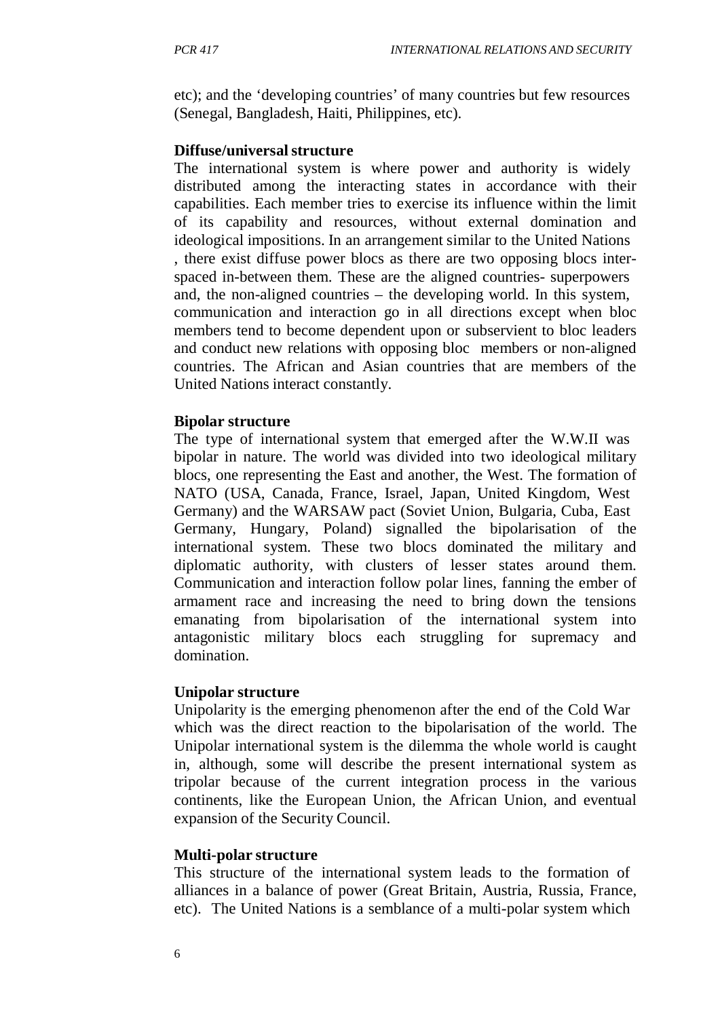etc); and the 'developing countries' of many countries but few resources (Senegal, Bangladesh, Haiti, Philippines, etc).

#### **Diffuse/universalstructure**

The international system is where power and authority is widely distributed among the interacting states in accordance with their capabilities. Each member tries to exercise its influence within the limit of its capability and resources, without external domination and ideological impositions. In an arrangement similar to the United Nations , there exist diffuse power blocs as there are two opposing blocs interspaced in-between them. These are the aligned countries- superpowers and, the non-aligned countries – the developing world. In this system, communication and interaction go in all directions except when bloc members tend to become dependent upon or subservient to bloc leaders and conduct new relations with opposing bloc members or non-aligned countries. The African and Asian countries that are members of the United Nations interact constantly.

#### **Bipolar structure**

The type of international system that emerged after the W.W.II was bipolar in nature. The world was divided into two ideological military blocs, one representing the East and another, the West. The formation of NATO (USA, Canada, France, Israel, Japan, United Kingdom, West Germany) and the WARSAW pact (Soviet Union, Bulgaria, Cuba, East Germany, Hungary, Poland) signalled the bipolarisation of the international system. These two blocs dominated the military and diplomatic authority, with clusters of lesser states around them. Communication and interaction follow polar lines, fanning the ember of armament race and increasing the need to bring down the tensions emanating from bipolarisation of the international system into antagonistic military blocs each struggling for supremacy and domination.

#### **Unipolar structure**

Unipolarity is the emerging phenomenon after the end of the Cold War which was the direct reaction to the bipolarisation of the world. The Unipolar international system is the dilemma the whole world is caught in, although, some will describe the present international system as tripolar because of the current integration process in the various continents, like the European Union, the African Union, and eventual expansion of the Security Council.

#### **Multi-polar structure**

This structure of the international system leads to the formation of alliances in a balance of power (Great Britain, Austria, Russia, France, etc). The United Nations is a semblance of a multi-polar system which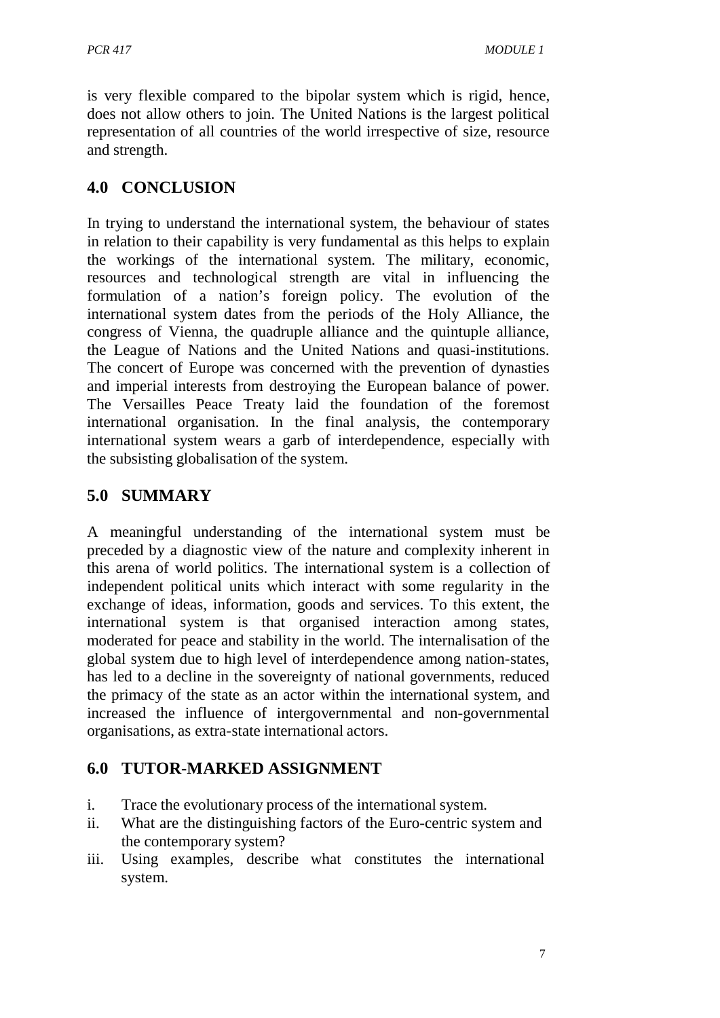is very flexible compared to the bipolar system which is rigid, hence, does not allow others to join. The United Nations is the largest political representation of all countries of the world irrespective of size, resource and strength.

# **4.0 CONCLUSION**

In trying to understand the international system, the behaviour of states in relation to their capability is very fundamental as this helps to explain the workings of the international system. The military, economic, resources and technological strength are vital in influencing the formulation of a nation's foreign policy. The evolution of the international system dates from the periods of the Holy Alliance, the congress of Vienna, the quadruple alliance and the quintuple alliance, the League of Nations and the United Nations and quasi-institutions. The concert of Europe was concerned with the prevention of dynasties and imperial interests from destroying the European balance of power. The Versailles Peace Treaty laid the foundation of the foremost international organisation. In the final analysis, the contemporary international system wears a garb of interdependence, especially with the subsisting globalisation of the system.

# **5.0 SUMMARY**

A meaningful understanding of the international system must be preceded by a diagnostic view of the nature and complexity inherent in this arena of world politics. The international system is a collection of independent political units which interact with some regularity in the exchange of ideas, information, goods and services. To this extent, the international system is that organised interaction among states, moderated for peace and stability in the world. The internalisation of the global system due to high level of interdependence among nation-states, has led to a decline in the sovereignty of national governments, reduced the primacy of the state as an actor within the international system, and increased the influence of intergovernmental and non-governmental organisations, as extra-state international actors.

#### **6.0 TUTOR-MARKED ASSIGNMENT**

- i. Trace the evolutionary process of the international system.
- ii. What are the distinguishing factors of the Euro-centric system and the contemporary system?
- iii. Using examples, describe what constitutes the international system.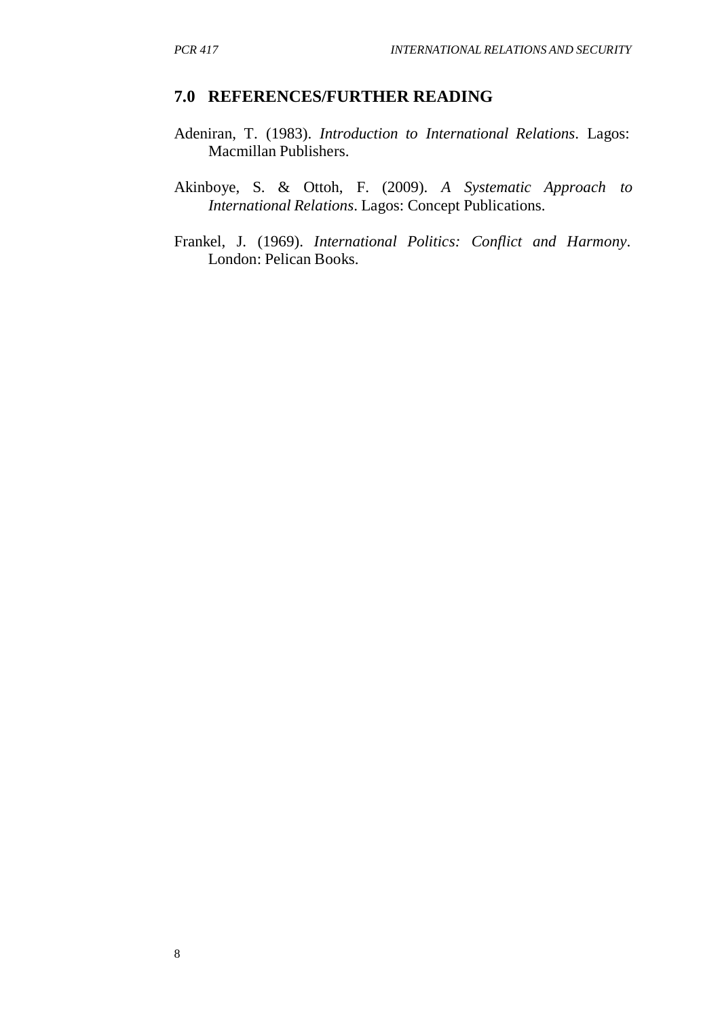#### **7.0 REFERENCES/FURTHER READING**

- Adeniran, T. (1983). *Introduction to International Relations*. Lagos: Macmillan Publishers.
- Akinboye, S. & Ottoh, F. (2009). *A Systematic Approach to International Relations*. Lagos: Concept Publications.
- Frankel, J. (1969). *International Politics: Conflict and Harmony*. London: Pelican Books.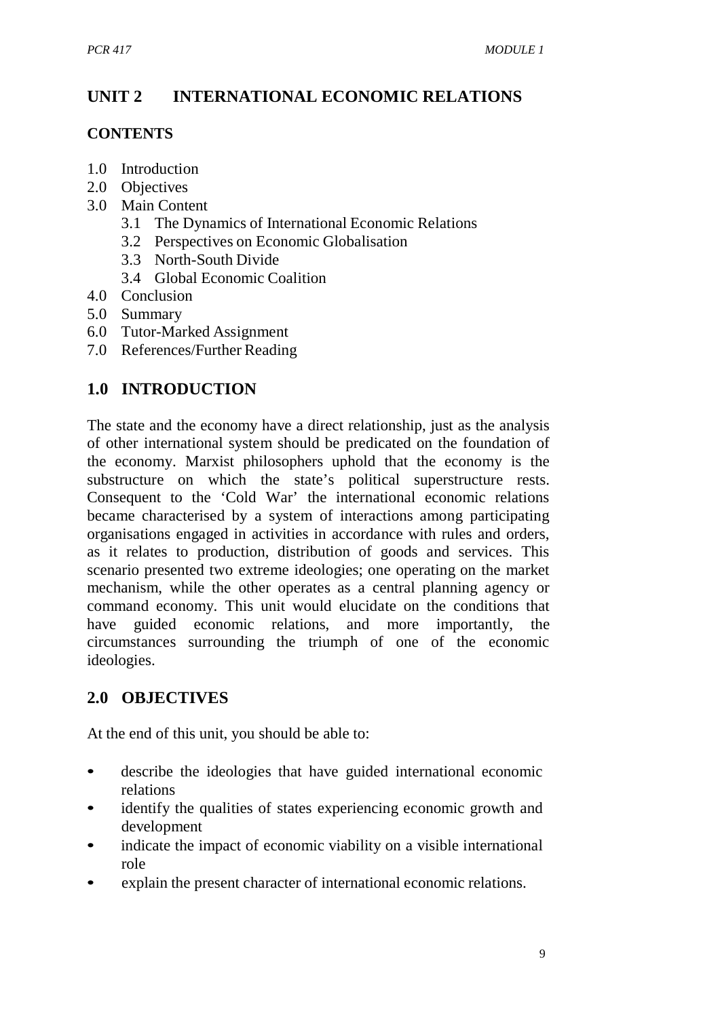# **UNIT 2 INTERNATIONAL ECONOMIC RELATIONS**

#### **CONTENTS**

- 1.0 Introduction
- 2.0 Objectives
- 3.0 Main Content
	- 3.1 The Dynamics of International Economic Relations
	- 3.2 Perspectives on Economic Globalisation
	- 3.3 North-South Divide
	- 3.4 Global Economic Coalition
- 4.0 Conclusion
- 5.0 Summary
- 6.0 Tutor-Marked Assignment
- 7.0 References/Further Reading

# **1.0 INTRODUCTION**

The state and the economy have a direct relationship, just as the analysis of other international system should be predicated on the foundation of the economy. Marxist philosophers uphold that the economy is the substructure on which the state's political superstructure rests. Consequent to the 'Cold War' the international economic relations became characterised by a system of interactions among participating organisations engaged in activities in accordance with rules and orders, as it relates to production, distribution of goods and services. This scenario presented two extreme ideologies; one operating on the market mechanism, while the other operates as a central planning agency or command economy. This unit would elucidate on the conditions that have guided economic relations, and more importantly, the circumstances surrounding the triumph of one of the economic ideologies.

# **2.0 OBJECTIVES**

At the end of this unit, you should be able to:

- describe the ideologies that have guided international economic relations
- identify the qualities of states experiencing economic growth and development
- indicate the impact of economic viability on a visible international role
- explain the present character of international economic relations.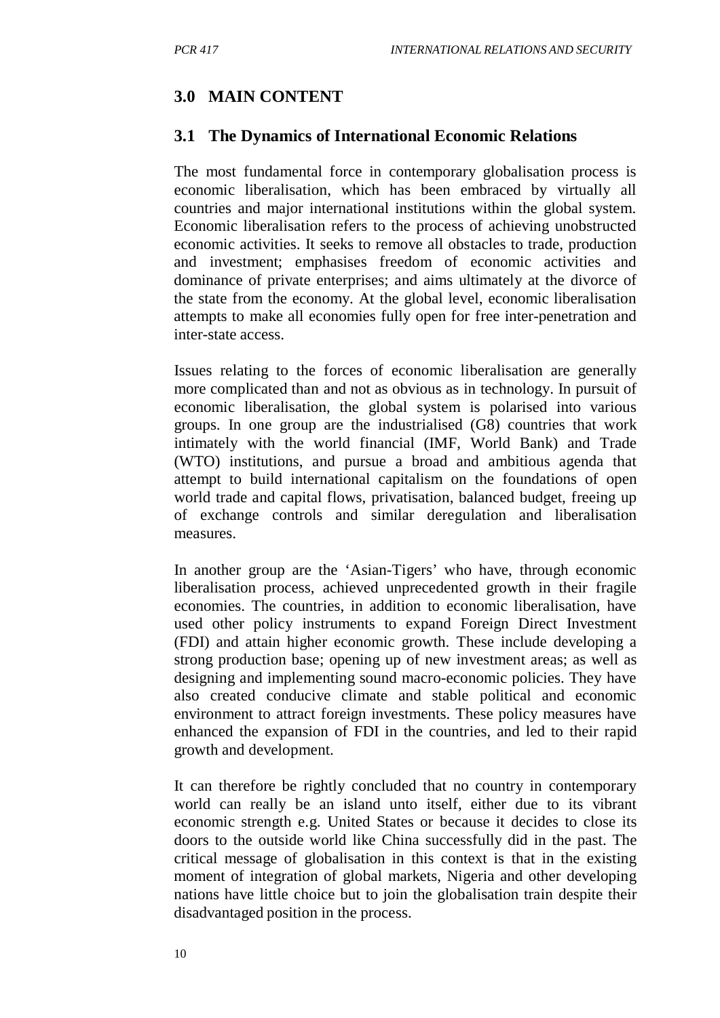### **3.0 MAIN CONTENT**

#### **3.1 The Dynamics of International Economic Relations**

The most fundamental force in contemporary globalisation process is economic liberalisation, which has been embraced by virtually all countries and major international institutions within the global system. Economic liberalisation refers to the process of achieving unobstructed economic activities. It seeks to remove all obstacles to trade, production and investment; emphasises freedom of economic activities and dominance of private enterprises; and aims ultimately at the divorce of the state from the economy. At the global level, economic liberalisation attempts to make all economies fully open for free inter-penetration and inter-state access.

Issues relating to the forces of economic liberalisation are generally more complicated than and not as obvious as in technology. In pursuit of economic liberalisation, the global system is polarised into various groups. In one group are the industrialised (G8) countries that work intimately with the world financial (IMF, World Bank) and Trade (WTO) institutions, and pursue a broad and ambitious agenda that attempt to build international capitalism on the foundations of open world trade and capital flows, privatisation, balanced budget, freeing up of exchange controls and similar deregulation and liberalisation measures.

In another group are the 'Asian-Tigers' who have, through economic liberalisation process, achieved unprecedented growth in their fragile economies. The countries, in addition to economic liberalisation, have used other policy instruments to expand Foreign Direct Investment (FDI) and attain higher economic growth. These include developing a strong production base; opening up of new investment areas; as well as designing and implementing sound macro-economic policies. They have also created conducive climate and stable political and economic environment to attract foreign investments. These policy measures have enhanced the expansion of FDI in the countries, and led to their rapid growth and development.

It can therefore be rightly concluded that no country in contemporary world can really be an island unto itself, either due to its vibrant economic strength e.g. United States or because it decides to close its doors to the outside world like China successfully did in the past. The critical message of globalisation in this context is that in the existing moment of integration of global markets, Nigeria and other developing nations have little choice but to join the globalisation train despite their disadvantaged position in the process.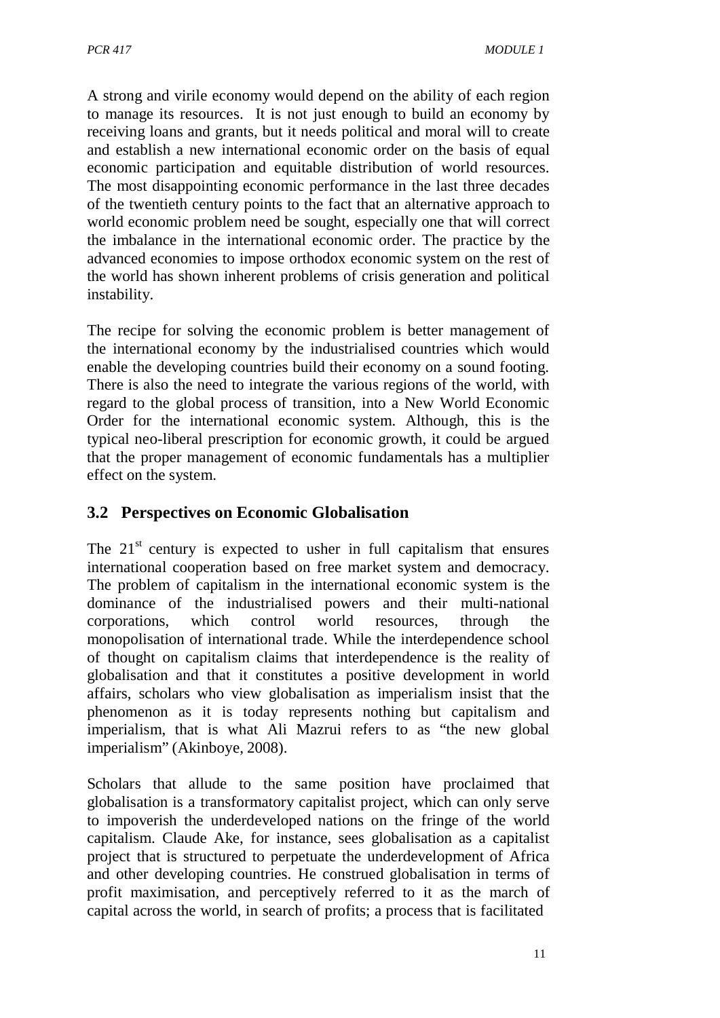A strong and virile economy would depend on the ability of each region to manage its resources. It is not just enough to build an economy by receiving loans and grants, but it needs political and moral will to create and establish a new international economic order on the basis of equal economic participation and equitable distribution of world resources. The most disappointing economic performance in the last three decades of the twentieth century points to the fact that an alternative approach to world economic problem need be sought, especially one that will correct the imbalance in the international economic order. The practice by the advanced economies to impose orthodox economic system on the rest of the world has shown inherent problems of crisis generation and political instability.

The recipe for solving the economic problem is better management of the international economy by the industrialised countries which would enable the developing countries build their economy on a sound footing. There is also the need to integrate the various regions of the world, with regard to the global process of transition, into a New World Economic Order for the international economic system. Although, this is the typical neo-liberal prescription for economic growth, it could be argued that the proper management of economic fundamentals has a multiplier effect on the system.

#### **3.2 Perspectives on Economic Globalisation**

The  $21<sup>st</sup>$  century is expected to usher in full capitalism that ensures international cooperation based on free market system and democracy. The problem of capitalism in the international economic system is the dominance of the industrialised powers and their multi-national corporations, which control world resources, through the monopolisation of international trade. While the interdependence school of thought on capitalism claims that interdependence is the reality of globalisation and that it constitutes a positive development in world affairs, scholars who view globalisation as imperialism insist that the phenomenon as it is today represents nothing but capitalism and imperialism, that is what Ali Mazrui refers to as "the new global imperialism" (Akinboye, 2008).

Scholars that allude to the same position have proclaimed that globalisation is a transformatory capitalist project, which can only serve to impoverish the underdeveloped nations on the fringe of the world capitalism. Claude Ake, for instance, sees globalisation as a capitalist project that is structured to perpetuate the underdevelopment of Africa and other developing countries. He construed globalisation in terms of profit maximisation, and perceptively referred to it as the march of capital across the world, in search of profits; a process that is facilitated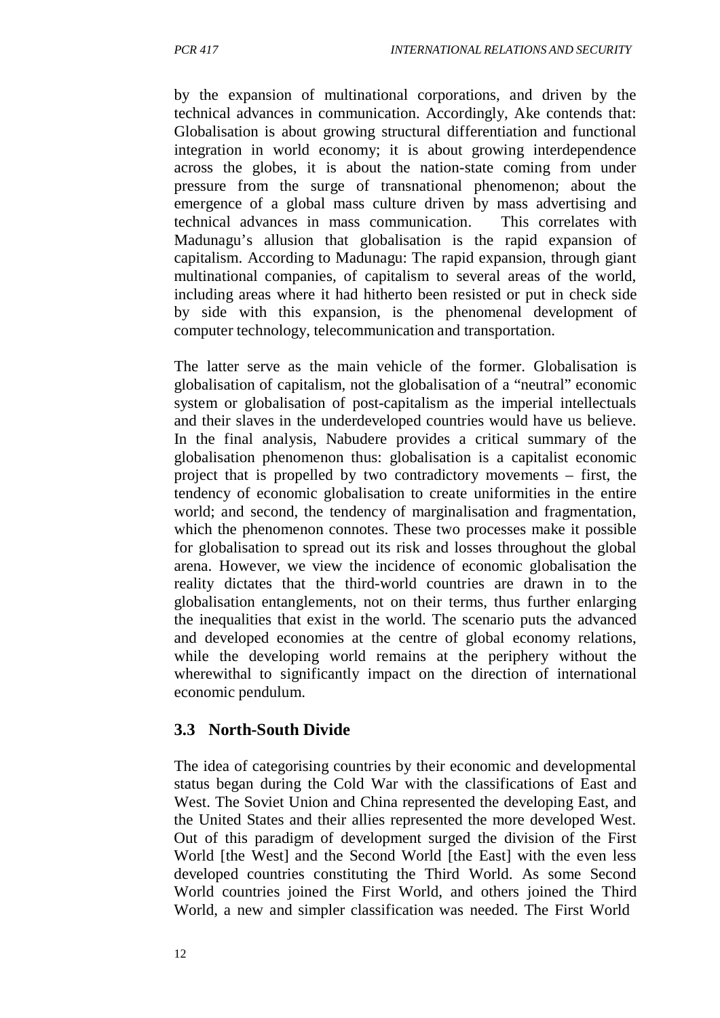by the expansion of multinational corporations, and driven by the technical advances in communication. Accordingly, Ake contends that: Globalisation is about growing structural differentiation and functional integration in world economy; it is about growing interdependence across the globes, it is about the nation-state coming from under pressure from the surge of transnational phenomenon; about the emergence of a global mass culture driven by mass advertising and technical advances in mass communication. This correlates with Madunagu's allusion that globalisation is the rapid expansion of capitalism. According to Madunagu: The rapid expansion, through giant multinational companies, of capitalism to several areas of the world, including areas where it had hitherto been resisted or put in check side by side with this expansion, is the phenomenal development of computer technology, telecommunication and transportation.

The latter serve as the main vehicle of the former. Globalisation is globalisation of capitalism, not the globalisation of a "neutral" economic system or globalisation of post-capitalism as the imperial intellectuals and their slaves in the underdeveloped countries would have us believe. In the final analysis, Nabudere provides a critical summary of the globalisation phenomenon thus: globalisation is a capitalist economic project that is propelled by two contradictory movements – first, the tendency of economic globalisation to create uniformities in the entire world; and second, the tendency of marginalisation and fragmentation, which the phenomenon connotes. These two processes make it possible for globalisation to spread out its risk and losses throughout the global arena. However, we view the incidence of economic globalisation the reality dictates that the third-world countries are drawn in to the globalisation entanglements, not on their terms, thus further enlarging the inequalities that exist in the world. The scenario puts the advanced and developed economies at the centre of global economy relations, while the developing world remains at the periphery without the wherewithal to significantly impact on the direction of international economic pendulum.

#### **3.3 North-South Divide**

The idea of categorising countries by their economic and developmental status began during the Cold War with the classifications of East and West. The Soviet Union and China represented the developing East, and the United States and their allies represented the more developed West. Out of this paradigm of development surged the division of the First World [the West] and the Second World [the East] with the even less developed countries constituting the Third World. As some Second World countries joined the First World, and others joined the Third World, a new and simpler classification was needed. The First World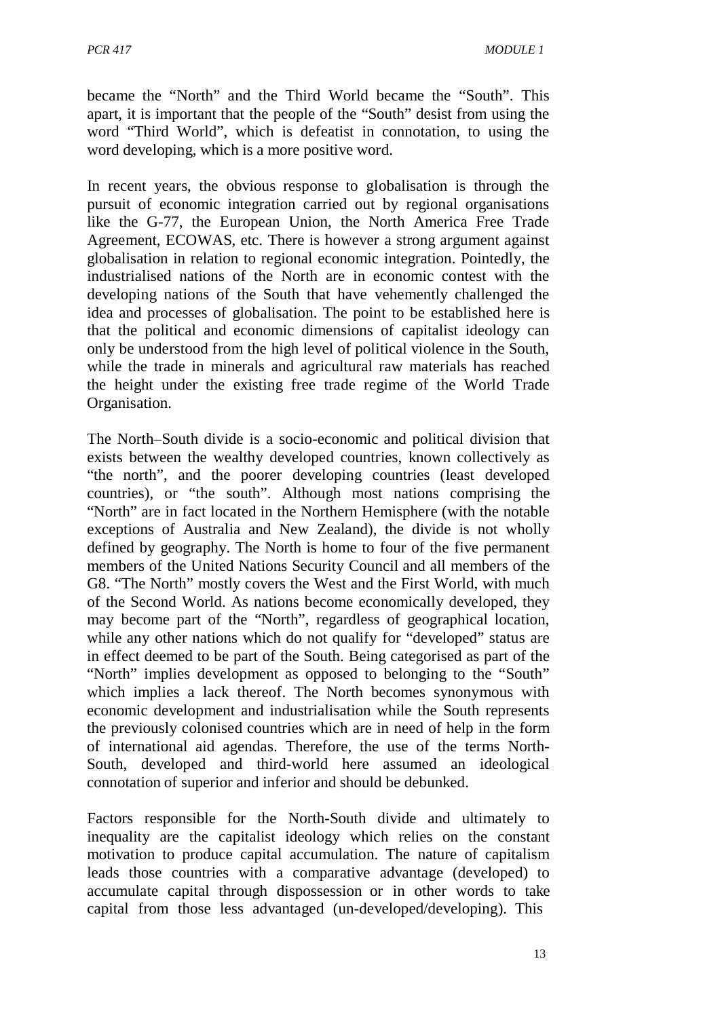became the "North" and the Third World became the "South". This apart, it is important that the people of the "South" desist from using the word "Third World", which is defeatist in connotation, to using the word developing, which is a more positive word.

In recent years, the obvious response to globalisation is through the pursuit of economic integration carried out by regional organisations like the G-77, the European Union, the North America Free Trade Agreement, ECOWAS, etc. There is however a strong argument against globalisation in relation to regional economic integration. Pointedly, the industrialised nations of the North are in economic contest with the developing nations of the South that have vehemently challenged the idea and processes of globalisation. The point to be established here is that the political and economic dimensions of capitalist ideology can only be understood from the high level of political violence in the South, while the trade in minerals and agricultural raw materials has reached the height under the existing free trade regime of the World Trade Organisation.

The North–South divide is a socio-economic and political division that exists between the wealthy developed countries, known collectively as "the north", and the poorer developing countries (least developed countries), or "the south". Although most nations comprising the "North" are in fact located in the Northern Hemisphere (with the notable exceptions of Australia and New Zealand), the divide is not wholly defined by geography. The North is home to four of the five permanent members of the United Nations Security Council and all members of the G8. "The North" mostly covers the West and the First World, with much of the Second World. As nations become economically developed, they may become part of the "North", regardless of geographical location, while any other nations which do not qualify for "developed" status are in effect deemed to be part of the South. Being categorised as part of the "North" implies development as opposed to belonging to the "South" which implies a lack thereof. The North becomes synonymous with economic development and industrialisation while the South represents the previously colonised countries which are in need of help in the form of international aid agendas. Therefore, the use of the terms North-South, developed and third-world here assumed an ideological connotation of superior and inferior and should be debunked.

Factors responsible for the North-South divide and ultimately to inequality are the capitalist ideology which relies on the constant motivation to produce capital accumulation. The nature of capitalism leads those countries with a comparative advantage (developed) to accumulate capital through dispossession or in other words to take capital from those less advantaged (un-developed/developing). This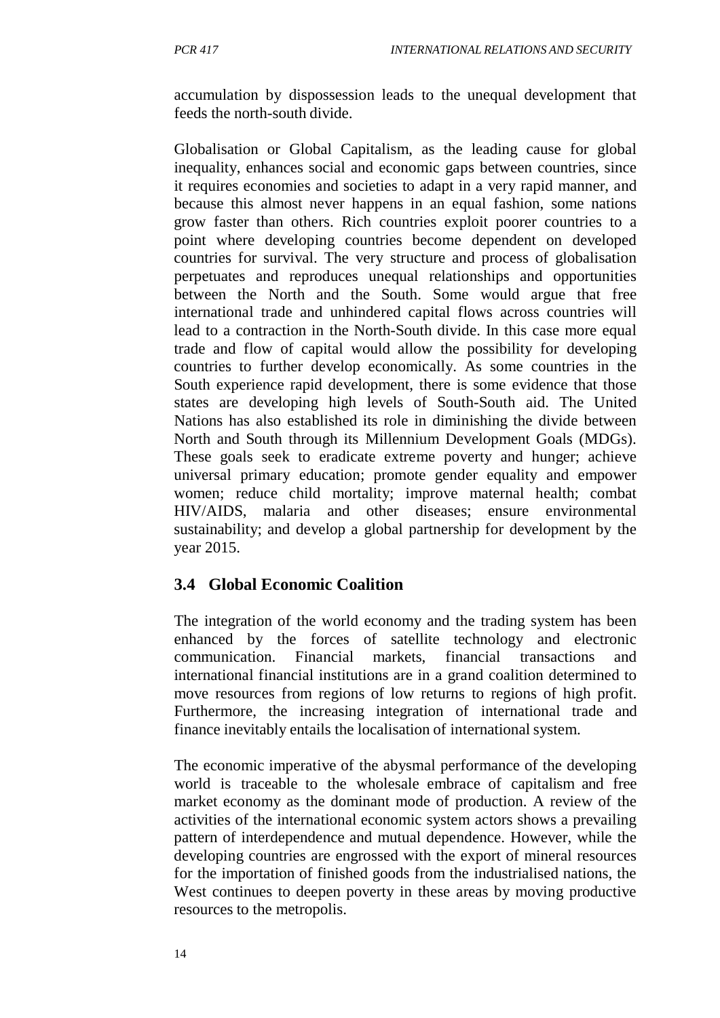accumulation by dispossession leads to the unequal development that feeds the north-south divide.

Globalisation or Global Capitalism, as the leading cause for global inequality, enhances social and economic gaps between countries, since it requires economies and societies to adapt in a very rapid manner, and because this almost never happens in an equal fashion, some nations grow faster than others. Rich countries exploit poorer countries to a point where developing countries become dependent on developed countries for survival. The very structure and process of globalisation perpetuates and reproduces unequal relationships and opportunities between the North and the South. Some would argue that free international trade and unhindered capital flows across countries will lead to a contraction in the North-South divide. In this case more equal trade and flow of capital would allow the possibility for developing countries to further develop economically. As some countries in the South experience rapid development, there is some evidence that those states are developing high levels of South-South aid. The United Nations has also established its role in diminishing the divide between North and South through its Millennium Development Goals (MDGs). These goals seek to eradicate extreme poverty and hunger; achieve universal primary education; promote gender equality and empower women; reduce child mortality; improve maternal health; combat HIV/AIDS, malaria and other diseases; ensure environmental sustainability; and develop a global partnership for development by the year 2015.

#### **3.4 Global Economic Coalition**

The integration of the world economy and the trading system has been enhanced by the forces of satellite technology and electronic communication. Financial markets, financial transactions and international financial institutions are in a grand coalition determined to move resources from regions of low returns to regions of high profit. Furthermore, the increasing integration of international trade and finance inevitably entails the localisation of international system.

The economic imperative of the abysmal performance of the developing world is traceable to the wholesale embrace of capitalism and free market economy as the dominant mode of production. A review of the activities of the international economic system actors shows a prevailing pattern of interdependence and mutual dependence. However, while the developing countries are engrossed with the export of mineral resources for the importation of finished goods from the industrialised nations, the West continues to deepen poverty in these areas by moving productive resources to the metropolis.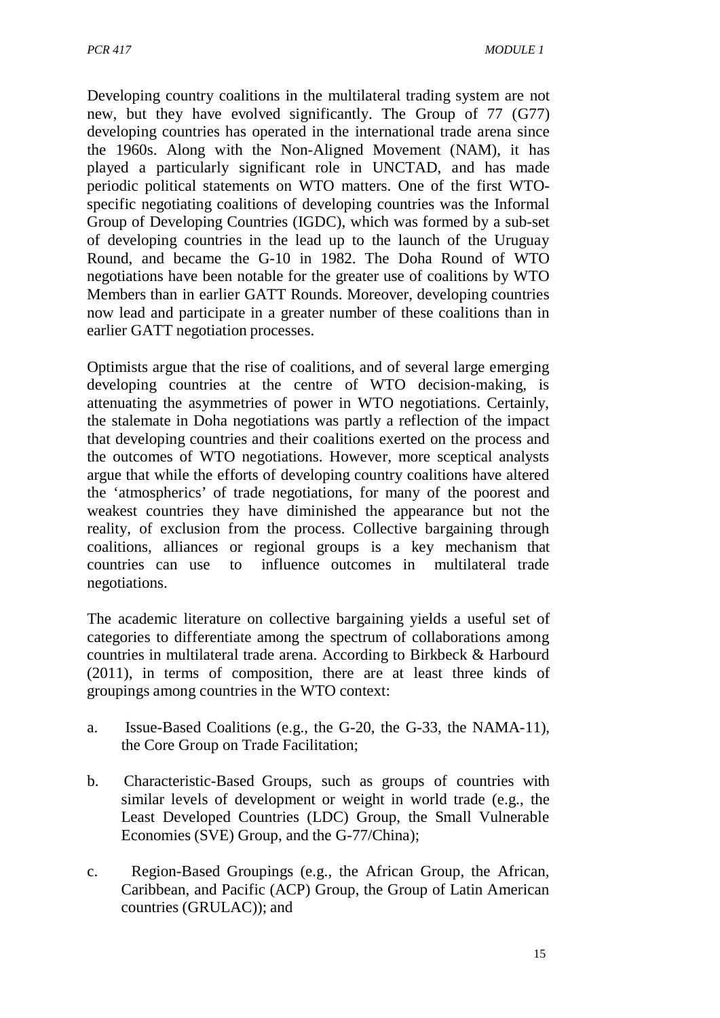Developing country coalitions in the multilateral trading system are not new, but they have evolved significantly. The Group of 77 (G77) developing countries has operated in the international trade arena since the 1960s. Along with the Non-Aligned Movement (NAM), it has played a particularly significant role in UNCTAD, and has made periodic political statements on WTO matters. One of the first WTOspecific negotiating coalitions of developing countries was the Informal Group of Developing Countries (IGDC), which was formed by a sub-set of developing countries in the lead up to the launch of the Uruguay Round, and became the G-10 in 1982. The Doha Round of WTO negotiations have been notable for the greater use of coalitions by WTO Members than in earlier GATT Rounds. Moreover, developing countries now lead and participate in a greater number of these coalitions than in earlier GATT negotiation processes.

Optimists argue that the rise of coalitions, and of several large emerging developing countries at the centre of WTO decision-making, is attenuating the asymmetries of power in WTO negotiations. Certainly, the stalemate in Doha negotiations was partly a reflection of the impact that developing countries and their coalitions exerted on the process and the outcomes of WTO negotiations. However, more sceptical analysts argue that while the efforts of developing country coalitions have altered the 'atmospherics' of trade negotiations, for many of the poorest and weakest countries they have diminished the appearance but not the reality, of exclusion from the process. Collective bargaining through coalitions, alliances or regional groups is a key mechanism that countries can use to influence outcomes in multilateral trade negotiations.

The academic literature on collective bargaining yields a useful set of categories to differentiate among the spectrum of collaborations among countries in multilateral trade arena. According to Birkbeck & Harbourd (2011), in terms of composition, there are at least three kinds of groupings among countries in the WTO context:

- a. Issue-Based Coalitions (e.g., the G-20, the G-33, the NAMA-11), the Core Group on Trade Facilitation;
- b. Characteristic-Based Groups, such as groups of countries with similar levels of development or weight in world trade (e.g., the Least Developed Countries (LDC) Group, the Small Vulnerable Economies (SVE) Group, and the G-77/China);
- c. Region-Based Groupings (e.g., the African Group, the African, Caribbean, and Pacific (ACP) Group, the Group of Latin American countries (GRULAC)); and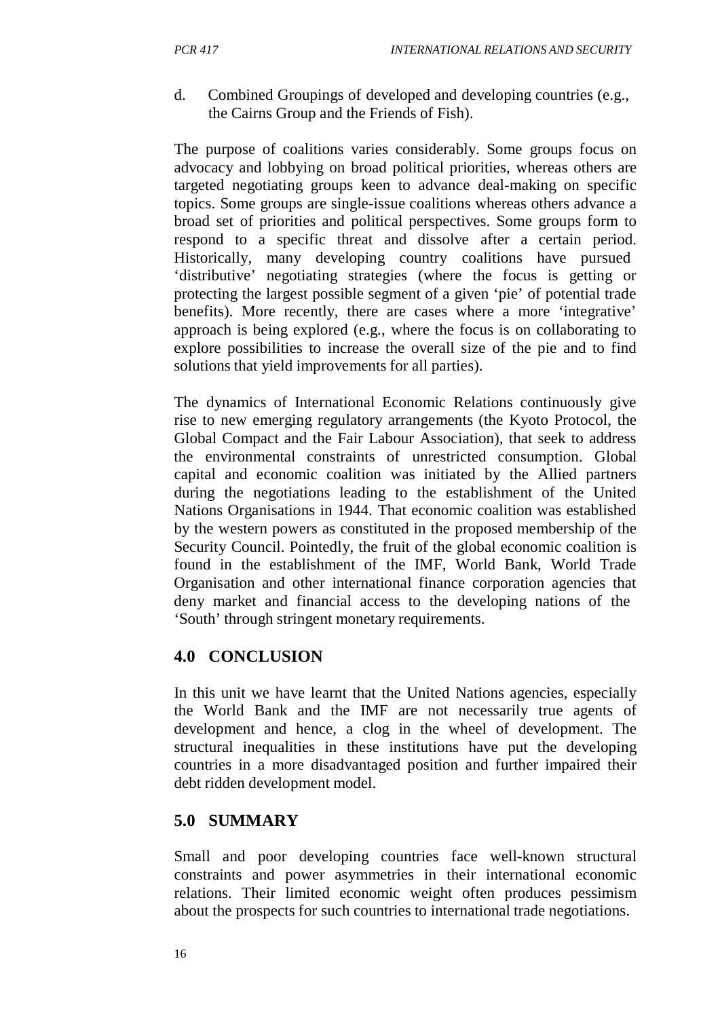d. Combined Groupings of developed and developing countries (e.g., the Cairns Group and the Friends of Fish).

The purpose of coalitions varies considerably. Some groups focus on advocacy and lobbying on broad political priorities, whereas others are targeted negotiating groups keen to advance deal-making on specific topics. Some groups are single-issue coalitions whereas others advance a broad set of priorities and political perspectives. Some groups form to respond to a specific threat and dissolve after a certain period. Historically, many developing country coalitions have pursued 'distributive' negotiating strategies (where the focus is getting or protecting the largest possible segment of a given 'pie' of potential trade benefits). More recently, there are cases where a more 'integrative' approach is being explored (e.g., where the focus is on collaborating to explore possibilities to increase the overall size of the pie and to find solutions that yield improvements for all parties).

The dynamics of International Economic Relations continuously give rise to new emerging regulatory arrangements (the Kyoto Protocol, the Global Compact and the Fair Labour Association), that seek to address the environmental constraints of unrestricted consumption. Global capital and economic coalition was initiated by the Allied partners during the negotiations leading to the establishment of the United Nations Organisations in 1944. That economic coalition was established by the western powers as constituted in the proposed membership of the Security Council. Pointedly, the fruit of the global economic coalition is found in the establishment of the IMF, World Bank, World Trade Organisation and other international finance corporation agencies that deny market and financial access to the developing nations of the 'South' through stringent monetary requirements.

#### **4.0 CONCLUSION**

In this unit we have learnt that the United Nations agencies, especially the World Bank and the IMF are not necessarily true agents of development and hence, a clog in the wheel of development. The structural inequalities in these institutions have put the developing countries in a more disadvantaged position and further impaired their debt ridden development model.

#### **5.0 SUMMARY**

Small and poor developing countries face well-known structural constraints and power asymmetries in their international economic relations. Their limited economic weight often produces pessimism about the prospects for such countries to international trade negotiations.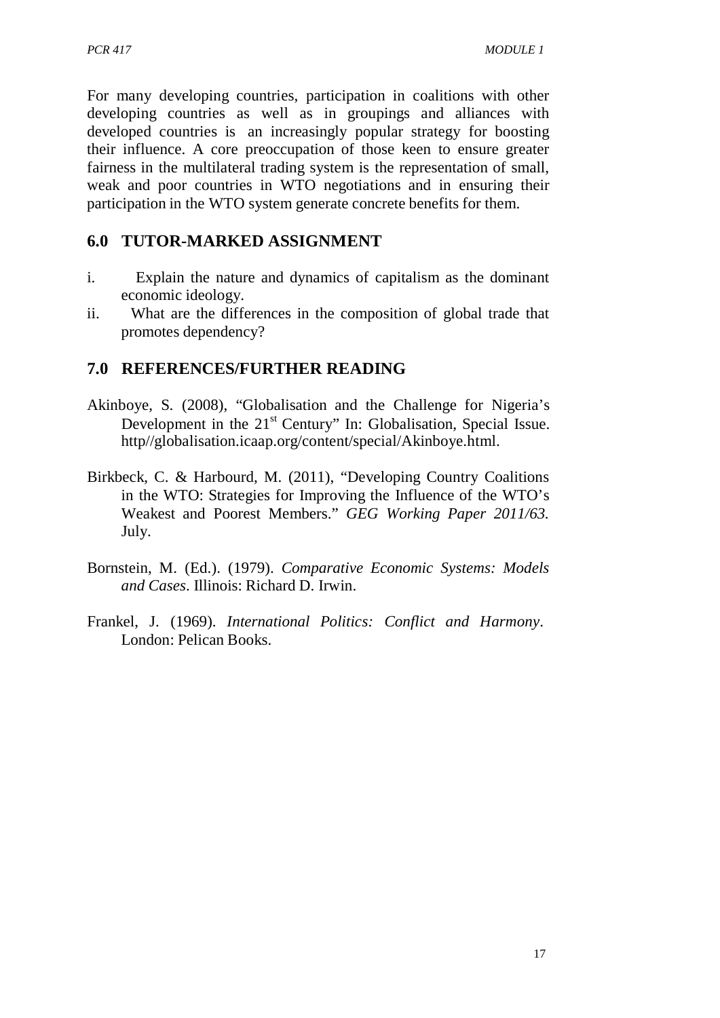For many developing countries, participation in coalitions with other developing countries as well as in groupings and alliances with developed countries is an increasingly popular strategy for boosting their influence. A core preoccupation of those keen to ensure greater fairness in the multilateral trading system is the representation of small, weak and poor countries in WTO negotiations and in ensuring their participation in the WTO system generate concrete benefits for them.

### **6.0 TUTOR-MARKED ASSIGNMENT**

- i. Explain the nature and dynamics of capitalism as the dominant economic ideology.
- ii. What are the differences in the composition of global trade that promotes dependency?

### **7.0 REFERENCES/FURTHER READING**

- Akinboye, S. (2008), "Globalisation and the Challenge for Nigeria's Development in the 21<sup>st</sup> Century" In: Globalisation, Special Issue. http//globalisation.icaap.org/content/special/Akinboye.html.
- Birkbeck, C. & Harbourd, M. (2011), "Developing Country Coalitions in the WTO: Strategies for Improving the Influence of the WTO's Weakest and Poorest Members." *GEG Working Paper 2011/63.*  July.
- Bornstein, M. (Ed.). (1979). *Comparative Economic Systems: Models and Cases*. Illinois: Richard D. Irwin.
- Frankel, J. (1969). *International Politics: Conflict and Harmony*. London: Pelican Books.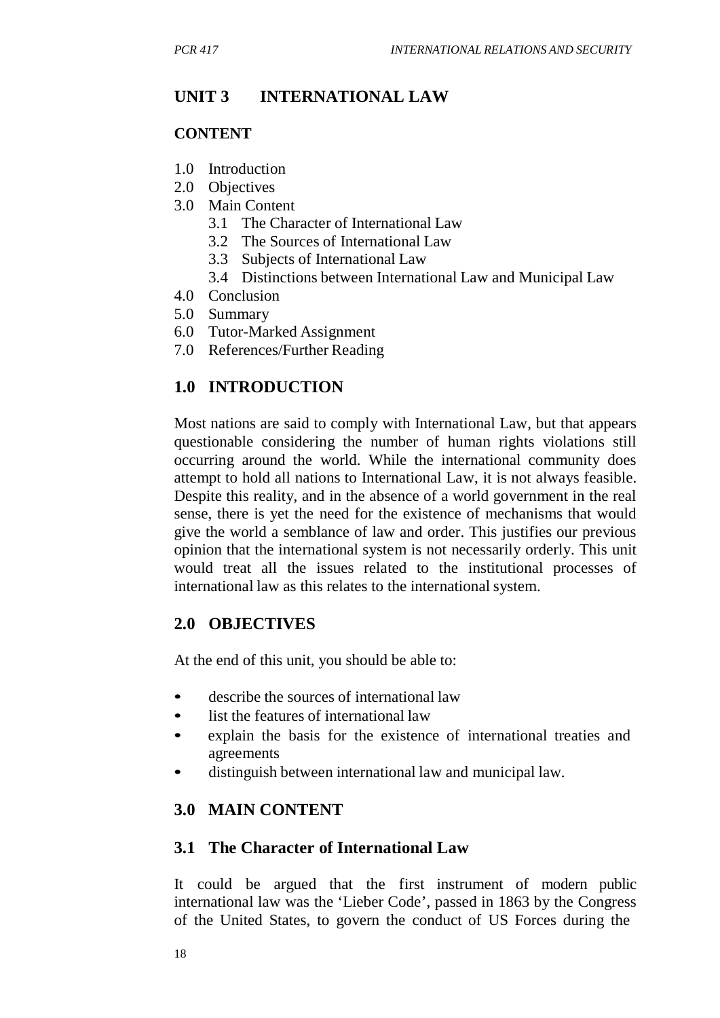# **UNIT 3 INTERNATIONAL LAW**

#### **CONTENT**

- 1.0 Introduction
- 2.0 Objectives
- 3.0 Main Content
	- 3.1 The Character of International Law
	- 3.2 The Sources of International Law
	- 3.3 Subjects of International Law
	- 3.4 Distinctions between International Law and Municipal Law
- 4.0 Conclusion
- 5.0 Summary
- 6.0 Tutor-Marked Assignment
- 7.0 References/Further Reading

### **1.0 INTRODUCTION**

Most nations are said to comply with International Law, but that appears questionable considering the number of human rights violations still occurring around the world. While the international community does attempt to hold all nations to International Law, it is not always feasible. Despite this reality, and in the absence of a world government in the real sense, there is yet the need for the existence of mechanisms that would give the world a semblance of law and order. This justifies our previous opinion that the international system is not necessarily orderly. This unit would treat all the issues related to the institutional processes of international law as this relates to the international system.

#### **2.0 OBJECTIVES**

At the end of this unit, you should be able to:

- describe the sources of international law
- list the features of international law
- explain the basis for the existence of international treaties and agreements
- distinguish between international law and municipal law.

#### **3.0 MAIN CONTENT**

#### **3.1 The Character of International Law**

It could be argued that the first instrument of modern public international law was the 'Lieber Code', passed in 1863 by the Congress of the United States, to govern the conduct of US Forces during the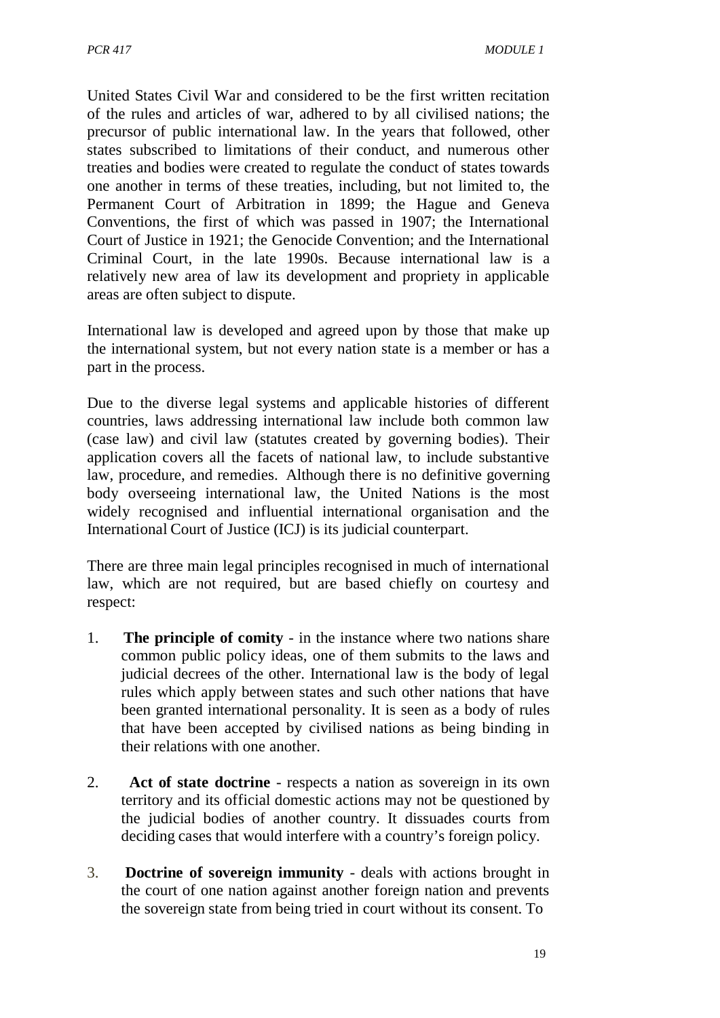United States Civil War and considered to be the first written recitation of the rules and articles of war, adhered to by all civilised nations; the precursor of public international law. In the years that followed, other states subscribed to limitations of their conduct, and numerous other treaties and bodies were created to regulate the conduct of states towards one another in terms of these treaties, including, but not limited to, the Permanent Court of Arbitration in 1899; the Hague and Geneva Conventions, the first of which was passed in 1907; the International Court of Justice in 1921; the Genocide Convention; and the International Criminal Court, in the late 1990s. Because international law is a relatively new area of law its development and propriety in applicable areas are often subject to dispute.

International law is developed and agreed upon by those that make up the international system, but not every nation state is a member or has a part in the process.

Due to the diverse legal systems and applicable histories of different countries, laws addressing international law include both common law (case law) and civil law (statutes created by governing bodies). Their application covers all the facets of national law, to include substantive law, procedure, and remedies. Although there is no definitive governing body overseeing international law, the United Nations is the most widely recognised and influential international organisation and the International Court of Justice (ICJ) is its judicial counterpart.

There are three main legal principles recognised in much of international law, which are not required, but are based chiefly on courtesy and respect:

- 1. **The principle of comity** in the instance where two nations share common public policy ideas, one of them submits to the laws and judicial decrees of the other. International law is the body of legal rules which apply between states and such other nations that have been granted international personality. It is seen as a body of rules that have been accepted by civilised nations as being binding in their relations with one another.
- 2. **Act of state doctrine** respects a nation as sovereign in its own territory and its official domestic actions may not be questioned by the judicial bodies of another country. It dissuades courts from deciding cases that would interfere with a country's foreign policy.
- 3. **Doctrine of sovereign immunity** deals with actions brought in the court of one nation against another foreign nation and prevents the sovereign state from being tried in court without its consent. To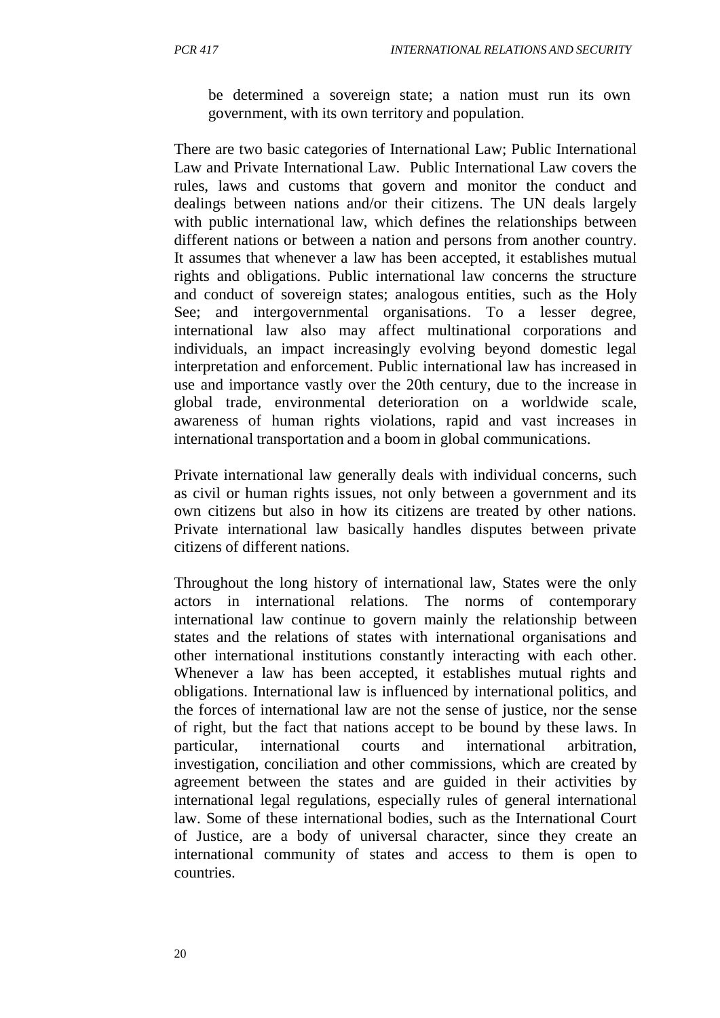be determined a sovereign state; a nation must run its own government, with its own territory and population.

There are two basic categories of International Law; Public International Law and Private International Law. Public International Law covers the rules, laws and customs that govern and monitor the conduct and dealings between nations and/or their citizens. The UN deals largely with public international law, which defines the relationships between different nations or between a nation and persons from another country. It assumes that whenever a law has been accepted, it establishes mutual rights and obligations. Public international law concerns the structure and conduct of sovereign states; analogous entities, such as the Holy See; and intergovernmental organisations. To a lesser degree, international law also may affect multinational corporations and individuals, an impact increasingly evolving beyond domestic legal interpretation and enforcement. Public international law has increased in use and importance vastly over the 20th century, due to the increase in global trade, environmental deterioration on a worldwide scale, awareness of human rights violations, rapid and vast increases in international transportation and a boom in global communications.

Private international law generally deals with individual concerns, such as civil or human rights issues, not only between a government and its own citizens but also in how its citizens are treated by other nations. Private international law basically handles disputes between private citizens of different nations.

Throughout the long history of international law, States were the only actors in international relations. The norms of contemporary international law continue to govern mainly the relationship between states and the relations of states with international organisations and other international institutions constantly interacting with each other. Whenever a law has been accepted, it establishes mutual rights and obligations. International law is influenced by international politics, and the forces of international law are not the sense of justice, nor the sense of right, but the fact that nations accept to be bound by these laws. In particular, international courts and international arbitration, investigation, conciliation and other commissions, which are created by agreement between the states and are guided in their activities by international legal regulations, especially rules of general international law. Some of these international bodies, such as the International Court of Justice, are a body of universal character, since they create an international community of states and access to them is open to countries.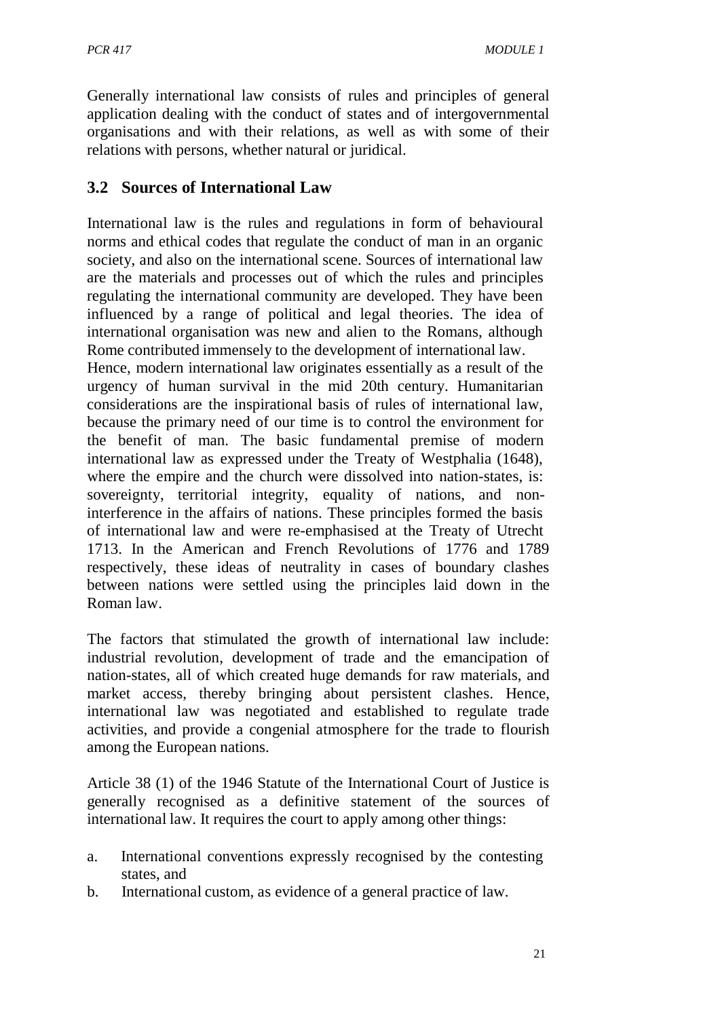Generally international law consists of rules and principles of general application dealing with the conduct of states and of intergovernmental organisations and with their relations, as well as with some of their relations with persons, whether natural or juridical.

### **3.2 Sources of International Law**

International law is the rules and regulations in form of behavioural norms and ethical codes that regulate the conduct of man in an organic society, and also on the international scene. Sources of international law are the materials and processes out of which the rules and principles regulating the international community are developed. They have been influenced by a range of political and legal theories. The idea of international organisation was new and alien to the Romans, although Rome contributed immensely to the development of international law.

Hence, modern international law originates essentially as a result of the urgency of human survival in the mid 20th century. Humanitarian considerations are the inspirational basis of rules of international law, because the primary need of our time is to control the environment for the benefit of man. The basic fundamental premise of modern international law as expressed under the Treaty of Westphalia (1648), where the empire and the church were dissolved into nation-states, is: sovereignty, territorial integrity, equality of nations, and noninterference in the affairs of nations. These principles formed the basis of international law and were re-emphasised at the Treaty of Utrecht 1713. In the American and French Revolutions of 1776 and 1789 respectively, these ideas of neutrality in cases of boundary clashes between nations were settled using the principles laid down in the Roman law.

The factors that stimulated the growth of international law include: industrial revolution, development of trade and the emancipation of nation-states, all of which created huge demands for raw materials, and market access, thereby bringing about persistent clashes. Hence, international law was negotiated and established to regulate trade activities, and provide a congenial atmosphere for the trade to flourish among the European nations.

Article 38 (1) of the 1946 Statute of the International Court of Justice is generally recognised as a definitive statement of the sources of international law. It requires the court to apply among other things:

- a. International conventions expressly recognised by the contesting states, and
- b. International custom, as evidence of a general practice of law.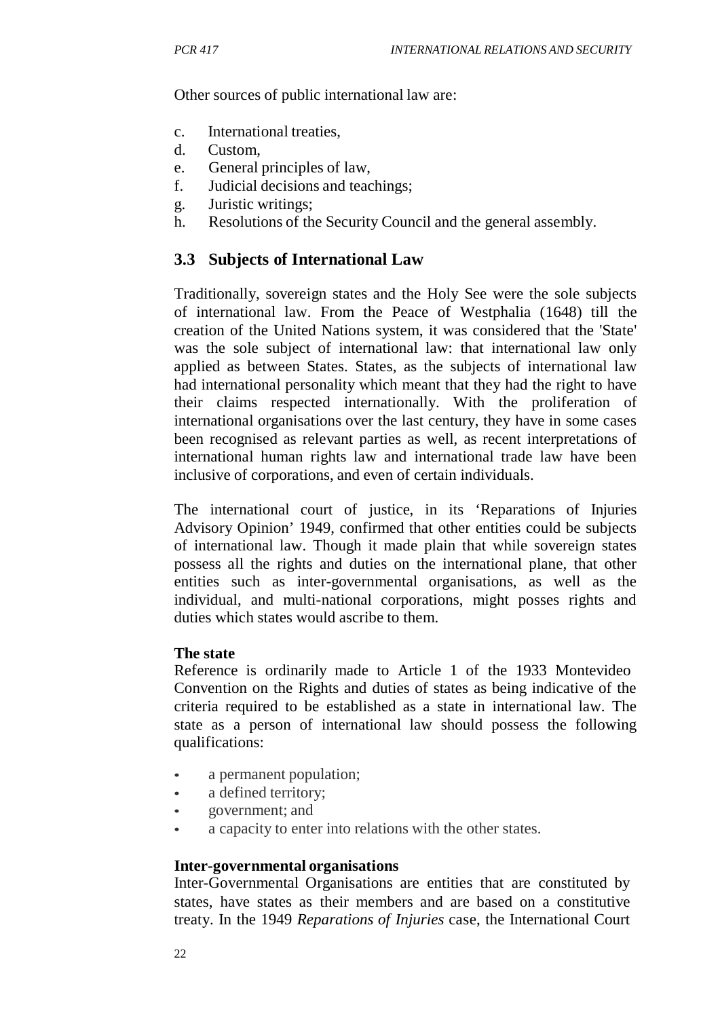Other sources of public international law are:

- c. International treaties,
- d. Custom,
- e. General principles of law,
- f. Judicial decisions and teachings;
- g. Juristic writings;
- h. Resolutions of the Security Council and the general assembly.

# **3.3 Subjects of International Law**

Traditionally, sovereign states and the Holy See were the sole subjects of international law. From the Peace of Westphalia (1648) till the creation of the United Nations system, it was considered that the 'State' was the sole subject of international law: that international law only applied as between States. States, as the subjects of international law had international personality which meant that they had the right to have their claims respected internationally. With the proliferation of international organisations over the last century, they have in some cases been recognised as relevant parties as well, as recent interpretations of international human rights law and international trade law have been inclusive of corporations, and even of certain individuals.

The international court of justice, in its 'Reparations of Injuries Advisory Opinion' 1949, confirmed that other entities could be subjects of international law. Though it made plain that while sovereign states possess all the rights and duties on the international plane, that other entities such as inter-governmental organisations, as well as the individual, and multi-national corporations, might posses rights and duties which states would ascribe to them.

# **The state**

Reference is ordinarily made to Article 1 of the 1933 Montevideo Convention on the Rights and duties of states as being indicative of the criteria required to be established as a state in international law. The state as a person of international law should possess the following qualifications:

- a permanent population;
- a defined territory;
- government; and
- a capacity to enter into relations with the other states.

# **Inter-governmental organisations**

Inter-Governmental Organisations are entities that are constituted by states, have states as their members and are based on a constitutive treaty. In the 1949 *Reparations of Injuries* case, the International Court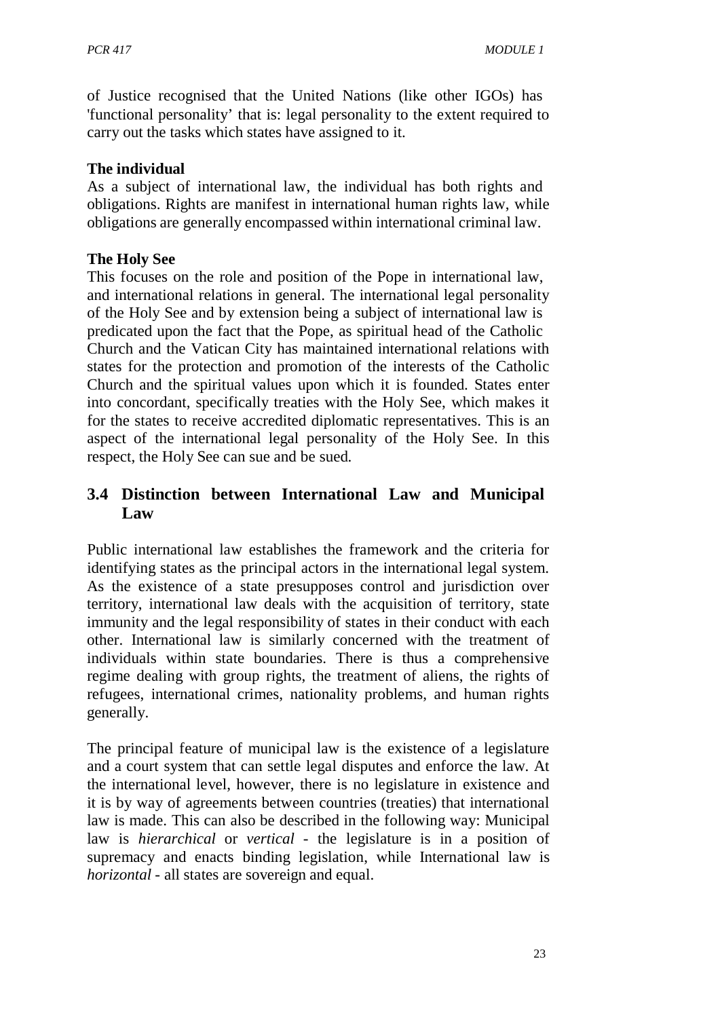*PCR 417 MODULE 1*

of Justice recognised that the United Nations (like other IGOs) has 'functional personality' that is: legal personality to the extent required to carry out the tasks which states have assigned to it.

#### **The individual**

As a subject of international law, the individual has both rights and obligations. Rights are manifest in international human rights law, while obligations are generally encompassed within international criminal law.

#### **The Holy See**

This focuses on the role and position of the Pope in international law, and international relations in general. The international legal personality of the Holy See and by extension being a subject of international law is predicated upon the fact that the Pope, as spiritual head of the Catholic Church and the Vatican City has maintained international relations with states for the protection and promotion of the interests of the Catholic Church and the spiritual values upon which it is founded. States enter into concordant, specifically treaties with the Holy See, which makes it for the states to receive accredited diplomatic representatives. This is an aspect of the international legal personality of the Holy See. In this respect, the Holy See can sue and be sued.

# **3.4 Distinction between International Law and Municipal Law**

Public international law establishes the framework and the criteria for identifying states as the principal actors in the international legal system. As the existence of a state presupposes control and jurisdiction over territory, international law deals with the acquisition of territory, state immunity and the legal responsibility of states in their conduct with each other. International law is similarly concerned with the treatment of individuals within state boundaries. There is thus a comprehensive regime dealing with group rights, the treatment of aliens, the rights of refugees, international crimes, nationality problems, and human rights generally.

The principal feature of municipal law is the existence of a legislature and a court system that can settle legal disputes and enforce the law. At the international level, however, there is no legislature in existence and it is by way of agreements between countries (treaties) that international law is made. This can also be described in the following way: Municipal law is *hierarchical* or *vertical* - the legislature is in a position of supremacy and enacts binding legislation, while International law is *horizontal* - all states are sovereign and equal.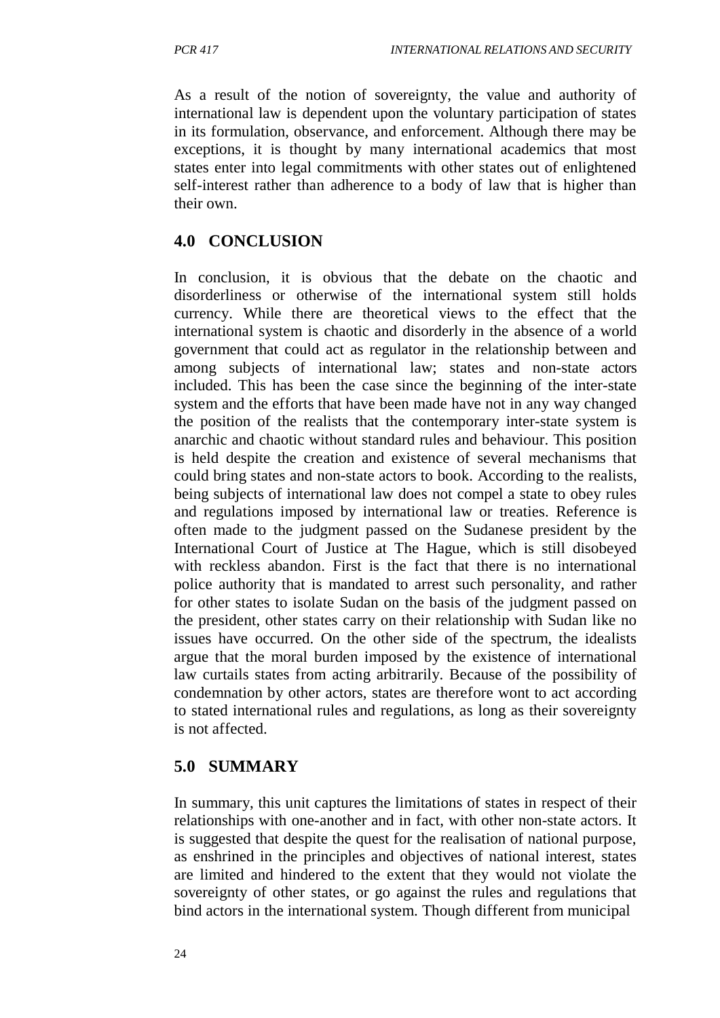As a result of the notion of sovereignty, the value and authority of international law is dependent upon the voluntary participation of states in its formulation, observance, and enforcement. Although there may be exceptions, it is thought by many international academics that most states enter into legal commitments with other states out of enlightened self-interest rather than adherence to a body of law that is higher than their own.

# **4.0 CONCLUSION**

In conclusion, it is obvious that the debate on the chaotic and disorderliness or otherwise of the international system still holds currency. While there are theoretical views to the effect that the international system is chaotic and disorderly in the absence of a world government that could act as regulator in the relationship between and among subjects of international law; states and non-state actors included. This has been the case since the beginning of the inter-state system and the efforts that have been made have not in any way changed the position of the realists that the contemporary inter-state system is anarchic and chaotic without standard rules and behaviour. This position is held despite the creation and existence of several mechanisms that could bring states and non-state actors to book. According to the realists, being subjects of international law does not compel a state to obey rules and regulations imposed by international law or treaties. Reference is often made to the judgment passed on the Sudanese president by the International Court of Justice at The Hague, which is still disobeyed with reckless abandon. First is the fact that there is no international police authority that is mandated to arrest such personality, and rather for other states to isolate Sudan on the basis of the judgment passed on the president, other states carry on their relationship with Sudan like no issues have occurred. On the other side of the spectrum, the idealists argue that the moral burden imposed by the existence of international law curtails states from acting arbitrarily. Because of the possibility of condemnation by other actors, states are therefore wont to act according to stated international rules and regulations, as long as their sovereignty is not affected.

# **5.0 SUMMARY**

In summary, this unit captures the limitations of states in respect of their relationships with one-another and in fact, with other non-state actors. It is suggested that despite the quest for the realisation of national purpose, as enshrined in the principles and objectives of national interest, states are limited and hindered to the extent that they would not violate the sovereignty of other states, or go against the rules and regulations that bind actors in the international system. Though different from municipal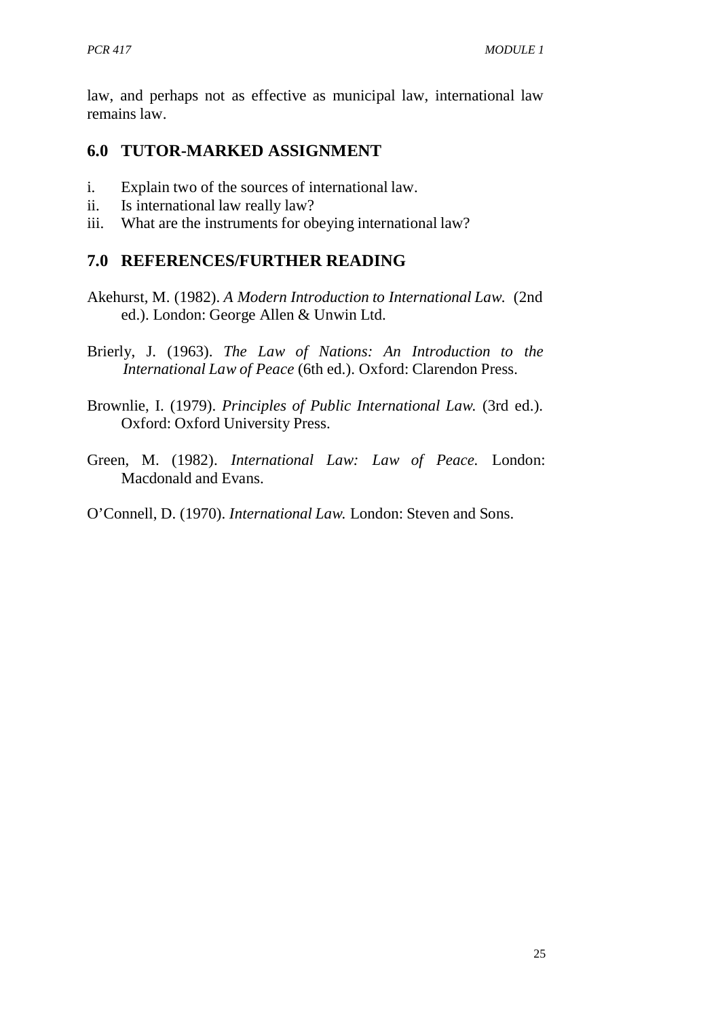law, and perhaps not as effective as municipal law, international law remains law.

# **6.0 TUTOR-MARKED ASSIGNMENT**

- i. Explain two of the sources of international law.
- ii. Is international law really law?
- iii. What are the instruments for obeying international law?

# **7.0 REFERENCES/FURTHER READING**

- Akehurst, M. (1982). *A Modern Introduction to International Law.* (2nd ed.). London: George Allen & Unwin Ltd.
- Brierly, J. (1963). *The Law of Nations: An Introduction to the International Law of Peace* (6th ed.). Oxford: Clarendon Press.
- Brownlie, I. (1979). *Principles of Public International Law.* (3rd ed.). Oxford: Oxford University Press.
- Green, M. (1982). *International Law: Law of Peace.* London: Macdonald and Evans.

O'Connell, D. (1970). *International Law.* London: Steven and Sons.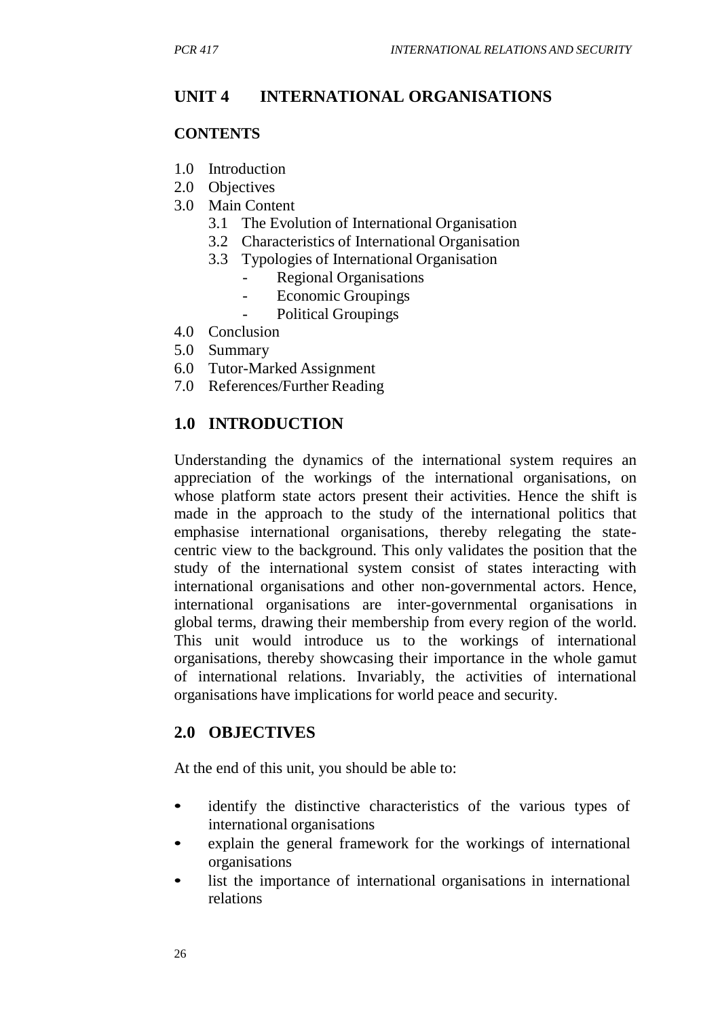# **UNIT 4 INTERNATIONAL ORGANISATIONS**

#### **CONTENTS**

- 1.0 Introduction
- 2.0 Objectives
- 3.0 Main Content
	- 3.1 The Evolution of International Organisation
	- 3.2 Characteristics of International Organisation
	- 3.3 Typologies of International Organisation
		- Regional Organisations
		- Economic Groupings
		- Political Groupings
- 4.0 Conclusion
- 5.0 Summary
- 6.0 Tutor-Marked Assignment
- 7.0 References/Further Reading

# **1.0 INTRODUCTION**

Understanding the dynamics of the international system requires an appreciation of the workings of the international organisations, on whose platform state actors present their activities. Hence the shift is made in the approach to the study of the international politics that emphasise international organisations, thereby relegating the statecentric view to the background. This only validates the position that the study of the international system consist of states interacting with international organisations and other non-governmental actors. Hence, international organisations are inter-governmental organisations in global terms, drawing their membership from every region of the world. This unit would introduce us to the workings of international organisations, thereby showcasing their importance in the whole gamut of international relations. Invariably, the activities of international organisations have implications for world peace and security.

# **2.0 OBJECTIVES**

At the end of this unit, you should be able to:

- identify the distinctive characteristics of the various types of international organisations
- explain the general framework for the workings of international organisations
- list the importance of international organisations in international relations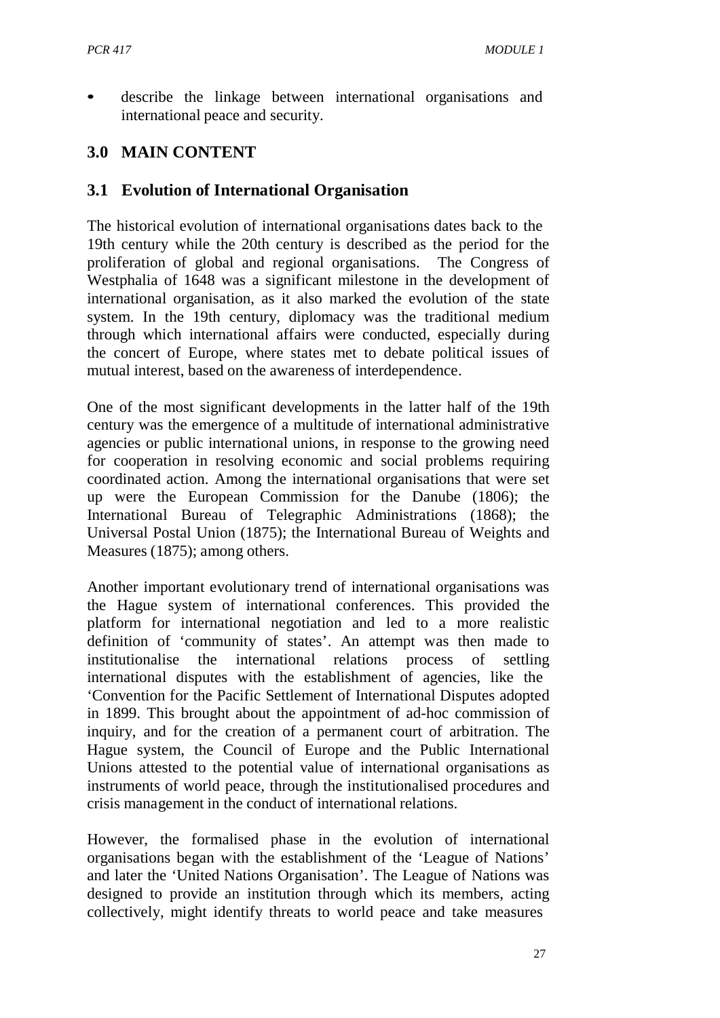describe the linkage between international organisations and international peace and security.

# **3.0 MAIN CONTENT**

#### **3.1 Evolution of International Organisation**

The historical evolution of international organisations dates back to the 19th century while the 20th century is described as the period for the proliferation of global and regional organisations. The Congress of Westphalia of 1648 was a significant milestone in the development of international organisation, as it also marked the evolution of the state system. In the 19th century, diplomacy was the traditional medium through which international affairs were conducted, especially during the concert of Europe, where states met to debate political issues of mutual interest, based on the awareness of interdependence.

One of the most significant developments in the latter half of the 19th century was the emergence of a multitude of international administrative agencies or public international unions, in response to the growing need for cooperation in resolving economic and social problems requiring coordinated action. Among the international organisations that were set up were the European Commission for the Danube (1806); the International Bureau of Telegraphic Administrations (1868); the Universal Postal Union (1875); the International Bureau of Weights and Measures (1875); among others.

Another important evolutionary trend of international organisations was the Hague system of international conferences. This provided the platform for international negotiation and led to a more realistic definition of 'community of states'. An attempt was then made to institutionalise the international relations process of settling international disputes with the establishment of agencies, like the 'Convention for the Pacific Settlement of International Disputes adopted in 1899. This brought about the appointment of ad-hoc commission of inquiry, and for the creation of a permanent court of arbitration. The Hague system, the Council of Europe and the Public International Unions attested to the potential value of international organisations as instruments of world peace, through the institutionalised procedures and crisis management in the conduct of international relations.

However, the formalised phase in the evolution of international organisations began with the establishment of the 'League of Nations' and later the 'United Nations Organisation'. The League of Nations was designed to provide an institution through which its members, acting collectively, might identify threats to world peace and take measures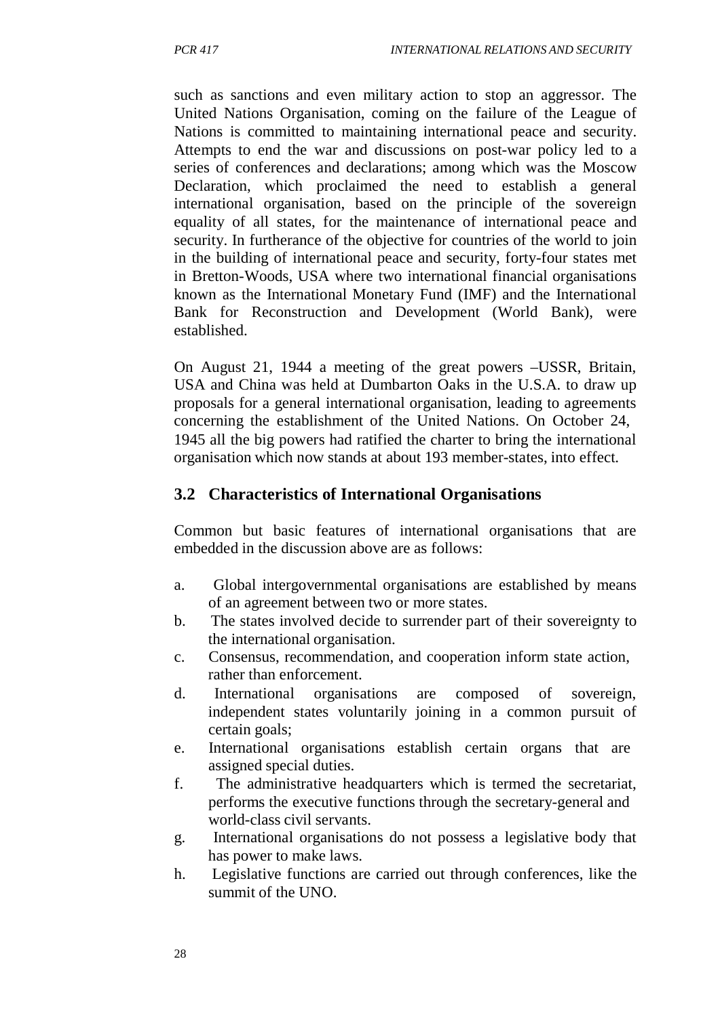such as sanctions and even military action to stop an aggressor. The United Nations Organisation, coming on the failure of the League of Nations is committed to maintaining international peace and security. Attempts to end the war and discussions on post-war policy led to a series of conferences and declarations; among which was the Moscow Declaration, which proclaimed the need to establish a general international organisation, based on the principle of the sovereign equality of all states, for the maintenance of international peace and security. In furtherance of the objective for countries of the world to join in the building of international peace and security, forty-four states met in Bretton-Woods, USA where two international financial organisations known as the International Monetary Fund (IMF) and the International Bank for Reconstruction and Development (World Bank), were established.

On August 21, 1944 a meeting of the great powers –USSR, Britain, USA and China was held at Dumbarton Oaks in the U.S.A. to draw up proposals for a general international organisation, leading to agreements concerning the establishment of the United Nations. On October 24, 1945 all the big powers had ratified the charter to bring the international organisation which now stands at about 193 member-states, into effect.

#### **3.2 Characteristics of International Organisations**

Common but basic features of international organisations that are embedded in the discussion above are as follows:

- a. Global intergovernmental organisations are established by means of an agreement between two or more states.
- b. The states involved decide to surrender part of their sovereignty to the international organisation.
- c. Consensus, recommendation, and cooperation inform state action, rather than enforcement.
- d. International organisations are composed of sovereign, independent states voluntarily joining in a common pursuit of certain goals;
- e. International organisations establish certain organs that are assigned special duties.
- f. The administrative headquarters which is termed the secretariat, performs the executive functions through the secretary-general and world-class civil servants.
- g. International organisations do not possess a legislative body that has power to make laws.
- h. Legislative functions are carried out through conferences, like the summit of the UNO.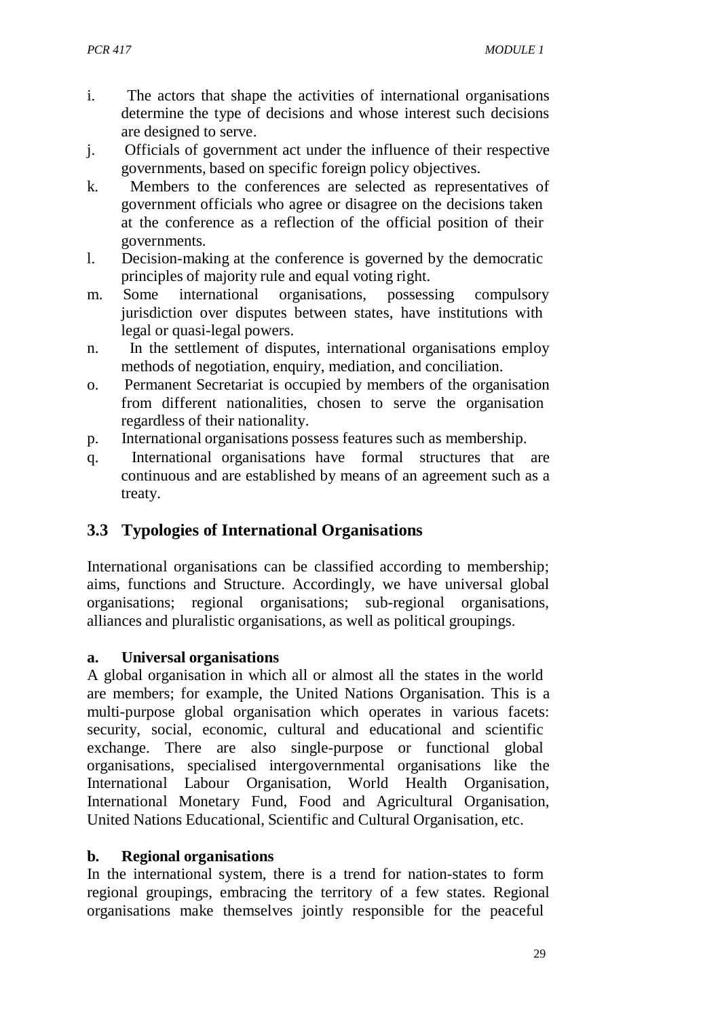- i. The actors that shape the activities of international organisations determine the type of decisions and whose interest such decisions are designed to serve.
- j. Officials of government act under the influence of their respective governments, based on specific foreign policy objectives.
- k. Members to the conferences are selected as representatives of government officials who agree or disagree on the decisions taken at the conference as a reflection of the official position of their governments.
- l. Decision-making at the conference is governed by the democratic principles of majority rule and equal voting right.
- m. Some international organisations, possessing compulsory jurisdiction over disputes between states, have institutions with legal or quasi-legal powers.
- n. In the settlement of disputes, international organisations employ methods of negotiation, enquiry, mediation, and conciliation.
- o. Permanent Secretariat is occupied by members of the organisation from different nationalities, chosen to serve the organisation regardless of their nationality.
- p. International organisations possess features such as membership.
- q. International organisations have formal structures that are continuous and are established by means of an agreement such as a treaty.

# **3.3 Typologies of International Organisations**

International organisations can be classified according to membership; aims, functions and Structure. Accordingly, we have universal global organisations; regional organisations; sub-regional organisations, alliances and pluralistic organisations, as well as political groupings.

#### **a. Universal organisations**

A global organisation in which all or almost all the states in the world are members; for example, the United Nations Organisation. This is a multi-purpose global organisation which operates in various facets: security, social, economic, cultural and educational and scientific exchange. There are also single-purpose or functional global organisations, specialised intergovernmental organisations like the International Labour Organisation, World Health Organisation, International Monetary Fund, Food and Agricultural Organisation, United Nations Educational, Scientific and Cultural Organisation, etc.

# **b. Regional organisations**

In the international system, there is a trend for nation-states to form regional groupings, embracing the territory of a few states. Regional organisations make themselves jointly responsible for the peaceful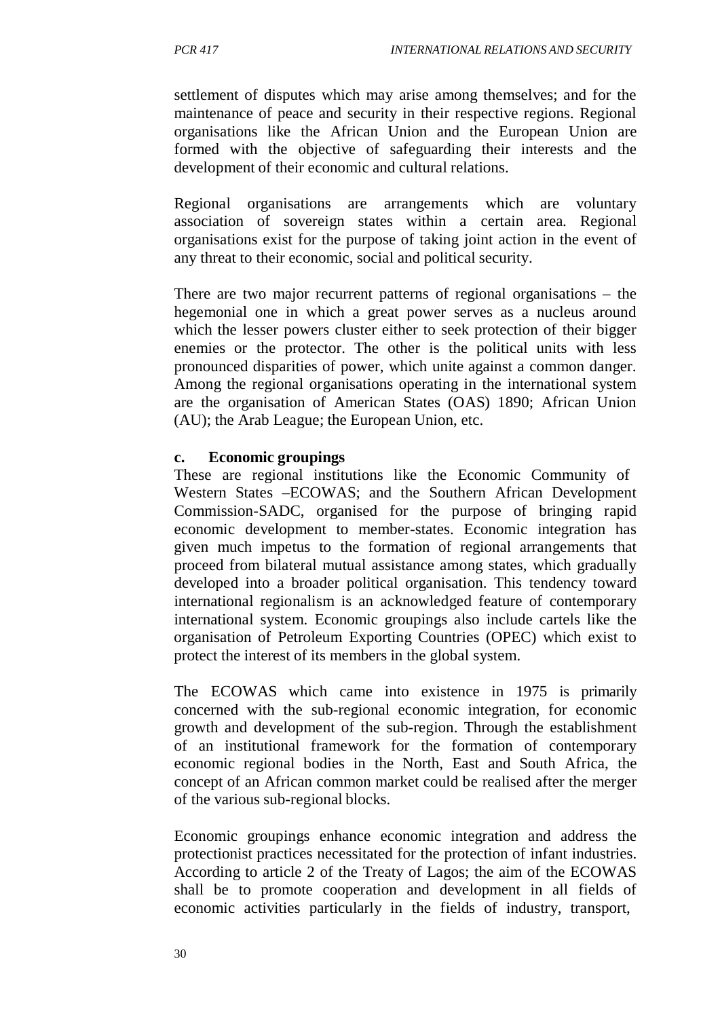settlement of disputes which may arise among themselves; and for the maintenance of peace and security in their respective regions. Regional organisations like the African Union and the European Union are formed with the objective of safeguarding their interests and the development of their economic and cultural relations.

Regional organisations are arrangements which are voluntary association of sovereign states within a certain area. Regional organisations exist for the purpose of taking joint action in the event of any threat to their economic, social and political security.

There are two major recurrent patterns of regional organisations – the hegemonial one in which a great power serves as a nucleus around which the lesser powers cluster either to seek protection of their bigger enemies or the protector. The other is the political units with less pronounced disparities of power, which unite against a common danger. Among the regional organisations operating in the international system are the organisation of American States (OAS) 1890; African Union (AU); the Arab League; the European Union, etc.

#### **c. Economic groupings**

These are regional institutions like the Economic Community of Western States –ECOWAS; and the Southern African Development Commission-SADC, organised for the purpose of bringing rapid economic development to member-states. Economic integration has given much impetus to the formation of regional arrangements that proceed from bilateral mutual assistance among states, which gradually developed into a broader political organisation. This tendency toward international regionalism is an acknowledged feature of contemporary international system. Economic groupings also include cartels like the organisation of Petroleum Exporting Countries (OPEC) which exist to protect the interest of its members in the global system.

The ECOWAS which came into existence in 1975 is primarily concerned with the sub-regional economic integration, for economic growth and development of the sub-region. Through the establishment of an institutional framework for the formation of contemporary economic regional bodies in the North, East and South Africa, the concept of an African common market could be realised after the merger of the various sub-regional blocks.

Economic groupings enhance economic integration and address the protectionist practices necessitated for the protection of infant industries. According to article 2 of the Treaty of Lagos; the aim of the ECOWAS shall be to promote cooperation and development in all fields of economic activities particularly in the fields of industry, transport,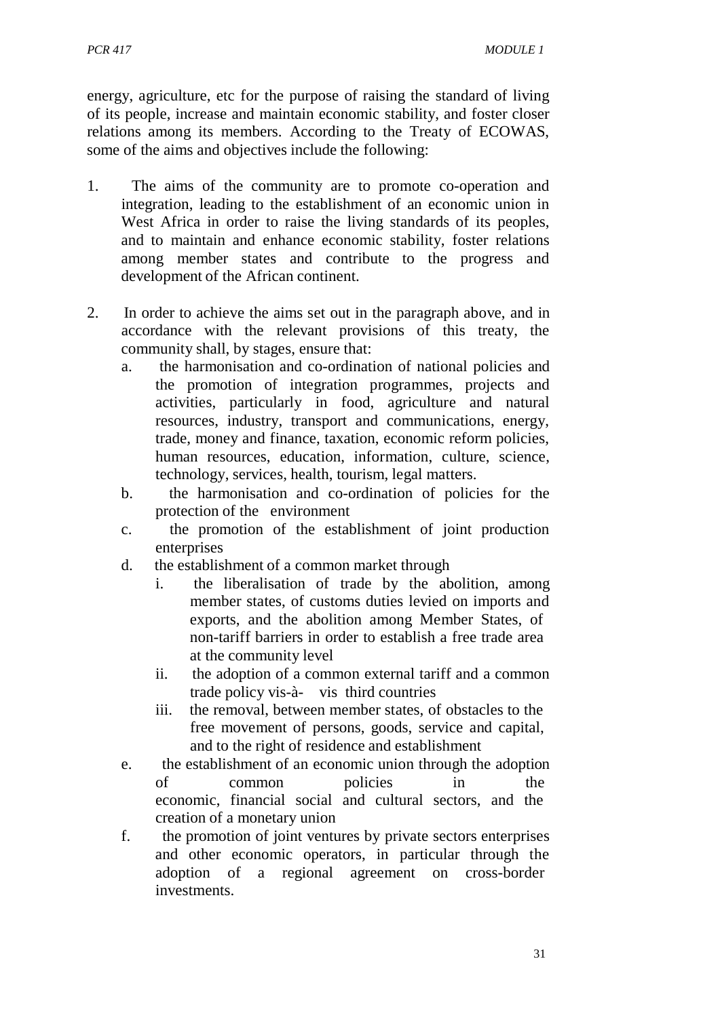energy, agriculture, etc for the purpose of raising the standard of living of its people, increase and maintain economic stability, and foster closer relations among its members. According to the Treaty of ECOWAS, some of the aims and objectives include the following:

- 1. The aims of the community are to promote co-operation and integration, leading to the establishment of an economic union in West Africa in order to raise the living standards of its peoples, and to maintain and enhance economic stability, foster relations among member states and contribute to the progress and development of the African continent.
- 2. In order to achieve the aims set out in the paragraph above, and in accordance with the relevant provisions of this treaty, the community shall, by stages, ensure that:
	- a. the harmonisation and co-ordination of national policies and the promotion of integration programmes, projects and activities, particularly in food, agriculture and natural resources, industry, transport and communications, energy, trade, money and finance, taxation, economic reform policies, human resources, education, information, culture, science, technology, services, health, tourism, legal matters.
	- b. the harmonisation and co-ordination of policies for the protection of the environment
	- c. the promotion of the establishment of joint production enterprises
	- d. the establishment of a common market through
		- i. the liberalisation of trade by the abolition, among member states, of customs duties levied on imports and exports, and the abolition among Member States, of non-tariff barriers in order to establish a free trade area at the community level
		- ii. the adoption of a common external tariff and a common trade policy vis-à- vis third countries
		- iii. the removal, between member states, of obstacles to the free movement of persons, goods, service and capital, and to the right of residence and establishment
	- e. the establishment of an economic union through the adoption of common policies in the economic, financial social and cultural sectors, and the creation of a monetary union
	- f. the promotion of joint ventures by private sectors enterprises and other economic operators, in particular through the adoption of a regional agreement on cross-border investments.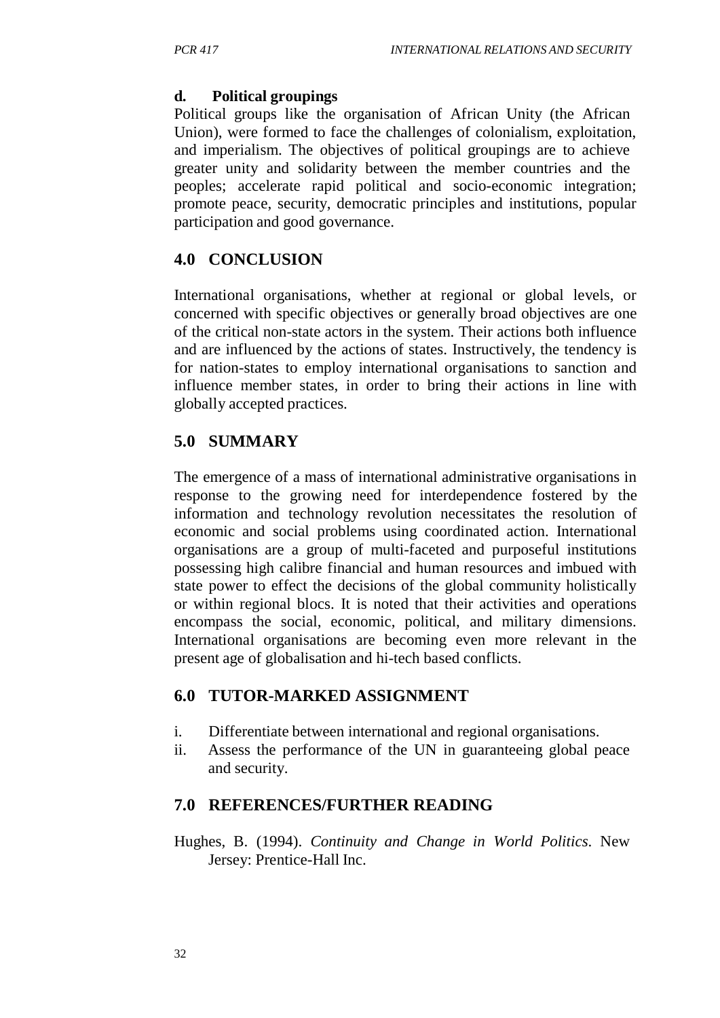#### **d. Political groupings**

Political groups like the organisation of African Unity (the African Union), were formed to face the challenges of colonialism, exploitation, and imperialism. The objectives of political groupings are to achieve greater unity and solidarity between the member countries and the peoples; accelerate rapid political and socio-economic integration; promote peace, security, democratic principles and institutions, popular participation and good governance.

# **4.0 CONCLUSION**

International organisations, whether at regional or global levels, or concerned with specific objectives or generally broad objectives are one of the critical non-state actors in the system. Their actions both influence and are influenced by the actions of states. Instructively, the tendency is for nation-states to employ international organisations to sanction and influence member states, in order to bring their actions in line with globally accepted practices.

# **5.0 SUMMARY**

The emergence of a mass of international administrative organisations in response to the growing need for interdependence fostered by the information and technology revolution necessitates the resolution of economic and social problems using coordinated action. International organisations are a group of multi-faceted and purposeful institutions possessing high calibre financial and human resources and imbued with state power to effect the decisions of the global community holistically or within regional blocs. It is noted that their activities and operations encompass the social, economic, political, and military dimensions. International organisations are becoming even more relevant in the present age of globalisation and hi-tech based conflicts.

# **6.0 TUTOR-MARKED ASSIGNMENT**

- i. Differentiate between international and regional organisations.
- ii. Assess the performance of the UN in guaranteeing global peace and security.

# **7.0 REFERENCES/FURTHER READING**

Hughes, B. (1994). *Continuity and Change in World Politics*. New Jersey: Prentice-Hall Inc.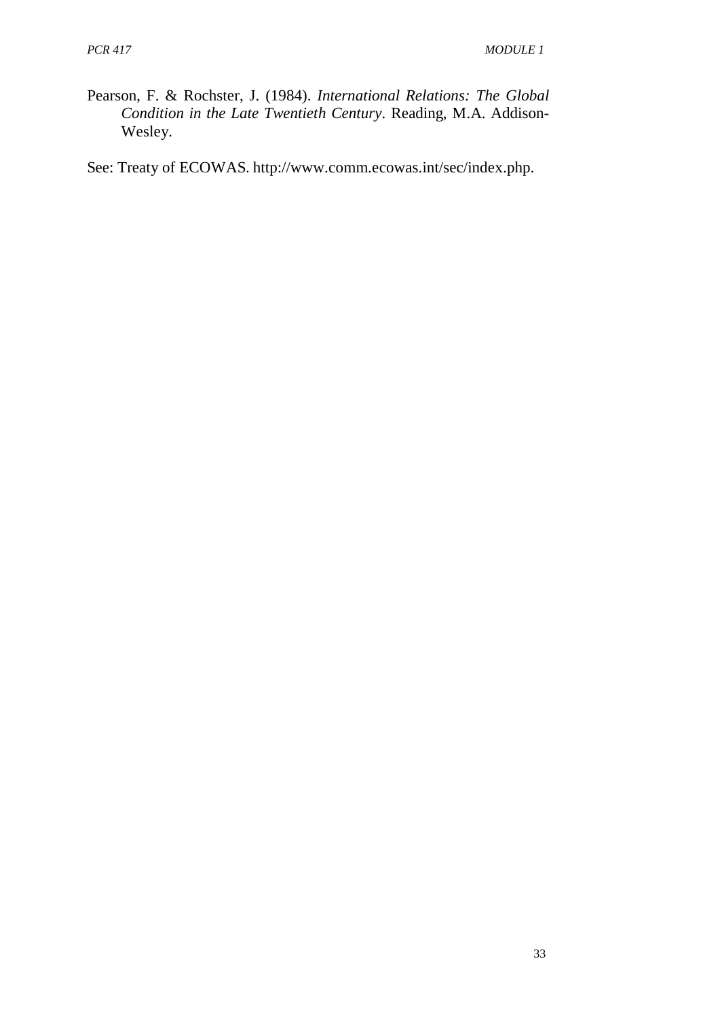Pearson, F. & Rochster, J. (1984). *International Relations: The Global Condition in the Late Twentieth Century*. Reading, M.A. Addison-Wesley.

See: Treaty of ECOWAS. [http://www.comm.ecowas.int/sec/index.php.](http://www.comm.ecowas.int/sec/index.php)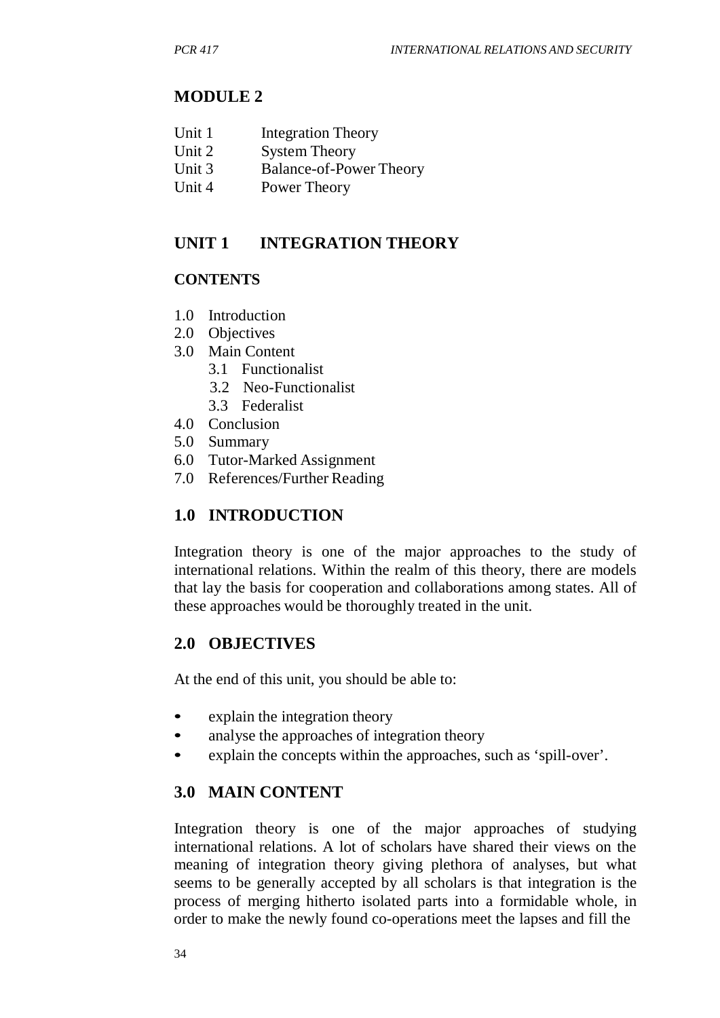# **MODULE 2**

| Unit 1 | <b>Integration Theory</b> |  |
|--------|---------------------------|--|
|--------|---------------------------|--|

- Unit 2 System Theory
- Unit 3 Balance-of-Power Theory
- Unit 4 Power Theory

# **UNIT 1 INTEGRATION THEORY**

# **CONTENTS**

- 1.0 Introduction
- 2.0 Objectives
- 3.0 Main Content
	- 3.1 Functionalist
	- 3.2 Neo-Functionalist
	- 3.3 Federalist
- 4.0 Conclusion
- 5.0 Summary
- 6.0 Tutor-Marked Assignment
- 7.0 References/Further Reading

# **1.0 INTRODUCTION**

Integration theory is one of the major approaches to the study of international relations. Within the realm of this theory, there are models that lay the basis for cooperation and collaborations among states. All of these approaches would be thoroughly treated in the unit.

# **2.0 OBJECTIVES**

At the end of this unit, you should be able to:

- explain the integration theory
- analyse the approaches of integration theory
- explain the concepts within the approaches, such as 'spill-over'.

# **3.0 MAIN CONTENT**

Integration theory is one of the major approaches of studying international relations. A lot of scholars have shared their views on the meaning of integration theory giving plethora of analyses, but what seems to be generally accepted by all scholars is that integration is the process of merging hitherto isolated parts into a formidable whole, in order to make the newly found co-operations meet the lapses and fill the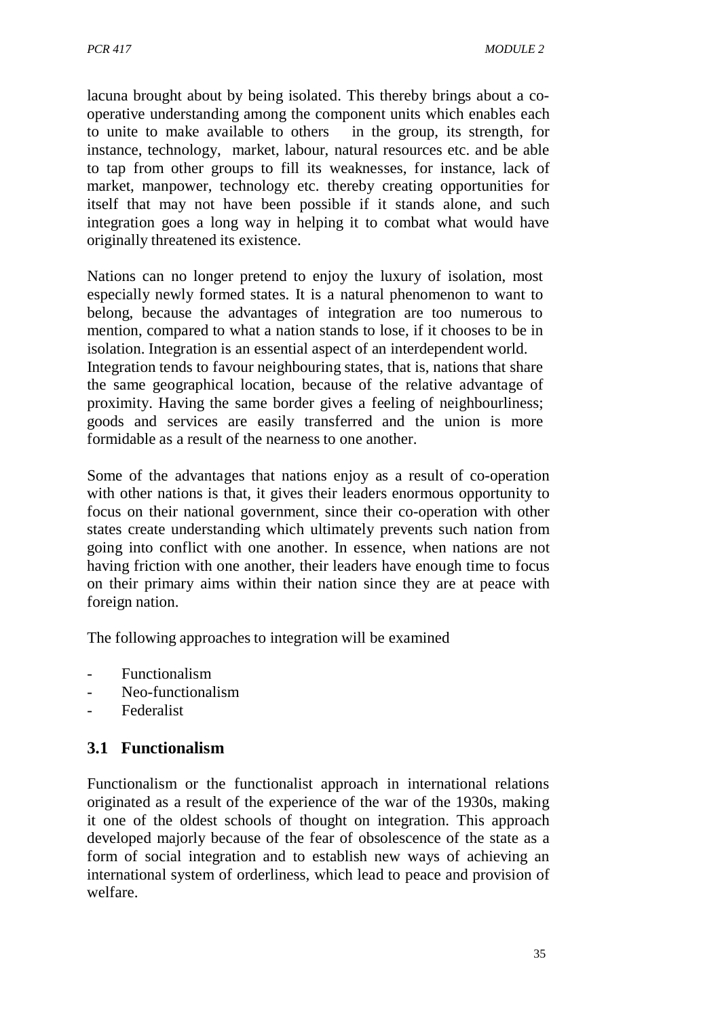lacuna brought about by being isolated. This thereby brings about a cooperative understanding among the component units which enables each to unite to make available to others in the group, its strength, for instance, technology, market, labour, natural resources etc. and be able to tap from other groups to fill its weaknesses, for instance, lack of market, manpower, technology etc. thereby creating opportunities for itself that may not have been possible if it stands alone, and such integration goes a long way in helping it to combat what would have originally threatened its existence.

Nations can no longer pretend to enjoy the luxury of isolation, most especially newly formed states. It is a natural phenomenon to want to belong, because the advantages of integration are too numerous to mention, compared to what a nation stands to lose, if it chooses to be in isolation. Integration is an essential aspect of an interdependent world. Integration tends to favour neighbouring states, that is, nations that share the same geographical location, because of the relative advantage of proximity. Having the same border gives a feeling of neighbourliness; goods and services are easily transferred and the union is more formidable as a result of the nearness to one another.

Some of the advantages that nations enjoy as a result of co-operation with other nations is that, it gives their leaders enormous opportunity to focus on their national government, since their co-operation with other states create understanding which ultimately prevents such nation from going into conflict with one another. In essence, when nations are not having friction with one another, their leaders have enough time to focus on their primary aims within their nation since they are at peace with foreign nation.

The following approaches to integration will be examined

- Functionalism
- Neo-functionalism
- Federalist

# **3.1 Functionalism**

Functionalism or the functionalist approach in international relations originated as a result of the experience of the war of the 1930s, making it one of the oldest schools of thought on integration. This approach developed majorly because of the fear of obsolescence of the state as a form of social integration and to establish new ways of achieving an international system of orderliness, which lead to peace and provision of welfare.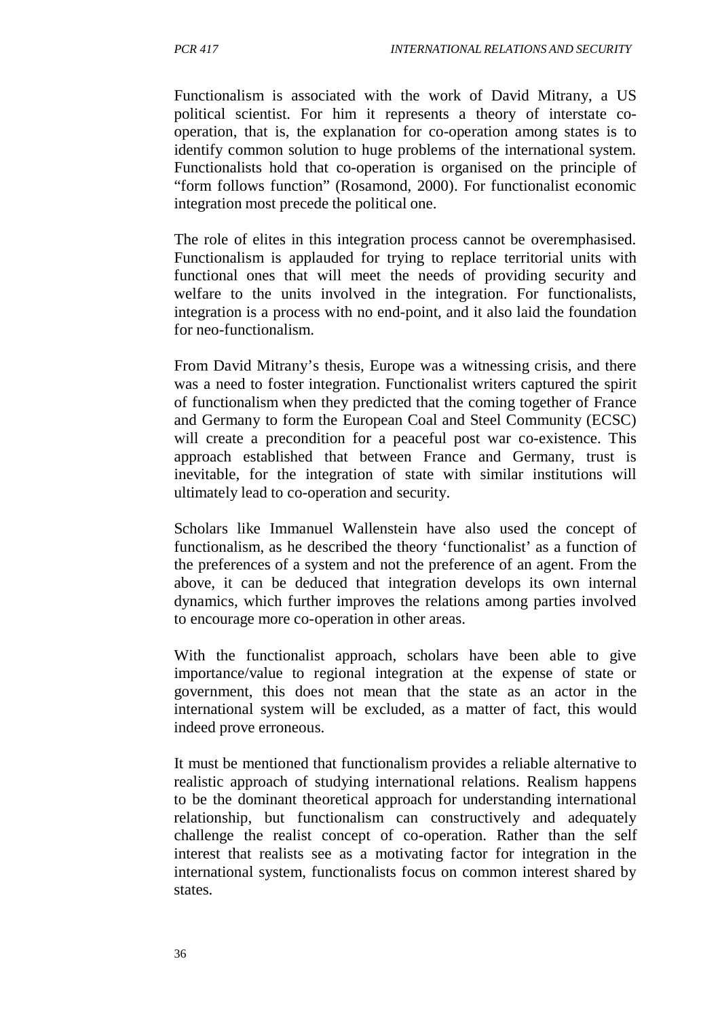Functionalism is associated with the work of David Mitrany, a US political scientist. For him it represents a theory of interstate cooperation, that is, the explanation for co-operation among states is to identify common solution to huge problems of the international system. Functionalists hold that co-operation is organised on the principle of "form follows function" (Rosamond, 2000). For functionalist economic integration most precede the political one.

The role of elites in this integration process cannot be overemphasised. Functionalism is applauded for trying to replace territorial units with functional ones that will meet the needs of providing security and welfare to the units involved in the integration. For functionalists, integration is a process with no end-point, and it also laid the foundation for neo-functionalism.

From David Mitrany's thesis, Europe was a witnessing crisis, and there was a need to foster integration. Functionalist writers captured the spirit of functionalism when they predicted that the coming together of France and Germany to form the European Coal and Steel Community (ECSC) will create a precondition for a peaceful post war co-existence. This approach established that between France and Germany, trust is inevitable, for the integration of state with similar institutions will ultimately lead to co-operation and security.

Scholars like Immanuel Wallenstein have also used the concept of functionalism, as he described the theory 'functionalist' as a function of the preferences of a system and not the preference of an agent. From the above, it can be deduced that integration develops its own internal dynamics, which further improves the relations among parties involved to encourage more co-operation in other areas.

With the functionalist approach, scholars have been able to give importance/value to regional integration at the expense of state or government, this does not mean that the state as an actor in the international system will be excluded, as a matter of fact, this would indeed prove erroneous.

It must be mentioned that functionalism provides a reliable alternative to realistic approach of studying international relations. Realism happens to be the dominant theoretical approach for understanding international relationship, but functionalism can constructively and adequately challenge the realist concept of co-operation. Rather than the self interest that realists see as a motivating factor for integration in the international system, functionalists focus on common interest shared by states.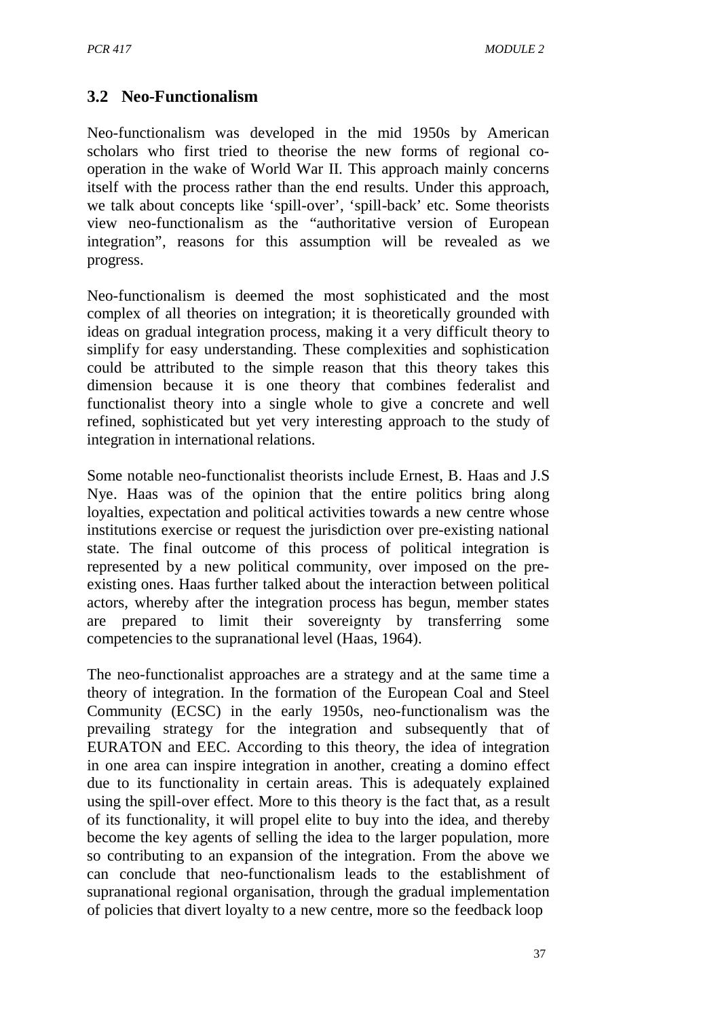# **3.2 Neo-Functionalism**

Neo-functionalism was developed in the mid 1950s by American scholars who first tried to theorise the new forms of regional cooperation in the wake of World War II. This approach mainly concerns itself with the process rather than the end results. Under this approach, we talk about concepts like 'spill-over', 'spill-back' etc. Some theorists view neo-functionalism as the "authoritative version of European integration", reasons for this assumption will be revealed as we progress.

Neo-functionalism is deemed the most sophisticated and the most complex of all theories on integration; it is theoretically grounded with ideas on gradual integration process, making it a very difficult theory to simplify for easy understanding. These complexities and sophistication could be attributed to the simple reason that this theory takes this dimension because it is one theory that combines federalist and functionalist theory into a single whole to give a concrete and well refined, sophisticated but yet very interesting approach to the study of integration in international relations.

Some notable neo-functionalist theorists include Ernest, B. Haas and J.S Nye. Haas was of the opinion that the entire politics bring along loyalties, expectation and political activities towards a new centre whose institutions exercise or request the jurisdiction over pre-existing national state. The final outcome of this process of political integration is represented by a new political community, over imposed on the preexisting ones. Haas further talked about the interaction between political actors, whereby after the integration process has begun, member states are prepared to limit their sovereignty by transferring some competencies to the supranational level (Haas, 1964).

The neo-functionalist approaches are a strategy and at the same time a theory of integration. In the formation of the European Coal and Steel Community (ECSC) in the early 1950s, neo-functionalism was the prevailing strategy for the integration and subsequently that of EURATON and EEC. According to this theory, the idea of integration in one area can inspire integration in another, creating a domino effect due to its functionality in certain areas. This is adequately explained using the spill-over effect. More to this theory is the fact that, as a result of its functionality, it will propel elite to buy into the idea, and thereby become the key agents of selling the idea to the larger population, more so contributing to an expansion of the integration. From the above we can conclude that neo-functionalism leads to the establishment of supranational regional organisation, through the gradual implementation of policies that divert loyalty to a new centre, more so the feedback loop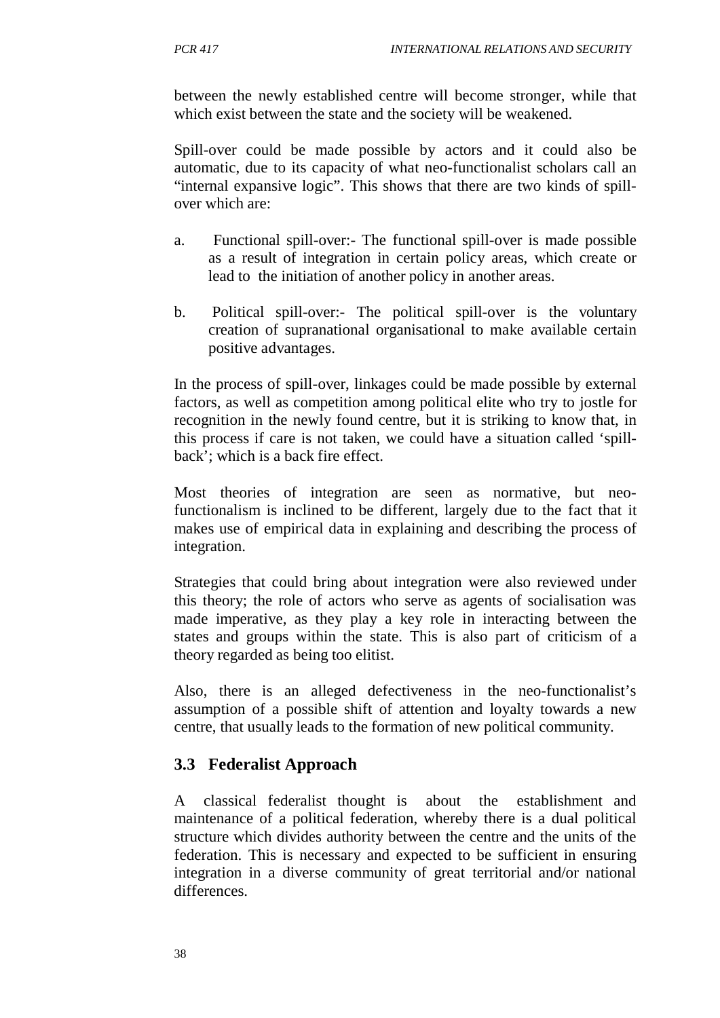between the newly established centre will become stronger, while that which exist between the state and the society will be weakened.

Spill-over could be made possible by actors and it could also be automatic, due to its capacity of what neo-functionalist scholars call an "internal expansive logic". This shows that there are two kinds of spillover which are:

- a. Functional spill-over:- The functional spill-over is made possible as a result of integration in certain policy areas, which create or lead to the initiation of another policy in another areas.
- b. Political spill-over:- The political spill-over is the voluntary creation of supranational organisational to make available certain positive advantages.

In the process of spill-over, linkages could be made possible by external factors, as well as competition among political elite who try to jostle for recognition in the newly found centre, but it is striking to know that, in this process if care is not taken, we could have a situation called 'spillback'; which is a back fire effect.

Most theories of integration are seen as normative, but neofunctionalism is inclined to be different, largely due to the fact that it makes use of empirical data in explaining and describing the process of integration.

Strategies that could bring about integration were also reviewed under this theory; the role of actors who serve as agents of socialisation was made imperative, as they play a key role in interacting between the states and groups within the state. This is also part of criticism of a theory regarded as being too elitist.

Also, there is an alleged defectiveness in the neo-functionalist's assumption of a possible shift of attention and loyalty towards a new centre, that usually leads to the formation of new political community.

# **3.3 Federalist Approach**

A classical federalist thought is about the establishment and maintenance of a political federation, whereby there is a dual political structure which divides authority between the centre and the units of the federation. This is necessary and expected to be sufficient in ensuring integration in a diverse community of great territorial and/or national differences.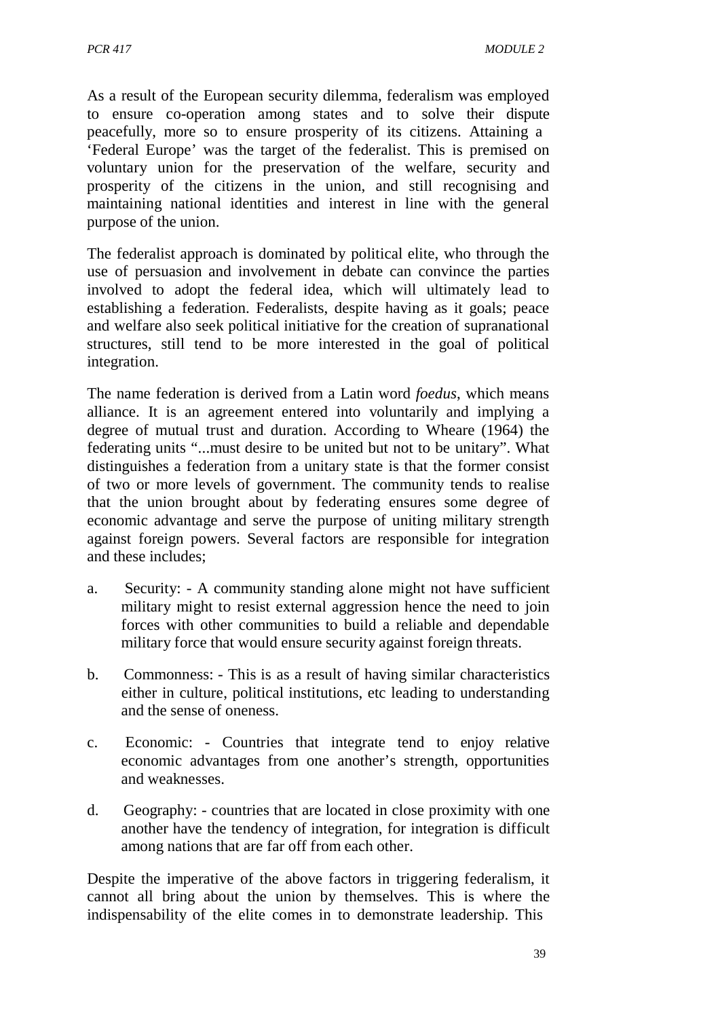As a result of the European security dilemma, federalism was employed to ensure co-operation among states and to solve their dispute peacefully, more so to ensure prosperity of its citizens. Attaining a 'Federal Europe' was the target of the federalist. This is premised on voluntary union for the preservation of the welfare, security and prosperity of the citizens in the union, and still recognising and maintaining national identities and interest in line with the general purpose of the union.

The federalist approach is dominated by political elite, who through the use of persuasion and involvement in debate can convince the parties involved to adopt the federal idea, which will ultimately lead to establishing a federation. Federalists, despite having as it goals; peace and welfare also seek political initiative for the creation of supranational structures, still tend to be more interested in the goal of political integration.

The name federation is derived from a Latin word *foedus*, which means alliance. It is an agreement entered into voluntarily and implying a degree of mutual trust and duration. According to Wheare (1964) the federating units "...must desire to be united but not to be unitary". What distinguishes a federation from a unitary state is that the former consist of two or more levels of government. The community tends to realise that the union brought about by federating ensures some degree of economic advantage and serve the purpose of uniting military strength against foreign powers. Several factors are responsible for integration and these includes;

- a. Security: A community standing alone might not have sufficient military might to resist external aggression hence the need to join forces with other communities to build a reliable and dependable military force that would ensure security against foreign threats.
- b. Commonness: This is as a result of having similar characteristics either in culture, political institutions, etc leading to understanding and the sense of oneness.
- c. Economic: Countries that integrate tend to enjoy relative economic advantages from one another's strength, opportunities and weaknesses.
- d. Geography: countries that are located in close proximity with one another have the tendency of integration, for integration is difficult among nations that are far off from each other.

Despite the imperative of the above factors in triggering federalism, it cannot all bring about the union by themselves. This is where the indispensability of the elite comes in to demonstrate leadership. This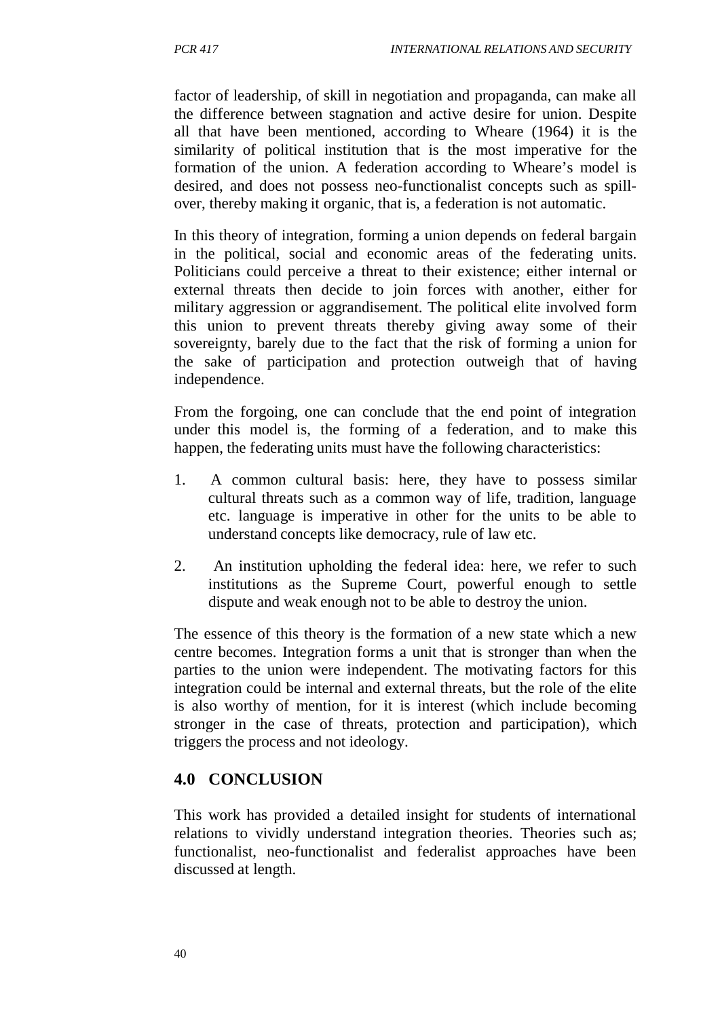factor of leadership, of skill in negotiation and propaganda, can make all the difference between stagnation and active desire for union. Despite all that have been mentioned, according to Wheare (1964) it is the similarity of political institution that is the most imperative for the formation of the union. A federation according to Wheare's model is desired, and does not possess neo-functionalist concepts such as spillover, thereby making it organic, that is, a federation is not automatic.

In this theory of integration, forming a union depends on federal bargain in the political, social and economic areas of the federating units. Politicians could perceive a threat to their existence; either internal or external threats then decide to join forces with another, either for military aggression or aggrandisement. The political elite involved form this union to prevent threats thereby giving away some of their sovereignty, barely due to the fact that the risk of forming a union for the sake of participation and protection outweigh that of having independence.

From the forgoing, one can conclude that the end point of integration under this model is, the forming of a federation, and to make this happen, the federating units must have the following characteristics:

- 1. A common cultural basis: here, they have to possess similar cultural threats such as a common way of life, tradition, language etc. language is imperative in other for the units to be able to understand concepts like democracy, rule of law etc.
- 2. An institution upholding the federal idea: here, we refer to such institutions as the Supreme Court, powerful enough to settle dispute and weak enough not to be able to destroy the union.

The essence of this theory is the formation of a new state which a new centre becomes. Integration forms a unit that is stronger than when the parties to the union were independent. The motivating factors for this integration could be internal and external threats, but the role of the elite is also worthy of mention, for it is interest (which include becoming stronger in the case of threats, protection and participation), which triggers the process and not ideology.

# **4.0 CONCLUSION**

This work has provided a detailed insight for students of international relations to vividly understand integration theories. Theories such as; functionalist, neo-functionalist and federalist approaches have been discussed at length.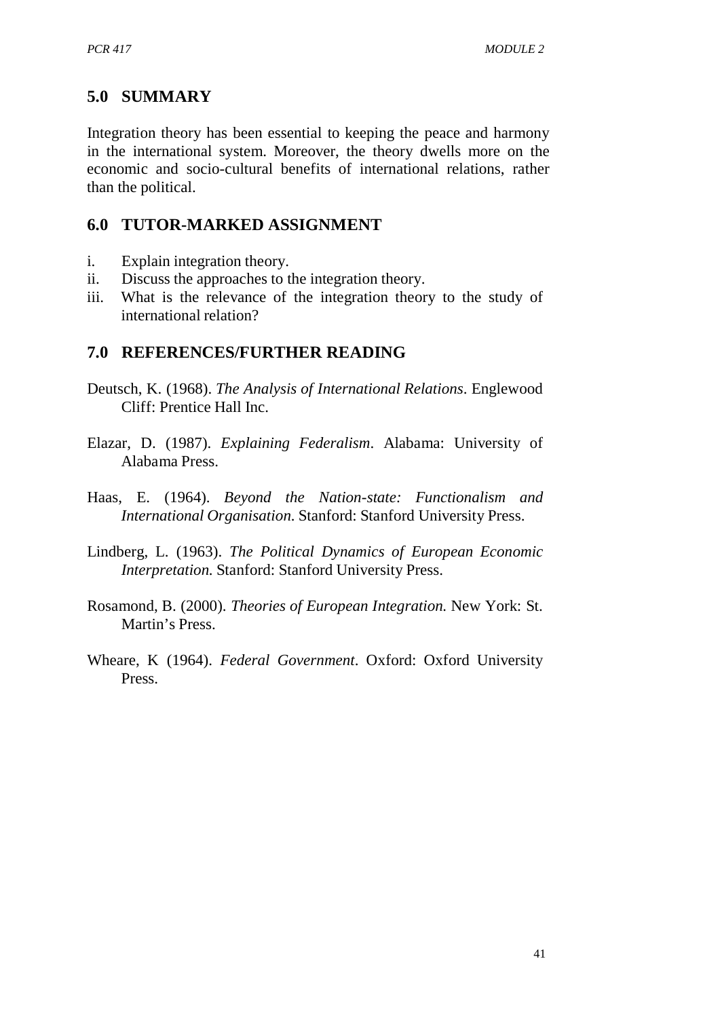# **5.0 SUMMARY**

Integration theory has been essential to keeping the peace and harmony in the international system. Moreover, the theory dwells more on the economic and socio-cultural benefits of international relations, rather than the political.

# **6.0 TUTOR-MARKED ASSIGNMENT**

- i. Explain integration theory.
- ii. Discuss the approaches to the integration theory.
- iii. What is the relevance of the integration theory to the study of international relation?

# **7.0 REFERENCES/FURTHER READING**

- Deutsch, K. (1968). *The Analysis of International Relations*. Englewood Cliff: Prentice Hall Inc.
- Elazar, D. (1987). *Explaining Federalism*. Alabama: University of Alabama Press.
- Haas, E. (1964). *Beyond the Nation-state: Functionalism and International Organisation.* Stanford: Stanford University Press.
- Lindberg, L. (1963). *The Political Dynamics of European Economic Interpretation.* Stanford: Stanford University Press.
- Rosamond, B. (2000). *Theories of European Integration.* New York: St. Martin's Press.
- Wheare, K (1964). *Federal Government*. Oxford: Oxford University Press.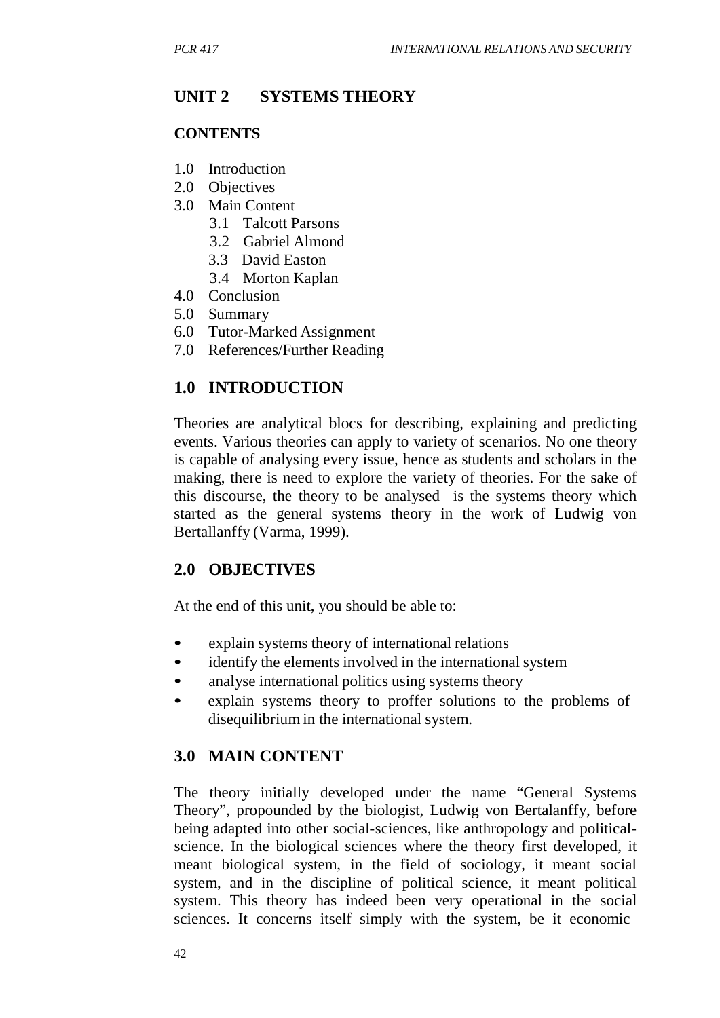# **UNIT 2 SYSTEMS THEORY**

#### **CONTENTS**

- 1.0 Introduction
- 2.0 Objectives
- 3.0 Main Content
	- 3.1 Talcott Parsons
	- 3.2 Gabriel Almond
	- 3.3 David Easton
	- 3.4 Morton Kaplan
- 4.0 Conclusion
- 5.0 Summary
- 6.0 Tutor-Marked Assignment
- 7.0 References/Further Reading

# **1.0 INTRODUCTION**

Theories are analytical blocs for describing, explaining and predicting events. Various theories can apply to variety of scenarios. No one theory is capable of analysing every issue, hence as students and scholars in the making, there is need to explore the variety of theories. For the sake of this discourse, the theory to be analysed is the systems theory which started as the general systems theory in the work of Ludwig von Bertallanffy (Varma, 1999).

# **2.0 OBJECTIVES**

At the end of this unit, you should be able to:

- explain systems theory of international relations
- identify the elements involved in the international system
- analyse international politics using systems theory
- explain systems theory to proffer solutions to the problems of disequilibrium in the international system.

# **3.0 MAIN CONTENT**

The theory initially developed under the name "General Systems Theory", propounded by the biologist, Ludwig von Bertalanffy, before being adapted into other social-sciences, like anthropology and politicalscience. In the biological sciences where the theory first developed, it meant biological system, in the field of sociology, it meant social system, and in the discipline of political science, it meant political system. This theory has indeed been very operational in the social sciences. It concerns itself simply with the system, be it economic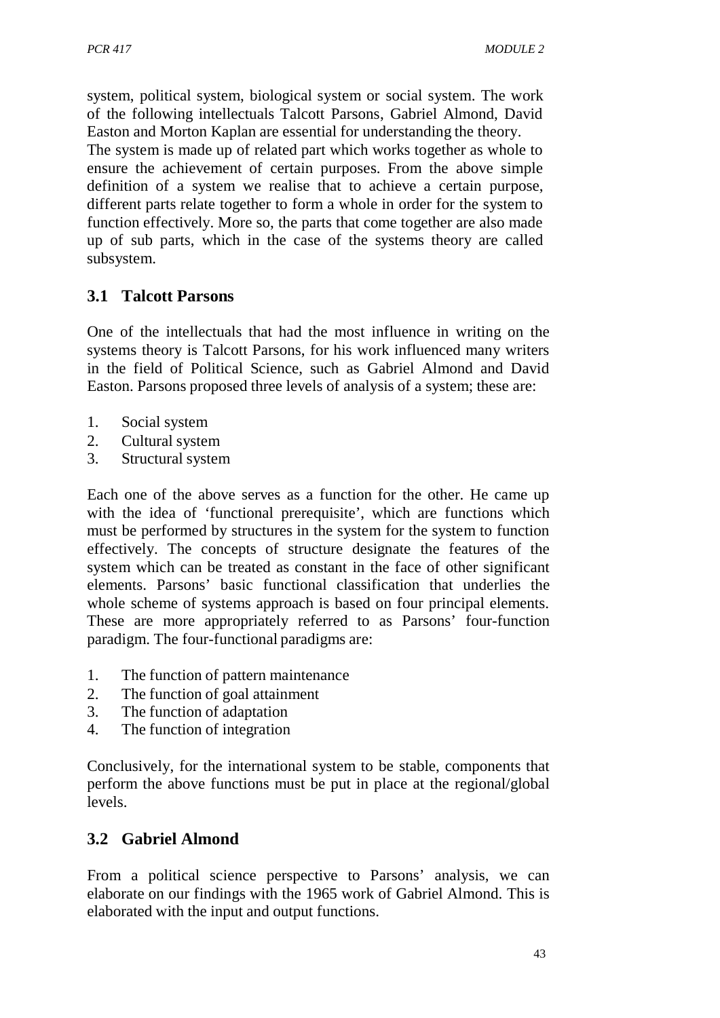system, political system, biological system or social system. The work of the following intellectuals Talcott Parsons, Gabriel Almond, David Easton and Morton Kaplan are essential for understanding the theory.

The system is made up of related part which works together as whole to ensure the achievement of certain purposes. From the above simple definition of a system we realise that to achieve a certain purpose, different parts relate together to form a whole in order for the system to function effectively. More so, the parts that come together are also made up of sub parts, which in the case of the systems theory are called subsystem.

# **3.1 Talcott Parsons**

One of the intellectuals that had the most influence in writing on the systems theory is Talcott Parsons, for his work influenced many writers in the field of Political Science, such as Gabriel Almond and David Easton. Parsons proposed three levels of analysis of a system; these are:

- 1. Social system
- 2. Cultural system
- 3. Structural system

Each one of the above serves as a function for the other. He came up with the idea of 'functional prerequisite', which are functions which must be performed by structures in the system for the system to function effectively. The concepts of structure designate the features of the system which can be treated as constant in the face of other significant elements. Parsons' basic functional classification that underlies the whole scheme of systems approach is based on four principal elements. These are more appropriately referred to as Parsons' four-function paradigm. The four-functional paradigms are:

- 1. The function of pattern maintenance
- 2. The function of goal attainment
- 3. The function of adaptation
- 4. The function of integration

Conclusively, for the international system to be stable, components that perform the above functions must be put in place at the regional/global levels.

# **3.2 Gabriel Almond**

From a political science perspective to Parsons' analysis, we can elaborate on our findings with the 1965 work of Gabriel Almond. This is elaborated with the input and output functions.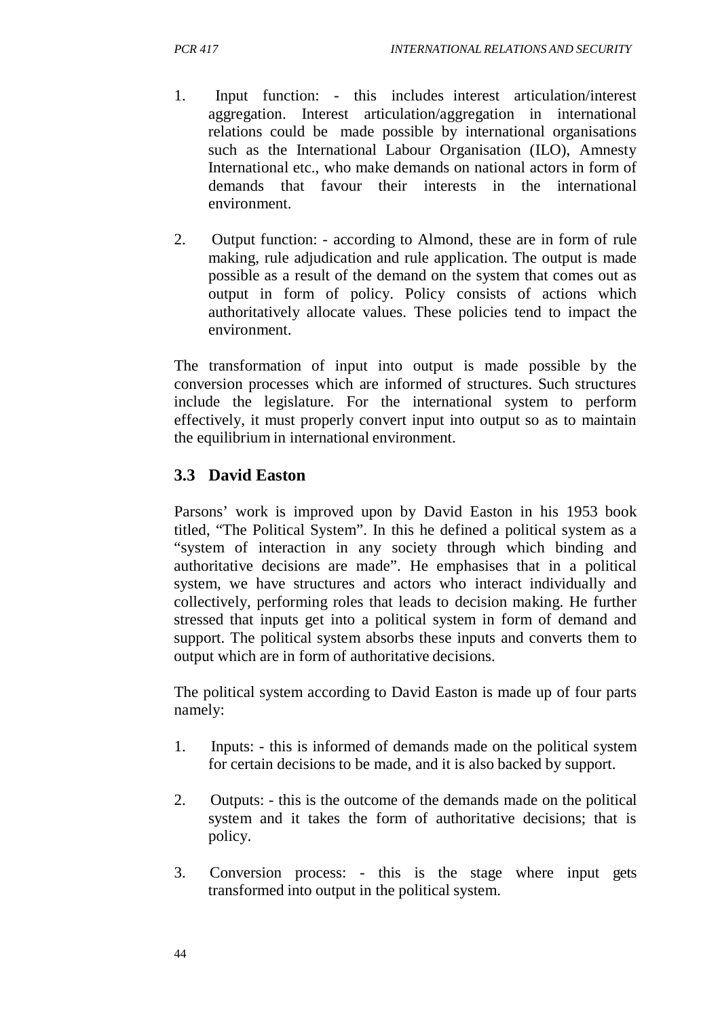- 1. Input function: this includes interest articulation/interest aggregation. Interest articulation/aggregation in international relations could be made possible by international organisations such as the International Labour Organisation (ILO), Amnesty International etc., who make demands on national actors in form of demands that favour their interests in the international environment.
- 2. Output function: according to Almond, these are in form of rule making, rule adjudication and rule application. The output is made possible as a result of the demand on the system that comes out as output in form of policy. Policy consists of actions which authoritatively allocate values. These policies tend to impact the environment.

The transformation of input into output is made possible by the conversion processes which are informed of structures. Such structures include the legislature. For the international system to perform effectively, it must properly convert input into output so as to maintain the equilibrium in international environment.

# **3.3 David Easton**

Parsons' work is improved upon by David Easton in his 1953 book titled, "The Political System". In this he defined a political system as a "system of interaction in any society through which binding and authoritative decisions are made". He emphasises that in a political system, we have structures and actors who interact individually and collectively, performing roles that leads to decision making. He further stressed that inputs get into a political system in form of demand and support. The political system absorbs these inputs and converts them to output which are in form of authoritative decisions.

The political system according to David Easton is made up of four parts namely:

- 1. Inputs: this is informed of demands made on the political system for certain decisions to be made, and it is also backed by support.
- 2. Outputs: this is the outcome of the demands made on the political system and it takes the form of authoritative decisions; that is policy.
- 3. Conversion process: this is the stage where input gets transformed into output in the political system.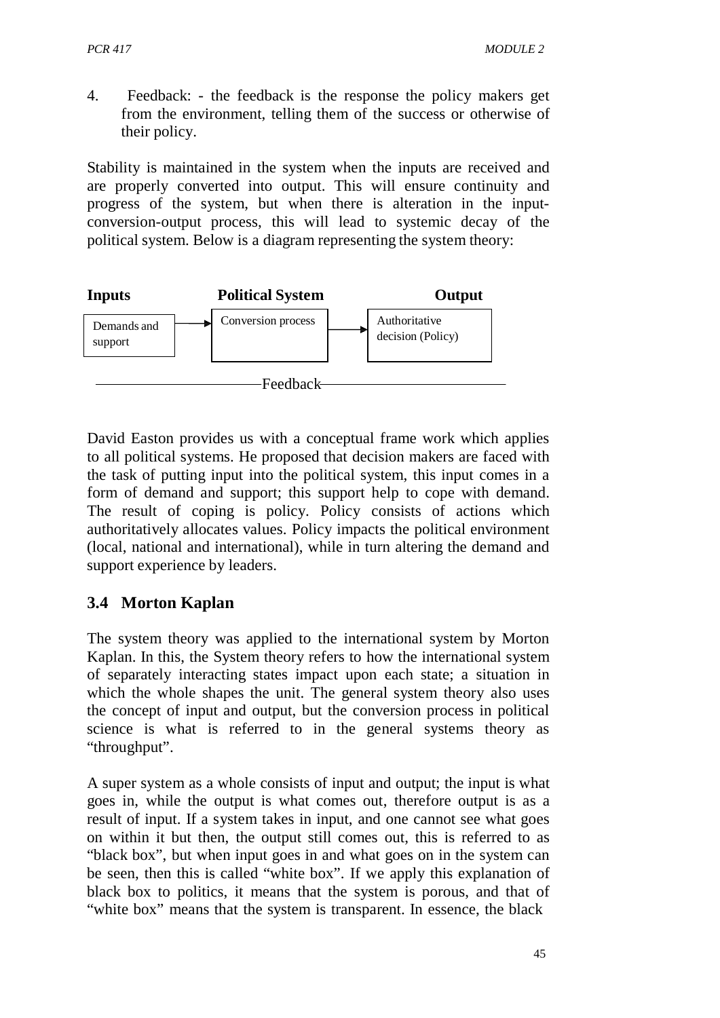4. Feedback: - the feedback is the response the policy makers get from the environment, telling them of the success or otherwise of their policy.

Stability is maintained in the system when the inputs are received and are properly converted into output. This will ensure continuity and progress of the system, but when there is alteration in the inputconversion-output process, this will lead to systemic decay of the political system. Below is a diagram representing the system theory:



David Easton provides us with a conceptual frame work which applies to all political systems. He proposed that decision makers are faced with the task of putting input into the political system, this input comes in a form of demand and support; this support help to cope with demand. The result of coping is policy. Policy consists of actions which authoritatively allocates values. Policy impacts the political environment (local, national and international), while in turn altering the demand and support experience by leaders.

# **3.4 Morton Kaplan**

The system theory was applied to the international system by Morton Kaplan. In this, the System theory refers to how the international system of separately interacting states impact upon each state; a situation in which the whole shapes the unit. The general system theory also uses the concept of input and output, but the conversion process in political science is what is referred to in the general systems theory as "throughput".

A super system as a whole consists of input and output; the input is what goes in, while the output is what comes out, therefore output is as a result of input. If a system takes in input, and one cannot see what goes on within it but then, the output still comes out, this is referred to as "black box", but when input goes in and what goes on in the system can be seen, then this is called "white box". If we apply this explanation of black box to politics, it means that the system is porous, and that of "white box" means that the system is transparent. In essence, the black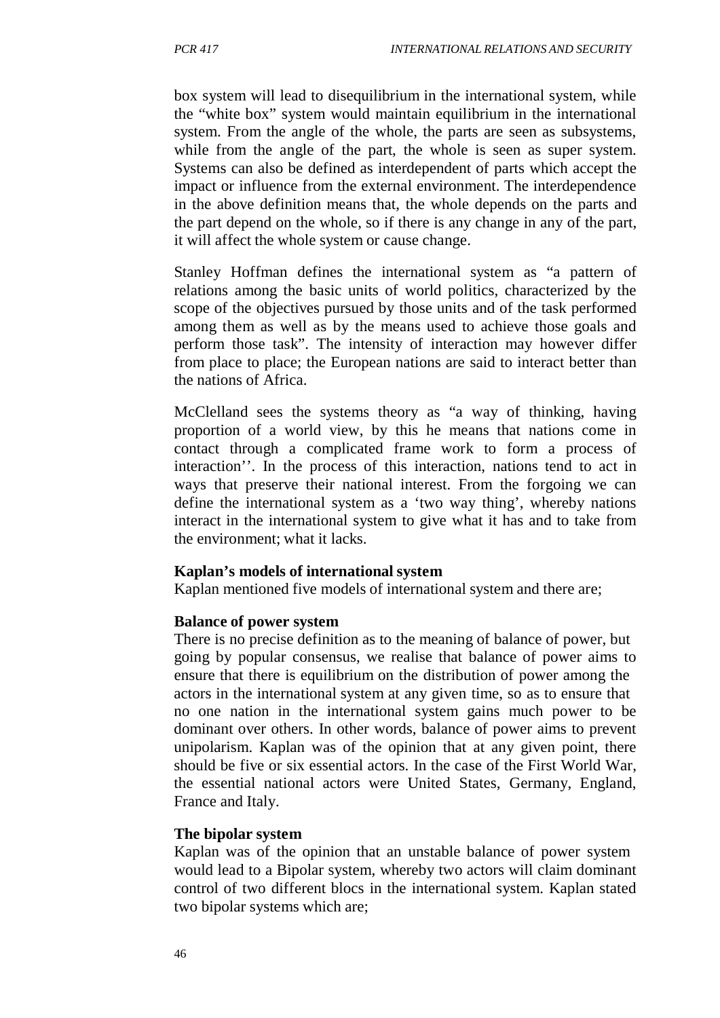box system will lead to disequilibrium in the international system, while the "white box" system would maintain equilibrium in the international system. From the angle of the whole, the parts are seen as subsystems, while from the angle of the part, the whole is seen as super system. Systems can also be defined as interdependent of parts which accept the impact or influence from the external environment. The interdependence in the above definition means that, the whole depends on the parts and the part depend on the whole, so if there is any change in any of the part, it will affect the whole system or cause change.

Stanley Hoffman defines the international system as "a pattern of relations among the basic units of world politics, characterized by the scope of the objectives pursued by those units and of the task performed among them as well as by the means used to achieve those goals and perform those task". The intensity of interaction may however differ from place to place; the European nations are said to interact better than the nations of Africa.

McClelland sees the systems theory as "a way of thinking, having proportion of a world view, by this he means that nations come in contact through a complicated frame work to form a process of interaction''. In the process of this interaction, nations tend to act in ways that preserve their national interest. From the forgoing we can define the international system as a 'two way thing', whereby nations interact in the international system to give what it has and to take from the environment; what it lacks.

#### **Kaplan's models of international system**

Kaplan mentioned five models of international system and there are;

#### **Balance of power system**

There is no precise definition as to the meaning of balance of power, but going by popular consensus, we realise that balance of power aims to ensure that there is equilibrium on the distribution of power among the actors in the international system at any given time, so as to ensure that no one nation in the international system gains much power to be dominant over others. In other words, balance of power aims to prevent unipolarism. Kaplan was of the opinion that at any given point, there should be five or six essential actors. In the case of the First World War, the essential national actors were United States, Germany, England, France and Italy.

#### **The bipolar system**

Kaplan was of the opinion that an unstable balance of power system would lead to a Bipolar system, whereby two actors will claim dominant control of two different blocs in the international system. Kaplan stated two bipolar systems which are;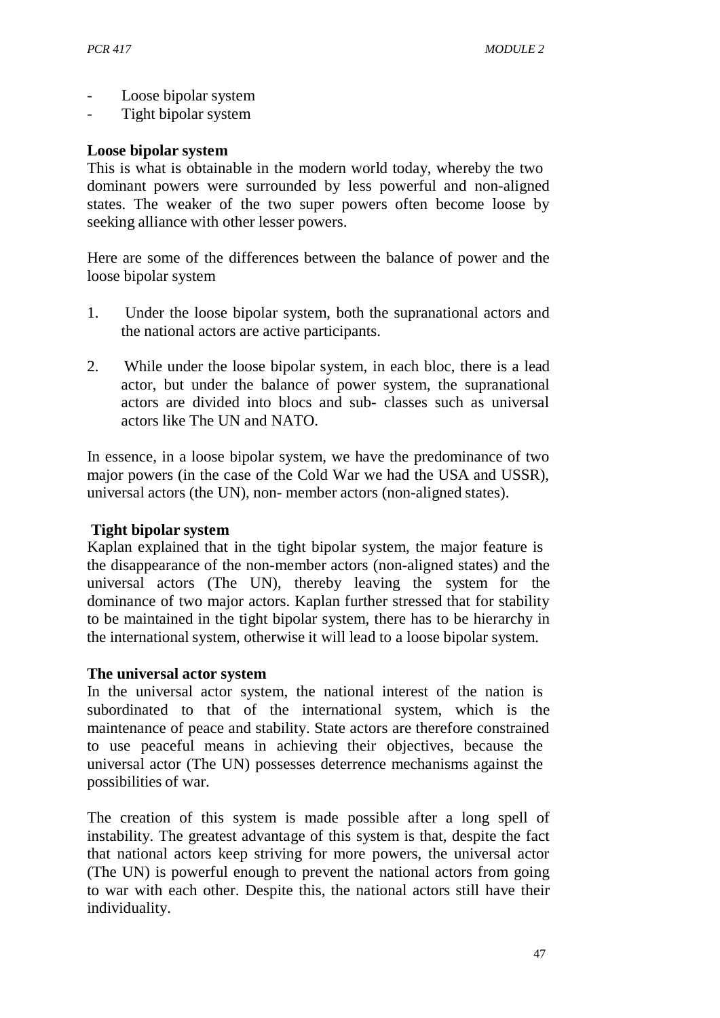- Loose bipolar system
- Tight bipolar system

#### **Loose bipolar system**

This is what is obtainable in the modern world today, whereby the two dominant powers were surrounded by less powerful and non-aligned states. The weaker of the two super powers often become loose by seeking alliance with other lesser powers.

Here are some of the differences between the balance of power and the loose bipolar system

- 1. Under the loose bipolar system, both the supranational actors and the national actors are active participants.
- 2. While under the loose bipolar system, in each bloc, there is a lead actor, but under the balance of power system, the supranational actors are divided into blocs and sub- classes such as universal actors like The UN and NATO.

In essence, in a loose bipolar system, we have the predominance of two major powers (in the case of the Cold War we had the USA and USSR), universal actors (the UN), non- member actors (non-aligned states).

#### **Tight bipolar system**

Kaplan explained that in the tight bipolar system, the major feature is the disappearance of the non-member actors (non-aligned states) and the universal actors (The UN), thereby leaving the system for the dominance of two major actors. Kaplan further stressed that for stability to be maintained in the tight bipolar system, there has to be hierarchy in the international system, otherwise it will lead to a loose bipolar system.

#### **The universal actor system**

In the universal actor system, the national interest of the nation is subordinated to that of the international system, which is the maintenance of peace and stability. State actors are therefore constrained to use peaceful means in achieving their objectives, because the universal actor (The UN) possesses deterrence mechanisms against the possibilities of war.

The creation of this system is made possible after a long spell of instability. The greatest advantage of this system is that, despite the fact that national actors keep striving for more powers, the universal actor (The UN) is powerful enough to prevent the national actors from going to war with each other. Despite this, the national actors still have their individuality.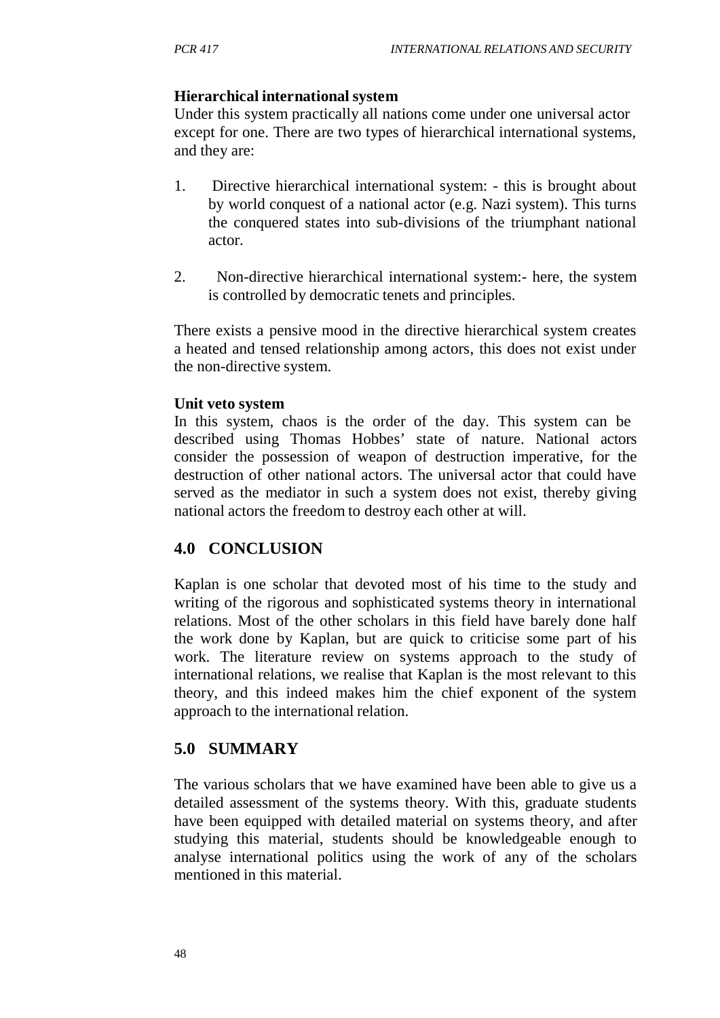# **Hierarchical international system**

Under this system practically all nations come under one universal actor except for one. There are two types of hierarchical international systems, and they are:

- 1. Directive hierarchical international system: this is brought about by world conquest of a national actor (e.g. Nazi system). This turns the conquered states into sub-divisions of the triumphant national actor.
- 2. Non-directive hierarchical international system:- here, the system is controlled by democratic tenets and principles.

There exists a pensive mood in the directive hierarchical system creates a heated and tensed relationship among actors, this does not exist under the non-directive system.

#### **Unit veto system**

In this system, chaos is the order of the day. This system can be described using Thomas Hobbes' state of nature. National actors consider the possession of weapon of destruction imperative, for the destruction of other national actors. The universal actor that could have served as the mediator in such a system does not exist, thereby giving national actors the freedom to destroy each other at will.

# **4.0 CONCLUSION**

Kaplan is one scholar that devoted most of his time to the study and writing of the rigorous and sophisticated systems theory in international relations. Most of the other scholars in this field have barely done half the work done by Kaplan, but are quick to criticise some part of his work. The literature review on systems approach to the study of international relations, we realise that Kaplan is the most relevant to this theory, and this indeed makes him the chief exponent of the system approach to the international relation.

# **5.0 SUMMARY**

The various scholars that we have examined have been able to give us a detailed assessment of the systems theory. With this, graduate students have been equipped with detailed material on systems theory, and after studying this material, students should be knowledgeable enough to analyse international politics using the work of any of the scholars mentioned in this material.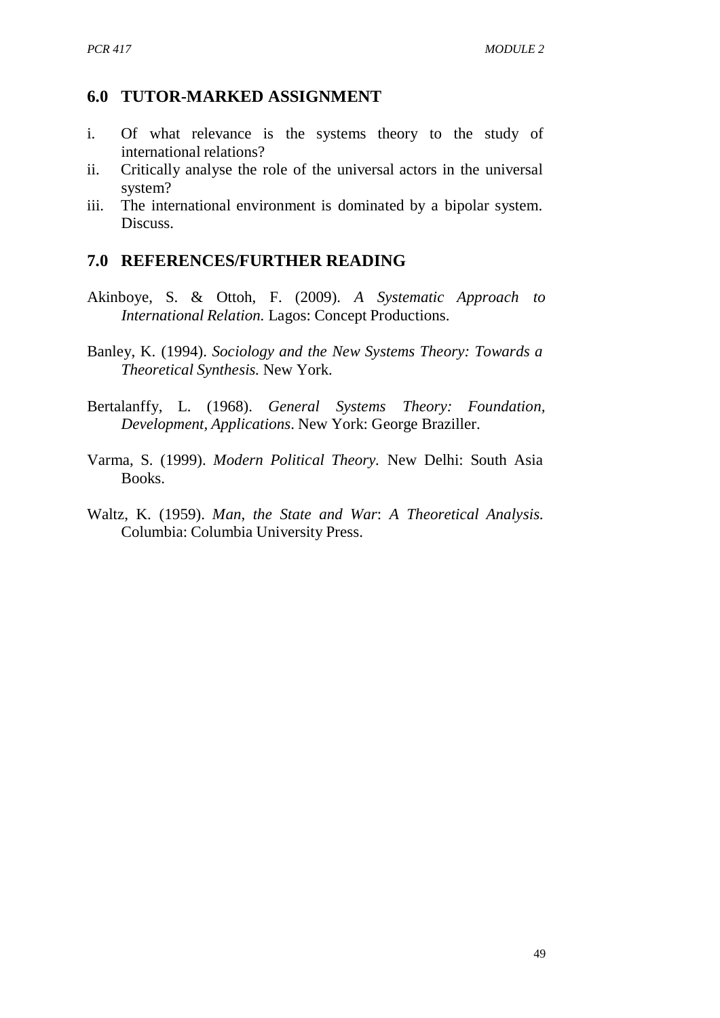#### **6.0 TUTOR-MARKED ASSIGNMENT**

- i. Of what relevance is the systems theory to the study of international relations?
- ii. Critically analyse the role of the universal actors in the universal system?
- iii. The international environment is dominated by a bipolar system. **Discuss**

#### **7.0 REFERENCES/FURTHER READING**

- Akinboye, S. & Ottoh, F. (2009). *A Systematic Approach to International Relation.* Lagos: Concept Productions.
- Banley, K. (1994). *Sociology and the New Systems Theory: Towards a Theoretical Synthesis.* New York.
- Bertalanffy, L. (1968). *General Systems Theory: Foundation, Development, Applications*. New York: George Braziller.
- Varma, S. (1999). *Modern Political Theory.* New Delhi: South Asia Books.
- Waltz, K. (1959). *Man, the State and War*: *A Theoretical Analysis.* Columbia: Columbia University Press.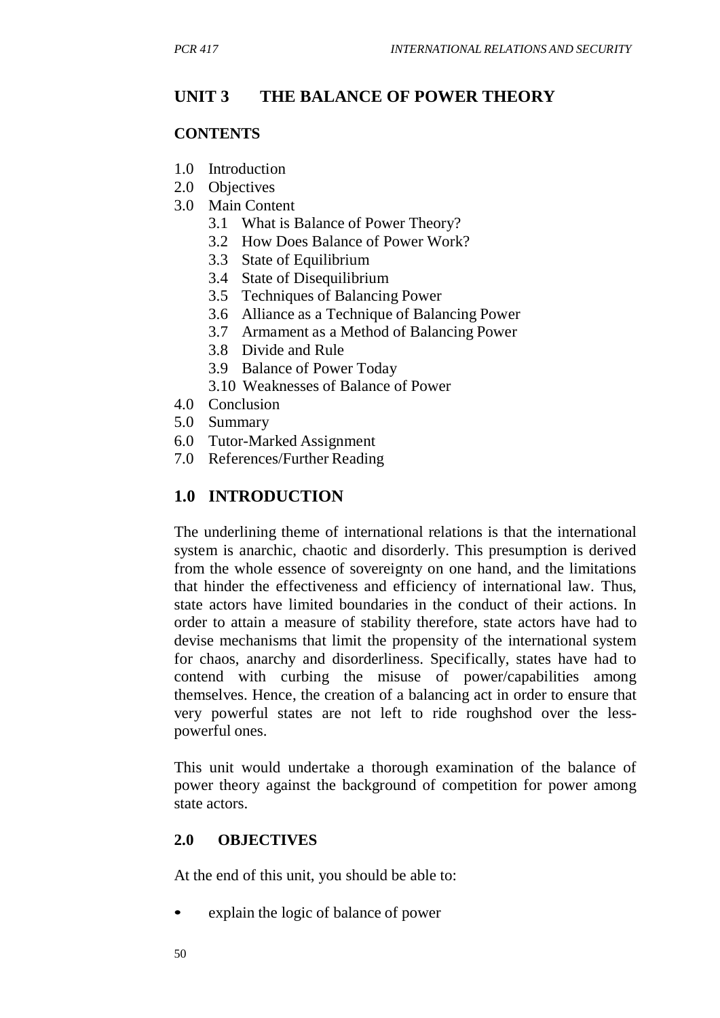# **UNIT 3 THE BALANCE OF POWER THEORY**

#### **CONTENTS**

- 1.0 Introduction
- 2.0 Objectives
- 3.0 Main Content
	- 3.1 What is Balance of Power Theory?
	- 3.2 How Does Balance of Power Work?
	- 3.3 State of Equilibrium
	- 3.4 State of Disequilibrium
	- 3.5 Techniques of Balancing Power
	- 3.6 Alliance as a Technique of Balancing Power
	- 3.7 Armament as a Method of Balancing Power
	- 3.8 Divide and Rule
	- 3.9 Balance of Power Today
	- 3.10 Weaknesses of Balance of Power
- 4.0 Conclusion
- 5.0 Summary
- 6.0 Tutor-Marked Assignment
- 7.0 References/Further Reading

# **1.0 INTRODUCTION**

The underlining theme of international relations is that the international system is anarchic, chaotic and disorderly. This presumption is derived from the whole essence of sovereignty on one hand, and the limitations that hinder the effectiveness and efficiency of international law. Thus, state actors have limited boundaries in the conduct of their actions. In order to attain a measure of stability therefore, state actors have had to devise mechanisms that limit the propensity of the international system for chaos, anarchy and disorderliness. Specifically, states have had to contend with curbing the misuse of power/capabilities among themselves. Hence, the creation of a balancing act in order to ensure that very powerful states are not left to ride roughshod over the lesspowerful ones.

This unit would undertake a thorough examination of the balance of power theory against the background of competition for power among state actors.

#### **2.0 OBJECTIVES**

At the end of this unit, you should be able to:

explain the logic of balance of power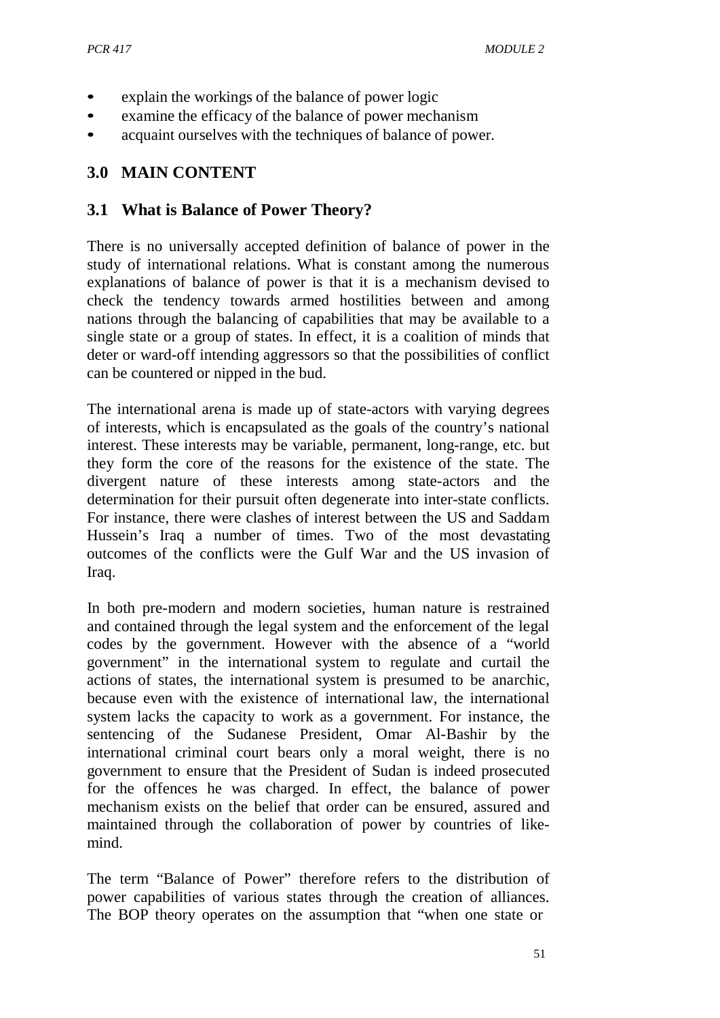- explain the workings of the balance of power logic
- examine the efficacy of the balance of power mechanism
- acquaint ourselves with the techniques of balance of power.

# **3.0 MAIN CONTENT**

#### **3.1 What is Balance of Power Theory?**

There is no universally accepted definition of balance of power in the study of international relations. What is constant among the numerous explanations of balance of power is that it is a mechanism devised to check the tendency towards armed hostilities between and among nations through the balancing of capabilities that may be available to a single state or a group of states. In effect, it is a coalition of minds that deter or ward-off intending aggressors so that the possibilities of conflict can be countered or nipped in the bud.

The international arena is made up of state-actors with varying degrees of interests, which is encapsulated as the goals of the country's national interest. These interests may be variable, permanent, long-range, etc. but they form the core of the reasons for the existence of the state. The divergent nature of these interests among state-actors and the determination for their pursuit often degenerate into inter-state conflicts. For instance, there were clashes of interest between the US and Saddam Hussein's Iraq a number of times. Two of the most devastating outcomes of the conflicts were the Gulf War and the US invasion of Iraq.

In both pre-modern and modern societies, human nature is restrained and contained through the legal system and the enforcement of the legal codes by the government. However with the absence of a "world government" in the international system to regulate and curtail the actions of states, the international system is presumed to be anarchic, because even with the existence of international law, the international system lacks the capacity to work as a government. For instance, the sentencing of the Sudanese President, Omar Al-Bashir by the international criminal court bears only a moral weight, there is no government to ensure that the President of Sudan is indeed prosecuted for the offences he was charged. In effect, the balance of power mechanism exists on the belief that order can be ensured, assured and maintained through the collaboration of power by countries of likemind.

The term "Balance of Power" therefore refers to the distribution of power capabilities of various states through the creation of alliances. The BOP theory operates on the assumption that "when one state or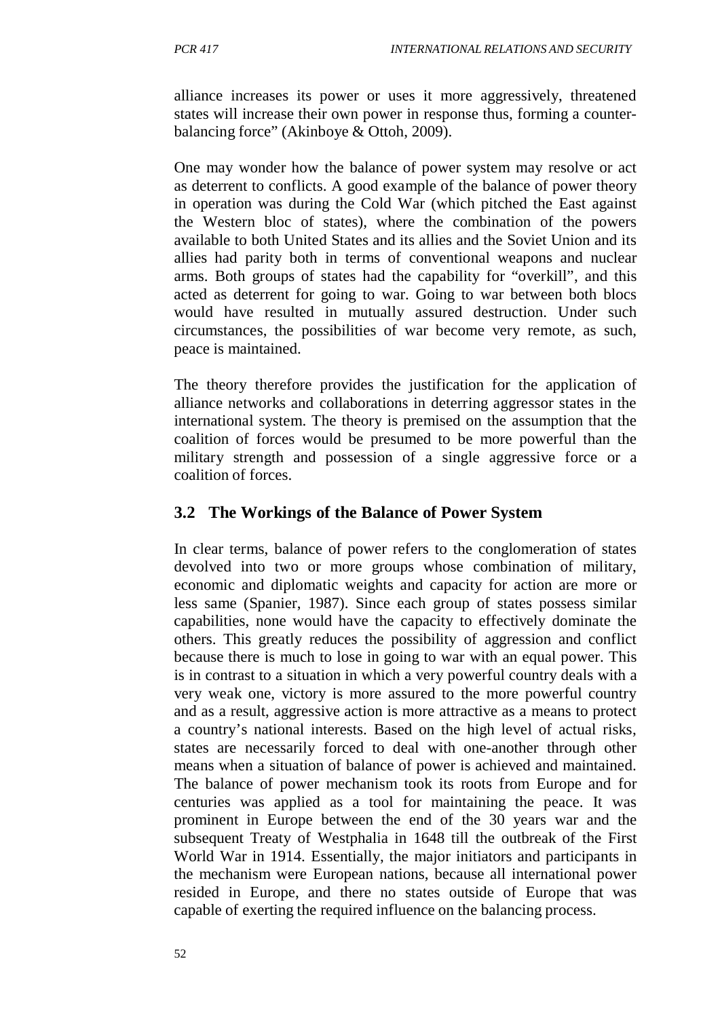alliance increases its power or uses it more aggressively, threatened states will increase their own power in response thus, forming a counterbalancing force" (Akinboye & Ottoh, 2009).

One may wonder how the balance of power system may resolve or act as deterrent to conflicts. A good example of the balance of power theory in operation was during the Cold War (which pitched the East against the Western bloc of states), where the combination of the powers available to both United States and its allies and the Soviet Union and its allies had parity both in terms of conventional weapons and nuclear arms. Both groups of states had the capability for "overkill", and this acted as deterrent for going to war. Going to war between both blocs would have resulted in mutually assured destruction. Under such circumstances, the possibilities of war become very remote, as such, peace is maintained.

The theory therefore provides the justification for the application of alliance networks and collaborations in deterring aggressor states in the international system. The theory is premised on the assumption that the coalition of forces would be presumed to be more powerful than the military strength and possession of a single aggressive force or a coalition of forces.

# **3.2 The Workings of the Balance of Power System**

In clear terms, balance of power refers to the conglomeration of states devolved into two or more groups whose combination of military, economic and diplomatic weights and capacity for action are more or less same (Spanier, 1987). Since each group of states possess similar capabilities, none would have the capacity to effectively dominate the others. This greatly reduces the possibility of aggression and conflict because there is much to lose in going to war with an equal power. This is in contrast to a situation in which a very powerful country deals with a very weak one, victory is more assured to the more powerful country and as a result, aggressive action is more attractive as a means to protect a country's national interests. Based on the high level of actual risks, states are necessarily forced to deal with one-another through other means when a situation of balance of power is achieved and maintained. The balance of power mechanism took its roots from Europe and for centuries was applied as a tool for maintaining the peace. It was prominent in Europe between the end of the 30 years war and the subsequent Treaty of Westphalia in 1648 till the outbreak of the First World War in 1914. Essentially, the major initiators and participants in the mechanism were European nations, because all international power resided in Europe, and there no states outside of Europe that was capable of exerting the required influence on the balancing process.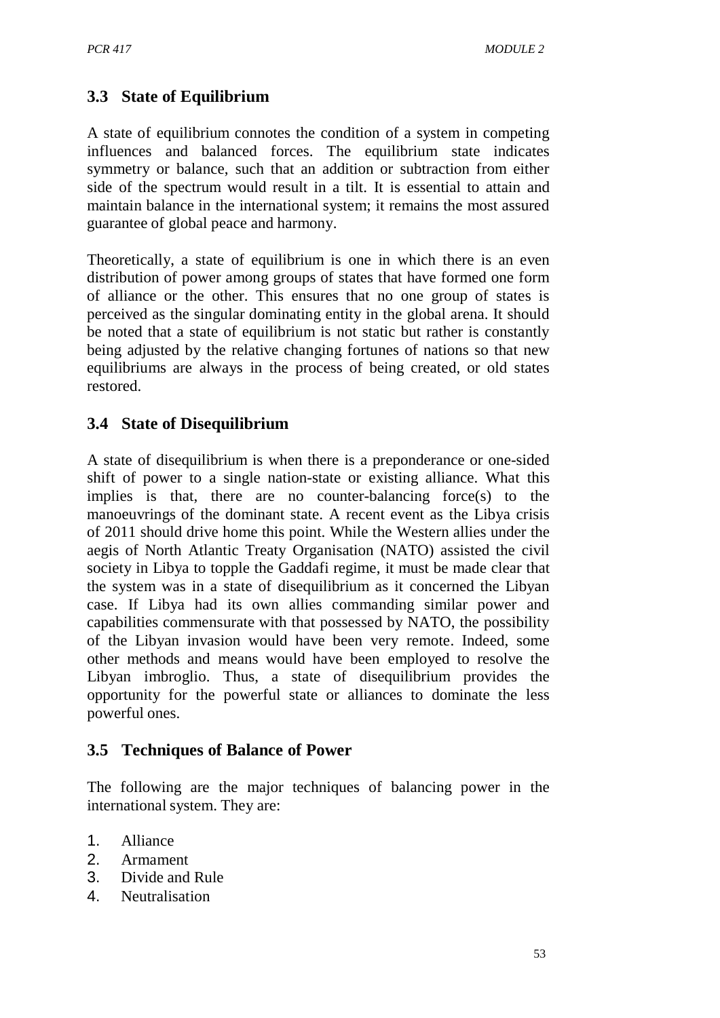# **3.3 State of Equilibrium**

A state of equilibrium connotes the condition of a system in competing influences and balanced forces. The equilibrium state indicates symmetry or balance, such that an addition or subtraction from either side of the spectrum would result in a tilt. It is essential to attain and maintain balance in the international system; it remains the most assured guarantee of global peace and harmony.

Theoretically, a state of equilibrium is one in which there is an even distribution of power among groups of states that have formed one form of alliance or the other. This ensures that no one group of states is perceived as the singular dominating entity in the global arena. It should be noted that a state of equilibrium is not static but rather is constantly being adjusted by the relative changing fortunes of nations so that new equilibriums are always in the process of being created, or old states restored.

# **3.4 State of Disequilibrium**

A state of disequilibrium is when there is a preponderance or one-sided shift of power to a single nation-state or existing alliance. What this implies is that, there are no counter-balancing force(s) to the manoeuvrings of the dominant state. A recent event as the Libya crisis of 2011 should drive home this point. While the Western allies under the aegis of North Atlantic Treaty Organisation (NATO) assisted the civil society in Libya to topple the Gaddafi regime, it must be made clear that the system was in a state of disequilibrium as it concerned the Libyan case. If Libya had its own allies commanding similar power and capabilities commensurate with that possessed by NATO, the possibility of the Libyan invasion would have been very remote. Indeed, some other methods and means would have been employed to resolve the Libyan imbroglio. Thus, a state of disequilibrium provides the opportunity for the powerful state or alliances to dominate the less powerful ones.

#### **3.5 Techniques of Balance of Power**

The following are the major techniques of balancing power in the international system. They are:

- 1. Alliance
- 2. Armament
- 3. Divide and Rule
- 4. Neutralisation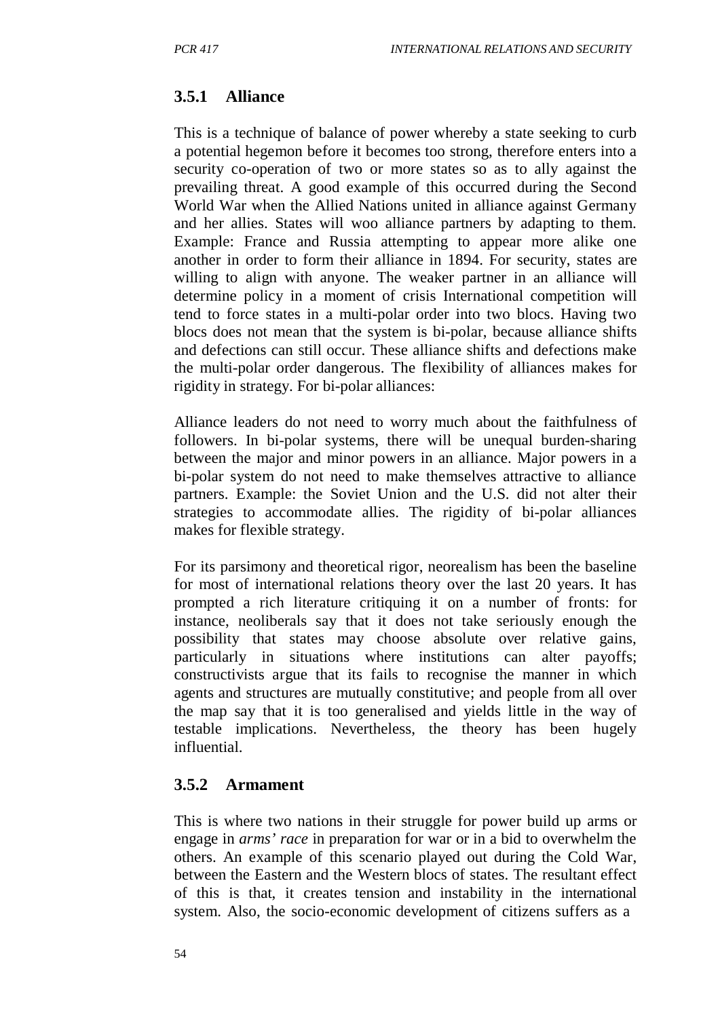#### **3.5.1 Alliance**

This is a technique of balance of power whereby a state seeking to curb a potential hegemon before it becomes too strong, therefore enters into a security co-operation of two or more states so as to ally against the prevailing threat. A good example of this occurred during the Second World War when the Allied Nations united in alliance against Germany and her allies. States will woo alliance partners by adapting to them. Example: France and Russia attempting to appear more alike one another in order to form their alliance in 1894. For security, states are willing to align with anyone. The weaker partner in an alliance will determine policy in a moment of crisis International competition will tend to force states in a multi-polar order into two blocs. Having two blocs does not mean that the system is bi-polar, because alliance shifts and defections can still occur. These alliance shifts and defections make the multi-polar order dangerous. The flexibility of alliances makes for rigidity in strategy. For bi-polar alliances:

Alliance leaders do not need to worry much about the faithfulness of followers. In bi-polar systems, there will be unequal burden-sharing between the major and minor powers in an alliance. Major powers in a bi-polar system do not need to make themselves attractive to alliance partners. Example: the Soviet Union and the U.S. did not alter their strategies to accommodate allies. The rigidity of bi-polar alliances makes for flexible strategy.

For its parsimony and theoretical rigor, neorealism has been the baseline for most of international relations theory over the last 20 years. It has prompted a rich literature critiquing it on a number of fronts: for instance, neoliberals say that it does not take seriously enough the possibility that states may choose absolute over relative gains, particularly in situations where institutions can alter payoffs; constructivists argue that its fails to recognise the manner in which agents and structures are mutually constitutive; and people from all over the map say that it is too generalised and yields little in the way of testable implications. Nevertheless, the theory has been hugely influential.

#### **3.5.2 Armament**

This is where two nations in their struggle for power build up arms or engage in *arms' race* in preparation for war or in a bid to overwhelm the others. An example of this scenario played out during the Cold War, between the Eastern and the Western blocs of states. The resultant effect of this is that, it creates tension and instability in the international system. Also, the socio-economic development of citizens suffers as a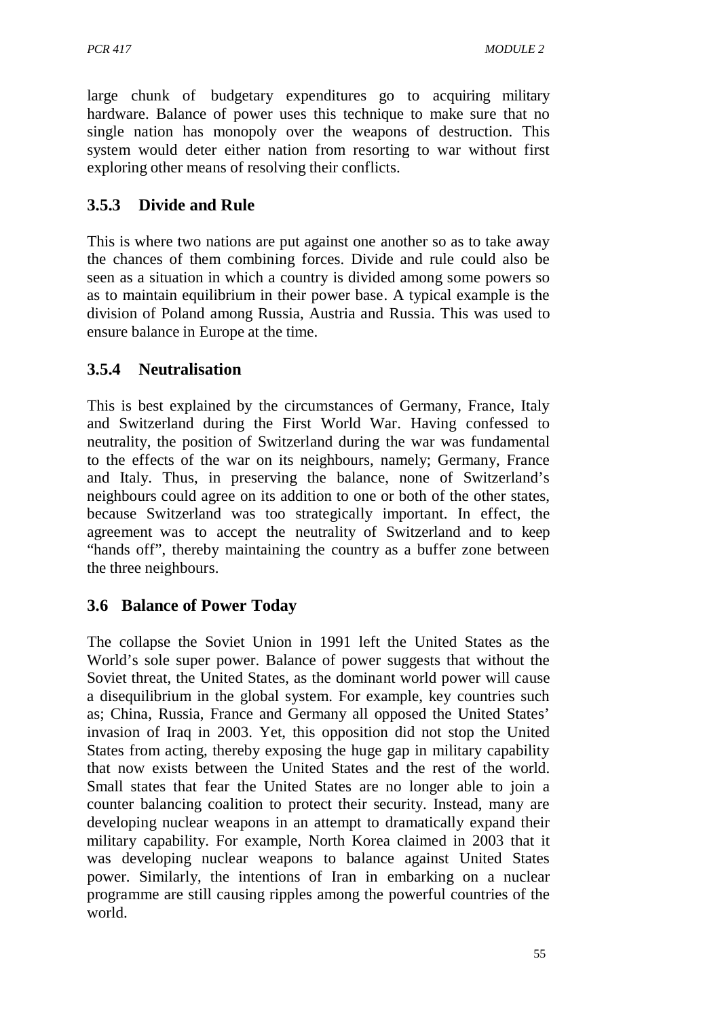large chunk of budgetary expenditures go to acquiring military hardware. Balance of power uses this technique to make sure that no single nation has monopoly over the weapons of destruction. This system would deter either nation from resorting to war without first exploring other means of resolving their conflicts.

# **3.5.3 Divide and Rule**

This is where two nations are put against one another so as to take away the chances of them combining forces. Divide and rule could also be seen as a situation in which a country is divided among some powers so as to maintain equilibrium in their power base. A typical example is the division of Poland among Russia, Austria and Russia. This was used to ensure balance in Europe at the time.

# **3.5.4 Neutralisation**

This is best explained by the circumstances of Germany, France, Italy and Switzerland during the First World War. Having confessed to neutrality, the position of Switzerland during the war was fundamental to the effects of the war on its neighbours, namely; Germany, France and Italy. Thus, in preserving the balance, none of Switzerland's neighbours could agree on its addition to one or both of the other states, because Switzerland was too strategically important. In effect, the agreement was to accept the neutrality of Switzerland and to keep "hands off", thereby maintaining the country as a buffer zone between the three neighbours.

# **3.6 Balance of Power Today**

The collapse the Soviet Union in 1991 left the United States as the World's sole super power. Balance of power suggests that without the Soviet threat, the United States, as the dominant world power will cause a disequilibrium in the global system. For example, key countries such as; China, Russia, France and Germany all opposed the United States' invasion of Iraq in 2003. Yet, this opposition did not stop the United States from acting, thereby exposing the huge gap in military capability that now exists between the United States and the rest of the world. Small states that fear the United States are no longer able to join a counter balancing coalition to protect their security. Instead, many are developing nuclear weapons in an attempt to dramatically expand their military capability. For example, North Korea claimed in 2003 that it was developing nuclear weapons to balance against United States power. Similarly, the intentions of Iran in embarking on a nuclear programme are still causing ripples among the powerful countries of the world.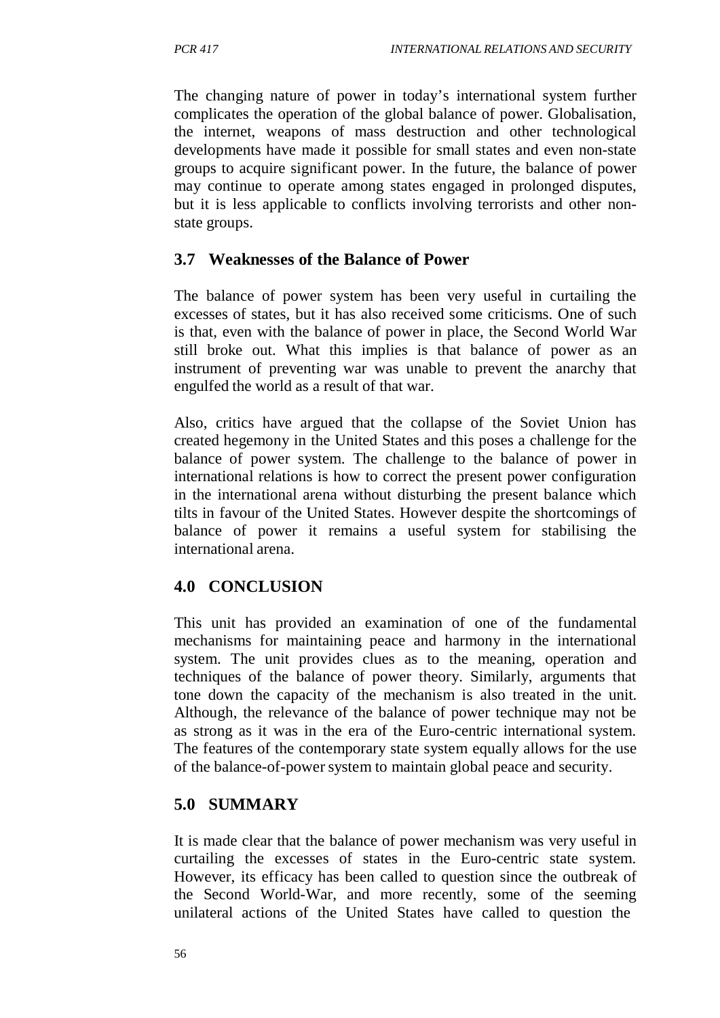The changing nature of power in today's international system further complicates the operation of the global balance of power. Globalisation, the internet, weapons of mass destruction and other technological developments have made it possible for small states and even non-state groups to acquire significant power. In the future, the balance of power may continue to operate among states engaged in prolonged disputes, but it is less applicable to conflicts involving terrorists and other nonstate groups.

#### **3.7 Weaknesses of the Balance of Power**

The balance of power system has been very useful in curtailing the excesses of states, but it has also received some criticisms. One of such is that, even with the balance of power in place, the Second World War still broke out. What this implies is that balance of power as an instrument of preventing war was unable to prevent the anarchy that engulfed the world as a result of that war.

Also, critics have argued that the collapse of the Soviet Union has created hegemony in the United States and this poses a challenge for the balance of power system. The challenge to the balance of power in international relations is how to correct the present power configuration in the international arena without disturbing the present balance which tilts in favour of the United States. However despite the shortcomings of balance of power it remains a useful system for stabilising the international arena.

# **4.0 CONCLUSION**

This unit has provided an examination of one of the fundamental mechanisms for maintaining peace and harmony in the international system. The unit provides clues as to the meaning, operation and techniques of the balance of power theory. Similarly, arguments that tone down the capacity of the mechanism is also treated in the unit. Although, the relevance of the balance of power technique may not be as strong as it was in the era of the Euro-centric international system. The features of the contemporary state system equally allows for the use of the balance-of-powersystem to maintain global peace and security.

# **5.0 SUMMARY**

It is made clear that the balance of power mechanism was very useful in curtailing the excesses of states in the Euro-centric state system. However, its efficacy has been called to question since the outbreak of the Second World-War, and more recently, some of the seeming unilateral actions of the United States have called to question the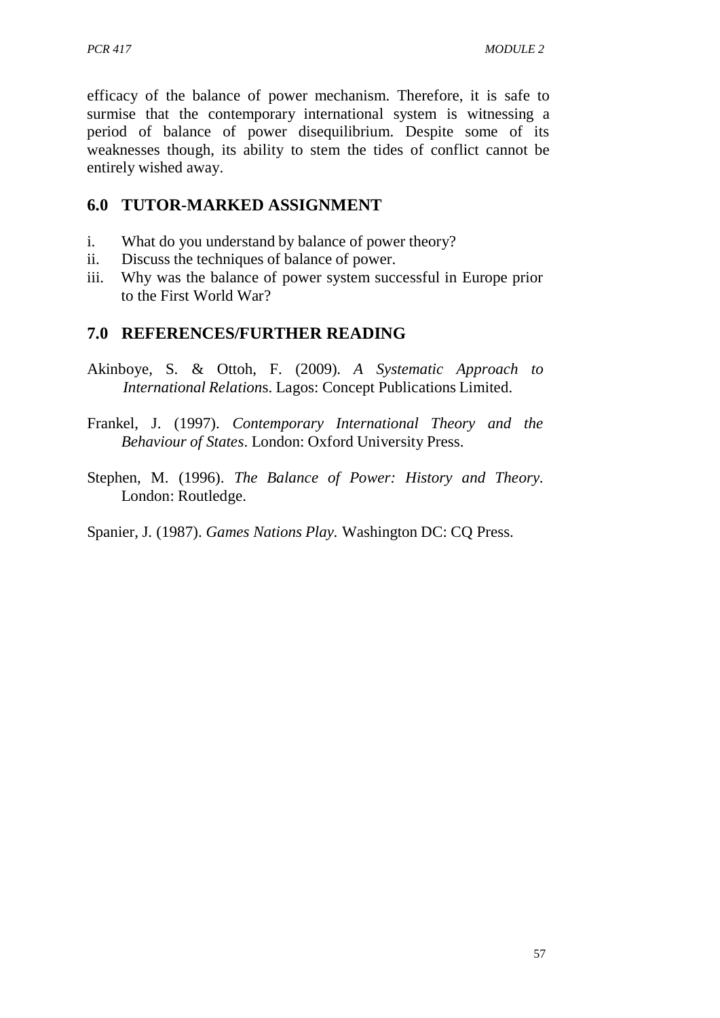efficacy of the balance of power mechanism. Therefore, it is safe to surmise that the contemporary international system is witnessing a period of balance of power disequilibrium. Despite some of its weaknesses though, its ability to stem the tides of conflict cannot be entirely wished away.

# **6.0 TUTOR-MARKED ASSIGNMENT**

- i. What do you understand by balance of power theory?
- ii. Discuss the techniques of balance of power.
- iii. Why was the balance of power system successful in Europe prior to the First World War?

# **7.0 REFERENCES/FURTHER READING**

- Akinboye, S. & Ottoh, F. (2009). *A Systematic Approach to International Relation*s. Lagos: Concept Publications Limited.
- Frankel, J. (1997). *Contemporary International Theory and the Behaviour of States*. London: Oxford University Press.
- Stephen, M. (1996). *The Balance of Power: History and Theory*. London: Routledge.

Spanier, J. (1987). *Games Nations Play.* Washington DC: CQ Press.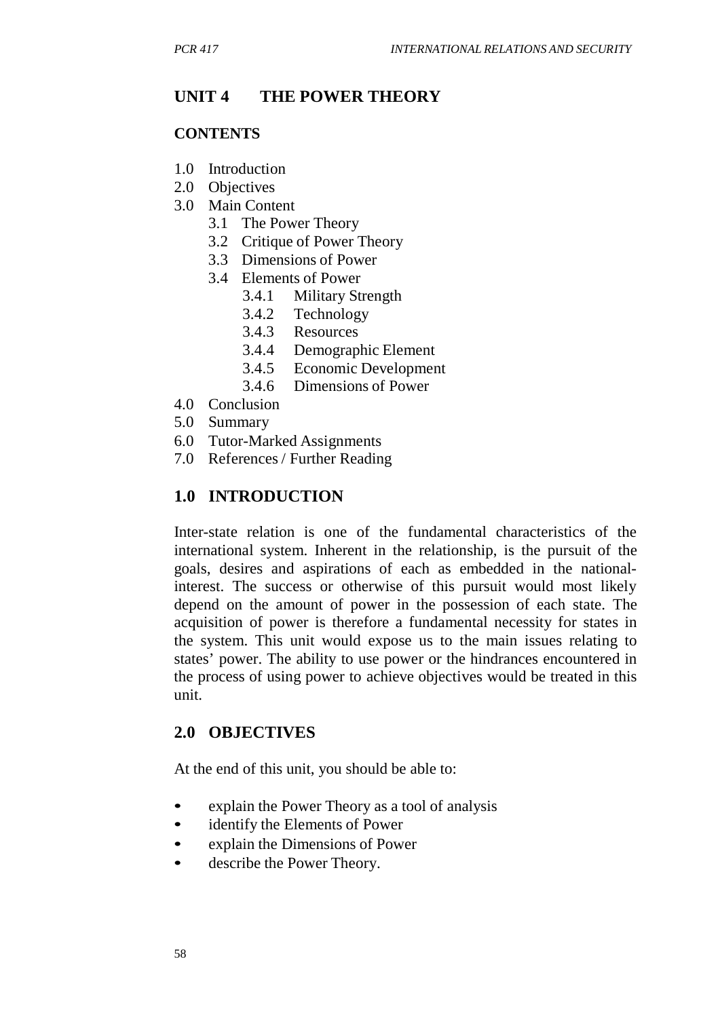# **UNIT 4 THE POWER THEORY**

#### **CONTENTS**

- 1.0 Introduction
- 2.0 Objectives
- 3.0 Main Content
	- 3.1 The Power Theory
	- 3.2 Critique of Power Theory
	- 3.3 Dimensions of Power
	- 3.4 Elements of Power
		- 3.4.1 Military Strength
		- 3.4.2 Technology
		- 3.4.3 Resources
		- 3.4.4 Demographic Element
		- 3.4.5 Economic Development
		- 3.4.6 Dimensions of Power
- 4.0 Conclusion
- 5.0 Summary
- 6.0 Tutor-Marked Assignments
- 7.0 References / Further Reading

# **1.0 INTRODUCTION**

Inter-state relation is one of the fundamental characteristics of the international system. Inherent in the relationship, is the pursuit of the goals, desires and aspirations of each as embedded in the nationalinterest. The success or otherwise of this pursuit would most likely depend on the amount of power in the possession of each state. The acquisition of power is therefore a fundamental necessity for states in the system. This unit would expose us to the main issues relating to states' power. The ability to use power or the hindrances encountered in the process of using power to achieve objectives would be treated in this unit.

# **2.0 OBJECTIVES**

At the end of this unit, you should be able to:

- explain the Power Theory as a tool of analysis
- identify the Elements of Power
- explain the Dimensions of Power
- describe the Power Theory.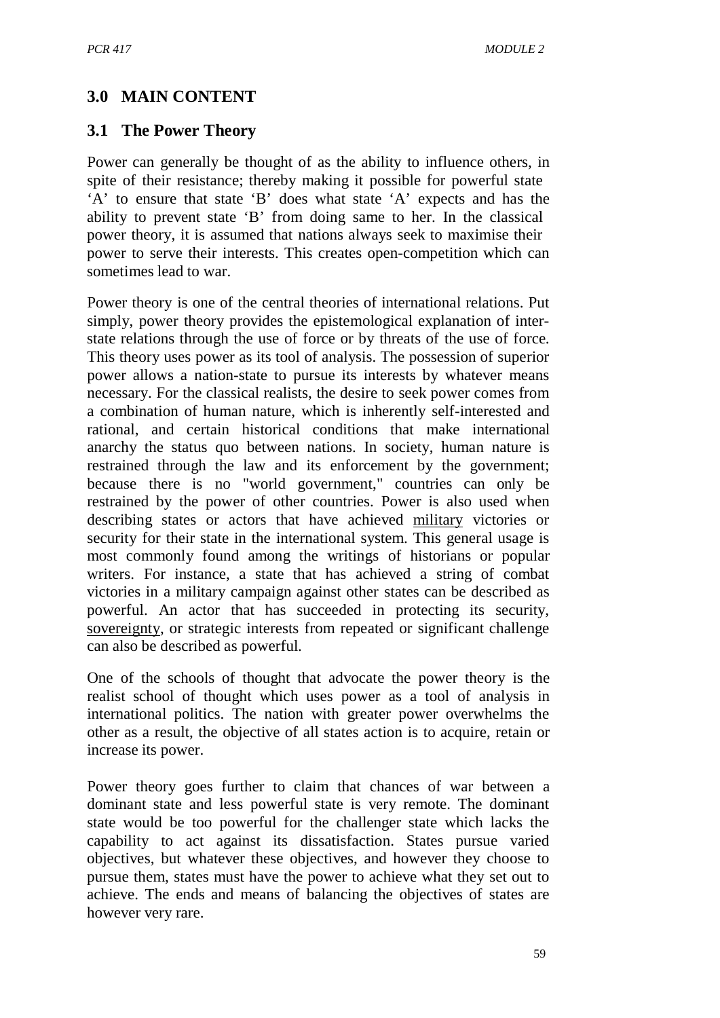# **3.0 MAIN CONTENT**

## **3.1 The Power Theory**

Power can generally be thought of as the ability to influence others, in spite of their resistance; thereby making it possible for powerful state 'A' to ensure that state 'B' does what state 'A' expects and has the ability to prevent state 'B' from doing same to her. In the classical power theory, it is assumed that nations always seek to maximise their power to serve their interests. This creates open-competition which can sometimes lead to war.

Power theory is one of the central theories of international relations. Put simply, power theory provides the epistemological explanation of interstate relations through the use of force or by threats of the use of force. This theory uses power as its tool of analysis. The possession of superior power allows a nation-state to pursue its interests by whatever means necessary. For the classical realists, the desire to seek power comes from a combination of human nature, which is inherently self-interested and rational, and certain historical conditions that make international anarchy the status quo between nations. In society, human nature is restrained through the law and its enforcement by the government; because there is no "world government," countries can only be restrained by the power of other countries. Power is also used when describing states or actors that have achieved military victories or security for their state in the international system. This general usage is most commonly found among the writings of historians or popular writers. For instance, a state that has achieved a string of combat victories in a military campaign against other states can be described as powerful. An actor that has succeeded in protecting its security, sovereignty, or strategic interests from repeated or significant challenge can also be described as powerful.

One of the schools of thought that advocate the power theory is the realist school of thought which uses power as a tool of analysis in international politics. The nation with greater power overwhelms the other as a result, the objective of all states action is to acquire, retain or increase its power.

Power theory goes further to claim that chances of war between a dominant state and less powerful state is very remote. The dominant state would be too powerful for the challenger state which lacks the capability to act against its dissatisfaction. States pursue varied objectives, but whatever these objectives, and however they choose to pursue them, states must have the power to achieve what they set out to achieve. The ends and means of balancing the objectives of states are however very rare.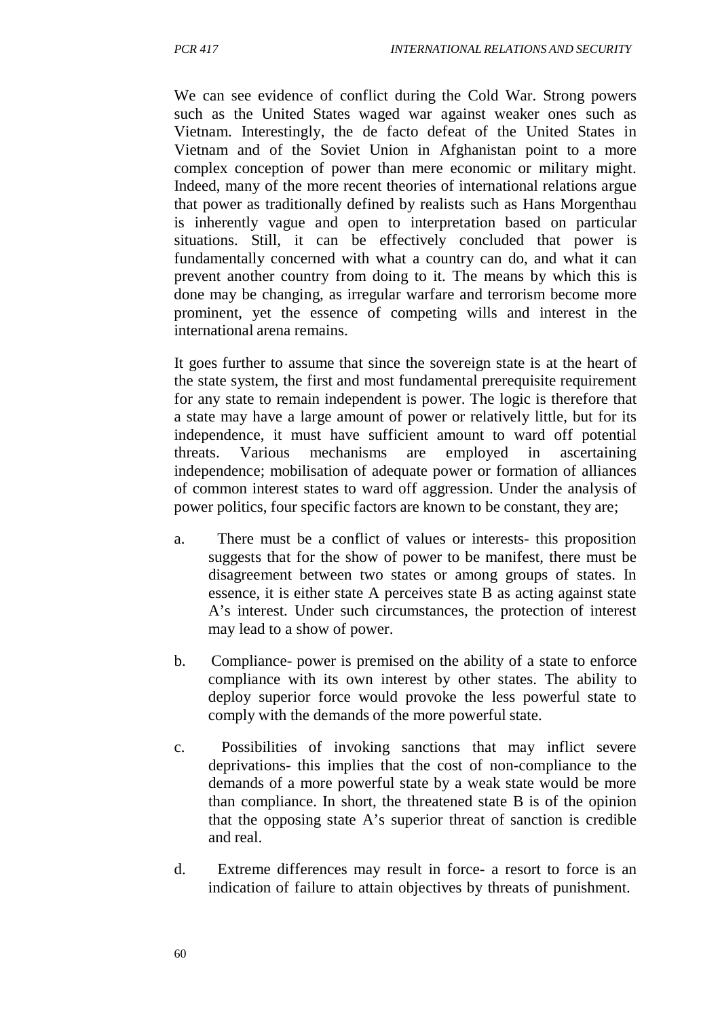We can see evidence of conflict during the Cold War. Strong powers such as the United States waged war against weaker ones such as Vietnam. Interestingly, the de facto defeat of the United States in Vietnam and of the Soviet Union in Afghanistan point to a more complex conception of power than mere economic or military might. Indeed, many of the more recent theories of international relations argue that power as traditionally defined by realists such as Hans Morgenthau is inherently vague and open to interpretation based on particular situations. Still, it can be effectively concluded that power is fundamentally concerned with what a country can do, and what it can prevent another country from doing to it. The means by which this is done may be changing, as irregular warfare and terrorism become more prominent, yet the essence of competing wills and interest in the international arena remains.

It goes further to assume that since the sovereign state is at the heart of the state system, the first and most fundamental prerequisite requirement for any state to remain independent is power. The logic is therefore that a state may have a large amount of power or relatively little, but for its independence, it must have sufficient amount to ward off potential threats. Various mechanisms are employed in ascertaining independence; mobilisation of adequate power or formation of alliances of common interest states to ward off aggression. Under the analysis of power politics, four specific factors are known to be constant, they are;

- a. There must be a conflict of values or interests- this proposition suggests that for the show of power to be manifest, there must be disagreement between two states or among groups of states. In essence, it is either state A perceives state B as acting against state A's interest. Under such circumstances, the protection of interest may lead to a show of power.
- b. Compliance- power is premised on the ability of a state to enforce compliance with its own interest by other states. The ability to deploy superior force would provoke the less powerful state to comply with the demands of the more powerful state.
- c. Possibilities of invoking sanctions that may inflict severe deprivations- this implies that the cost of non-compliance to the demands of a more powerful state by a weak state would be more than compliance. In short, the threatened state B is of the opinion that the opposing state A's superior threat of sanction is credible and real.
- d. Extreme differences may result in force- a resort to force is an indication of failure to attain objectives by threats of punishment.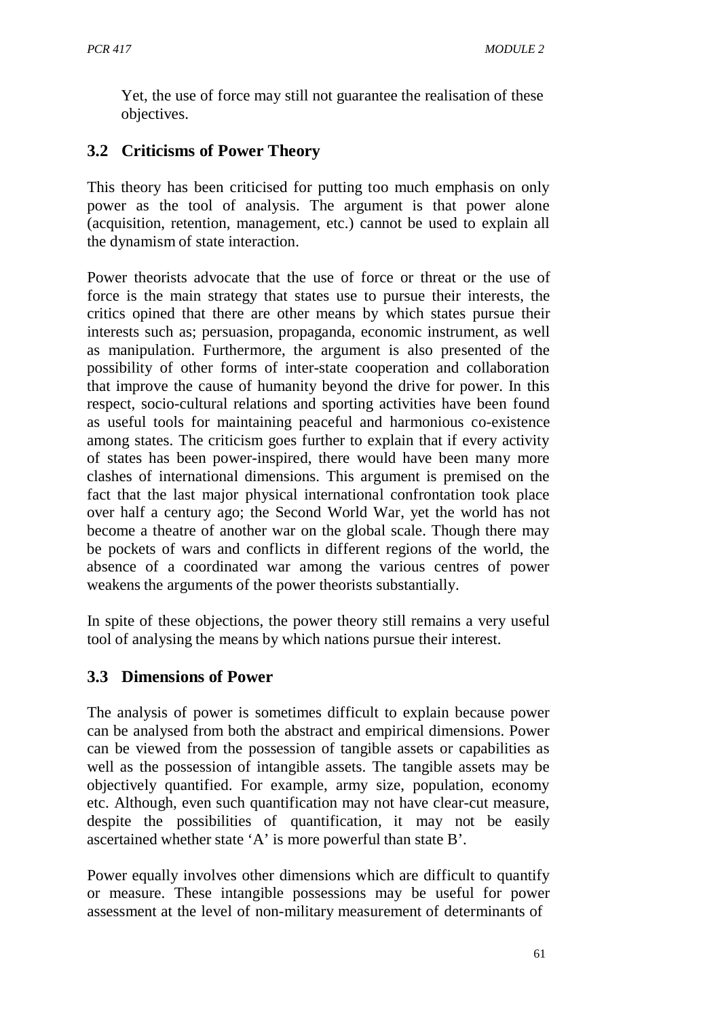Yet, the use of force may still not guarantee the realisation of these objectives.

# **3.2 Criticisms of Power Theory**

This theory has been criticised for putting too much emphasis on only power as the tool of analysis. The argument is that power alone (acquisition, retention, management, etc.) cannot be used to explain all the dynamism of state interaction.

Power theorists advocate that the use of force or threat or the use of force is the main strategy that states use to pursue their interests, the critics opined that there are other means by which states pursue their interests such as; persuasion, propaganda, economic instrument, as well as manipulation. Furthermore, the argument is also presented of the possibility of other forms of inter-state cooperation and collaboration that improve the cause of humanity beyond the drive for power. In this respect, socio-cultural relations and sporting activities have been found as useful tools for maintaining peaceful and harmonious co-existence among states. The criticism goes further to explain that if every activity of states has been power-inspired, there would have been many more clashes of international dimensions. This argument is premised on the fact that the last major physical international confrontation took place over half a century ago; the Second World War, yet the world has not become a theatre of another war on the global scale. Though there may be pockets of wars and conflicts in different regions of the world, the absence of a coordinated war among the various centres of power weakens the arguments of the power theorists substantially.

In spite of these objections, the power theory still remains a very useful tool of analysing the means by which nations pursue their interest.

## **3.3 Dimensions of Power**

The analysis of power is sometimes difficult to explain because power can be analysed from both the abstract and empirical dimensions. Power can be viewed from the possession of tangible assets or capabilities as well as the possession of intangible assets. The tangible assets may be objectively quantified. For example, army size, population, economy etc. Although, even such quantification may not have clear-cut measure, despite the possibilities of quantification, it may not be easily ascertained whether state 'A' is more powerful than state B'.

Power equally involves other dimensions which are difficult to quantify or measure. These intangible possessions may be useful for power assessment at the level of non-military measurement of determinants of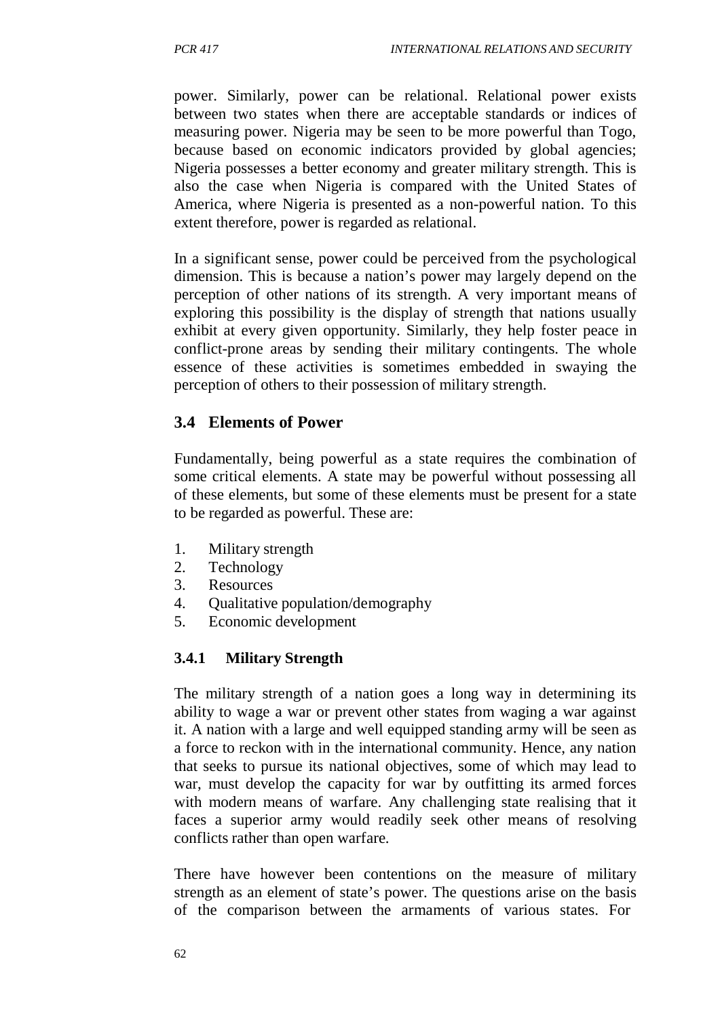power. Similarly, power can be relational. Relational power exists between two states when there are acceptable standards or indices of measuring power. Nigeria may be seen to be more powerful than Togo, because based on economic indicators provided by global agencies; Nigeria possesses a better economy and greater military strength. This is also the case when Nigeria is compared with the United States of America, where Nigeria is presented as a non-powerful nation. To this extent therefore, power is regarded as relational.

In a significant sense, power could be perceived from the psychological dimension. This is because a nation's power may largely depend on the perception of other nations of its strength. A very important means of exploring this possibility is the display of strength that nations usually exhibit at every given opportunity. Similarly, they help foster peace in conflict-prone areas by sending their military contingents. The whole essence of these activities is sometimes embedded in swaying the perception of others to their possession of military strength.

### **3.4 Elements of Power**

Fundamentally, being powerful as a state requires the combination of some critical elements. A state may be powerful without possessing all of these elements, but some of these elements must be present for a state to be regarded as powerful. These are:

- 1. Military strength
- 2. Technology
- 3. Resources
- 4. Qualitative population/demography
- 5. Economic development

#### **3.4.1 Military Strength**

The military strength of a nation goes a long way in determining its ability to wage a war or prevent other states from waging a war against it. A nation with a large and well equipped standing army will be seen as a force to reckon with in the international community. Hence, any nation that seeks to pursue its national objectives, some of which may lead to war, must develop the capacity for war by outfitting its armed forces with modern means of warfare. Any challenging state realising that it faces a superior army would readily seek other means of resolving conflicts rather than open warfare.

There have however been contentions on the measure of military strength as an element of state's power. The questions arise on the basis of the comparison between the armaments of various states. For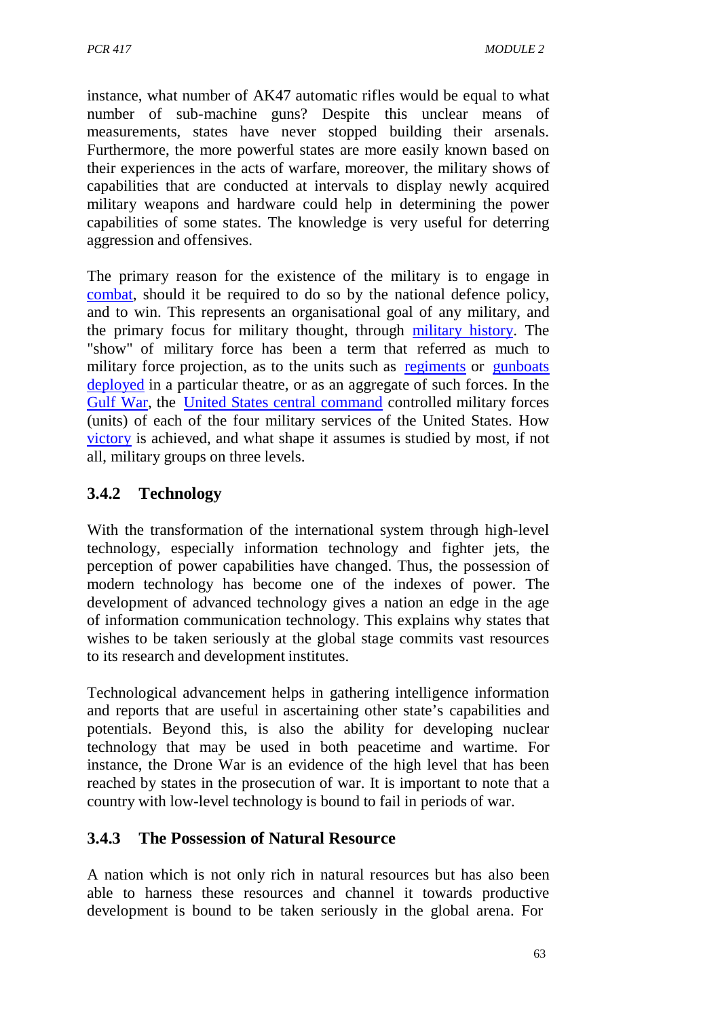instance, what number of AK47 automatic rifles would be equal to what number of sub-machine guns? Despite this unclear means of measurements, states have never stopped building their arsenals. Furthermore, the more powerful states are more easily known based on their experiences in the acts of warfare, moreover, the military shows of capabilities that are conducted at intervals to display newly acquired military weapons and hardware could help in determining the power capabilities of some states. The knowledge is very useful for deterring aggression and offensives.

The primary reason for the existence of the military is to engage in combat, should it be required to do so by the national defence policy, and to win. This represents an organisational goal of any military, and the primary focus for military thought, through military history. The "show" of military force has been a term that referred as much to military force projection, as to the units such as regiments or gunboats deployed in a particular theatre, or as an aggregate of such forces. In the Gulf War, the United States central command controlled military forces (units) of each of the four military services of the United States. How victory is achieved, and what shape it assumes is studied by most, if not all, military groups on three levels.

## **3.4.2 Technology**

With the transformation of the international system through high-level technology, especially information technology and fighter jets, the perception of power capabilities have changed. Thus, the possession of modern technology has become one of the indexes of power. The development of advanced technology gives a nation an edge in the age of information communication technology. This explains why states that wishes to be taken seriously at the global stage commits vast resources to its research and development institutes.

Technological advancement helps in gathering intelligence information and reports that are useful in ascertaining other state's capabilities and potentials. Beyond this, is also the ability for developing nuclear technology that may be used in both peacetime and wartime. For instance, the Drone War is an evidence of the high level that has been reached by states in the prosecution of war. It is important to note that a country with low-level technology is bound to fail in periods of war.

### **3.4.3 The Possession of Natural Resource**

A nation which is not only rich in natural resources but has also been able to harness these resources and channel it towards productive development is bound to be taken seriously in the global arena. For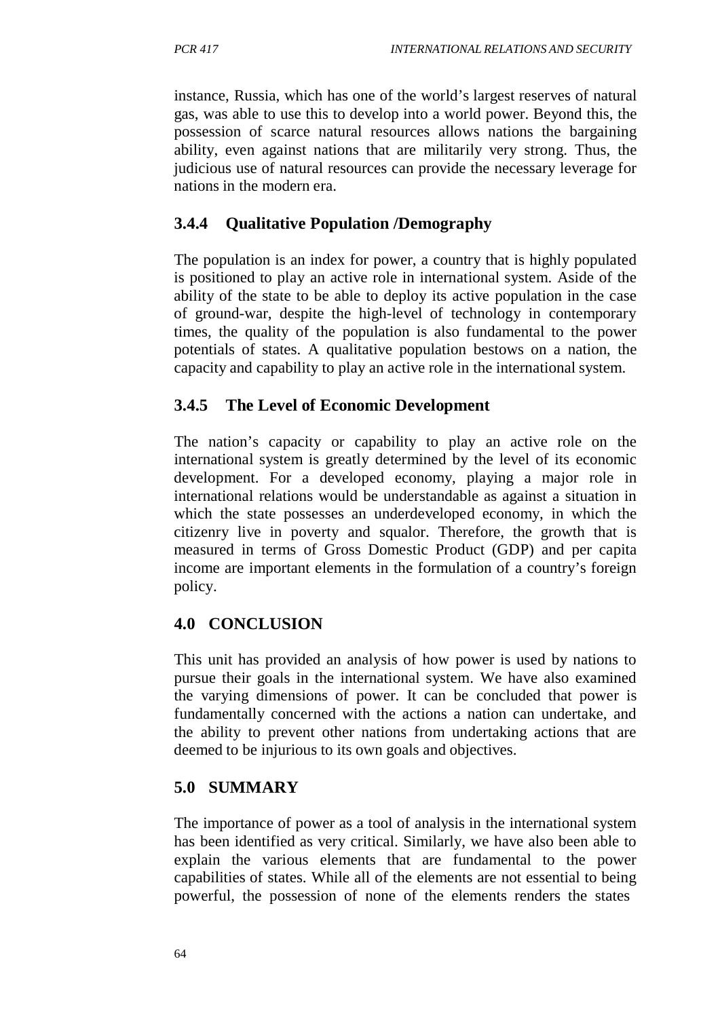instance, Russia, which has one of the world's largest reserves of natural gas, was able to use this to develop into a world power. Beyond this, the possession of scarce natural resources allows nations the bargaining ability, even against nations that are militarily very strong. Thus, the judicious use of natural resources can provide the necessary leverage for nations in the modern era.

## **3.4.4 Qualitative Population /Demography**

The population is an index for power, a country that is highly populated is positioned to play an active role in international system. Aside of the ability of the state to be able to deploy its active population in the case of ground-war, despite the high-level of technology in contemporary times, the quality of the population is also fundamental to the power potentials of states. A qualitative population bestows on a nation, the capacity and capability to play an active role in the international system.

### **3.4.5 The Level of Economic Development**

The nation's capacity or capability to play an active role on the international system is greatly determined by the level of its economic development. For a developed economy, playing a major role in international relations would be understandable as against a situation in which the state possesses an underdeveloped economy, in which the citizenry live in poverty and squalor. Therefore, the growth that is measured in terms of Gross Domestic Product (GDP) and per capita income are important elements in the formulation of a country's foreign policy.

### **4.0 CONCLUSION**

This unit has provided an analysis of how power is used by nations to pursue their goals in the international system. We have also examined the varying dimensions of power. It can be concluded that power is fundamentally concerned with the actions a nation can undertake, and the ability to prevent other nations from undertaking actions that are deemed to be injurious to its own goals and objectives.

## **5.0 SUMMARY**

The importance of power as a tool of analysis in the international system has been identified as very critical. Similarly, we have also been able to explain the various elements that are fundamental to the power capabilities of states. While all of the elements are not essential to being powerful, the possession of none of the elements renders the states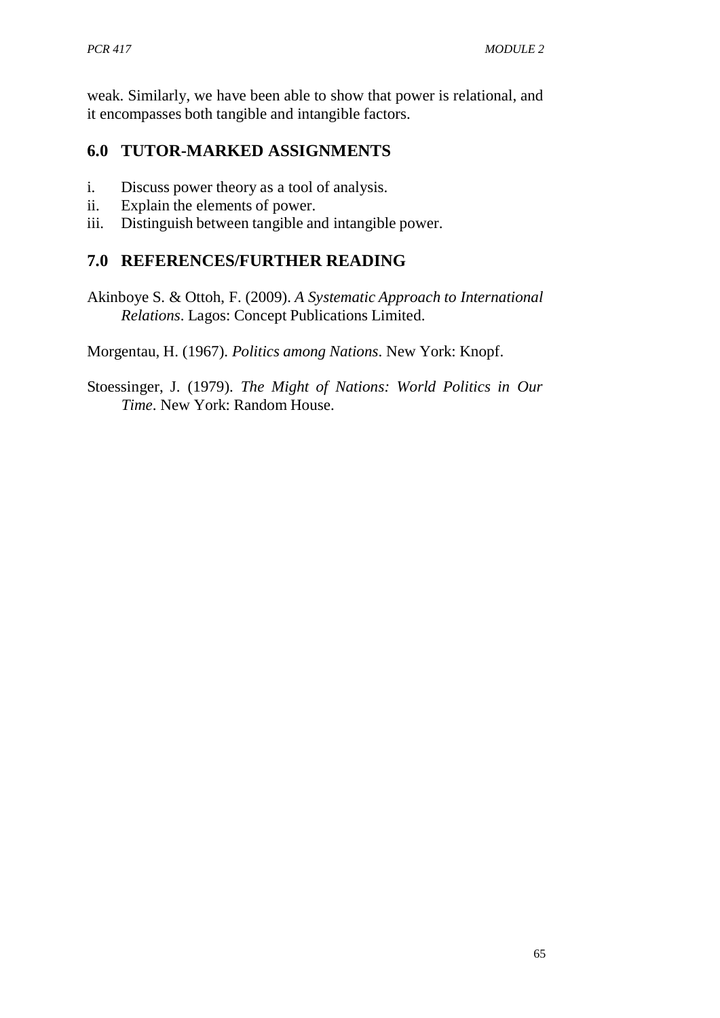weak. Similarly, we have been able to show that power is relational, and it encompasses both tangible and intangible factors.

# **6.0 TUTOR-MARKED ASSIGNMENTS**

- i. Discuss power theory as a tool of analysis.
- ii. Explain the elements of power.
- iii. Distinguish between tangible and intangible power.

# **7.0 REFERENCES/FURTHER READING**

Akinboye S. & Ottoh, F. (2009). *A Systematic Approach to International Relations*. Lagos: Concept Publications Limited.

Morgentau, H. (1967). *Politics among Nations*. New York: Knopf.

Stoessinger, J. (1979). *The Might of Nations: World Politics in Our Time*. New York: Random House.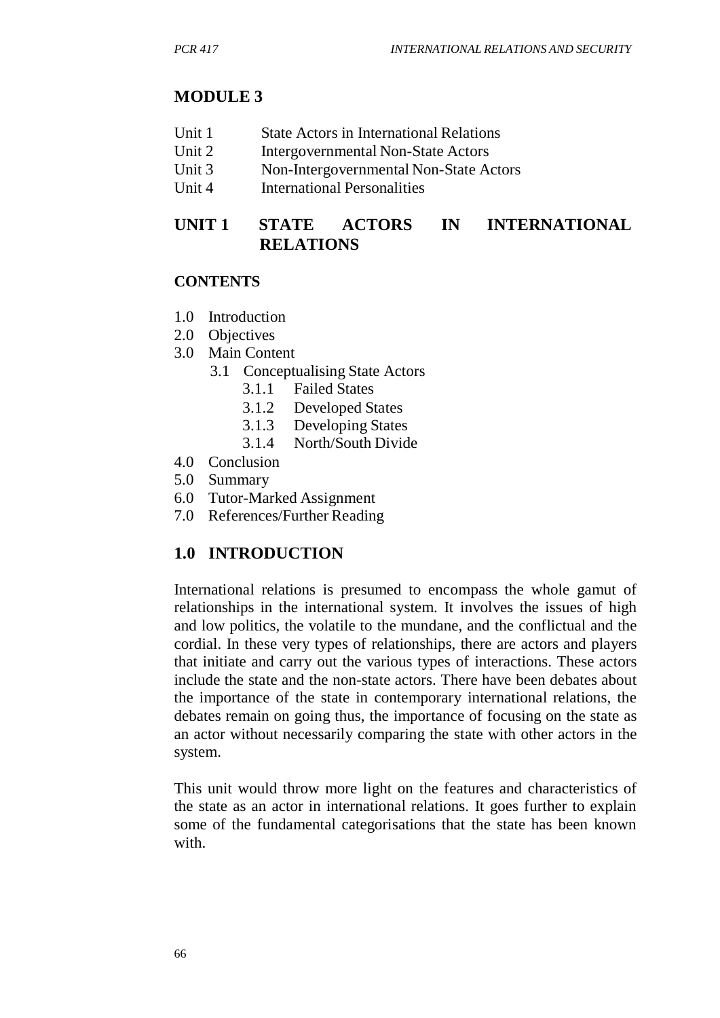### **MODULE 3**

- Unit 1 State Actors in International Relations
- Unit 2 Intergovernmental Non-State Actors<br>
Unit 3 Non-Intergovernmental Non-State Actors
- Non-Intergovernmental Non-State Actors
- Unit 4 International Personalities

## **UNIT 1 STATE ACTORS IN INTERNATIONAL RELATIONS**

#### **CONTENTS**

- 1.0 Introduction
- 2.0 Objectives
- 3.0 Main Content
	- 3.1 Conceptualising State Actors
		- 3.1.1 Failed States
		- 3.1.2 Developed States
		- 3.1.3 Developing States
		- 3.1.4 North/South Divide
- 4.0 Conclusion
- 5.0 Summary
- 6.0 Tutor-Marked Assignment
- 7.0 References/Further Reading

#### **1.0 INTRODUCTION**

International relations is presumed to encompass the whole gamut of relationships in the international system. It involves the issues of high and low politics, the volatile to the mundane, and the conflictual and the cordial. In these very types of relationships, there are actors and players that initiate and carry out the various types of interactions. These actors include the state and the non-state actors. There have been debates about the importance of the state in contemporary international relations, the debates remain on going thus, the importance of focusing on the state as an actor without necessarily comparing the state with other actors in the system.

This unit would throw more light on the features and characteristics of the state as an actor in international relations. It goes further to explain some of the fundamental categorisations that the state has been known with.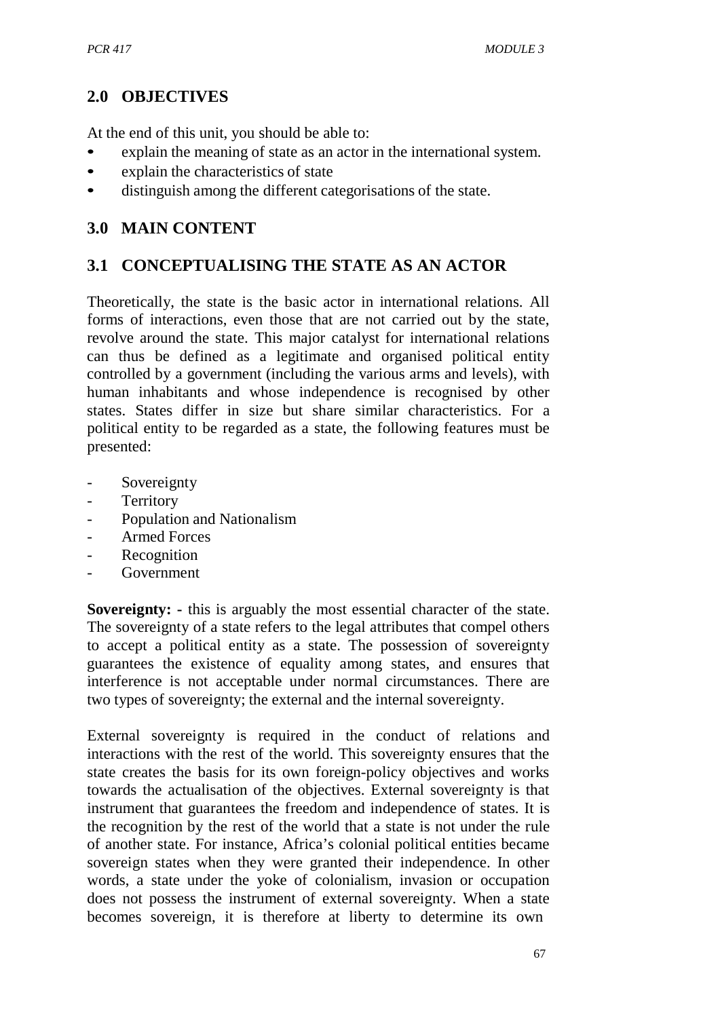## **2.0 OBJECTIVES**

At the end of this unit, you should be able to:

- explain the meaning of state as an actor in the international system.
- explain the characteristics of state
- distinguish among the different categorisations of the state.

## **3.0 MAIN CONTENT**

# **3.1 CONCEPTUALISING THE STATE AS AN ACTOR**

Theoretically, the state is the basic actor in international relations. All forms of interactions, even those that are not carried out by the state, revolve around the state. This major catalyst for international relations can thus be defined as a legitimate and organised political entity controlled by a government (including the various arms and levels), with human inhabitants and whose independence is recognised by other states. States differ in size but share similar characteristics. For a political entity to be regarded as a state, the following features must be presented:

- Sovereignty
- Territory
- Population and Nationalism
- Armed Forces
- **Recognition**
- **Government**

**Sovereignty:** - this is arguably the most essential character of the state. The sovereignty of a state refers to the legal attributes that compel others to accept a political entity as a state. The possession of sovereignty guarantees the existence of equality among states, and ensures that interference is not acceptable under normal circumstances. There are two types of sovereignty; the external and the internal sovereignty.

External sovereignty is required in the conduct of relations and interactions with the rest of the world. This sovereignty ensures that the state creates the basis for its own foreign-policy objectives and works towards the actualisation of the objectives. External sovereignty is that instrument that guarantees the freedom and independence of states. It is the recognition by the rest of the world that a state is not under the rule of another state. For instance, Africa's colonial political entities became sovereign states when they were granted their independence. In other words, a state under the yoke of colonialism, invasion or occupation does not possess the instrument of external sovereignty. When a state becomes sovereign, it is therefore at liberty to determine its own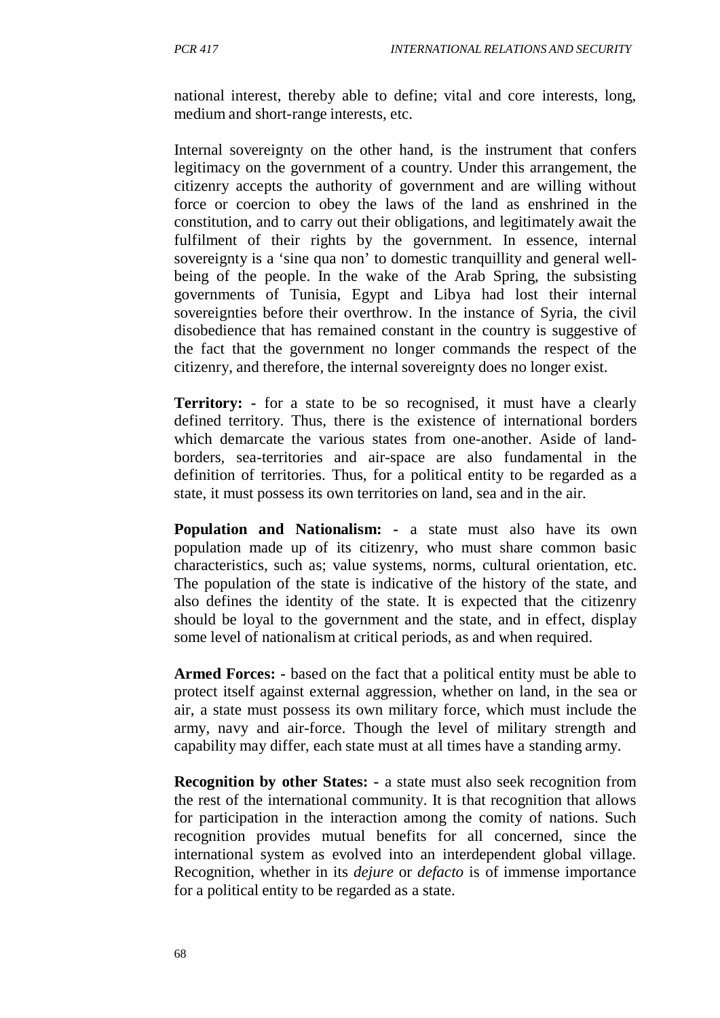national interest, thereby able to define; vital and core interests, long, medium and short-range interests, etc.

Internal sovereignty on the other hand, is the instrument that confers legitimacy on the government of a country. Under this arrangement, the citizenry accepts the authority of government and are willing without force or coercion to obey the laws of the land as enshrined in the constitution, and to carry out their obligations, and legitimately await the fulfilment of their rights by the government. In essence, internal sovereignty is a 'sine qua non' to domestic tranquillity and general wellbeing of the people. In the wake of the Arab Spring, the subsisting governments of Tunisia, Egypt and Libya had lost their internal sovereignties before their overthrow. In the instance of Syria, the civil disobedience that has remained constant in the country is suggestive of the fact that the government no longer commands the respect of the citizenry, and therefore, the internal sovereignty does no longer exist.

**Territory: -** for a state to be so recognised, it must have a clearly defined territory. Thus, there is the existence of international borders which demarcate the various states from one-another. Aside of landborders, sea-territories and air-space are also fundamental in the definition of territories. Thus, for a political entity to be regarded as a state, it must possess its own territories on land, sea and in the air.

**Population and Nationalism: -** a state must also have its own population made up of its citizenry, who must share common basic characteristics, such as; value systems, norms, cultural orientation, etc. The population of the state is indicative of the history of the state, and also defines the identity of the state. It is expected that the citizenry should be loyal to the government and the state, and in effect, display some level of nationalism at critical periods, as and when required.

**Armed Forces: -** based on the fact that a political entity must be able to protect itself against external aggression, whether on land, in the sea or air, a state must possess its own military force, which must include the army, navy and air-force. Though the level of military strength and capability may differ, each state must at all times have a standing army.

**Recognition by other States: -** a state must also seek recognition from the rest of the international community. It is that recognition that allows for participation in the interaction among the comity of nations. Such recognition provides mutual benefits for all concerned, since the international system as evolved into an interdependent global village. Recognition, whether in its *dejure* or *defacto* is of immense importance for a political entity to be regarded as a state.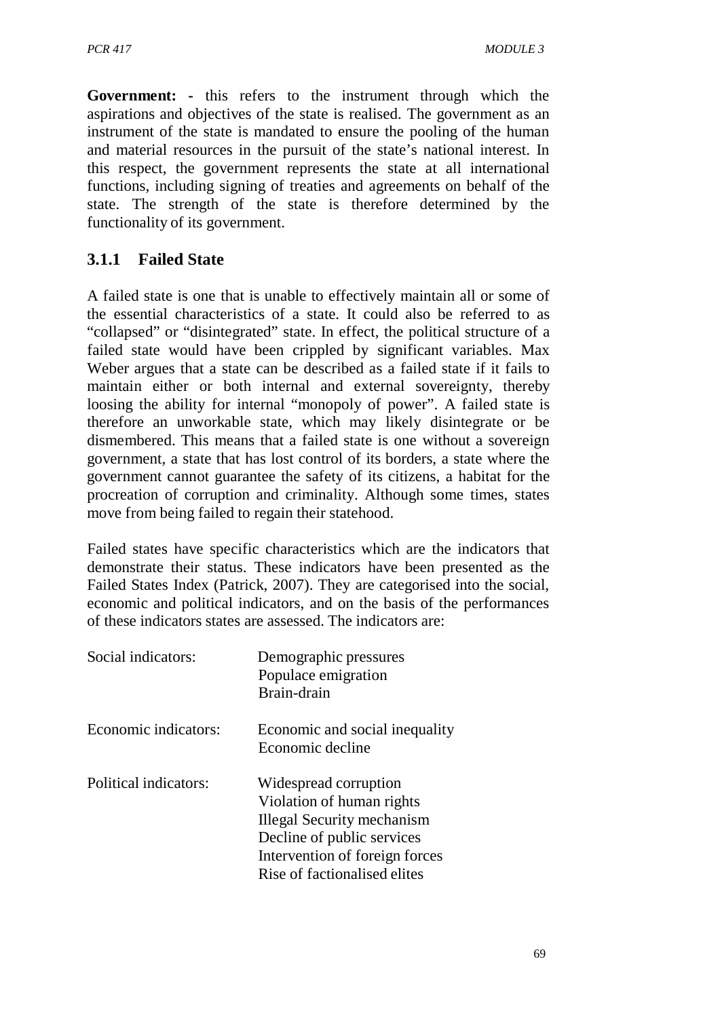**Government: -** this refers to the instrument through which the aspirations and objectives of the state is realised. The government as an instrument of the state is mandated to ensure the pooling of the human and material resources in the pursuit of the state's national interest. In this respect, the government represents the state at all international functions, including signing of treaties and agreements on behalf of the state. The strength of the state is therefore determined by the functionality of its government.

## **3.1.1 Failed State**

A failed state is one that is unable to effectively maintain all or some of the essential characteristics of a state. It could also be referred to as "collapsed" or "disintegrated" state. In effect, the political structure of a failed state would have been crippled by significant variables. Max Weber argues that a state can be described as a failed state if it fails to maintain either or both internal and external sovereignty, thereby loosing the ability for internal "monopoly of power". A failed state is therefore an unworkable state, which may likely disintegrate or be dismembered. This means that a failed state is one without a sovereign government, a state that has lost control of its borders, a state where the government cannot guarantee the safety of its citizens, a habitat for the procreation of corruption and criminality. Although some times, states move from being failed to regain their statehood.

Failed states have specific characteristics which are the indicators that demonstrate their status. These indicators have been presented as the Failed States Index (Patrick, 2007). They are categorised into the social, economic and political indicators, and on the basis of the performances of these indicators states are assessed. The indicators are:

| Social indicators:    | Demographic pressures<br>Populace emigration<br>Brain-drain                                                                                                                      |
|-----------------------|----------------------------------------------------------------------------------------------------------------------------------------------------------------------------------|
| Economic indicators:  | Economic and social inequality<br>Economic decline                                                                                                                               |
| Political indicators: | Widespread corruption<br>Violation of human rights<br>Illegal Security mechanism<br>Decline of public services<br>Intervention of foreign forces<br>Rise of factionalised elites |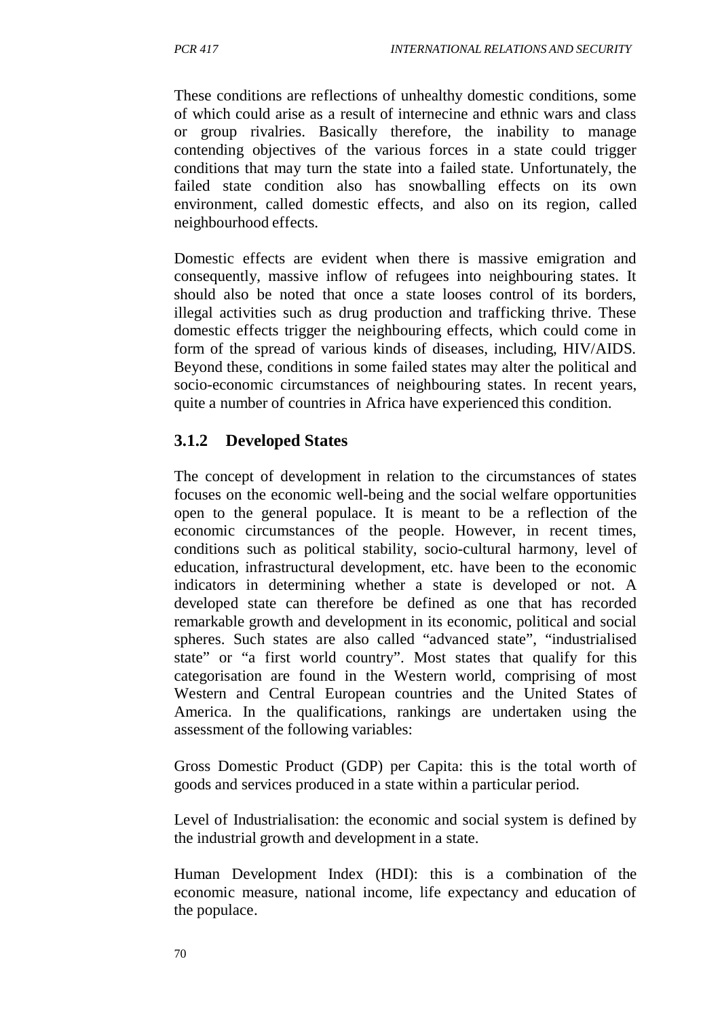These conditions are reflections of unhealthy domestic conditions, some of which could arise as a result of internecine and ethnic wars and class or group rivalries. Basically therefore, the inability to manage contending objectives of the various forces in a state could trigger conditions that may turn the state into a failed state. Unfortunately, the failed state condition also has snowballing effects on its own environment, called domestic effects, and also on its region, called neighbourhood effects.

Domestic effects are evident when there is massive emigration and consequently, massive inflow of refugees into neighbouring states. It should also be noted that once a state looses control of its borders, illegal activities such as drug production and trafficking thrive. These domestic effects trigger the neighbouring effects, which could come in form of the spread of various kinds of diseases, including, HIV/AIDS. Beyond these, conditions in some failed states may alter the political and socio-economic circumstances of neighbouring states. In recent years, quite a number of countries in Africa have experienced this condition.

### **3.1.2 Developed States**

The concept of development in relation to the circumstances of states focuses on the economic well-being and the social welfare opportunities open to the general populace. It is meant to be a reflection of the economic circumstances of the people. However, in recent times, conditions such as political stability, socio-cultural harmony, level of education, infrastructural development, etc. have been to the economic indicators in determining whether a state is developed or not. A developed state can therefore be defined as one that has recorded remarkable growth and development in its economic, political and social spheres. Such states are also called "advanced state", "industrialised state" or "a first world country". Most states that qualify for this categorisation are found in the Western world, comprising of most Western and Central European countries and the United States of America. In the qualifications, rankings are undertaken using the assessment of the following variables:

Gross Domestic Product (GDP) per Capita: this is the total worth of goods and services produced in a state within a particular period.

Level of Industrialisation: the economic and social system is defined by the industrial growth and development in a state.

Human Development Index (HDI): this is a combination of the economic measure, national income, life expectancy and education of the populace.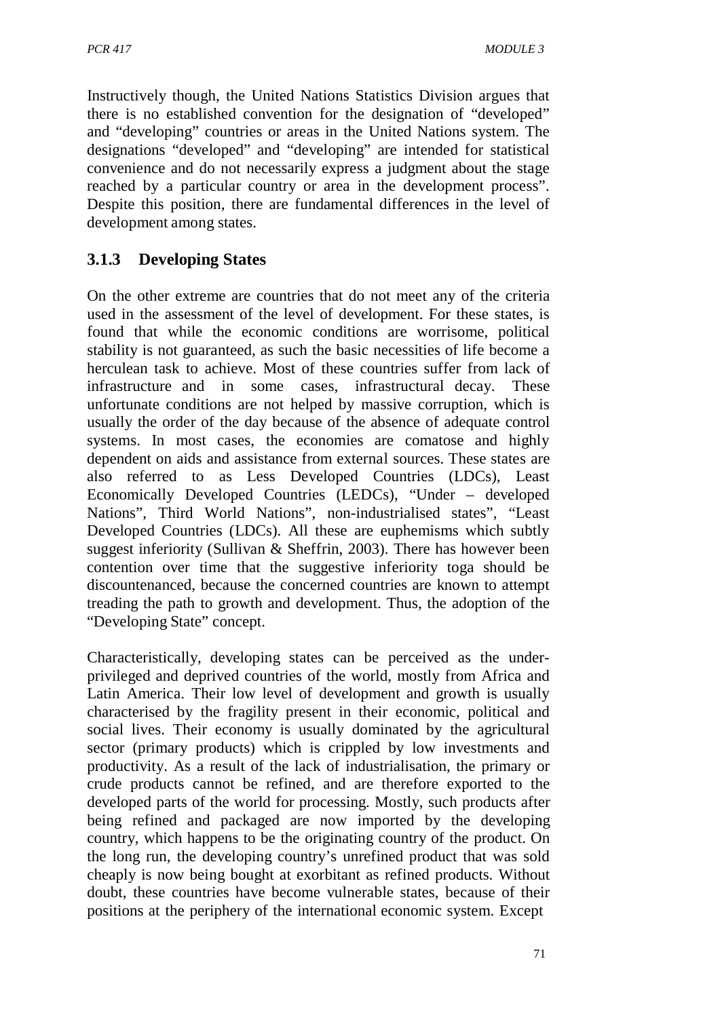Instructively though, the United Nations Statistics Division argues that there is no established convention for the designation of "developed" and "developing" countries or areas in the United Nations system. The designations "developed" and "developing" are intended for statistical convenience and do not necessarily express a judgment about the stage reached by a particular country or area in the development process". Despite this position, there are fundamental differences in the level of development among states.

# **3.1.3 Developing States**

On the other extreme are countries that do not meet any of the criteria used in the assessment of the level of development. For these states, is found that while the economic conditions are worrisome, political stability is not guaranteed, as such the basic necessities of life become a herculean task to achieve. Most of these countries suffer from lack of infrastructure and in some cases, infrastructural decay. These unfortunate conditions are not helped by massive corruption, which is usually the order of the day because of the absence of adequate control systems. In most cases, the economies are comatose and highly dependent on aids and assistance from external sources. These states are also referred to as Less Developed Countries (LDCs), Least Economically Developed Countries (LEDCs), "Under – developed Nations", Third World Nations", non-industrialised states", "Least Developed Countries (LDCs). All these are euphemisms which subtly suggest inferiority (Sullivan & Sheffrin, 2003). There has however been contention over time that the suggestive inferiority toga should be discountenanced, because the concerned countries are known to attempt treading the path to growth and development. Thus, the adoption of the "Developing State" concept.

Characteristically, developing states can be perceived as the underprivileged and deprived countries of the world, mostly from Africa and Latin America. Their low level of development and growth is usually characterised by the fragility present in their economic, political and social lives. Their economy is usually dominated by the agricultural sector (primary products) which is crippled by low investments and productivity. As a result of the lack of industrialisation, the primary or crude products cannot be refined, and are therefore exported to the developed parts of the world for processing. Mostly, such products after being refined and packaged are now imported by the developing country, which happens to be the originating country of the product. On the long run, the developing country's unrefined product that was sold cheaply is now being bought at exorbitant as refined products. Without doubt, these countries have become vulnerable states, because of their positions at the periphery of the international economic system. Except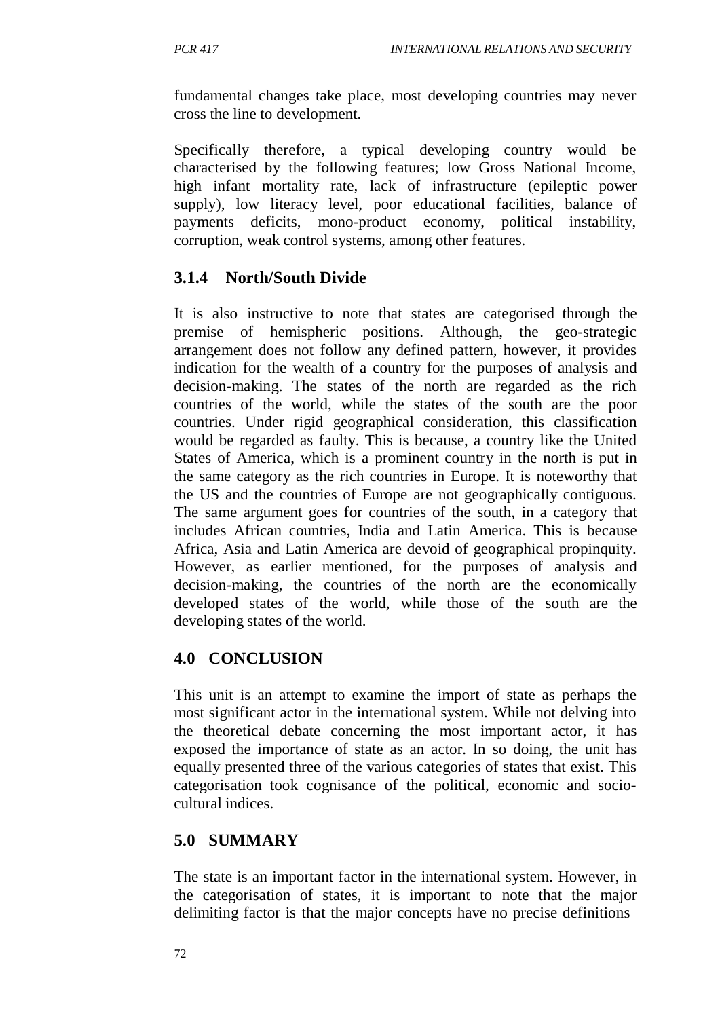fundamental changes take place, most developing countries may never cross the line to development.

Specifically therefore, a typical developing country would be characterised by the following features; low Gross National Income, high infant mortality rate, lack of infrastructure (epileptic power supply), low literacy level, poor educational facilities, balance of payments deficits, mono-product economy, political instability, corruption, weak control systems, among other features.

## **3.1.4 North/South Divide**

It is also instructive to note that states are categorised through the premise of hemispheric positions. Although, the geo-strategic arrangement does not follow any defined pattern, however, it provides indication for the wealth of a country for the purposes of analysis and decision-making. The states of the north are regarded as the rich countries of the world, while the states of the south are the poor countries. Under rigid geographical consideration, this classification would be regarded as faulty. This is because, a country like the United States of America, which is a prominent country in the north is put in the same category as the rich countries in Europe. It is noteworthy that the US and the countries of Europe are not geographically contiguous. The same argument goes for countries of the south, in a category that includes African countries, India and Latin America. This is because Africa, Asia and Latin America are devoid of geographical propinquity. However, as earlier mentioned, for the purposes of analysis and decision-making, the countries of the north are the economically developed states of the world, while those of the south are the developing states of the world.

### **4.0 CONCLUSION**

This unit is an attempt to examine the import of state as perhaps the most significant actor in the international system. While not delving into the theoretical debate concerning the most important actor, it has exposed the importance of state as an actor. In so doing, the unit has equally presented three of the various categories of states that exist. This categorisation took cognisance of the political, economic and sociocultural indices.

## **5.0 SUMMARY**

The state is an important factor in the international system. However, in the categorisation of states, it is important to note that the major delimiting factor is that the major concepts have no precise definitions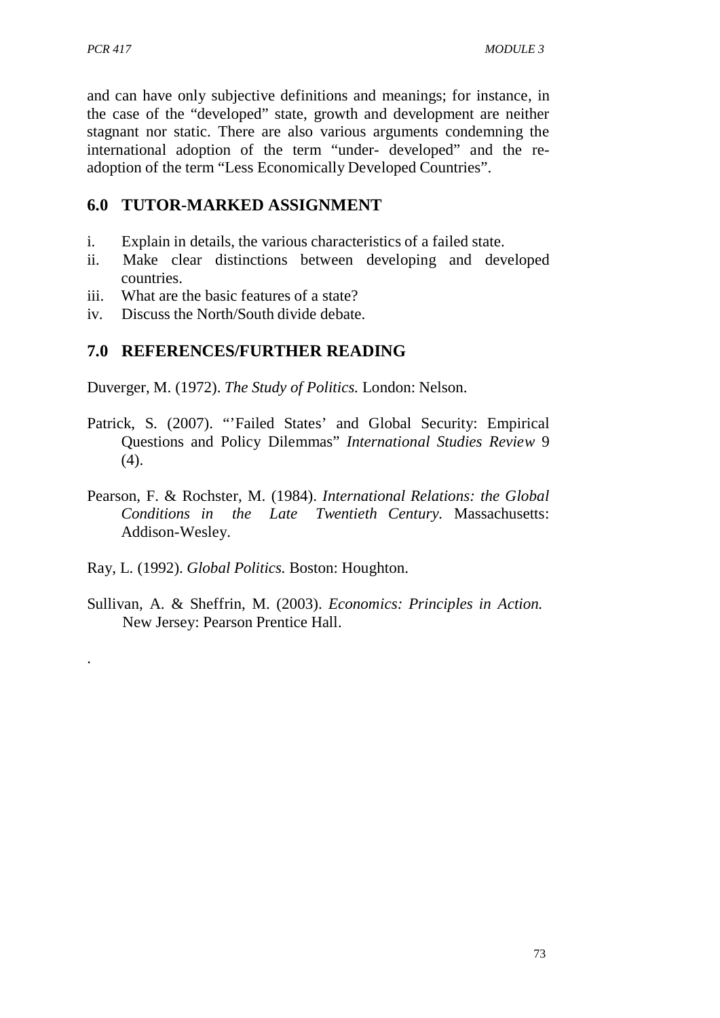.

and can have only subjective definitions and meanings; for instance, in the case of the "developed" state, growth and development are neither stagnant nor static. There are also various arguments condemning the international adoption of the term "under- developed" and the readoption of the term "Less Economically Developed Countries".

### **6.0 TUTOR-MARKED ASSIGNMENT**

- i. Explain in details, the various characteristics of a failed state.
- ii. Make clear distinctions between developing and developed countries.
- iii. What are the basic features of a state?
- iv. Discuss the North/South divide debate.

## **7.0 REFERENCES/FURTHER READING**

Duverger, M. (1972). *The Study of Politics.* London: Nelson.

- Patrick, S. (2007). "'Failed States' and Global Security: Empirical Questions and Policy Dilemmas" *International Studies Review* 9  $(4)$ .
- Pearson, F. & Rochster, M. (1984). *International Relations: the Global Conditions in the Late Twentieth Century.* Massachusetts: Addison-Wesley.
- Ray, L. (1992). *Global Politics.* Boston: Houghton.
- Sullivan, A. & Sheffrin, M. (2003). *Economics: Principles in Action.* New Jersey: Pearson Prentice Hall.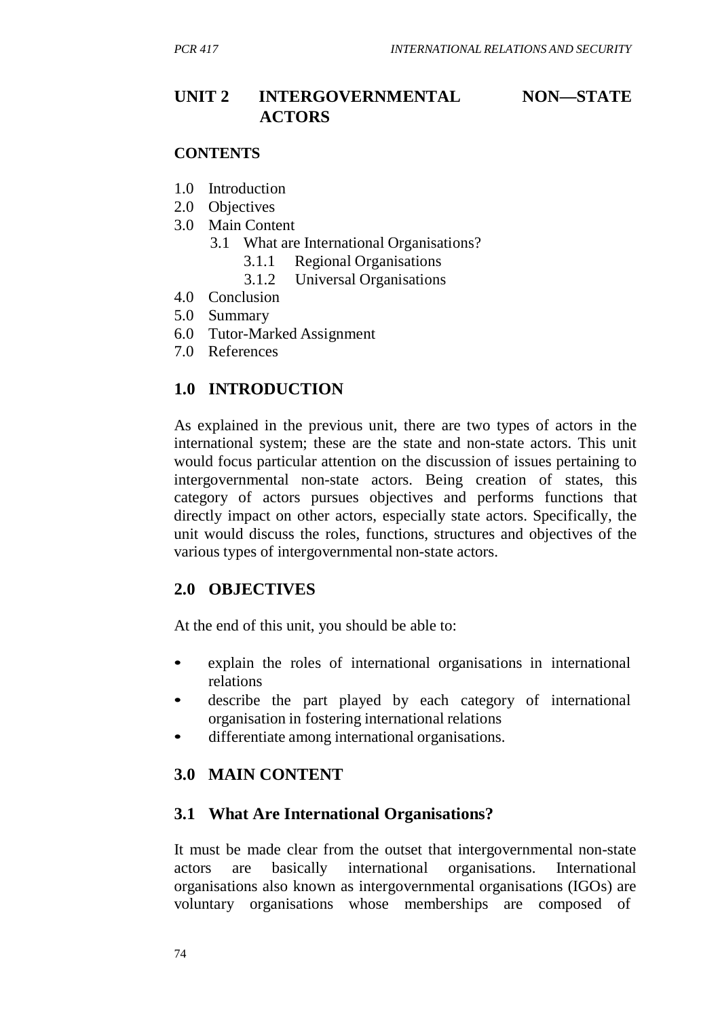## **UNIT 2 INTERGOVERNMENTAL NON—STATE ACTORS**

#### **CONTENTS**

- 1.0 Introduction
- 2.0 Objectives
- 3.0 Main Content
	- 3.1 What are International Organisations?
		- 3.1.1 Regional Organisations
		- 3.1.2 Universal Organisations
- 4.0 Conclusion
- 5.0 Summary
- 6.0 Tutor-Marked Assignment
- 7.0 References

### **1.0 INTRODUCTION**

As explained in the previous unit, there are two types of actors in the international system; these are the state and non-state actors. This unit would focus particular attention on the discussion of issues pertaining to intergovernmental non-state actors. Being creation of states, this category of actors pursues objectives and performs functions that directly impact on other actors, especially state actors. Specifically, the unit would discuss the roles, functions, structures and objectives of the various types of intergovernmental non-state actors.

#### **2.0 OBJECTIVES**

At the end of this unit, you should be able to:

- explain the roles of international organisations in international relations
- describe the part played by each category of international organisation in fostering international relations
- differentiate among international organisations.

### **3.0 MAIN CONTENT**

#### **3.1 What Are International Organisations?**

It must be made clear from the outset that intergovernmental non-state actors are basically international organisations. International organisations also known as intergovernmental organisations (IGOs) are voluntary organisations whose memberships are composed of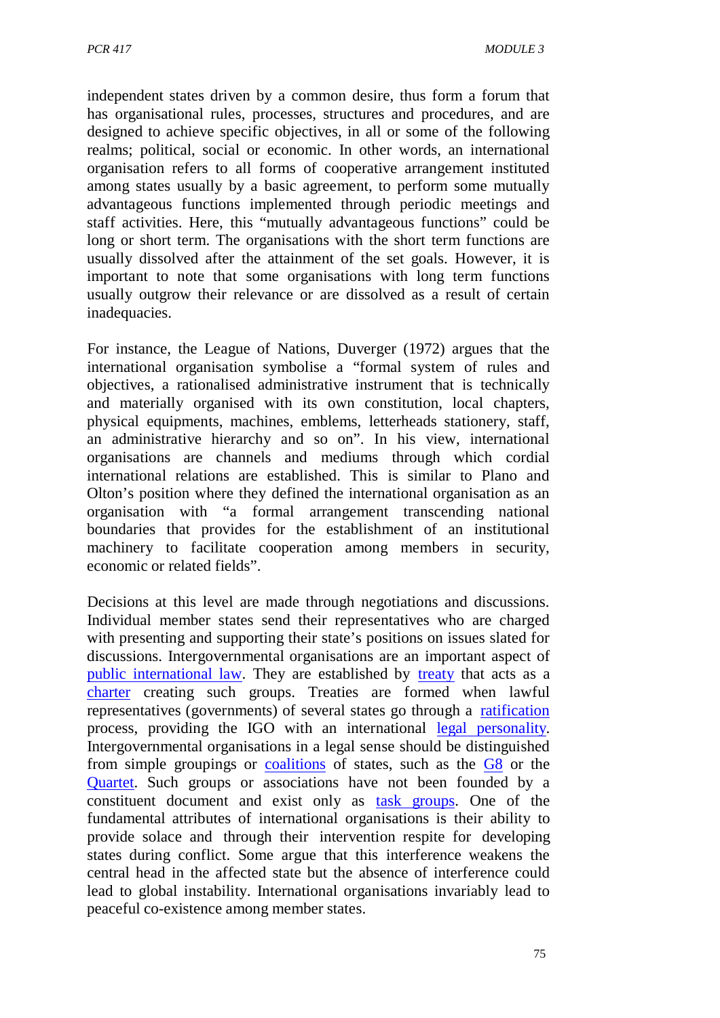independent states driven by a common desire, thus form a forum that has organisational rules, processes, structures and procedures, and are designed to achieve specific objectives, in all or some of the following realms; political, social or economic. In other words, an international organisation refers to all forms of cooperative arrangement instituted among states usually by a basic agreement, to perform some mutually advantageous functions implemented through periodic meetings and staff activities. Here, this "mutually advantageous functions" could be long or short term. The organisations with the short term functions are usually dissolved after the attainment of the set goals. However, it is important to note that some organisations with long term functions usually outgrow their relevance or are dissolved as a result of certain inadequacies.

For instance, the League of Nations, Duverger (1972) argues that the international organisation symbolise a "formal system of rules and objectives, a rationalised administrative instrument that is technically and materially organised with its own constitution, local chapters, physical equipments, machines, emblems, letterheads stationery, staff, an administrative hierarchy and so on". In his view, international organisations are channels and mediums through which cordial international relations are established. This is similar to Plano and Olton's position where they defined the international organisation as an organisation with "a formal arrangement transcending national boundaries that provides for the establishment of an institutional machinery to facilitate cooperation among members in security, economic or related fields".

Decisions at this level are made through negotiations and discussions. Individual member states send their representatives who are charged with presenting and supporting their state's positions on issues slated for discussions. Intergovernmental organisations are an important aspect of public international law. They are established by treaty that acts as a charter creating such groups. Treaties are formed when lawful representatives (governments) of several states go through a ratification process, providing the IGO with an international legal personality. Intergovernmental organisations in a legal sense should be distinguished from simple groupings or coalitions of states, such as the G8 or the Quartet. Such groups or associations have not been founded by a constituent document and exist only as task groups. One of the fundamental attributes of international organisations is their ability to provide solace and through their intervention respite for developing states during conflict. Some argue that this interference weakens the central head in the affected state but the absence of interference could lead to global instability. International organisations invariably lead to peaceful co-existence among member states.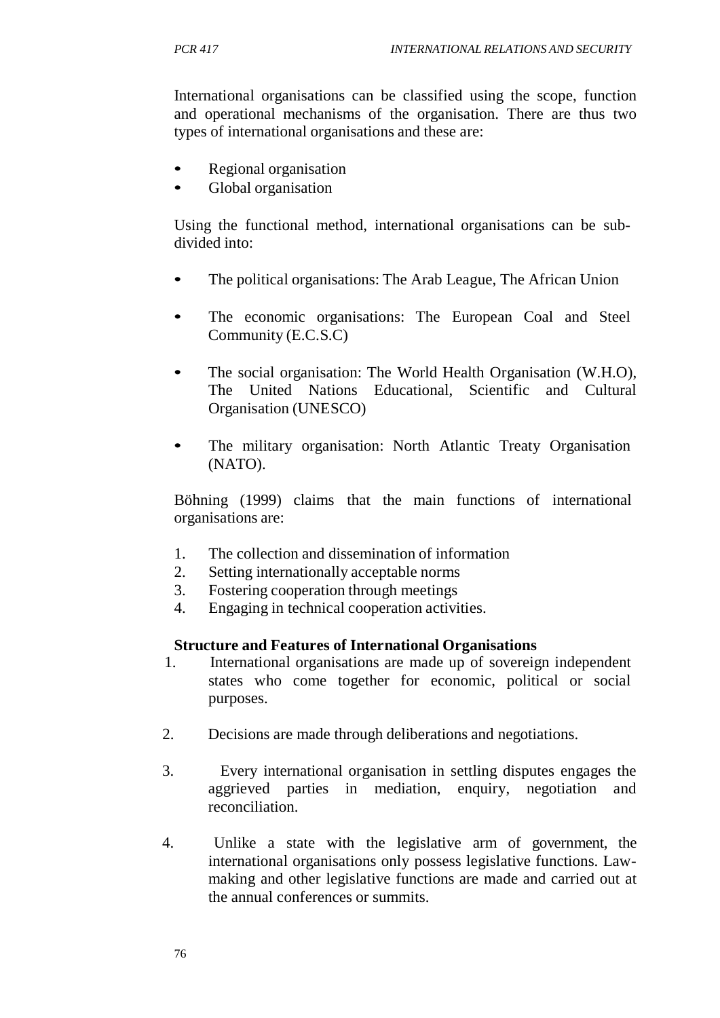International organisations can be classified using the scope, function and operational mechanisms of the organisation. There are thus two types of international organisations and these are:

- Regional organisation
- Global organisation

Using the functional method, international organisations can be subdivided into:

- The political organisations: The Arab League, The African Union
- The economic organisations: The European Coal and Steel Community (E.C.S.C)
- The social organisation: The World Health Organisation (W.H.O), The United Nations Educational, Scientific and Cultural Organisation (UNESCO)
- The military organisation: North Atlantic Treaty Organisation (NATO).

Böhning (1999) claims that the main functions of international organisations are:

- 1. The collection and dissemination of information
- 2. Setting internationally acceptable norms
- 3. Fostering cooperation through meetings
- 4. Engaging in technical cooperation activities.

#### **Structure and Features of International Organisations**

- 1. International organisations are made up of sovereign independent states who come together for economic, political or social purposes.
- 2. Decisions are made through deliberations and negotiations.
- 3. Every international organisation in settling disputes engages the aggrieved parties in mediation, enquiry, negotiation and reconciliation.
- 4. Unlike a state with the legislative arm of government, the international organisations only possess legislative functions. Lawmaking and other legislative functions are made and carried out at the annual conferences or summits.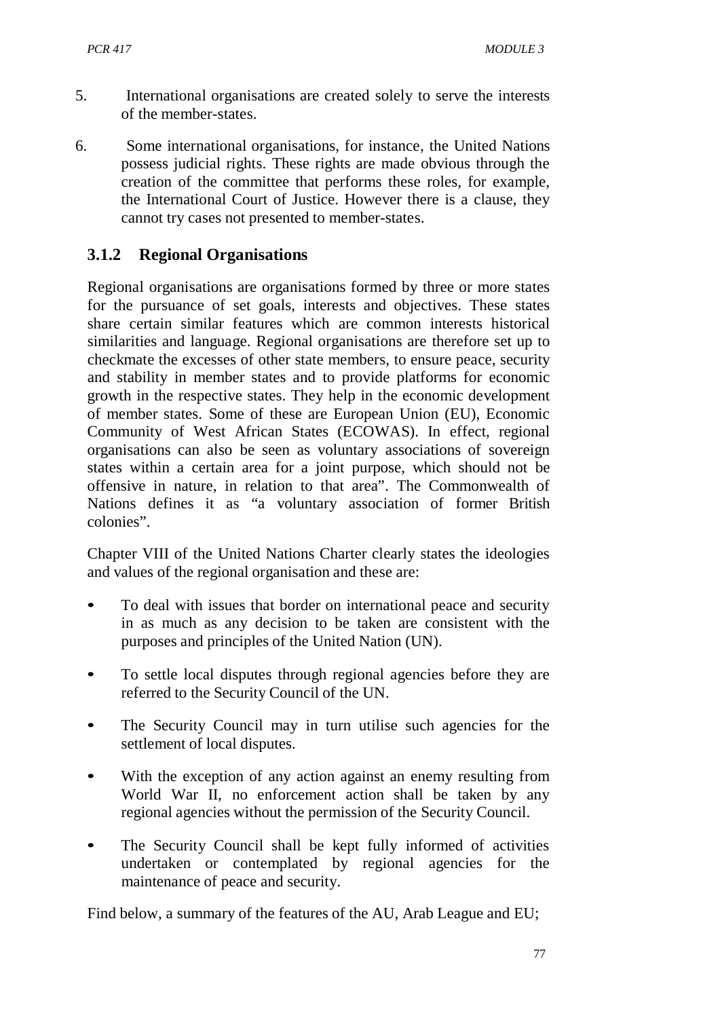- 5. International organisations are created solely to serve the interests of the member-states.
- 6. Some international organisations, for instance, the United Nations possess judicial rights. These rights are made obvious through the creation of the committee that performs these roles, for example, the International Court of Justice. However there is a clause, they cannot try cases not presented to member-states.

## **3.1.2 Regional Organisations**

Regional organisations are organisations formed by three or more states for the pursuance of set goals, interests and objectives. These states share certain similar features which are common interests historical similarities and language. Regional organisations are therefore set up to checkmate the excesses of other state members, to ensure peace, security and stability in member states and to provide platforms for economic growth in the respective states. They help in the economic development of member states. Some of these are European Union (EU), Economic Community of West African States (ECOWAS). In effect, regional organisations can also be seen as voluntary associations of sovereign states within a certain area for a joint purpose, which should not be offensive in nature, in relation to that area". The Commonwealth of Nations defines it as "a voluntary association of former British colonies".

Chapter VIII of the United Nations Charter clearly states the ideologies and values of the regional organisation and these are:

- To deal with issues that border on international peace and security in as much as any decision to be taken are consistent with the purposes and principles of the United Nation (UN).
- To settle local disputes through regional agencies before they are referred to the Security Council of the UN.
- The Security Council may in turn utilise such agencies for the settlement of local disputes.
- With the exception of any action against an enemy resulting from World War II, no enforcement action shall be taken by any regional agencies without the permission of the Security Council.
- The Security Council shall be kept fully informed of activities undertaken or contemplated by regional agencies for the maintenance of peace and security.

Find below, a summary of the features of the AU, Arab League and EU;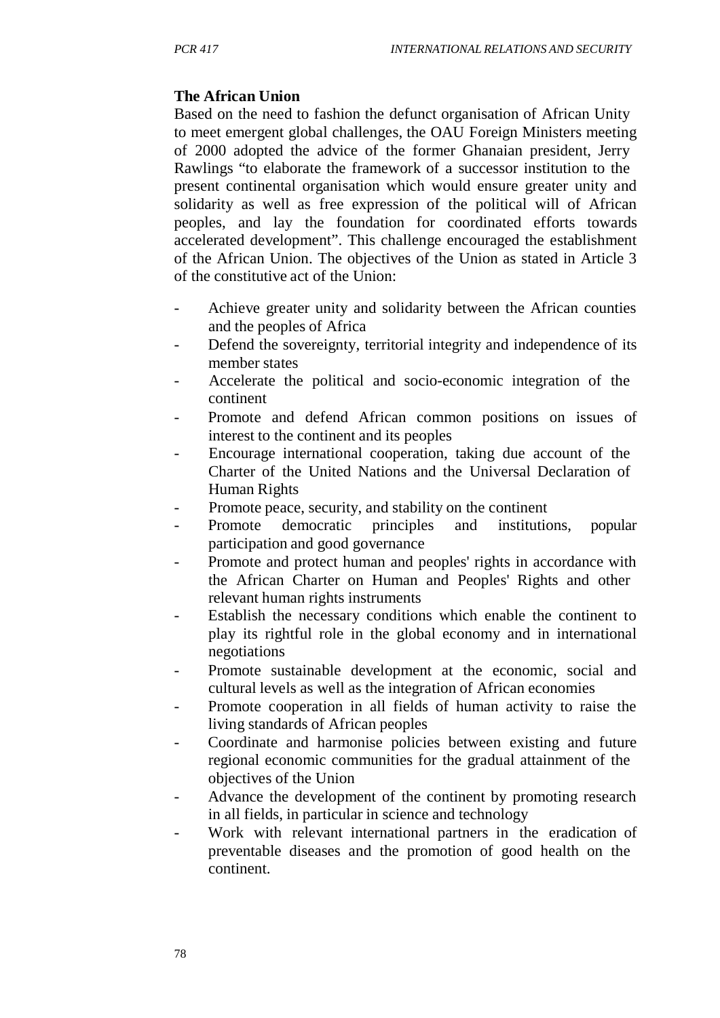### **The African Union**

Based on the need to fashion the defunct organisation of African Unity to meet emergent global challenges, the OAU Foreign Ministers meeting of 2000 adopted the advice of the former Ghanaian president, Jerry Rawlings "to elaborate the framework of a successor institution to the present continental organisation which would ensure greater unity and solidarity as well as free expression of the political will of African peoples, and lay the foundation for coordinated efforts towards accelerated development". This challenge encouraged the establishment of the African Union. The objectives of the Union as stated in Article 3 of the constitutive act of the Union:

- Achieve greater unity and solidarity between the African counties and the peoples of Africa
- Defend the sovereignty, territorial integrity and independence of its member states
- Accelerate the political and socio-economic integration of the continent
- Promote and defend African common positions on issues of interest to the continent and its peoples
- Encourage international cooperation, taking due account of the Charter of the United Nations and the Universal Declaration of Human Rights
- Promote peace, security, and stability on the continent
- Promote democratic principles and institutions, popular participation and good governance
- Promote and protect human and peoples' rights in accordance with the African Charter on Human and Peoples' Rights and other relevant human rights instruments
- Establish the necessary conditions which enable the continent to play its rightful role in the global economy and in international negotiations
- Promote sustainable development at the economic, social and cultural levels as well as the integration of African economies
- Promote cooperation in all fields of human activity to raise the living standards of African peoples
- Coordinate and harmonise policies between existing and future regional economic communities for the gradual attainment of the objectives of the Union
- Advance the development of the continent by promoting research in all fields, in particular in science and technology
- Work with relevant international partners in the eradication of preventable diseases and the promotion of good health on the continent.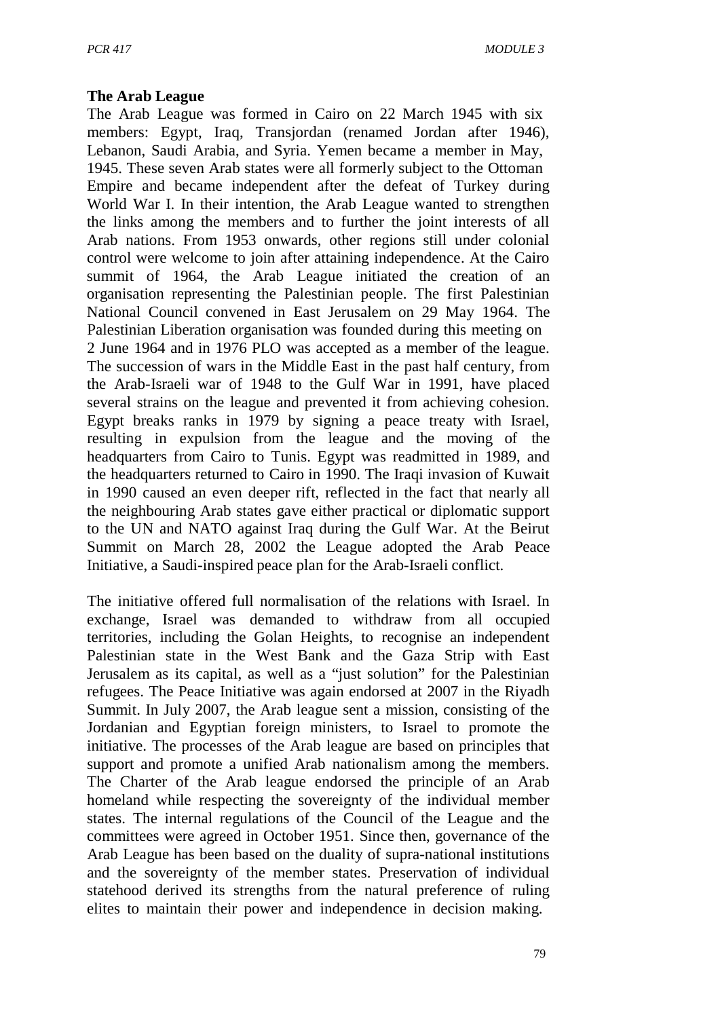#### **The Arab League**

The Arab League was formed in Cairo on 22 March 1945 with six members: Egypt, Iraq, Transjordan (renamed Jordan after 1946), Lebanon, Saudi Arabia, and Syria. Yemen became a member in May, 1945. These seven Arab states were all formerly subject to the Ottoman Empire and became independent after the defeat of Turkey during World War I. In their intention, the Arab League wanted to strengthen the links among the members and to further the joint interests of all Arab nations. From 1953 onwards, other regions still under colonial control were welcome to join after attaining independence. At the Cairo summit of 1964, the Arab League initiated the creation of an organisation representing the Palestinian people. The first Palestinian National Council convened in East Jerusalem on 29 May 1964. The Palestinian Liberation organisation was founded during this meeting on 2 June 1964 and in 1976 PLO was accepted as a member of the league. The succession of wars in the Middle East in the past half century, from the Arab-Israeli war of 1948 to the Gulf War in 1991, have placed several strains on the league and prevented it from achieving cohesion. Egypt breaks ranks in 1979 by signing a peace treaty with Israel, resulting in expulsion from the league and the moving of the headquarters from Cairo to Tunis. Egypt was readmitted in 1989, and the headquarters returned to Cairo in 1990. The Iraqi invasion of Kuwait in 1990 caused an even deeper rift, reflected in the fact that nearly all the neighbouring Arab states gave either practical or diplomatic support to the UN and NATO against Iraq during the Gulf War. At the Beirut Summit on March 28, 2002 the League adopted the Arab Peace Initiative, a Saudi-inspired peace plan for the Arab-Israeli conflict.

The initiative offered full normalisation of the relations with Israel. In exchange, Israel was demanded to withdraw from all occupied territories, including the Golan Heights, to recognise an independent Palestinian state in the West Bank and the Gaza Strip with East Jerusalem as its capital, as well as a "just solution" for the Palestinian refugees. The Peace Initiative was again endorsed at 2007 in the Riyadh Summit. In July 2007, the Arab league sent a mission, consisting of the Jordanian and Egyptian foreign ministers, to Israel to promote the initiative. The processes of the Arab league are based on principles that support and promote a unified Arab nationalism among the members. The Charter of the Arab league endorsed the principle of an Arab homeland while respecting the sovereignty of the individual member states. The internal regulations of the Council of the League and the committees were agreed in October 1951. Since then, governance of the Arab League has been based on the duality of supra-national institutions and the sovereignty of the member states. Preservation of individual statehood derived its strengths from the natural preference of ruling elites to maintain their power and independence in decision making.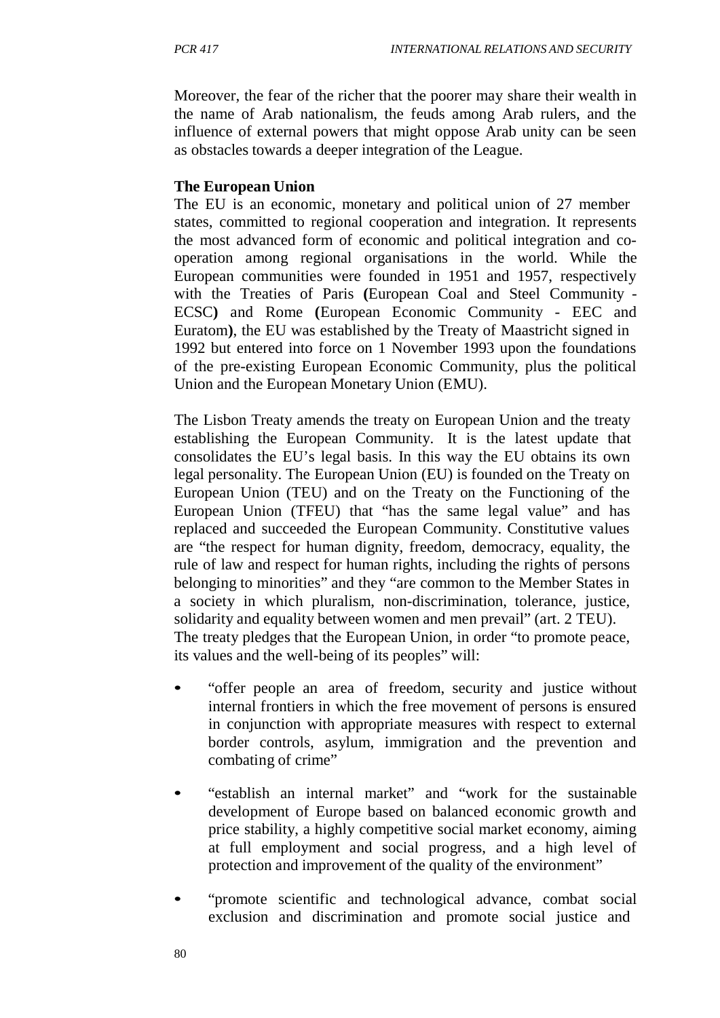Moreover, the fear of the richer that the poorer may share their wealth in the name of Arab nationalism, the feuds among Arab rulers, and the influence of external powers that might oppose Arab unity can be seen as obstacles towards a deeper integration of the League.

#### **The European Union**

The EU is an economic, monetary and political union of 27 member states, committed to regional cooperation and integration. It represents the most advanced form of economic and political integration and cooperation among regional organisations in the world. While the European communities were founded in 1951 and 1957, respectively with the Treaties of Paris **(**European Coal and Steel Community - ECSC**)** and Rome **(**European Economic Community - EEC and Euratom**)**, the EU was established by the Treaty of Maastricht signed in 1992 but entered into force on 1 November 1993 upon the foundations of the pre-existing European Economic Community, plus the political Union and the European Monetary Union (EMU).

The Lisbon Treaty amends the treaty on European Union and the treaty establishing the European Community. It is the latest update that consolidates the EU's legal basis. In this way the EU obtains its own legal personality. The European Union (EU) is founded on the Treaty on European Union (TEU) and on the Treaty on the Functioning of the European Union (TFEU) that "has the same legal value" and has replaced and succeeded the European Community. Constitutive values are "the respect for human dignity, freedom, democracy, equality, the rule of law and respect for human rights, including the rights of persons belonging to minorities" and they "are common to the Member States in a society in which pluralism, non-discrimination, tolerance, justice, solidarity and equality between women and men prevail" (art. 2 TEU). The treaty pledges that the European Union, in order "to promote peace, its values and the well-being of its peoples" will:

- "offer people an area of freedom, security and justice without internal frontiers in which the free movement of persons is ensured in conjunction with appropriate measures with respect to external border controls, asylum, immigration and the prevention and combating of crime"
- "establish an internal market" and "work for the sustainable development of Europe based on balanced economic growth and price stability, a highly competitive social market economy, aiming at full employment and social progress, and a high level of protection and improvement of the quality of the environment"
- "promote scientific and technological advance, combat social exclusion and discrimination and promote social justice and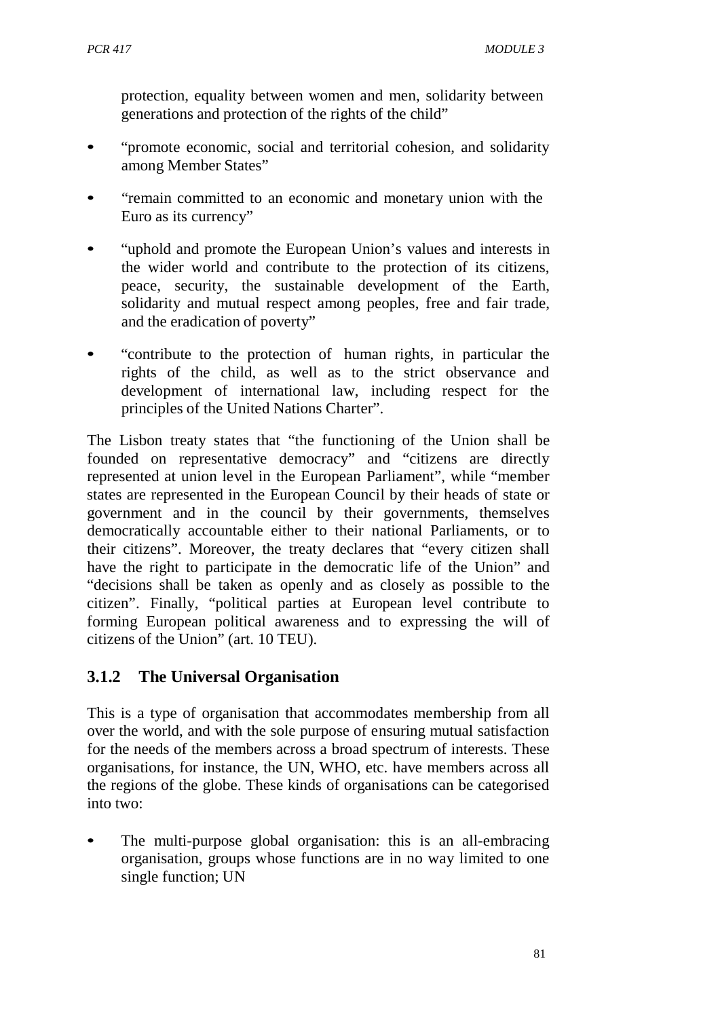protection, equality between women and men, solidarity between generations and protection of the rights of the child"

- "promote economic, social and territorial cohesion, and solidarity among Member States"
- "remain committed to an economic and monetary union with the Euro as its currency"
- "uphold and promote the European Union's values and interests in the wider world and contribute to the protection of its citizens, peace, security, the sustainable development of the Earth, solidarity and mutual respect among peoples, free and fair trade, and the eradication of poverty"
- "contribute to the protection of human rights, in particular the rights of the child, as well as to the strict observance and development of international law, including respect for the principles of the United Nations Charter".

The Lisbon treaty states that "the functioning of the Union shall be founded on representative democracy" and "citizens are directly represented at union level in the European Parliament", while "member states are represented in the European Council by their heads of state or government and in the council by their governments, themselves democratically accountable either to their national Parliaments, or to their citizens". Moreover, the treaty declares that "every citizen shall have the right to participate in the democratic life of the Union" and "decisions shall be taken as openly and as closely as possible to the citizen". Finally, "political parties at European level contribute to forming European political awareness and to expressing the will of citizens of the Union" (art. 10 TEU).

## **3.1.2 The Universal Organisation**

This is a type of organisation that accommodates membership from all over the world, and with the sole purpose of ensuring mutual satisfaction for the needs of the members across a broad spectrum of interests. These organisations, for instance, the UN, WHO, etc. have members across all the regions of the globe. These kinds of organisations can be categorised into two:

The multi-purpose global organisation: this is an all-embracing organisation, groups whose functions are in no way limited to one single function; UN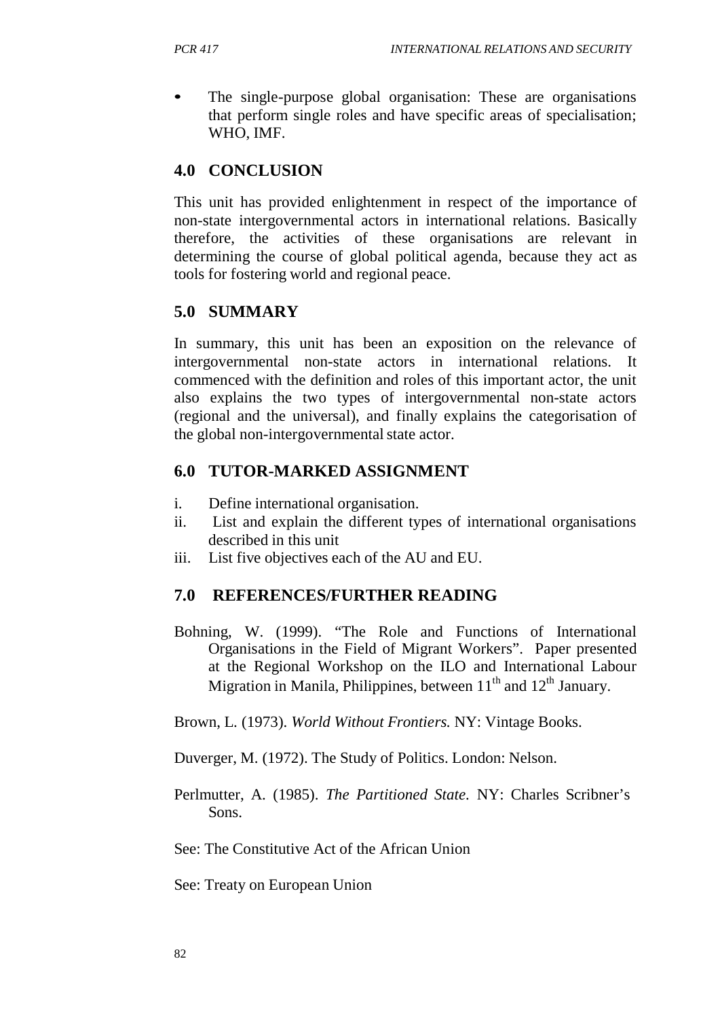The single-purpose global organisation: These are organisations that perform single roles and have specific areas of specialisation; WHO, IMF.

### **4.0 CONCLUSION**

This unit has provided enlightenment in respect of the importance of non-state intergovernmental actors in international relations. Basically therefore, the activities of these organisations are relevant in determining the course of global political agenda, because they act as tools for fostering world and regional peace.

### **5.0 SUMMARY**

In summary, this unit has been an exposition on the relevance of intergovernmental non-state actors in international relations. It commenced with the definition and roles of this important actor, the unit also explains the two types of intergovernmental non-state actors (regional and the universal), and finally explains the categorisation of the global non-intergovernmental state actor.

### **6.0 TUTOR-MARKED ASSIGNMENT**

- i. Define international organisation.
- ii. List and explain the different types of international organisations described in this unit
- iii. List five objectives each of the AU and EU.

### **7.0 REFERENCES/FURTHER READING**

Bohning, W. (1999). "The Role and Functions of International Organisations in the Field of Migrant Workers". Paper presented at the Regional Workshop on the ILO and International Labour Migration in Manila, Philippines, between  $11<sup>th</sup>$  and  $12<sup>th</sup>$  January.

Brown, L. (1973). *World Without Frontiers.* NY: Vintage Books.

Duverger, M. (1972). The Study of Politics. London: Nelson.

Perlmutter, A. (1985). *The Partitioned State.* NY: Charles Scribner's Sons.

See: The Constitutive Act of the African Union

See: Treaty on European Union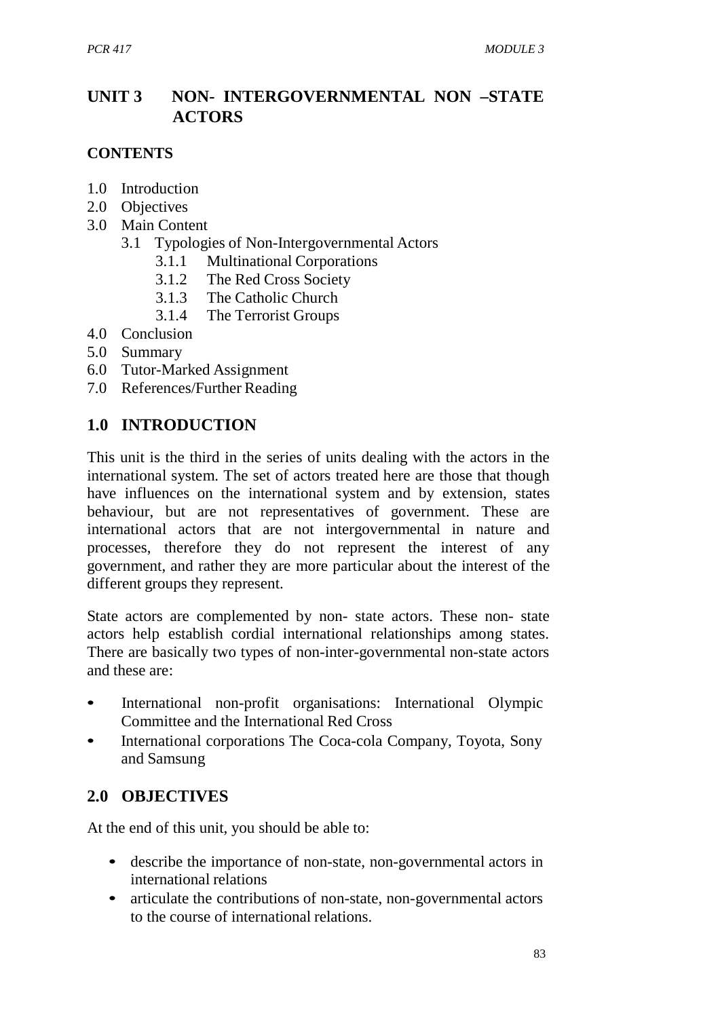## **UNIT 3 NON- INTERGOVERNMENTAL NON –STATE ACTORS**

### **CONTENTS**

- 1.0 Introduction
- 2.0 Objectives
- 3.0 Main Content
	- 3.1 Typologies of Non-Intergovernmental Actors
		- 3.1.1 Multinational Corporations
		- 3.1.2 The Red Cross Society
		- 3.1.3 The Catholic Church<br>3.1.4 The Terrorist Groups
		- The Terrorist Groups
- 4.0 Conclusion
- 5.0 Summary
- 6.0 Tutor-Marked Assignment
- 7.0 References/Further Reading

## **1.0 INTRODUCTION**

This unit is the third in the series of units dealing with the actors in the international system. The set of actors treated here are those that though have influences on the international system and by extension, states behaviour, but are not representatives of government. These are international actors that are not intergovernmental in nature and processes, therefore they do not represent the interest of any government, and rather they are more particular about the interest of the different groups they represent.

State actors are complemented by non- state actors. These non- state actors help establish cordial international relationships among states. There are basically two types of non-inter-governmental non-state actors and these are:

- International non-profit organisations: International Olympic Committee and the International Red Cross
- International corporations The Coca-cola Company, Toyota, Sony and Samsung

## **2.0 OBJECTIVES**

At the end of this unit, you should be able to:

- describe the importance of non-state, non-governmental actors in international relations
- articulate the contributions of non-state, non-governmental actors to the course of international relations.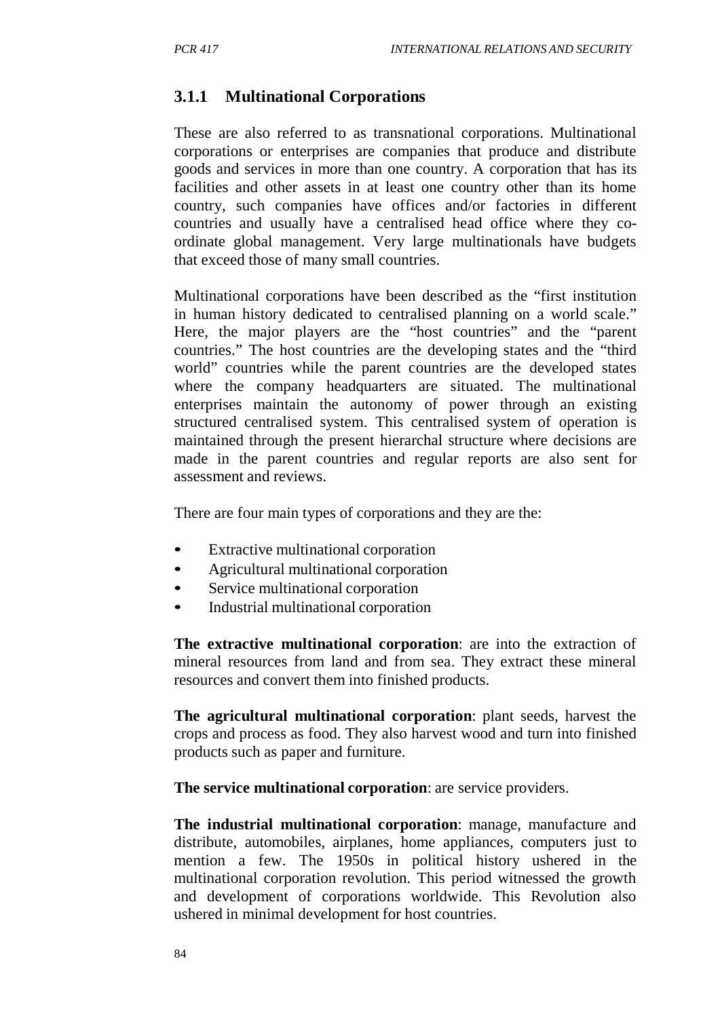## **3.1.1 Multinational Corporations**

These are also referred to as transnational corporations. Multinational corporations or enterprises are companies that produce and distribute goods and services in more than one country. A corporation that has its facilities and other assets in at least one country other than its home country, such companies have offices and/or factories in different countries and usually have a centralised head office where they coordinate global management. Very large multinationals have budgets that exceed those of many small countries.

Multinational corporations have been described as the "first institution in human history dedicated to centralised planning on a world scale." Here, the major players are the "host countries" and the "parent countries." The host countries are the developing states and the "third world" countries while the parent countries are the developed states where the company headquarters are situated. The multinational enterprises maintain the autonomy of power through an existing structured centralised system. This centralised system of operation is maintained through the present hierarchal structure where decisions are made in the parent countries and regular reports are also sent for assessment and reviews.

There are four main types of corporations and they are the:

- Extractive multinational corporation
- Agricultural multinational corporation
- Service multinational corporation
- Industrial multinational corporation

**The extractive multinational corporation**: are into the extraction of mineral resources from land and from sea. They extract these mineral resources and convert them into finished products.

**The agricultural multinational corporation**: plant seeds, harvest the crops and process as food. They also harvest wood and turn into finished products such as paper and furniture.

**The service multinational corporation**: are service providers.

**The industrial multinational corporation**: manage, manufacture and distribute, automobiles, airplanes, home appliances, computers just to mention a few. The 1950s in political history ushered in the multinational corporation revolution. This period witnessed the growth and development of corporations worldwide. This Revolution also ushered in minimal development for host countries.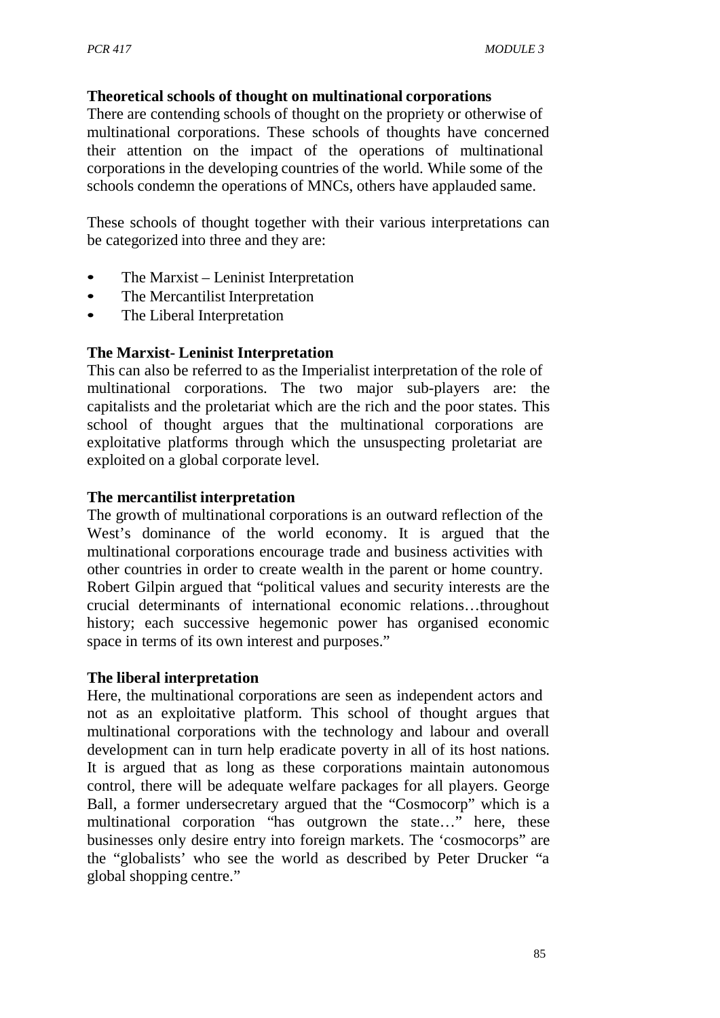### **Theoretical schools of thought on multinational corporations**

There are contending schools of thought on the propriety or otherwise of multinational corporations. These schools of thoughts have concerned their attention on the impact of the operations of multinational corporations in the developing countries of the world. While some of the schools condemn the operations of MNCs, others have applauded same.

These schools of thought together with their various interpretations can be categorized into three and they are:

- The Marxist Leninist Interpretation
- The Mercantilist Interpretation
- The Liberal Interpretation

#### **The Marxist- Leninist Interpretation**

This can also be referred to as the Imperialist interpretation of the role of multinational corporations. The two major sub-players are: the capitalists and the proletariat which are the rich and the poor states. This school of thought argues that the multinational corporations are exploitative platforms through which the unsuspecting proletariat are exploited on a global corporate level.

### **The mercantilist interpretation**

The growth of multinational corporations is an outward reflection of the West's dominance of the world economy. It is argued that the multinational corporations encourage trade and business activities with other countries in order to create wealth in the parent or home country. Robert Gilpin argued that "political values and security interests are the crucial determinants of international economic relations…throughout history; each successive hegemonic power has organised economic space in terms of its own interest and purposes."

#### **The liberal interpretation**

Here, the multinational corporations are seen as independent actors and not as an exploitative platform. This school of thought argues that multinational corporations with the technology and labour and overall development can in turn help eradicate poverty in all of its host nations. It is argued that as long as these corporations maintain autonomous control, there will be adequate welfare packages for all players. George Ball, a former undersecretary argued that the "Cosmocorp" which is a multinational corporation "has outgrown the state…" here, these businesses only desire entry into foreign markets. The 'cosmocorps" are the "globalists' who see the world as described by Peter Drucker "a global shopping centre."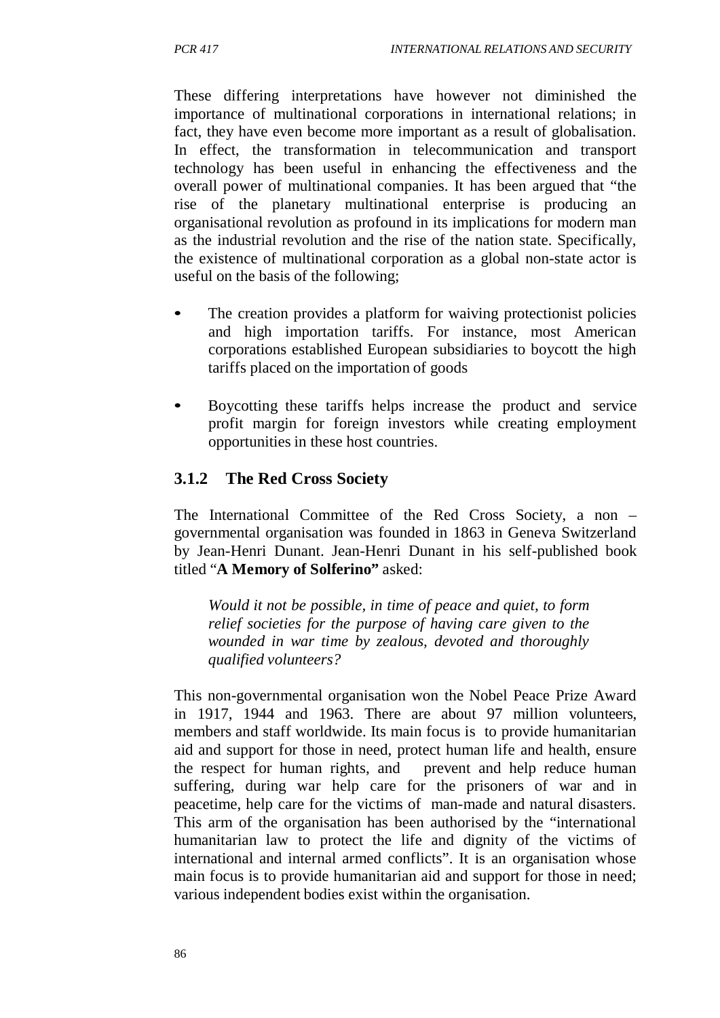These differing interpretations have however not diminished the importance of multinational corporations in international relations; in fact, they have even become more important as a result of globalisation. In effect, the transformation in telecommunication and transport technology has been useful in enhancing the effectiveness and the overall power of multinational companies. It has been argued that "the rise of the planetary multinational enterprise is producing an organisational revolution as profound in its implications for modern man as the industrial revolution and the rise of the nation state. Specifically, the existence of multinational corporation as a global non-state actor is useful on the basis of the following;

- The creation provides a platform for waiving protectionist policies and high importation tariffs. For instance, most American corporations established European subsidiaries to boycott the high tariffs placed on the importation of goods
- Boycotting these tariffs helps increase the product and service profit margin for foreign investors while creating employment opportunities in these host countries.

### **3.1.2 The Red Cross Society**

The International Committee of the Red Cross Society, a non – governmental organisation was founded in 1863 in Geneva Switzerland by Jean-Henri Dunant. Jean-Henri Dunant in his self-published book titled "**A Memory of Solferino"** asked:

*Would it not be possible, in time of peace and quiet, to form relief societies for the purpose of having care given to the wounded in war time by zealous, devoted and thoroughly qualified volunteers?*

This non-governmental organisation won the Nobel Peace Prize Award in 1917, 1944 and 1963. There are about 97 million volunteers, members and staff worldwide. Its main focus is to provide humanitarian aid and support for those in need, protect human life and health, ensure the respect for human rights, and prevent and help reduce human suffering, during war help care for the prisoners of war and in peacetime, help care for the victims of man-made and natural disasters. This arm of the organisation has been authorised by the "international humanitarian law to protect the life and dignity of the victims of international and internal armed conflicts". It is an organisation whose main focus is to provide humanitarian aid and support for those in need; various independent bodies exist within the organisation.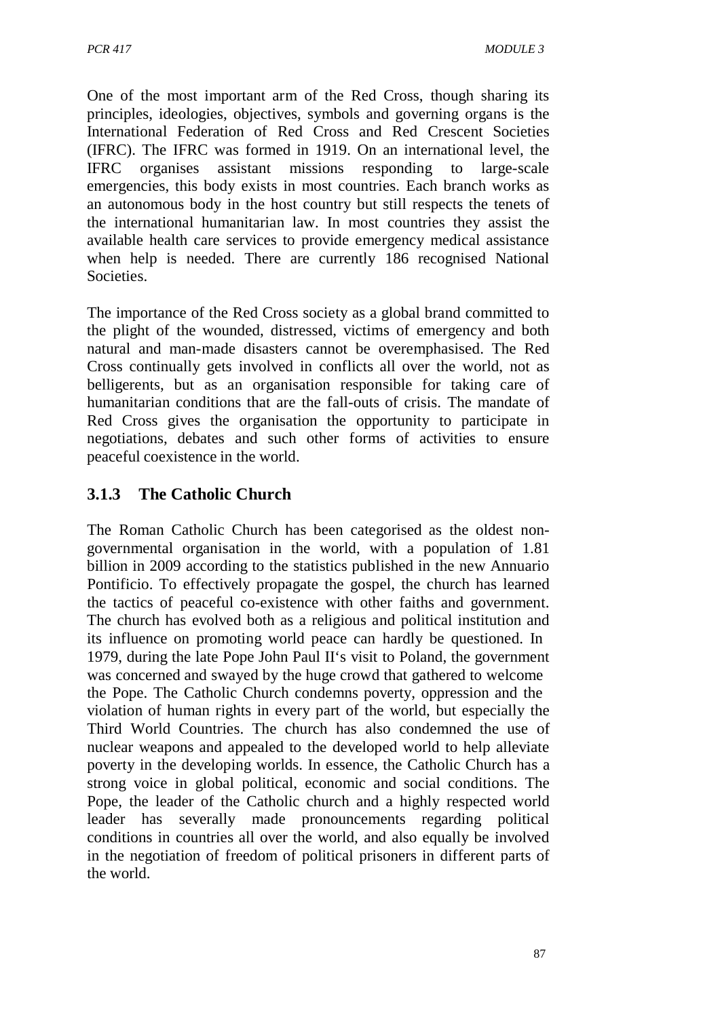One of the most important arm of the Red Cross, though sharing its principles, ideologies, objectives, symbols and governing organs is the International Federation of Red Cross and Red Crescent Societies (IFRC). The IFRC was formed in 1919. On an international level, the IFRC organises assistant missions responding to large-scale emergencies, this body exists in most countries. Each branch works as an autonomous body in the host country but still respects the tenets of the international humanitarian law. In most countries they assist the available health care services to provide emergency medical assistance when help is needed. There are currently 186 recognised National Societies.

The importance of the Red Cross society as a global brand committed to the plight of the wounded, distressed, victims of emergency and both natural and man-made disasters cannot be overemphasised. The Red Cross continually gets involved in conflicts all over the world, not as belligerents, but as an organisation responsible for taking care of humanitarian conditions that are the fall-outs of crisis. The mandate of Red Cross gives the organisation the opportunity to participate in negotiations, debates and such other forms of activities to ensure peaceful coexistence in the world.

# **3.1.3 The Catholic Church**

The Roman Catholic Church has been categorised as the oldest nongovernmental organisation in the world, with a population of 1.81 billion in 2009 according to the statistics published in the new Annuario Pontificio. To effectively propagate the gospel, the church has learned the tactics of peaceful co-existence with other faiths and government. The church has evolved both as a religious and political institution and its influence on promoting world peace can hardly be questioned. In 1979, during the late Pope John Paul II's visit to Poland, the government was concerned and swayed by the huge crowd that gathered to welcome the Pope. The Catholic Church condemns poverty, oppression and the violation of human rights in every part of the world, but especially the Third World Countries. The church has also condemned the use of nuclear weapons and appealed to the developed world to help alleviate poverty in the developing worlds. In essence, the Catholic Church has a strong voice in global political, economic and social conditions. The Pope, the leader of the Catholic church and a highly respected world leader has severally made pronouncements regarding political conditions in countries all over the world, and also equally be involved in the negotiation of freedom of political prisoners in different parts of the world.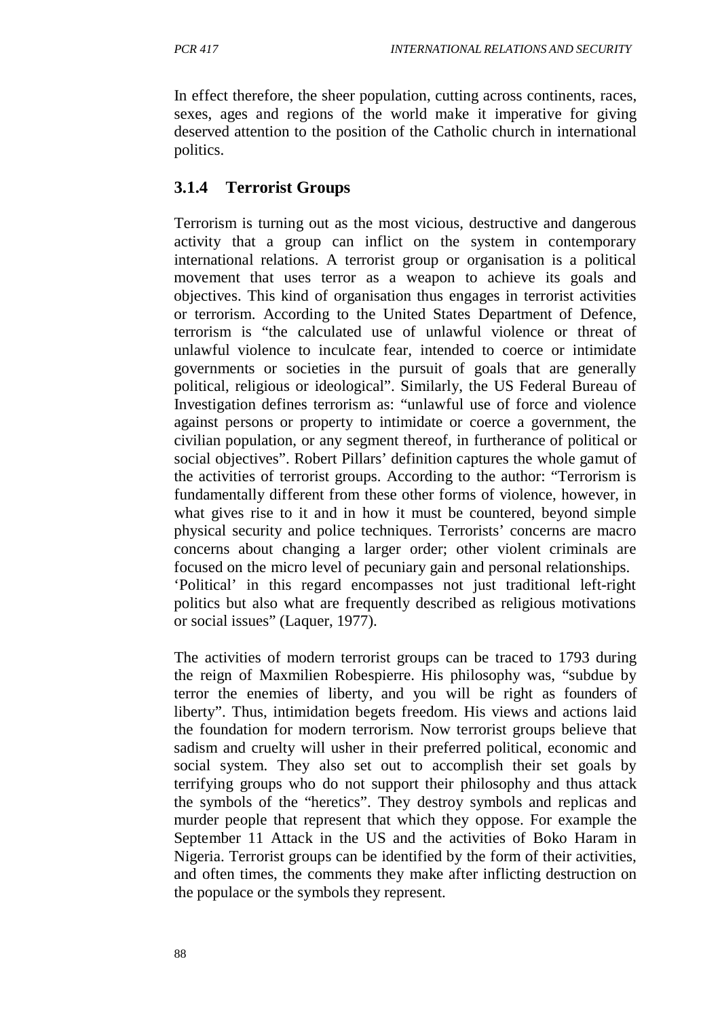In effect therefore, the sheer population, cutting across continents, races, sexes, ages and regions of the world make it imperative for giving deserved attention to the position of the Catholic church in international politics.

## **3.1.4 Terrorist Groups**

Terrorism is turning out as the most vicious, destructive and dangerous activity that a group can inflict on the system in contemporary international relations. A terrorist group or organisation is a political movement that uses terror as a weapon to achieve its goals and objectives. This kind of organisation thus engages in terrorist activities or terrorism. According to the United States Department of Defence, terrorism is "the calculated use of unlawful violence or threat of unlawful violence to inculcate fear, intended to coerce or intimidate governments or societies in the pursuit of goals that are generally political, religious or ideological". Similarly, the US Federal Bureau of Investigation defines terrorism as: "unlawful use of force and violence against persons or property to intimidate or coerce a government, the civilian population, or any segment thereof, in furtherance of political or social objectives". Robert Pillars' definition captures the whole gamut of the activities of terrorist groups. According to the author: "Terrorism is fundamentally different from these other forms of violence, however, in what gives rise to it and in how it must be countered, beyond simple physical security and police techniques. Terrorists' concerns are macro concerns about changing a larger order; other violent criminals are focused on the micro level of pecuniary gain and personal relationships. 'Political' in this regard encompasses not just traditional left-right politics but also what are frequently described as religious motivations or social issues" (Laquer, 1977).

The activities of modern terrorist groups can be traced to 1793 during the reign of Maxmilien Robespierre. His philosophy was, "subdue by terror the enemies of liberty, and you will be right as founders of liberty". Thus, intimidation begets freedom. His views and actions laid the foundation for modern terrorism. Now terrorist groups believe that sadism and cruelty will usher in their preferred political, economic and social system. They also set out to accomplish their set goals by terrifying groups who do not support their philosophy and thus attack the symbols of the "heretics". They destroy symbols and replicas and murder people that represent that which they oppose. For example the September 11 Attack in the US and the activities of Boko Haram in Nigeria. Terrorist groups can be identified by the form of their activities, and often times, the comments they make after inflicting destruction on the populace or the symbols they represent.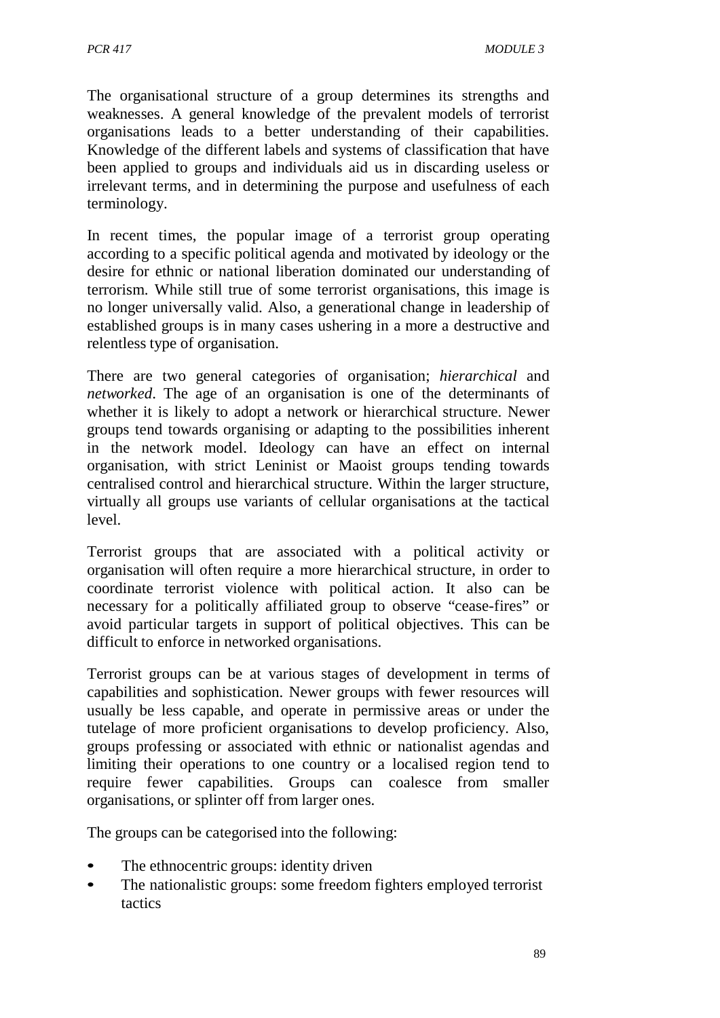The organisational structure of a group determines its strengths and weaknesses. A general knowledge of the prevalent models of terrorist organisations leads to a better understanding of their capabilities. Knowledge of the different labels and systems of classification that have been applied to groups and individuals aid us in discarding useless or irrelevant terms, and in determining the purpose and usefulness of each terminology.

In recent times, the popular image of a terrorist group operating according to a specific political agenda and motivated by ideology or the desire for ethnic or national liberation dominated our understanding of terrorism. While still true of some terrorist organisations, this image is no longer universally valid. Also, a generational change in leadership of established groups is in many cases ushering in a more a destructive and relentless type of organisation.

There are two general categories of organisation; *hierarchical* and *networked*. The age of an organisation is one of the determinants of whether it is likely to adopt a network or hierarchical structure. Newer groups tend towards organising or adapting to the possibilities inherent in the network model. Ideology can have an effect on internal organisation, with strict Leninist or Maoist groups tending towards centralised control and hierarchical structure. Within the larger structure, virtually all groups use variants of cellular organisations at the tactical level.

Terrorist groups that are associated with a political activity or organisation will often require a more hierarchical structure, in order to coordinate terrorist violence with political action. It also can be necessary for a politically affiliated group to observe "cease-fires" or avoid particular targets in support of political objectives. This can be difficult to enforce in networked organisations.

Terrorist groups can be at various stages of development in terms of capabilities and sophistication. Newer groups with fewer resources will usually be less capable, and operate in permissive areas or under the tutelage of more proficient organisations to develop proficiency. Also, groups professing or associated with ethnic or nationalist agendas and limiting their operations to one country or a localised region tend to require fewer capabilities. Groups can coalesce from smaller organisations, or splinter off from larger ones.

The groups can be categorised into the following:

- The ethnocentric groups: identity driven
- The nationalistic groups: some freedom fighters employed terrorist tactics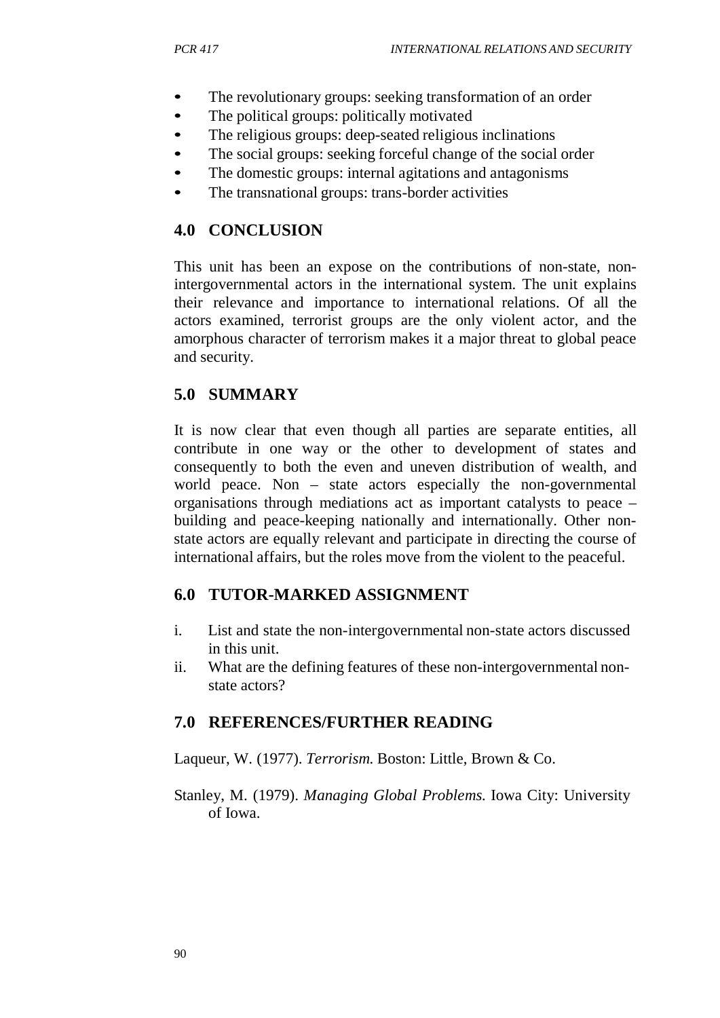- The revolutionary groups: seeking transformation of an order
- The political groups: politically motivated
- The religious groups: deep-seated religious inclinations
- The social groups: seeking forceful change of the social order
- The domestic groups: internal agitations and antagonisms
- The transnational groups: trans-border activities

## **4.0 CONCLUSION**

This unit has been an expose on the contributions of non-state, nonintergovernmental actors in the international system. The unit explains their relevance and importance to international relations. Of all the actors examined, terrorist groups are the only violent actor, and the amorphous character of terrorism makes it a major threat to global peace and security.

## **5.0 SUMMARY**

It is now clear that even though all parties are separate entities, all contribute in one way or the other to development of states and consequently to both the even and uneven distribution of wealth, and world peace. Non – state actors especially the non-governmental organisations through mediations act as important catalysts to peace – building and peace-keeping nationally and internationally. Other nonstate actors are equally relevant and participate in directing the course of international affairs, but the roles move from the violent to the peaceful.

## **6.0 TUTOR-MARKED ASSIGNMENT**

- i. List and state the non-intergovernmental non-state actors discussed in this unit.
- ii. What are the defining features of these non-intergovernmental nonstate actors?

### **7.0 REFERENCES/FURTHER READING**

Laqueur, W. (1977). *Terrorism.* Boston: Little, Brown & Co.

Stanley, M. (1979). *Managing Global Problems.* Iowa City: University of Iowa.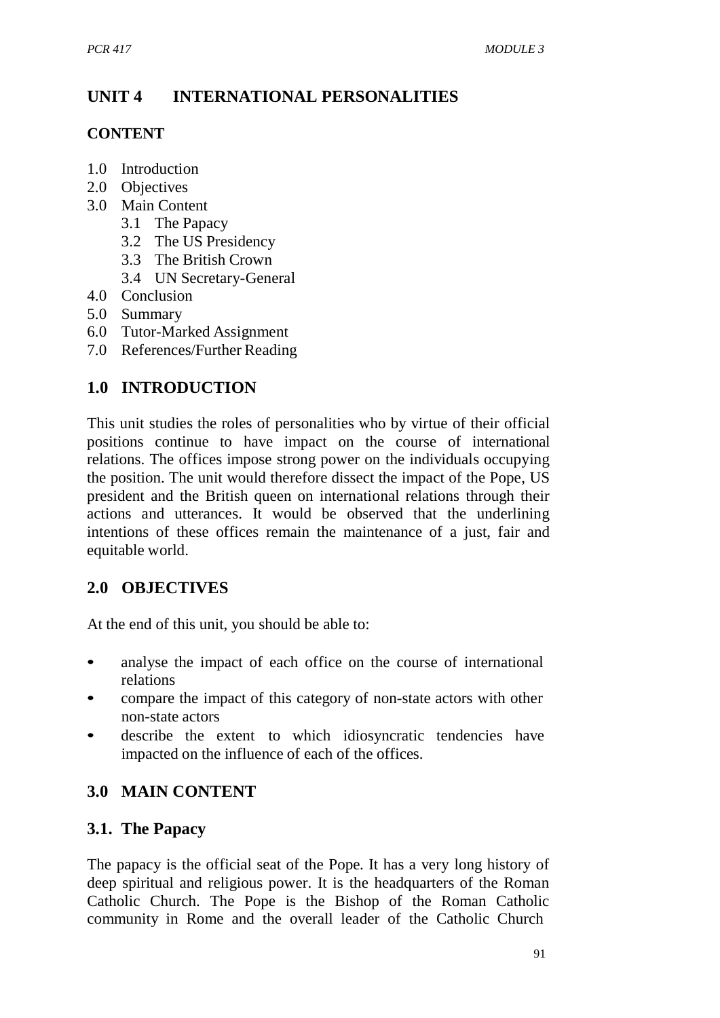# **UNIT 4 INTERNATIONAL PERSONALITIES**

## **CONTENT**

- 1.0 Introduction
- 2.0 Objectives
- 3.0 Main Content
	- 3.1 The Papacy
	- 3.2 The US Presidency
	- 3.3 The British Crown
	- 3.4 UN Secretary-General
- 4.0 Conclusion
- 5.0 Summary
- 6.0 Tutor-Marked Assignment
- 7.0 References/Further Reading

# **1.0 INTRODUCTION**

This unit studies the roles of personalities who by virtue of their official positions continue to have impact on the course of international relations. The offices impose strong power on the individuals occupying the position. The unit would therefore dissect the impact of the Pope, US president and the British queen on international relations through their actions and utterances. It would be observed that the underlining intentions of these offices remain the maintenance of a just, fair and equitable world.

# **2.0 OBJECTIVES**

At the end of this unit, you should be able to:

- analyse the impact of each office on the course of international relations
- compare the impact of this category of non-state actors with other non-state actors
- describe the extent to which idiosyncratic tendencies have impacted on the influence of each of the offices.

# **3.0 MAIN CONTENT**

## **3.1. The Papacy**

The papacy is the official seat of the Pope. It has a very long history of deep spiritual and religious power. It is the headquarters of the Roman Catholic Church. The Pope is the Bishop of the Roman Catholic community in Rome and the overall leader of the Catholic Church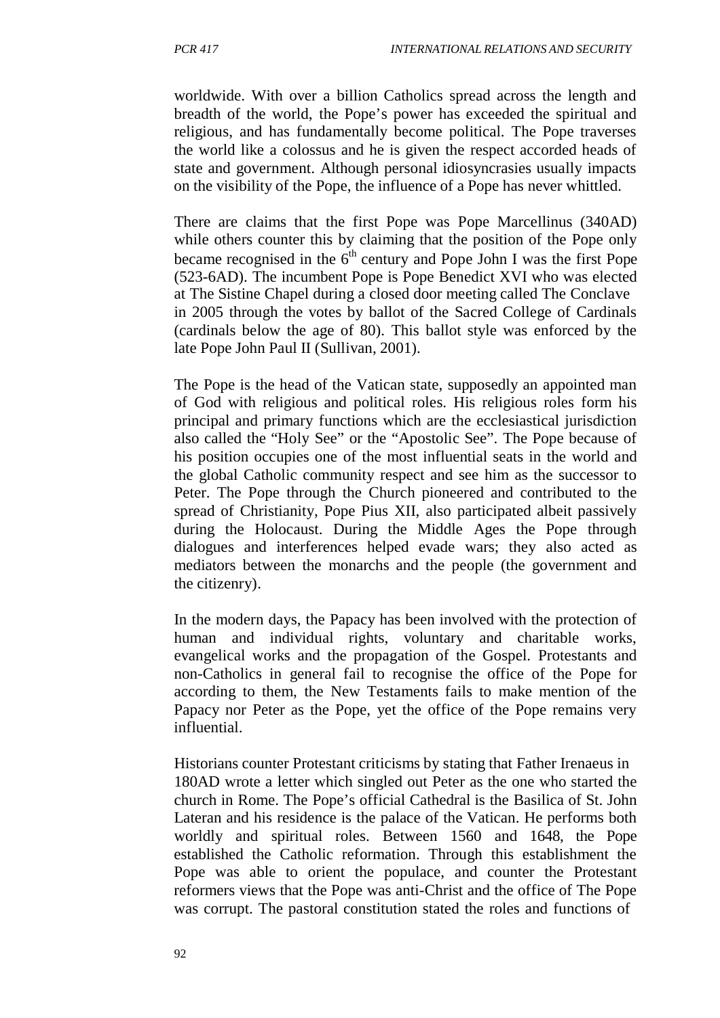worldwide. With over a billion Catholics spread across the length and breadth of the world, the Pope's power has exceeded the spiritual and religious, and has fundamentally become political. The Pope traverses the world like a colossus and he is given the respect accorded heads of state and government. Although personal idiosyncrasies usually impacts on the visibility of the Pope, the influence of a Pope has never whittled.

There are claims that the first Pope was Pope Marcellinus (340AD) while others counter this by claiming that the position of the Pope only became recognised in the  $6<sup>th</sup>$  century and Pope John I was the first Pope (523-6AD). The incumbent Pope is Pope Benedict XVI who was elected at The Sistine Chapel during a closed door meeting called The Conclave in 2005 through the votes by ballot of the Sacred College of Cardinals (cardinals below the age of 80). This ballot style was enforced by the late Pope John Paul II (Sullivan, 2001).

The Pope is the head of the Vatican state, supposedly an appointed man of God with religious and political roles. His religious roles form his principal and primary functions which are the ecclesiastical jurisdiction also called the "Holy See" or the "Apostolic See". The Pope because of his position occupies one of the most influential seats in the world and the global Catholic community respect and see him as the successor to Peter. The Pope through the Church pioneered and contributed to the spread of Christianity, Pope Pius XII, also participated albeit passively during the Holocaust. During the Middle Ages the Pope through dialogues and interferences helped evade wars; they also acted as mediators between the monarchs and the people (the government and the citizenry).

In the modern days, the Papacy has been involved with the protection of human and individual rights, voluntary and charitable works, evangelical works and the propagation of the Gospel. Protestants and non-Catholics in general fail to recognise the office of the Pope for according to them, the New Testaments fails to make mention of the Papacy nor Peter as the Pope, yet the office of the Pope remains very influential.

Historians counter Protestant criticisms by stating that Father Irenaeus in 180AD wrote a letter which singled out Peter as the one who started the church in Rome. The Pope's official Cathedral is the Basilica of St. John Lateran and his residence is the palace of the Vatican. He performs both worldly and spiritual roles. Between 1560 and 1648, the Pope established the Catholic reformation. Through this establishment the Pope was able to orient the populace, and counter the Protestant reformers views that the Pope was anti-Christ and the office of The Pope was corrupt. The pastoral constitution stated the roles and functions of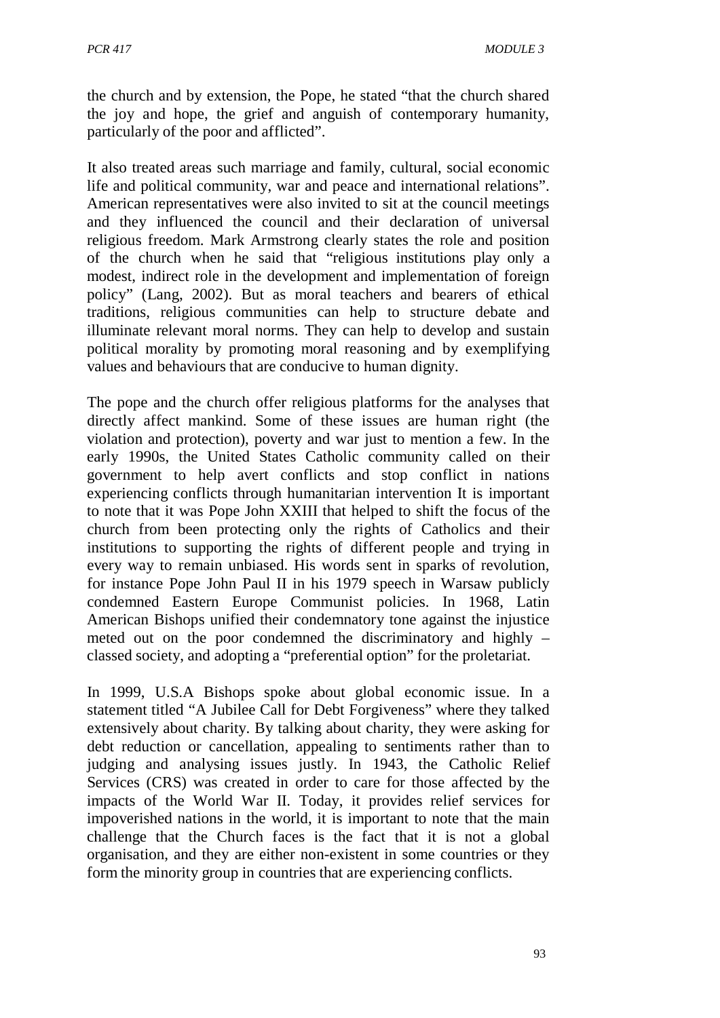the church and by extension, the Pope, he stated "that the church shared the joy and hope, the grief and anguish of contemporary humanity, particularly of the poor and afflicted".

It also treated areas such marriage and family, cultural, social economic life and political community, war and peace and international relations". American representatives were also invited to sit at the council meetings and they influenced the council and their declaration of universal religious freedom. Mark Armstrong clearly states the role and position of the church when he said that "religious institutions play only a modest, indirect role in the development and implementation of foreign policy" (Lang, 2002). But as moral teachers and bearers of ethical traditions, religious communities can help to structure debate and illuminate relevant moral norms. They can help to develop and sustain political morality by promoting moral reasoning and by exemplifying values and behaviours that are conducive to human dignity.

The pope and the church offer religious platforms for the analyses that directly affect mankind. Some of these issues are human right (the violation and protection), poverty and war just to mention a few. In the early 1990s, the United States Catholic community called on their government to help avert conflicts and stop conflict in nations experiencing conflicts through humanitarian intervention It is important to note that it was Pope John XXIII that helped to shift the focus of the church from been protecting only the rights of Catholics and their institutions to supporting the rights of different people and trying in every way to remain unbiased. His words sent in sparks of revolution, for instance Pope John Paul II in his 1979 speech in Warsaw publicly condemned Eastern Europe Communist policies. In 1968, Latin American Bishops unified their condemnatory tone against the injustice meted out on the poor condemned the discriminatory and highly – classed society, and adopting a "preferential option" for the proletariat.

In 1999, U.S.A Bishops spoke about global economic issue. In a statement titled "A Jubilee Call for Debt Forgiveness" where they talked extensively about charity. By talking about charity, they were asking for debt reduction or cancellation, appealing to sentiments rather than to judging and analysing issues justly. In 1943, the Catholic Relief Services (CRS) was created in order to care for those affected by the impacts of the World War II. Today, it provides relief services for impoverished nations in the world, it is important to note that the main challenge that the Church faces is the fact that it is not a global organisation, and they are either non-existent in some countries or they form the minority group in countries that are experiencing conflicts.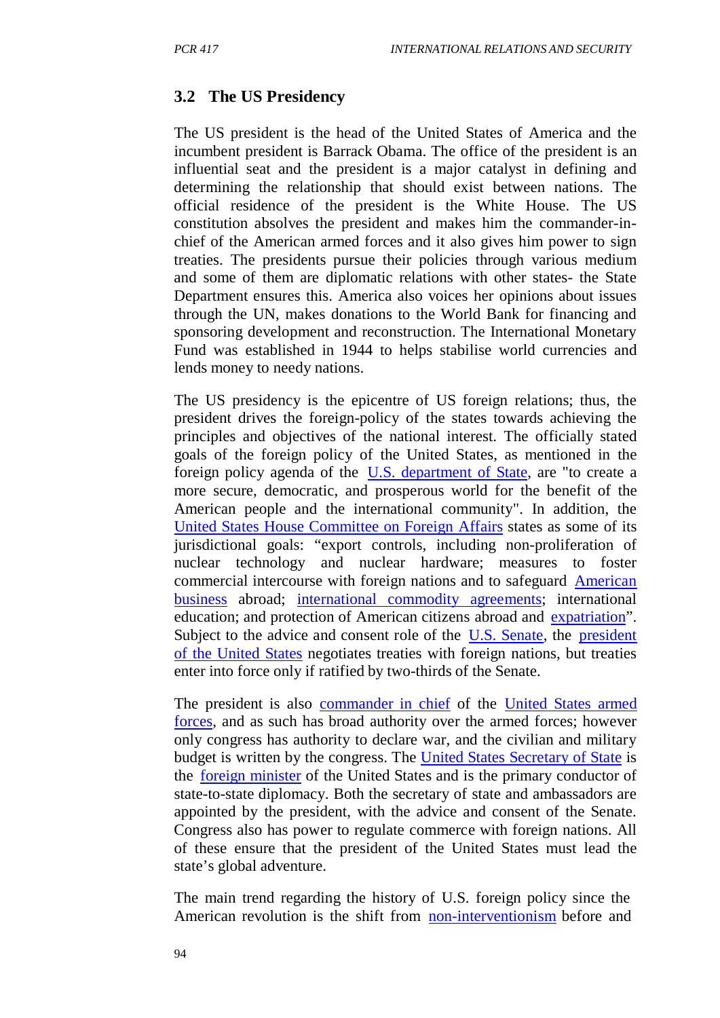## **3.2 The US Presidency**

The US president is the head of the United States of America and the incumbent president is Barrack Obama. The office of the president is an influential seat and the president is a major catalyst in defining and determining the relationship that should exist between nations. The official residence of the president is the White House. The US constitution absolves the president and makes him the commander-inchief of the American armed forces and it also gives him power to sign treaties. The presidents pursue their policies through various medium and some of them are diplomatic relations with other states- the State Department ensures this. America also voices her opinions about issues through the UN, makes donations to the World Bank for financing and sponsoring development and reconstruction. The International Monetary Fund was established in 1944 to helps stabilise world currencies and lends money to needy nations.

The US presidency is the epicentre of US foreign relations; thus, the president drives the foreign-policy of the states towards achieving the principles and objectives of the national interest. The officially stated goals of the foreign policy of the United States, as mentioned in the foreign policy agenda of the U.S. department of State, are "to create a more secure, democratic, and prosperous world for the benefit of the American people and the international community". In addition, the United States House Committee on Foreign Affairs states as some of its jurisdictional goals: "export controls, including non-proliferation of nuclear technology and nuclear hardware; measures to foster commercial intercourse with foreign nations and to safeguard American business abroad; international commodity agreements; international education; and protection of American citizens abroad and expatriation". Subject to the advice and consent role of the U.S. Senate, the president of the United States negotiates treaties with foreign nations, but treaties enter into force only if ratified by two-thirds of the Senate.

The president is also commander in chief of the United States armed forces, and as such has broad authority over the armed forces; however only congress has authority to declare war, and the civilian and military budget is written by the congress. The United States Secretary of State is the foreign minister of the United States and is the primary conductor of state-to-state diplomacy. Both the secretary of state and ambassadors are appointed by the president, with the advice and consent of the Senate. Congress also has power to regulate commerce with foreign nations. All of these ensure that the president of the United States must lead the state's global adventure.

The main trend regarding the history of U.S. foreign policy since the American revolution is the shift from non-interventionism before and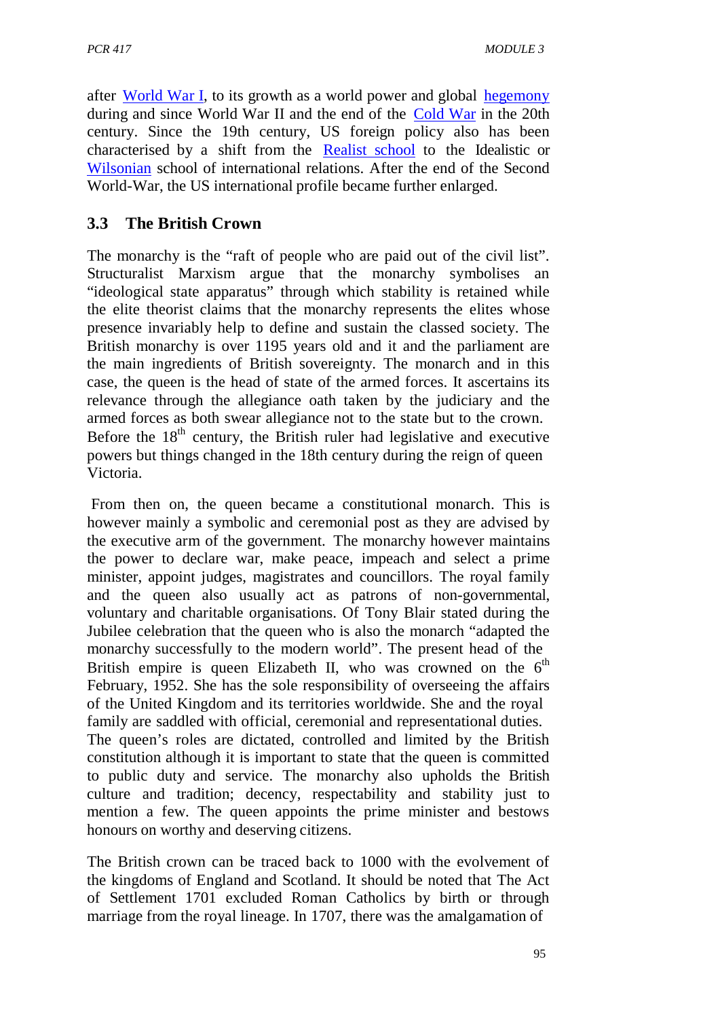after World War I, to its growth as a world power and global hegemony during and since World War II and the end of the Cold War in the 20th century. Since the 19th century, US foreign policy also has been characterised by a shift from the Realist school to the Idealistic or Wilsonian school of international relations. After the end of the Second World-War, the US international profile became further enlarged.

## **3.3 The British Crown**

The monarchy is the "raft of people who are paid out of the civil list". Structuralist Marxism argue that the monarchy symbolises an "ideological state apparatus" through which stability is retained while the elite theorist claims that the monarchy represents the elites whose presence invariably help to define and sustain the classed society. The British monarchy is over 1195 years old and it and the parliament are the main ingredients of British sovereignty. The monarch and in this case, the queen is the head of state of the armed forces. It ascertains its relevance through the allegiance oath taken by the judiciary and the armed forces as both swear allegiance not to the state but to the crown. Before the  $18<sup>th</sup>$  century, the British ruler had legislative and executive powers but things changed in the 18th century during the reign of queen Victoria.

From then on, the queen became a constitutional monarch. This is however mainly a symbolic and ceremonial post as they are advised by the executive arm of the government. The monarchy however maintains the power to declare war, make peace, impeach and select a prime minister, appoint judges, magistrates and councillors. The royal family and the queen also usually act as patrons of non-governmental, voluntary and charitable organisations. Of Tony Blair stated during the Jubilee celebration that the queen who is also the monarch "adapted the monarchy successfully to the modern world". The present head of the British empire is queen Elizabeth II, who was crowned on the  $6<sup>th</sup>$ February, 1952. She has the sole responsibility of overseeing the affairs of the United Kingdom and its territories worldwide. She and the royal family are saddled with official, ceremonial and representational duties. The queen's roles are dictated, controlled and limited by the British constitution although it is important to state that the queen is committed to public duty and service. The monarchy also upholds the British culture and tradition; decency, respectability and stability just to mention a few. The queen appoints the prime minister and bestows honours on worthy and deserving citizens.

The British crown can be traced back to 1000 with the evolvement of the kingdoms of England and Scotland. It should be noted that The Act of Settlement 1701 excluded Roman Catholics by birth or through marriage from the royal lineage. In 1707, there was the amalgamation of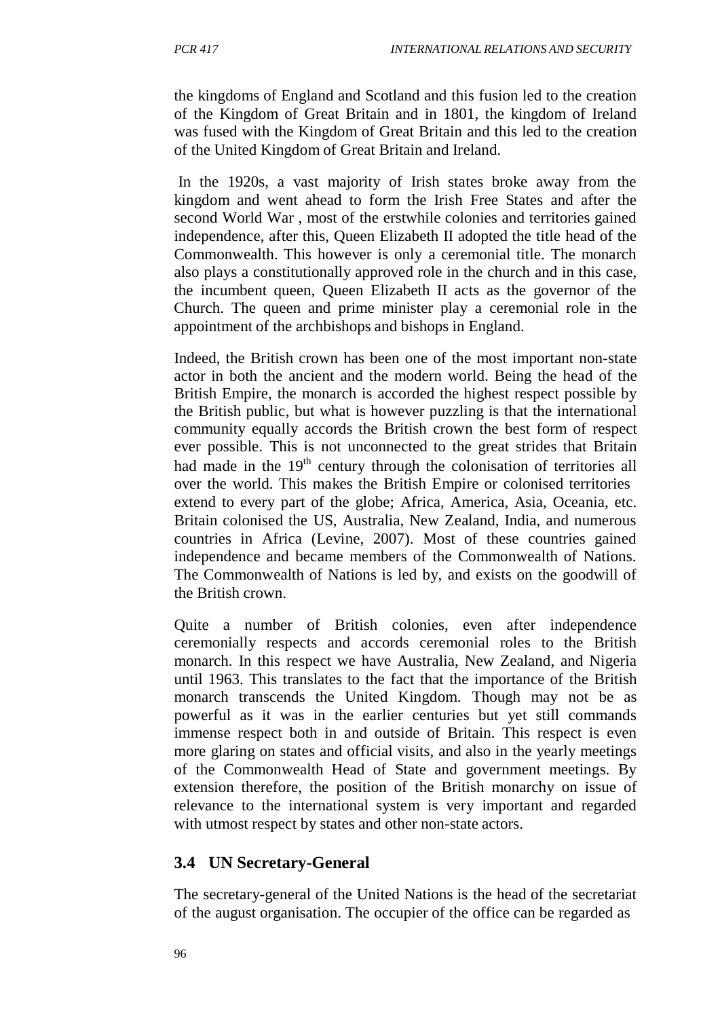the kingdoms of England and Scotland and this fusion led to the creation of the Kingdom of Great Britain and in 1801, the kingdom of Ireland was fused with the Kingdom of Great Britain and this led to the creation of the United Kingdom of Great Britain and Ireland.

In the 1920s, a vast majority of Irish states broke away from the kingdom and went ahead to form the Irish Free States and after the second World War , most of the erstwhile colonies and territories gained independence, after this, Queen Elizabeth II adopted the title head of the Commonwealth. This however is only a ceremonial title. The monarch also plays a constitutionally approved role in the church and in this case, the incumbent queen, Queen Elizabeth II acts as the governor of the Church. The queen and prime minister play a ceremonial role in the appointment of the archbishops and bishops in England.

Indeed, the British crown has been one of the most important non-state actor in both the ancient and the modern world. Being the head of the British Empire, the monarch is accorded the highest respect possible by the British public, but what is however puzzling is that the international community equally accords the British crown the best form of respect ever possible. This is not unconnected to the great strides that Britain had made in the  $19<sup>th</sup>$  century through the colonisation of territories all over the world. This makes the British Empire or colonised territories extend to every part of the globe; Africa, America, Asia, Oceania, etc. Britain colonised the US, Australia, New Zealand, India, and numerous countries in Africa (Levine, 2007). Most of these countries gained independence and became members of the Commonwealth of Nations. The Commonwealth of Nations is led by, and exists on the goodwill of the British crown.

Quite a number of British colonies, even after independence ceremonially respects and accords ceremonial roles to the British monarch. In this respect we have Australia, New Zealand, and Nigeria until 1963. This translates to the fact that the importance of the British monarch transcends the United Kingdom. Though may not be as powerful as it was in the earlier centuries but yet still commands immense respect both in and outside of Britain. This respect is even more glaring on states and official visits, and also in the yearly meetings of the Commonwealth Head of State and government meetings. By extension therefore, the position of the British monarchy on issue of relevance to the international system is very important and regarded with utmost respect by states and other non-state actors.

## **3.4 UN Secretary-General**

The secretary-general of the United Nations is the head of the secretariat of the august organisation. The occupier of the office can be regarded as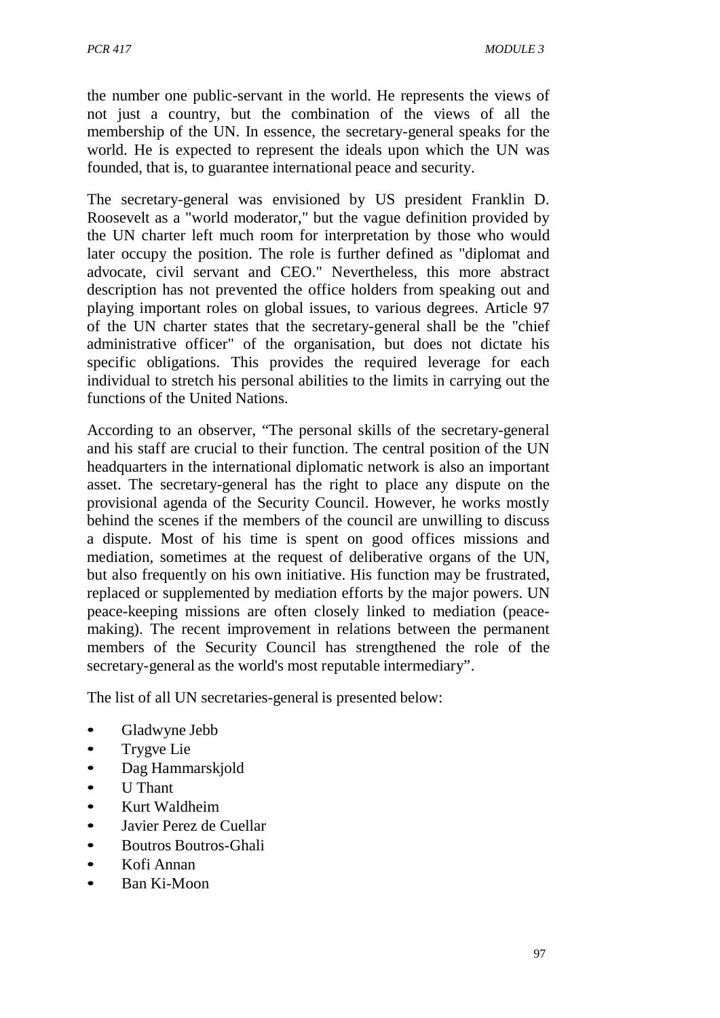the number one public-servant in the world. He represents the views of not just a country, but the combination of the views of all the membership of the UN. In essence, the secretary-general speaks for the world. He is expected to represent the ideals upon which the UN was founded, that is, to guarantee international peace and security.

The secretary-general was envisioned by US president Franklin D. Roosevelt as a "world moderator," but the vague definition provided by the UN charter left much room for interpretation by those who would later occupy the position. The role is further defined as "diplomat and advocate, civil servant and CEO." Nevertheless, this more abstract description has not prevented the office holders from speaking out and playing important roles on global issues, to various degrees. Article 97 of the UN charter states that the secretary-general shall be the "chief administrative officer" of the organisation, but does not dictate his specific obligations. This provides the required leverage for each individual to stretch his personal abilities to the limits in carrying out the functions of the United Nations.

According to an observer, "The personal skills of the secretary-general and his staff are crucial to their function. The central position of the UN headquarters in the international diplomatic network is also an important asset. The secretary-general has the right to place any dispute on the provisional agenda of the Security Council. However, he works mostly behind the scenes if the members of the council are unwilling to discuss a dispute. Most of his time is spent on good offices missions and mediation, sometimes at the request of deliberative organs of the UN, but also frequently on his own initiative. His function may be frustrated, replaced or supplemented by mediation efforts by the major powers. UN peace-keeping missions are often closely linked to mediation (peacemaking). The recent improvement in relations between the permanent members of the Security Council has strengthened the role of the secretary-general as the world's most reputable intermediary".

The list of all UN secretaries-general is presented below:

- Gladwyne Jebb
- Trygve Lie
- Dag Hammarskjold
- U Thant
- Kurt Waldheim
- Javier Perez de Cuellar
- Boutros Boutros-Ghali
- Kofi Annan
- Ban Ki-Moon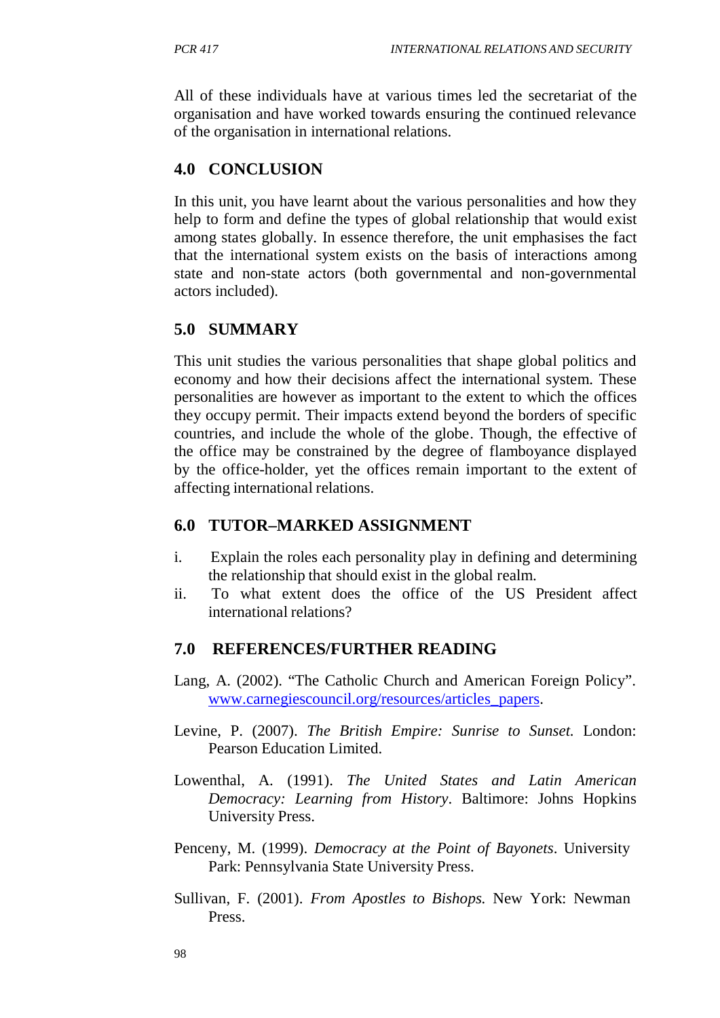All of these individuals have at various times led the secretariat of the organisation and have worked towards ensuring the continued relevance of the organisation in international relations.

## **4.0 CONCLUSION**

In this unit, you have learnt about the various personalities and how they help to form and define the types of global relationship that would exist among states globally. In essence therefore, the unit emphasises the fact that the international system exists on the basis of interactions among state and non-state actors (both governmental and non-governmental actors included).

## **5.0 SUMMARY**

This unit studies the various personalities that shape global politics and economy and how their decisions affect the international system. These personalities are however as important to the extent to which the offices they occupy permit. Their impacts extend beyond the borders of specific countries, and include the whole of the globe. Though, the effective of the office may be constrained by the degree of flamboyance displayed by the office-holder, yet the offices remain important to the extent of affecting international relations.

## **6.0 TUTOR–MARKED ASSIGNMENT**

- i. Explain the roles each personality play in defining and determining the relationship that should exist in the global realm.
- ii. To what extent does the office of the US President affect international relations?

## **7.0 REFERENCES/FURTHER READING**

- Lang, A. (2002). "The Catholic Church and American Foreign Policy". [www.carnegiescouncil.org/resources/articles\\_papers.](http://www.carnegiescouncil.org/resources/articles_papers)
- Levine, P. (2007). *The British Empire: Sunrise to Sunset.* London: Pearson Education Limited.
- Lowenthal, A. (1991). *The United States and Latin American Democracy: Learning from History*. Baltimore: Johns Hopkins University Press.
- Penceny, M. (1999). *Democracy at the Point of Bayonets*. University Park: Pennsylvania State University Press.
- Sullivan, F. (2001). *From Apostles to Bishops.* New York: Newman Press.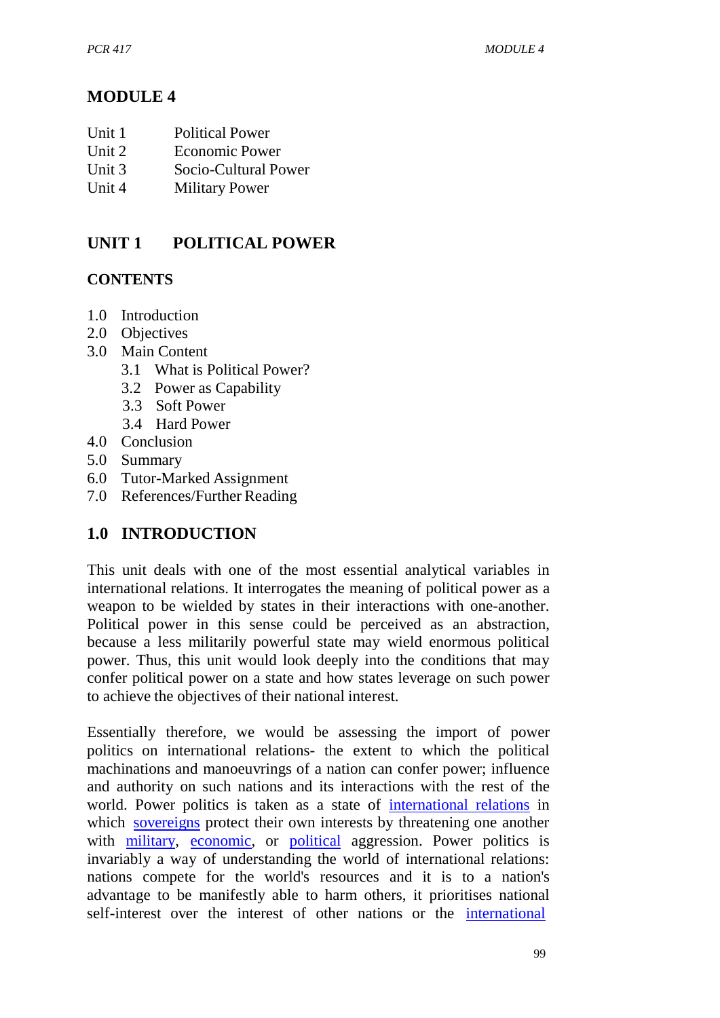# **MODULE 4**

- Unit 2 Economic Power<br>
Unit 3 Socio-Cultural Po
- Socio-Cultural Power
- Unit 4 Military Power

# **UNIT 1 POLITICAL POWER**

## **CONTENTS**

- 1.0 Introduction
- 2.0 Objectives
- 3.0 Main Content
	- 3.1 What is Political Power?
	- 3.2 Power as Capability
	- 3.3 Soft Power
	- 3.4 Hard Power
- 4.0 Conclusion
- 5.0 Summary
- 6.0 Tutor-Marked Assignment
- 7.0 References/Further Reading

# **1.0 INTRODUCTION**

This unit deals with one of the most essential analytical variables in international relations. It interrogates the meaning of political power as a weapon to be wielded by states in their interactions with one-another. Political power in this sense could be perceived as an abstraction, because a less militarily powerful state may wield enormous political power. Thus, this unit would look deeply into the conditions that may confer political power on a state and how states leverage on such power to achieve the objectives of their national interest.

Essentially therefore, we would be assessing the import of power politics on international relations- the extent to which the political machinations and manoeuvrings of a nation can confer power; influence and authority on such nations and its interactions with the rest of the world. Power politics is taken as a state of international relations in which sovereigns protect their own interests by threatening one another with military, economic, or political aggression. Power politics is invariably a way of understanding the world of international relations: nations compete for the world's resources and it is to a nation's advantage to be manifestly able to harm others, it prioritises national self-interest over the interest of other nations or the international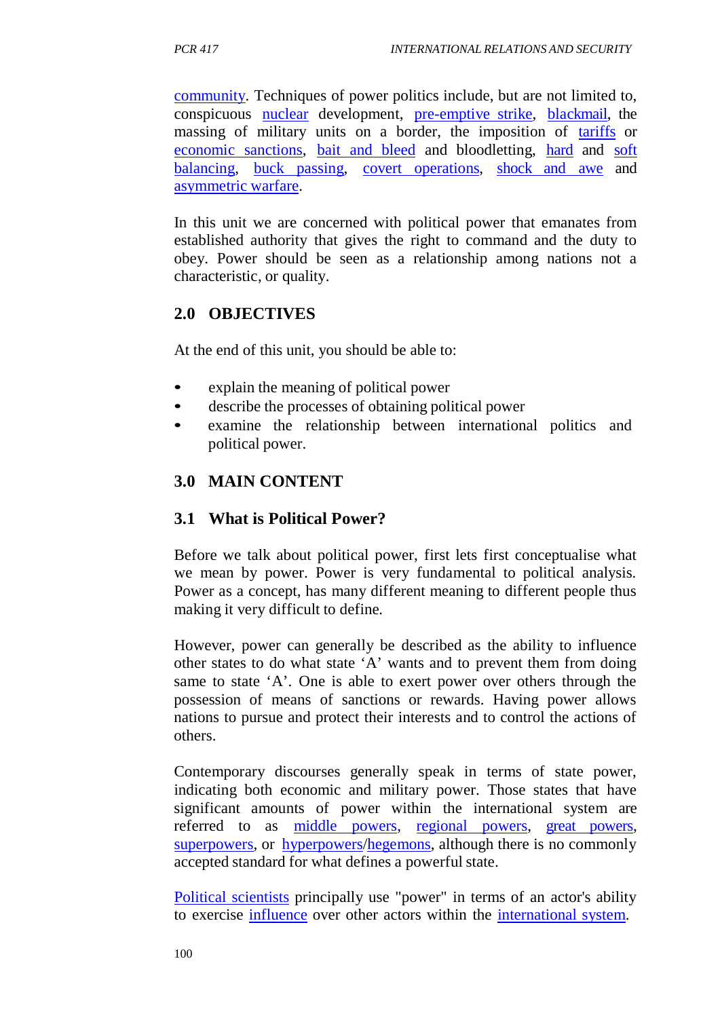community. Techniques of power politics include, but are not limited to, conspicuous nuclear development, pre-emptive strike, blackmail, the massing of military units on a border, the imposition of tariffs or economic sanctions, bait and bleed and bloodletting, hard and soft balancing, buck passing, covert operations, shock and awe and asymmetric warfare.

In this unit we are concerned with political power that emanates from established authority that gives the right to command and the duty to obey. Power should be seen as a relationship among nations not a characteristic, or quality.

## **2.0 OBJECTIVES**

At the end of this unit, you should be able to:

- explain the meaning of political power
- describe the processes of obtaining political power
- examine the relationship between international politics and political power.

# **3.0 MAIN CONTENT**

## **3.1 What is Political Power?**

Before we talk about political power, first lets first conceptualise what we mean by power. Power is very fundamental to political analysis. Power as a concept, has many different meaning to different people thus making it very difficult to define.

However, power can generally be described as the ability to influence other states to do what state 'A' wants and to prevent them from doing same to state 'A'. One is able to exert power over others through the possession of means of sanctions or rewards. Having power allows nations to pursue and protect their interests and to control the actions of others.

Contemporary discourses generally speak in terms of state power, indicating both economic and military power. Those states that have significant amounts of power within the international system are referred to as middle powers, regional powers, great powers, superpowers, or hyperpowers/hegemons, although there is no commonly accepted standard for what defines a powerful state.

Political scientists principally use "power" in terms of an actor's ability to exercise influence over other actors within the international system.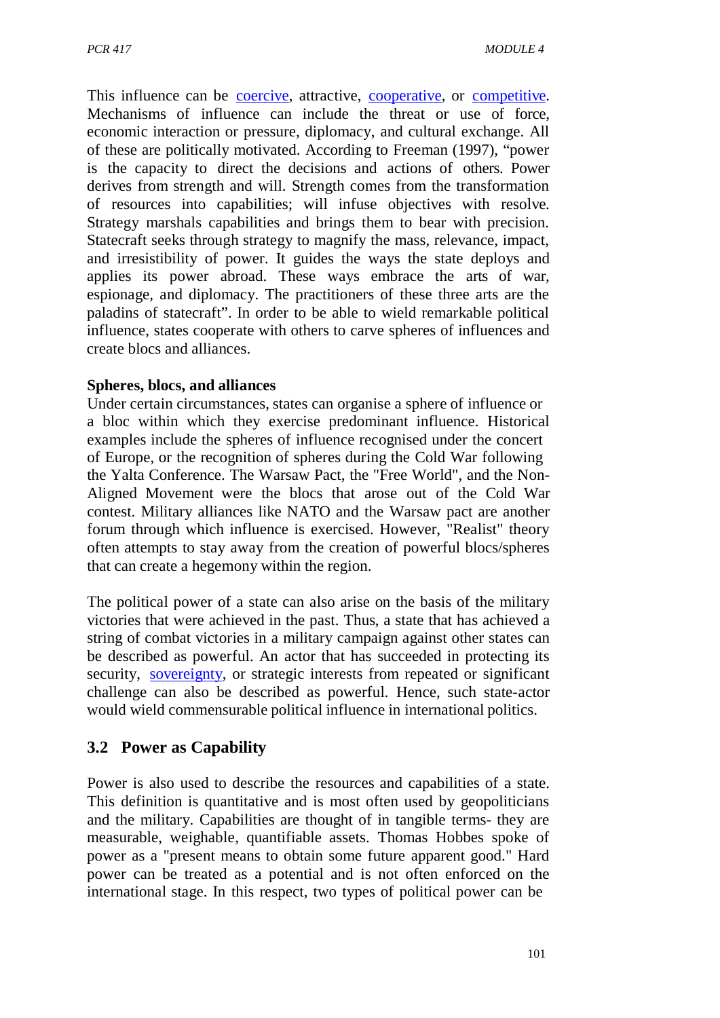This influence can be coercive, attractive, cooperative, or competitive. Mechanisms of influence can include the threat or use of force, economic interaction or pressure, diplomacy, and cultural exchange. All of these are politically motivated. According to Freeman (1997), "power is the capacity to direct the decisions and actions of others. Power derives from strength and will. Strength comes from the transformation of resources into capabilities; will infuse objectives with resolve. Strategy marshals capabilities and brings them to bear with precision. Statecraft seeks through strategy to magnify the mass, relevance, impact, and irresistibility of power. It guides the ways the state deploys and applies its power abroad. These ways embrace the arts of war, espionage, and diplomacy. The practitioners of these three arts are the paladins of statecraft". In order to be able to wield remarkable political influence, states cooperate with others to carve spheres of influences and create blocs and alliances.

#### **Spheres, blocs, and alliances**

Under certain circumstances, states can organise a sphere of influence or a bloc within which they exercise predominant influence. Historical examples include the spheres of influence recognised under the concert of Europe, or the recognition of spheres during the Cold War following the Yalta Conference. The Warsaw Pact, the "Free World", and the Non-Aligned Movement were the blocs that arose out of the Cold War contest. Military alliances like NATO and the Warsaw pact are another forum through which influence is exercised. However, "Realist" theory often attempts to stay away from the creation of powerful blocs/spheres that can create a hegemony within the region.

The political power of a state can also arise on the basis of the military victories that were achieved in the past. Thus, a state that has achieved a string of combat victories in a military campaign against other states can be described as powerful. An actor that has succeeded in protecting its security, sovereignty, or strategic interests from repeated or significant challenge can also be described as powerful. Hence, such state-actor would wield commensurable political influence in international politics.

# **3.2 Power as Capability**

Power is also used to describe the resources and capabilities of a state. This definition is quantitative and is most often used by geopoliticians and the military. Capabilities are thought of in tangible terms- they are measurable, weighable, quantifiable assets. Thomas Hobbes spoke of power as a "present means to obtain some future apparent good." Hard power can be treated as a potential and is not often enforced on the international stage. In this respect, two types of political power can be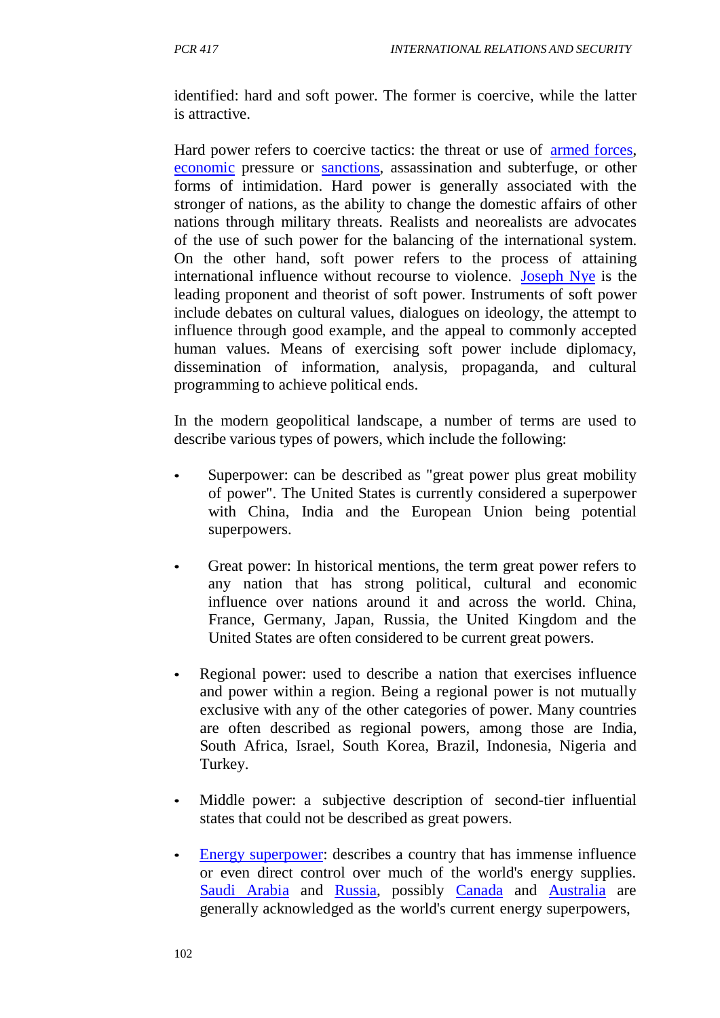identified: hard and soft power. The former is coercive, while the latter is attractive.

Hard power refers to coercive tactics: the threat or use of armed forces, economic pressure or sanctions, assassination and subterfuge, or other forms of intimidation. Hard power is generally associated with the stronger of nations, as the ability to change the domestic affairs of other nations through military threats. Realists and neorealists are advocates of the use of such power for the balancing of the international system. On the other hand, soft power refers to the process of attaining international influence without recourse to violence. Joseph Nye is the leading proponent and theorist of soft power. Instruments of soft power include debates on cultural values, dialogues on ideology, the attempt to influence through good example, and the appeal to commonly accepted human values. Means of exercising soft power include diplomacy, dissemination of information, analysis, propaganda, and cultural programming to achieve political ends.

In the modern geopolitical landscape, a number of terms are used to describe various types of powers, which include the following:

- Superpower: can be described as "great power plus great mobility" of power". The United States is currently considered a superpower with China, India and the European Union being potential superpowers.
- Great power: In historical mentions, the term great power refers to any nation that has strong political, cultural and economic influence over nations around it and across the world. China, France, Germany, Japan, Russia, the United Kingdom and the United States are often considered to be current great powers.
- Regional power: used to describe a nation that exercises influence and power within a region. Being a regional power is not mutually exclusive with any of the other categories of power. Many countries are often described as regional powers, among those are India, South Africa, Israel, South Korea, Brazil, Indonesia, Nigeria and Turkey.
- Middle power: a subjective description of second-tier influential states that could not be described as great powers.
- Energy superpower: describes a country that has immense influence or even direct control over much of the world's energy supplies. Saudi Arabia and Russia, possibly Canada and Australia are generally acknowledged as the world's current energy superpowers,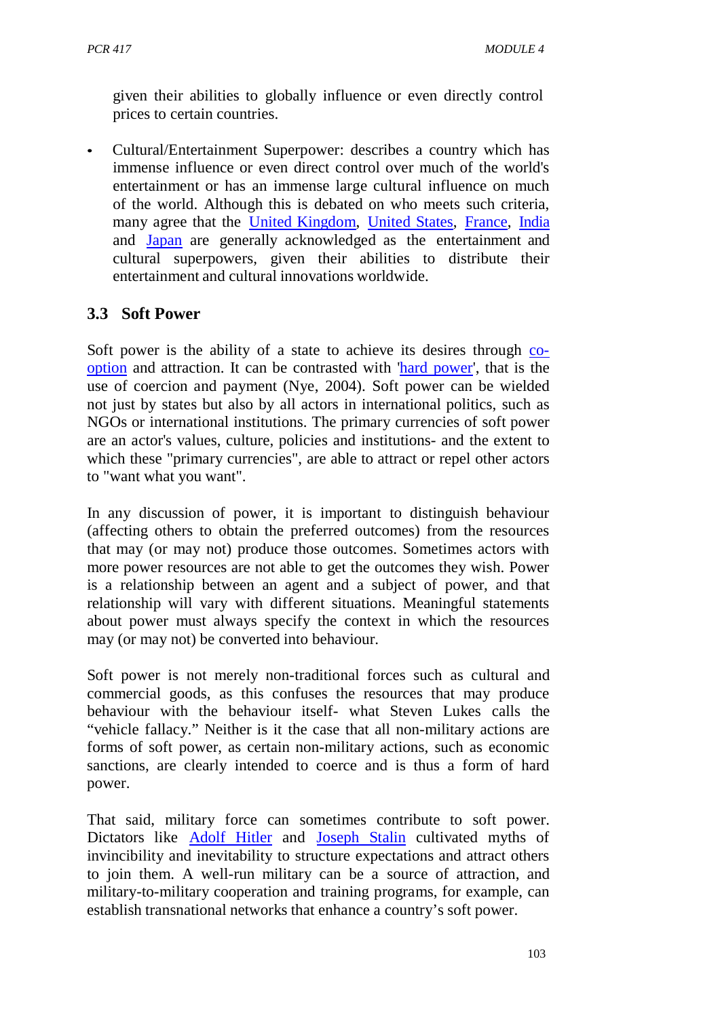given their abilities to globally influence or even directly control prices to certain countries.

• Cultural/Entertainment Superpower: describes a country which has immense influence or even direct control over much of the world's entertainment or has an immense large cultural influence on much of the world. Although this is debated on who meets such criteria, many agree that the United Kingdom, United States, France, India and Japan are generally acknowledged as the entertainment and cultural superpowers, given their abilities to distribute their entertainment and cultural innovations worldwide.

## **3.3 Soft Power**

Soft power is the ability of a state to achieve its desires through cooption and attraction. It can be contrasted with 'hard power', that is the use of coercion and payment (Nye, 2004). Soft power can be wielded not just by states but also by all actors in international politics, such as NGOs or international institutions. The primary currencies of soft power are an actor's values, culture, policies and institutions- and the extent to which these "primary currencies", are able to attract or repel other actors to "want what you want".

In any discussion of power, it is important to distinguish behaviour (affecting others to obtain the preferred outcomes) from the resources that may (or may not) produce those outcomes. Sometimes actors with more power resources are not able to get the outcomes they wish. Power is a relationship between an agent and a subject of power, and that relationship will vary with different situations. Meaningful statements about power must always specify the context in which the resources may (or may not) be converted into behaviour.

Soft power is not merely non-traditional forces such as cultural and commercial goods, as this confuses the resources that may produce behaviour with the behaviour itself- what Steven Lukes calls the "vehicle fallacy." Neither is it the case that all non-military actions are forms of soft power, as certain non-military actions, such as economic sanctions, are clearly intended to coerce and is thus a form of hard power.

That said, military force can sometimes contribute to soft power. Dictators like Adolf Hitler and Joseph Stalin cultivated myths of invincibility and inevitability to structure expectations and attract others to join them. A well-run military can be a source of attraction, and military-to-military cooperation and training programs, for example, can establish transnational networks that enhance a country's soft power.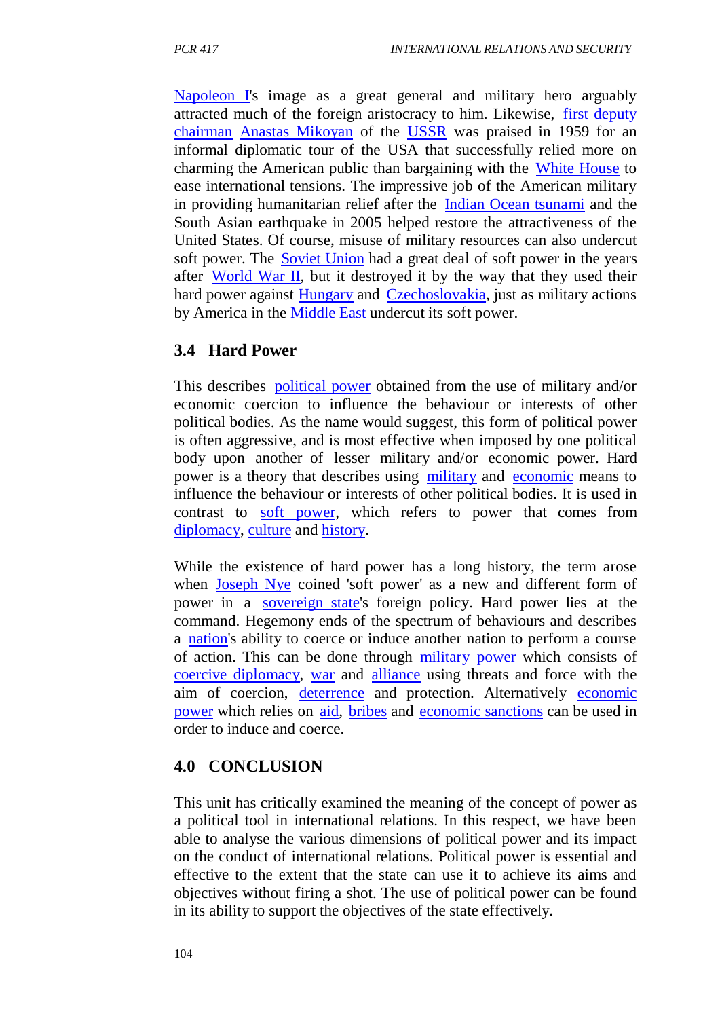Napoleon I's image as a great general and military hero arguably attracted much of the foreign aristocracy to him. Likewise, first deputy chairman Anastas Mikoyan of the USSR was praised in 1959 for an informal diplomatic tour of the USA that successfully relied more on charming the American public than bargaining with the White House to ease international tensions. The impressive job of the American military in providing humanitarian relief after the Indian Ocean tsunami and the South Asian earthquake in 2005 helped restore the attractiveness of the United States. Of course, misuse of military resources can also undercut soft power. The Soviet Union had a great deal of soft power in the years after World War II, but it destroyed it by the way that they used their hard power against Hungary and Czechoslovakia, just as military actions by America in the Middle East undercut its soft power.

## **3.4 Hard Power**

This describes political power obtained from the use of military and/or economic coercion to influence the behaviour or interests of other political bodies. As the name would suggest, this form of political power is often aggressive, and is most effective when imposed by one political body upon another of lesser military and/or economic power. Hard power is a theory that describes using military and economic means to influence the behaviour or interests of other political bodies. It is used in contrast to soft power, which refers to power that comes from diplomacy, culture and history.

While the existence of hard power has a long history, the term arose when Joseph Nye coined 'soft power' as a new and different form of power in a sovereign state's foreign policy. Hard power lies at the command. Hegemony ends of the spectrum of behaviours and describes a nation's ability to coerce or induce another nation to perform a course of action. This can be done through military power which consists of coercive diplomacy, war and alliance using threats and force with the aim of coercion, deterrence and protection. Alternatively economic power which relies on aid, bribes and economic sanctions can be used in order to induce and coerce.

## **4.0 CONCLUSION**

This unit has critically examined the meaning of the concept of power as a political tool in international relations. In this respect, we have been able to analyse the various dimensions of political power and its impact on the conduct of international relations. Political power is essential and effective to the extent that the state can use it to achieve its aims and objectives without firing a shot. The use of political power can be found in its ability to support the objectives of the state effectively.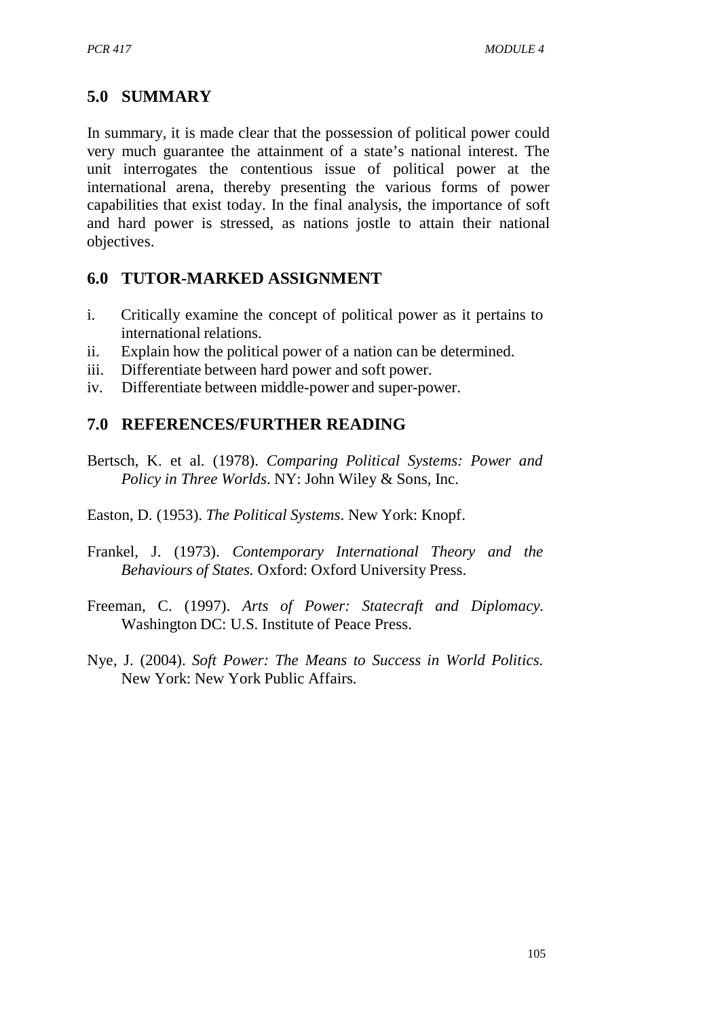# **5.0 SUMMARY**

In summary, it is made clear that the possession of political power could very much guarantee the attainment of a state's national interest. The unit interrogates the contentious issue of political power at the international arena, thereby presenting the various forms of power capabilities that exist today. In the final analysis, the importance of soft and hard power is stressed, as nations jostle to attain their national objectives.

## **6.0 TUTOR-MARKED ASSIGNMENT**

- i. Critically examine the concept of political power as it pertains to international relations.
- ii. Explain how the political power of a nation can be determined.
- iii. Differentiate between hard power and soft power.
- iv. Differentiate between middle-power and super-power.

# **7.0 REFERENCES/FURTHER READING**

- Bertsch, K. et al. (1978). *Comparing Political Systems: Power and Policy in Three Worlds*. NY: John Wiley & Sons, Inc.
- Easton, D. (1953). *The Political Systems*. New York: Knopf.
- Frankel, J. (1973). *Contemporary International Theory and the Behaviours of States.* Oxford: Oxford University Press.
- Freeman, C. (1997). *Arts of Power: Statecraft and Diplomacy.* Washington DC: U.S. Institute of Peace Press.
- Nye, J. (2004). *Soft Power: The Means to Success in World Politics.* New York: New York Public Affairs.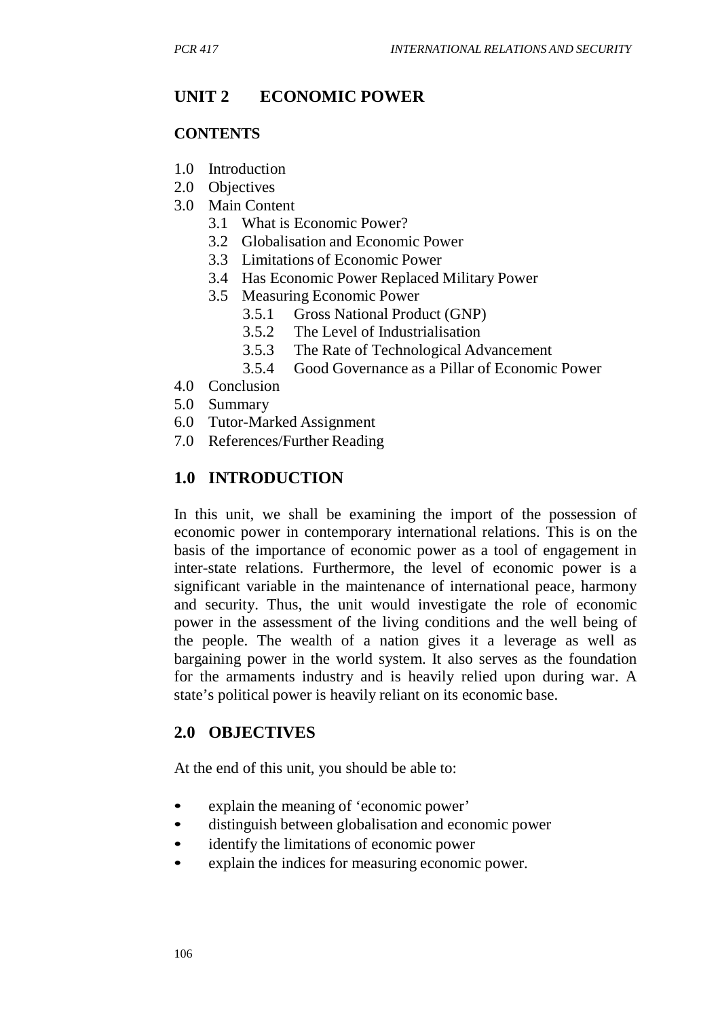# **UNIT 2 ECONOMIC POWER**

#### **CONTENTS**

- 1.0 Introduction
- 2.0 Objectives
- 3.0 Main Content
	- 3.1 What is Economic Power?
	- 3.2 Globalisation and Economic Power
	- 3.3 Limitations of Economic Power
	- 3.4 Has Economic Power Replaced Military Power
	- 3.5 Measuring Economic Power
		- 3.5.1 Gross National Product (GNP)
		- 3.5.2 The Level of Industrialisation
		- 3.5.3 The Rate of Technological Advancement
		- 3.5.4 Good Governance as a Pillar of Economic Power
- 4.0 Conclusion
- 5.0 Summary
- 6.0 Tutor-Marked Assignment
- 7.0 References/Further Reading

# **1.0 INTRODUCTION**

In this unit, we shall be examining the import of the possession of economic power in contemporary international relations. This is on the basis of the importance of economic power as a tool of engagement in inter-state relations. Furthermore, the level of economic power is a significant variable in the maintenance of international peace, harmony and security. Thus, the unit would investigate the role of economic power in the assessment of the living conditions and the well being of the people. The wealth of a nation gives it a leverage as well as bargaining power in the world system. It also serves as the foundation for the armaments industry and is heavily relied upon during war. A state's political power is heavily reliant on its economic base.

## **2.0 OBJECTIVES**

At the end of this unit, you should be able to:

- explain the meaning of 'economic power'
- distinguish between globalisation and economic power
- identify the limitations of economic power
- explain the indices for measuring economic power.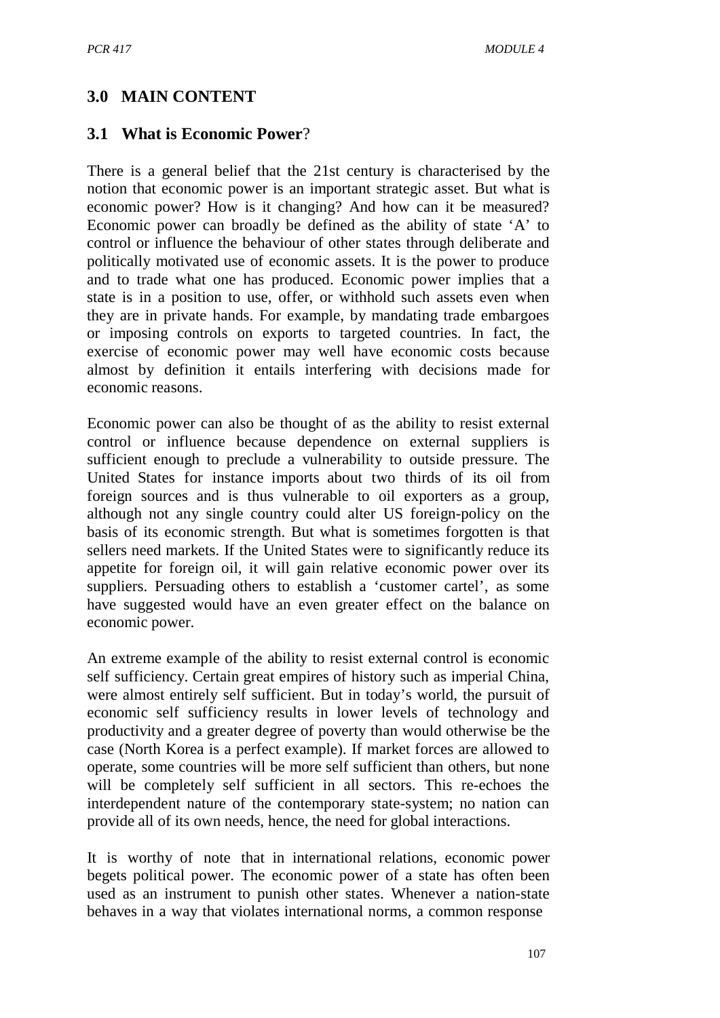## **3.0 MAIN CONTENT**

#### **3.1 What is Economic Power**?

There is a general belief that the 21st century is characterised by the notion that economic power is an important strategic asset. But what is economic power? How is it changing? And how can it be measured? Economic power can broadly be defined as the ability of state 'A' to control or influence the behaviour of other states through deliberate and politically motivated use of economic assets. It is the power to produce and to trade what one has produced. Economic power implies that a state is in a position to use, offer, or withhold such assets even when they are in private hands. For example, by mandating trade embargoes or imposing controls on exports to targeted countries. In fact, the exercise of economic power may well have economic costs because almost by definition it entails interfering with decisions made for economic reasons.

Economic power can also be thought of as the ability to resist external control or influence because dependence on external suppliers is sufficient enough to preclude a vulnerability to outside pressure. The United States for instance imports about two thirds of its oil from foreign sources and is thus vulnerable to oil exporters as a group, although not any single country could alter US foreign-policy on the basis of its economic strength. But what is sometimes forgotten is that sellers need markets. If the United States were to significantly reduce its appetite for foreign oil, it will gain relative economic power over its suppliers. Persuading others to establish a 'customer cartel', as some have suggested would have an even greater effect on the balance on economic power.

An extreme example of the ability to resist external control is economic self sufficiency. Certain great empires of history such as imperial China, were almost entirely self sufficient. But in today's world, the pursuit of economic self sufficiency results in lower levels of technology and productivity and a greater degree of poverty than would otherwise be the case (North Korea is a perfect example). If market forces are allowed to operate, some countries will be more self sufficient than others, but none will be completely self sufficient in all sectors. This re-echoes the interdependent nature of the contemporary state-system; no nation can provide all of its own needs, hence, the need for global interactions.

It is worthy of note that in international relations, economic power begets political power. The economic power of a state has often been used as an instrument to punish other states. Whenever a nation-state behaves in a way that violates international norms, a common response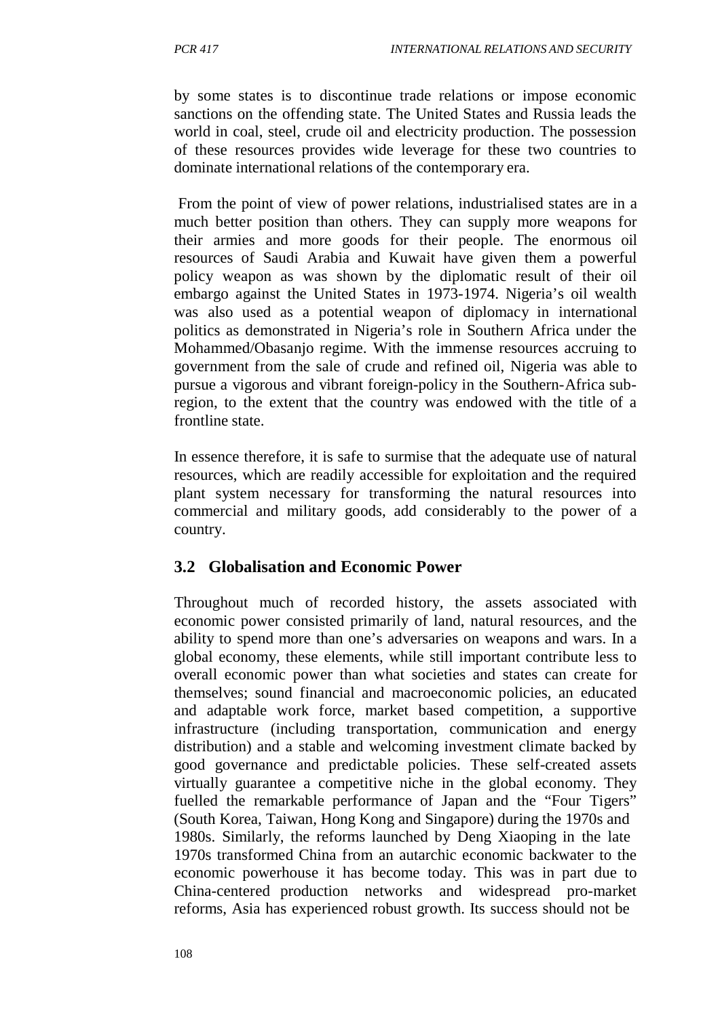by some states is to discontinue trade relations or impose economic sanctions on the offending state. The United States and Russia leads the world in coal, steel, crude oil and electricity production. The possession of these resources provides wide leverage for these two countries to dominate international relations of the contemporary era.

From the point of view of power relations, industrialised states are in a much better position than others. They can supply more weapons for their armies and more goods for their people. The enormous oil resources of Saudi Arabia and Kuwait have given them a powerful policy weapon as was shown by the diplomatic result of their oil embargo against the United States in 1973-1974. Nigeria's oil wealth was also used as a potential weapon of diplomacy in international politics as demonstrated in Nigeria's role in Southern Africa under the Mohammed/Obasanjo regime. With the immense resources accruing to government from the sale of crude and refined oil, Nigeria was able to pursue a vigorous and vibrant foreign-policy in the Southern-Africa subregion, to the extent that the country was endowed with the title of a frontline state.

In essence therefore, it is safe to surmise that the adequate use of natural resources, which are readily accessible for exploitation and the required plant system necessary for transforming the natural resources into commercial and military goods, add considerably to the power of a country.

## **3.2 Globalisation and Economic Power**

Throughout much of recorded history, the assets associated with economic power consisted primarily of land, natural resources, and the ability to spend more than one's adversaries on weapons and wars. In a global economy, these elements, while still important contribute less to overall economic power than what societies and states can create for themselves; sound financial and macroeconomic policies, an educated and adaptable work force, market based competition, a supportive infrastructure (including transportation, communication and energy distribution) and a stable and welcoming investment climate backed by good governance and predictable policies. These self-created assets virtually guarantee a competitive niche in the global economy. They fuelled the remarkable performance of Japan and the "Four Tigers" (South Korea, Taiwan, Hong Kong and Singapore) during the 1970s and 1980s. Similarly, the reforms launched by Deng Xiaoping in the late 1970s transformed China from an autarchic economic backwater to the economic powerhouse it has become today. This was in part due to China-centered production networks and widespread pro-market reforms, Asia has experienced robust growth. Its success should not be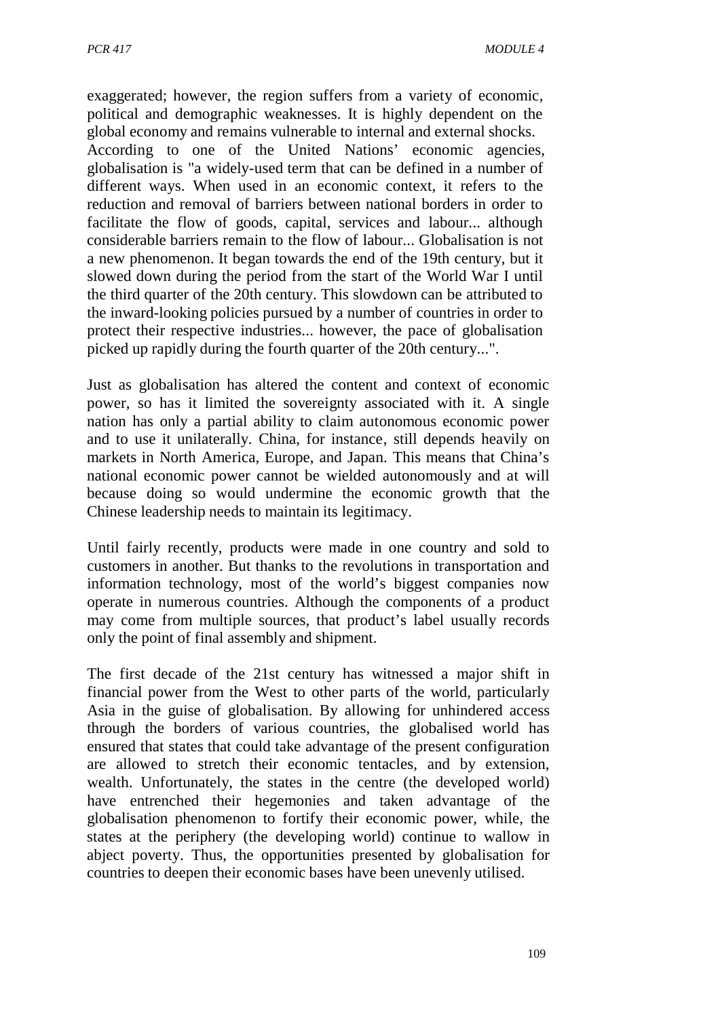exaggerated; however, the region suffers from a variety of economic, political and demographic weaknesses. It is highly dependent on the global economy and remains vulnerable to internal and external shocks. According to one of the United Nations' economic agencies, globalisation is "a widely-used term that can be defined in a number of different ways. When used in an economic context, it refers to the reduction and removal of barriers between national borders in order to facilitate the flow of goods, capital, services and labour... although considerable barriers remain to the flow of labour... Globalisation is not a new phenomenon. It began towards the end of the 19th century, but it slowed down during the period from the start of the World War I until the third quarter of the 20th century. This slowdown can be attributed to the inward-looking policies pursued by a number of countries in order to protect their respective industries... however, the pace of globalisation picked up rapidly during the fourth quarter of the 20th century...".

Just as globalisation has altered the content and context of economic power, so has it limited the sovereignty associated with it. A single nation has only a partial ability to claim autonomous economic power and to use it unilaterally. China, for instance, still depends heavily on markets in North America, Europe, and Japan. This means that China's national economic power cannot be wielded autonomously and at will because doing so would undermine the economic growth that the Chinese leadership needs to maintain its legitimacy.

Until fairly recently, products were made in one country and sold to customers in another. But thanks to the revolutions in transportation and information technology, most of the world's biggest companies now operate in numerous countries. Although the components of a product may come from multiple sources, that product's label usually records only the point of final assembly and shipment.

The first decade of the 21st century has witnessed a major shift in financial power from the West to other parts of the world, particularly Asia in the guise of globalisation. By allowing for unhindered access through the borders of various countries, the globalised world has ensured that states that could take advantage of the present configuration are allowed to stretch their economic tentacles, and by extension, wealth. Unfortunately, the states in the centre (the developed world) have entrenched their hegemonies and taken advantage of the globalisation phenomenon to fortify their economic power, while, the states at the periphery (the developing world) continue to wallow in abject poverty. Thus, the opportunities presented by globalisation for countries to deepen their economic bases have been unevenly utilised.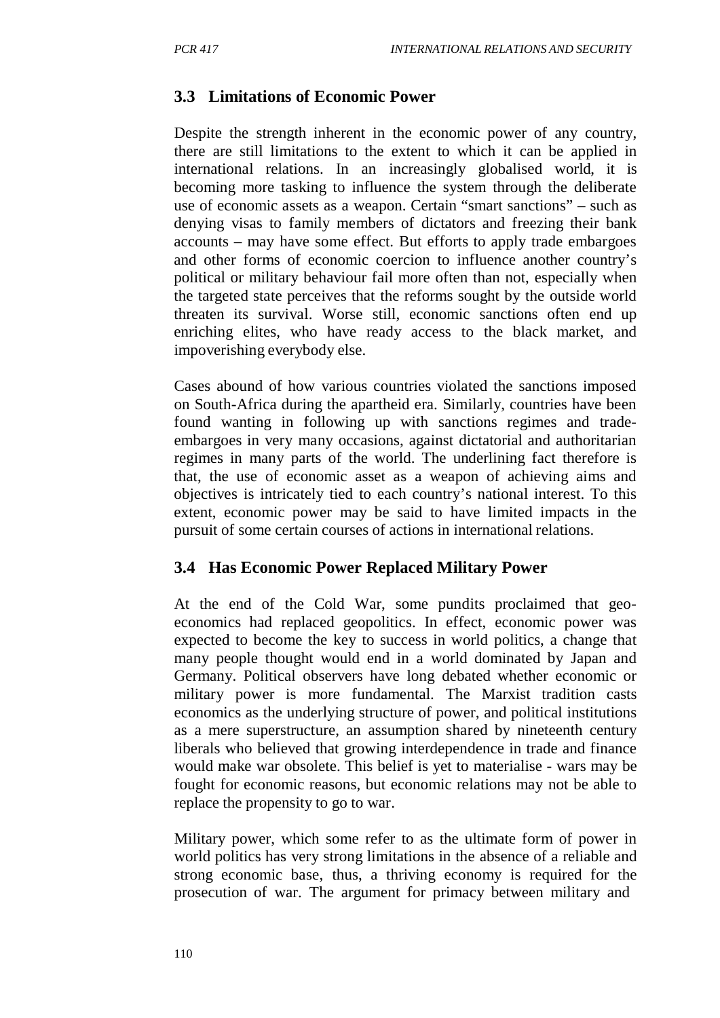## **3.3 Limitations of Economic Power**

Despite the strength inherent in the economic power of any country, there are still limitations to the extent to which it can be applied in international relations. In an increasingly globalised world, it is becoming more tasking to influence the system through the deliberate use of economic assets as a weapon. Certain "smart sanctions" – such as denying visas to family members of dictators and freezing their bank accounts – may have some effect. But efforts to apply trade embargoes and other forms of economic coercion to influence another country's political or military behaviour fail more often than not, especially when the targeted state perceives that the reforms sought by the outside world threaten its survival. Worse still, economic sanctions often end up enriching elites, who have ready access to the black market, and impoverishing everybody else.

Cases abound of how various countries violated the sanctions imposed on South-Africa during the apartheid era. Similarly, countries have been found wanting in following up with sanctions regimes and tradeembargoes in very many occasions, against dictatorial and authoritarian regimes in many parts of the world. The underlining fact therefore is that, the use of economic asset as a weapon of achieving aims and objectives is intricately tied to each country's national interest. To this extent, economic power may be said to have limited impacts in the pursuit of some certain courses of actions in international relations.

#### **3.4 Has Economic Power Replaced Military Power**

At the end of the Cold War, some pundits proclaimed that geoeconomics had replaced geopolitics. In effect, economic power was expected to become the key to success in world politics, a change that many people thought would end in a world dominated by Japan and Germany. Political observers have long debated whether economic or military power is more fundamental. The Marxist tradition casts economics as the underlying structure of power, and political institutions as a mere superstructure, an assumption shared by nineteenth century liberals who believed that growing interdependence in trade and finance would make war obsolete. This belief is yet to materialise - wars may be fought for economic reasons, but economic relations may not be able to replace the propensity to go to war.

Military power, which some refer to as the ultimate form of power in world politics has very strong limitations in the absence of a reliable and strong economic base, thus, a thriving economy is required for the prosecution of war. The argument for primacy between military and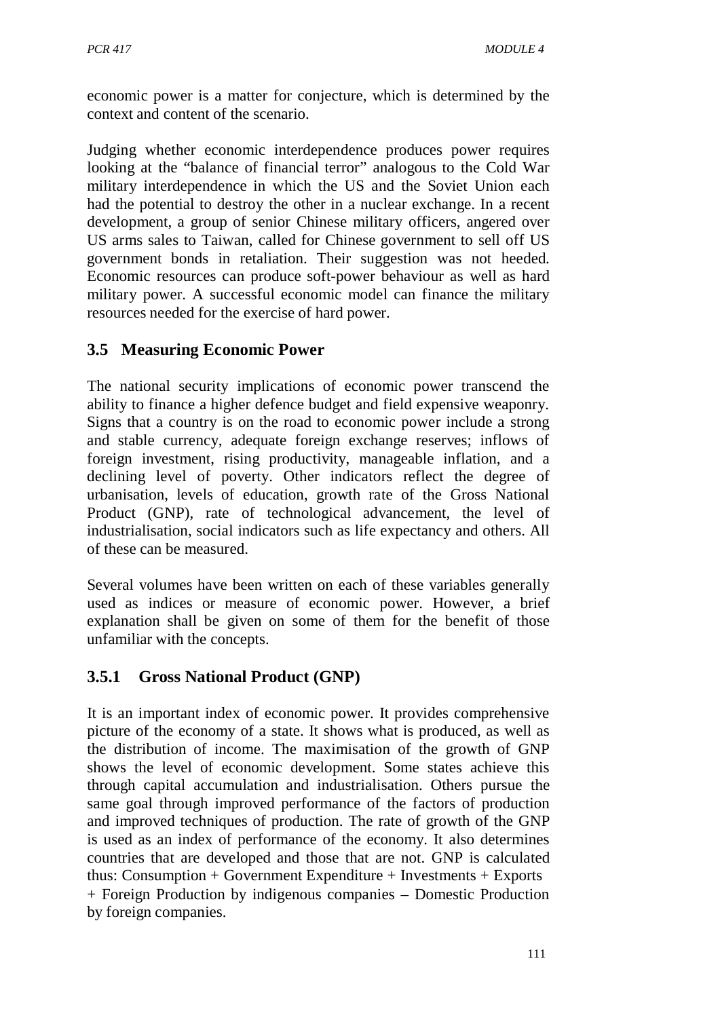economic power is a matter for conjecture, which is determined by the context and content of the scenario.

Judging whether economic interdependence produces power requires looking at the "balance of financial terror" analogous to the Cold War military interdependence in which the US and the Soviet Union each had the potential to destroy the other in a nuclear exchange. In a recent development, a group of senior Chinese military officers, angered over US arms sales to Taiwan, called for Chinese government to sell off US government bonds in retaliation. Their suggestion was not heeded. Economic resources can produce soft-power behaviour as well as hard military power. A successful economic model can finance the military resources needed for the exercise of hard power.

# **3.5 Measuring Economic Power**

The national security implications of economic power transcend the ability to finance a higher defence budget and field expensive weaponry. Signs that a country is on the road to economic power include a strong and stable currency, adequate foreign exchange reserves; inflows of foreign investment, rising productivity, manageable inflation, and a declining level of poverty. Other indicators reflect the degree of urbanisation, levels of education, growth rate of the Gross National Product (GNP), rate of technological advancement, the level of industrialisation, social indicators such as life expectancy and others. All of these can be measured.

Several volumes have been written on each of these variables generally used as indices or measure of economic power. However, a brief explanation shall be given on some of them for the benefit of those unfamiliar with the concepts.

# **3.5.1 Gross National Product (GNP)**

It is an important index of economic power. It provides comprehensive picture of the economy of a state. It shows what is produced, as well as the distribution of income. The maximisation of the growth of GNP shows the level of economic development. Some states achieve this through capital accumulation and industrialisation. Others pursue the same goal through improved performance of the factors of production and improved techniques of production. The rate of growth of the GNP is used as an index of performance of the economy. It also determines countries that are developed and those that are not. GNP is calculated thus: Consumption + Government Expenditure + Investments + Exports + Foreign Production by indigenous companies – Domestic Production by foreign companies.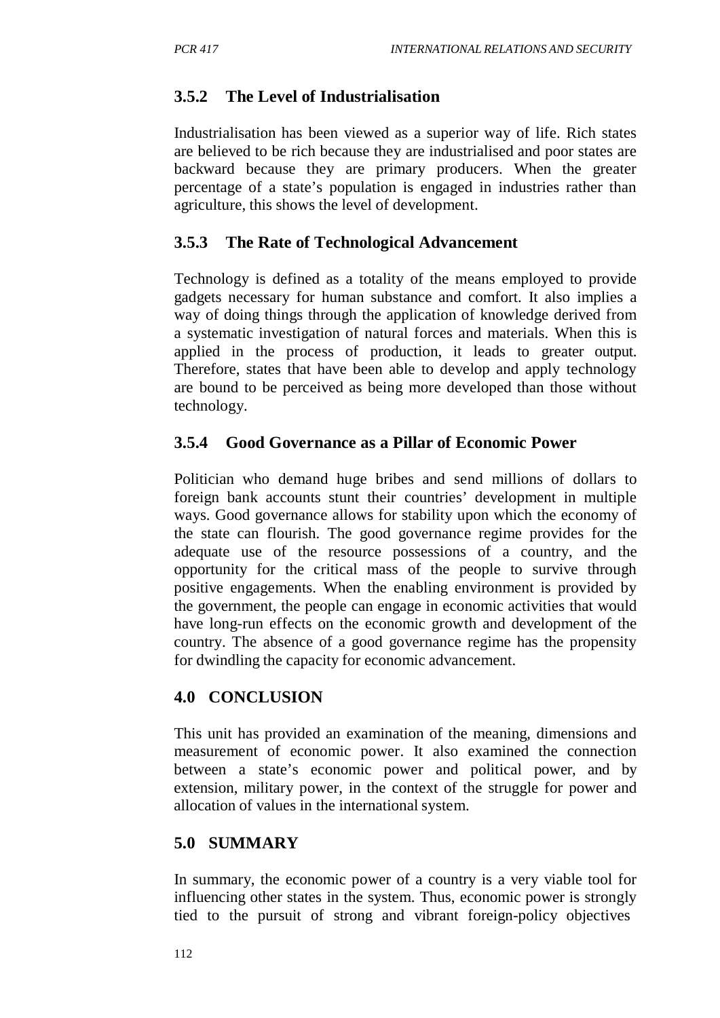## **3.5.2 The Level of Industrialisation**

Industrialisation has been viewed as a superior way of life. Rich states are believed to be rich because they are industrialised and poor states are backward because they are primary producers. When the greater percentage of a state's population is engaged in industries rather than agriculture, this shows the level of development.

## **3.5.3 The Rate of Technological Advancement**

Technology is defined as a totality of the means employed to provide gadgets necessary for human substance and comfort. It also implies a way of doing things through the application of knowledge derived from a systematic investigation of natural forces and materials. When this is applied in the process of production, it leads to greater output. Therefore, states that have been able to develop and apply technology are bound to be perceived as being more developed than those without technology.

## **3.5.4 Good Governance as a Pillar of Economic Power**

Politician who demand huge bribes and send millions of dollars to foreign bank accounts stunt their countries' development in multiple ways. Good governance allows for stability upon which the economy of the state can flourish. The good governance regime provides for the adequate use of the resource possessions of a country, and the opportunity for the critical mass of the people to survive through positive engagements. When the enabling environment is provided by the government, the people can engage in economic activities that would have long-run effects on the economic growth and development of the country. The absence of a good governance regime has the propensity for dwindling the capacity for economic advancement.

## **4.0 CONCLUSION**

This unit has provided an examination of the meaning, dimensions and measurement of economic power. It also examined the connection between a state's economic power and political power, and by extension, military power, in the context of the struggle for power and allocation of values in the international system.

## **5.0 SUMMARY**

In summary, the economic power of a country is a very viable tool for influencing other states in the system. Thus, economic power is strongly tied to the pursuit of strong and vibrant foreign-policy objectives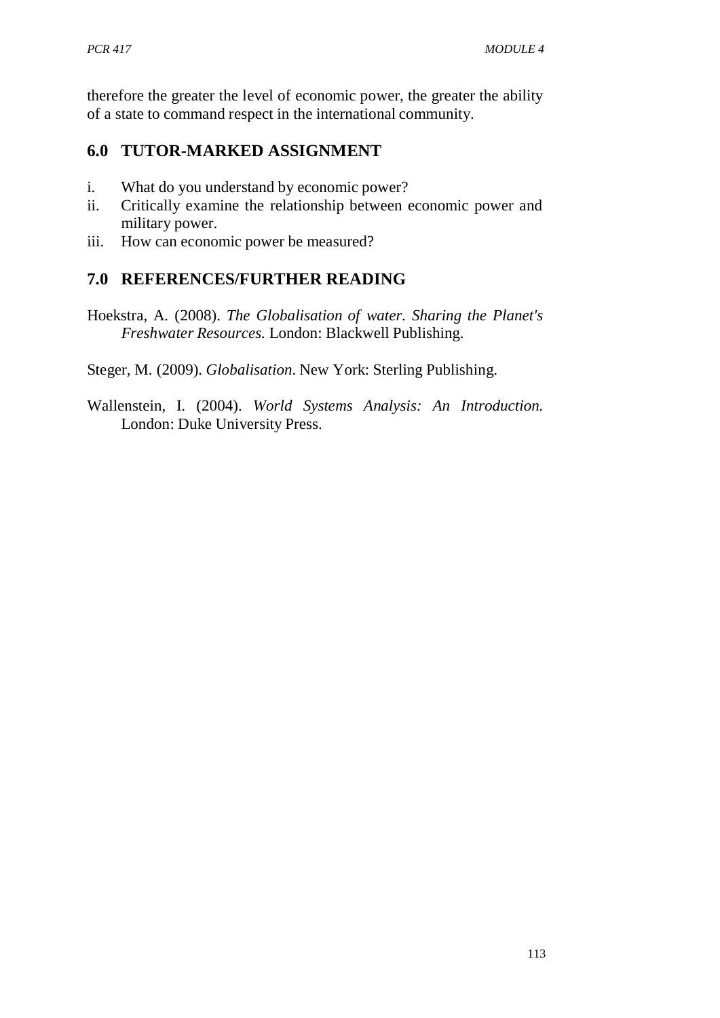therefore the greater the level of economic power, the greater the ability of a state to command respect in the international community.

# **6.0 TUTOR-MARKED ASSIGNMENT**

- i. What do you understand by economic power?
- ii. Critically examine the relationship between economic power and military power.
- iii. How can economic power be measured?

## **7.0 REFERENCES/FURTHER READING**

Hoekstra, A. (2008). *The Globalisation of water. Sharing the Planet's Freshwater Resources.* London: Blackwell Publishing.

Steger, M. (2009). *Globalisation*. New York: Sterling Publishing.

Wallenstein, I. (2004). *World Systems Analysis: An Introduction.* London: Duke University Press.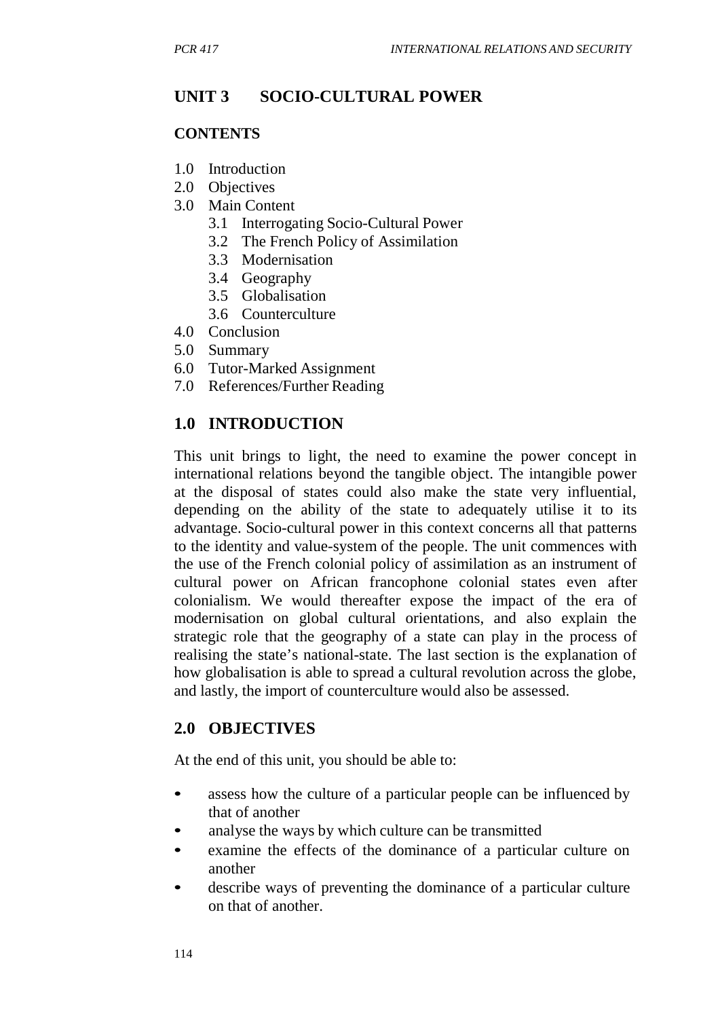# **UNIT 3 SOCIO-CULTURAL POWER**

#### **CONTENTS**

- 1.0 Introduction
- 2.0 Objectives
- 3.0 Main Content
	- 3.1 Interrogating Socio-Cultural Power
	- 3.2 The French Policy of Assimilation
	- 3.3 Modernisation
	- 3.4 Geography
	- 3.5 Globalisation
	- 3.6 Counterculture
- 4.0 Conclusion
- 5.0 Summary
- 6.0 Tutor-Marked Assignment
- 7.0 References/Further Reading

### **1.0 INTRODUCTION**

This unit brings to light, the need to examine the power concept in international relations beyond the tangible object. The intangible power at the disposal of states could also make the state very influential, depending on the ability of the state to adequately utilise it to its advantage. Socio-cultural power in this context concerns all that patterns to the identity and value-system of the people. The unit commences with the use of the French colonial policy of assimilation as an instrument of cultural power on African francophone colonial states even after colonialism. We would thereafter expose the impact of the era of modernisation on global cultural orientations, and also explain the strategic role that the geography of a state can play in the process of realising the state's national-state. The last section is the explanation of how globalisation is able to spread a cultural revolution across the globe, and lastly, the import of counterculture would also be assessed.

#### **2.0 OBJECTIVES**

At the end of this unit, you should be able to:

- assess how the culture of a particular people can be influenced by that of another
- analyse the ways by which culture can be transmitted
- examine the effects of the dominance of a particular culture on another
- describe ways of preventing the dominance of a particular culture on that of another.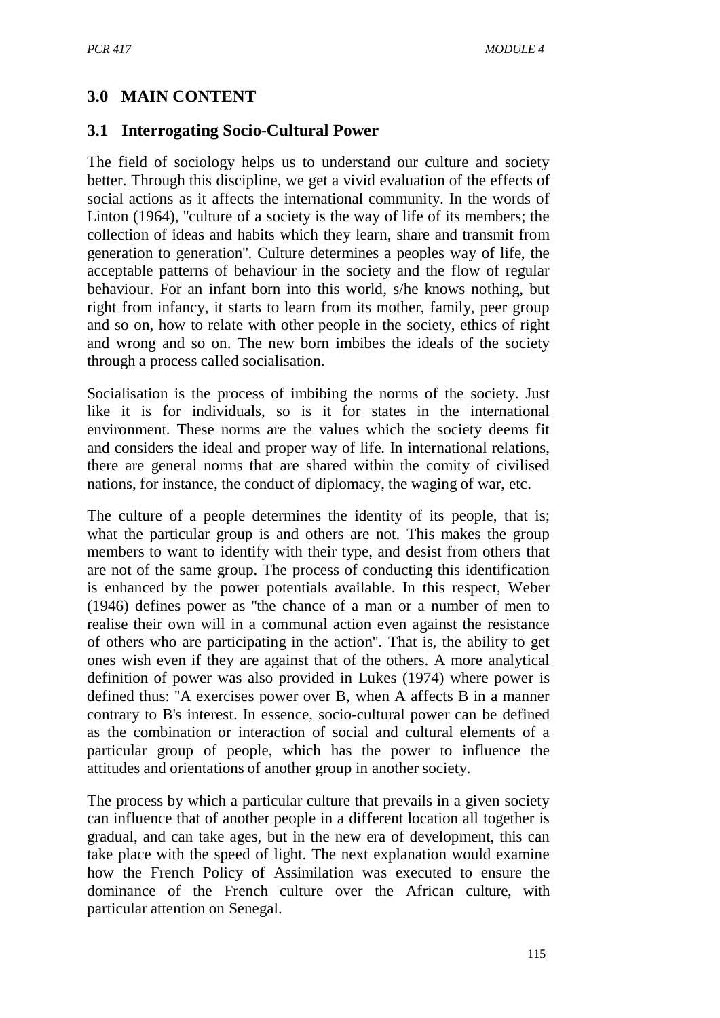# **3.0 MAIN CONTENT**

### **3.1 Interrogating Socio-Cultural Power**

The field of sociology helps us to understand our culture and society better. Through this discipline, we get a vivid evaluation of the effects of social actions as it affects the international community. In the words of Linton (1964), ''culture of a society is the way of life of its members; the collection of ideas and habits which they learn, share and transmit from generation to generation''. Culture determines a peoples way of life, the acceptable patterns of behaviour in the society and the flow of regular behaviour. For an infant born into this world, s/he knows nothing, but right from infancy, it starts to learn from its mother, family, peer group and so on, how to relate with other people in the society, ethics of right and wrong and so on. The new born imbibes the ideals of the society through a process called socialisation.

Socialisation is the process of imbibing the norms of the society. Just like it is for individuals, so is it for states in the international environment. These norms are the values which the society deems fit and considers the ideal and proper way of life. In international relations, there are general norms that are shared within the comity of civilised nations, for instance, the conduct of diplomacy, the waging of war, etc.

The culture of a people determines the identity of its people, that is; what the particular group is and others are not. This makes the group members to want to identify with their type, and desist from others that are not of the same group. The process of conducting this identification is enhanced by the power potentials available. In this respect, Weber (1946) defines power as ''the chance of a man or a number of men to realise their own will in a communal action even against the resistance of others who are participating in the action''. That is, the ability to get ones wish even if they are against that of the others. A more analytical definition of power was also provided in Lukes (1974) where power is defined thus: ''A exercises power over B, when A affects B in a manner contrary to B's interest. In essence, socio-cultural power can be defined as the combination or interaction of social and cultural elements of a particular group of people, which has the power to influence the attitudes and orientations of another group in another society.

The process by which a particular culture that prevails in a given society can influence that of another people in a different location all together is gradual, and can take ages, but in the new era of development, this can take place with the speed of light. The next explanation would examine how the French Policy of Assimilation was executed to ensure the dominance of the French culture over the African culture, with particular attention on Senegal.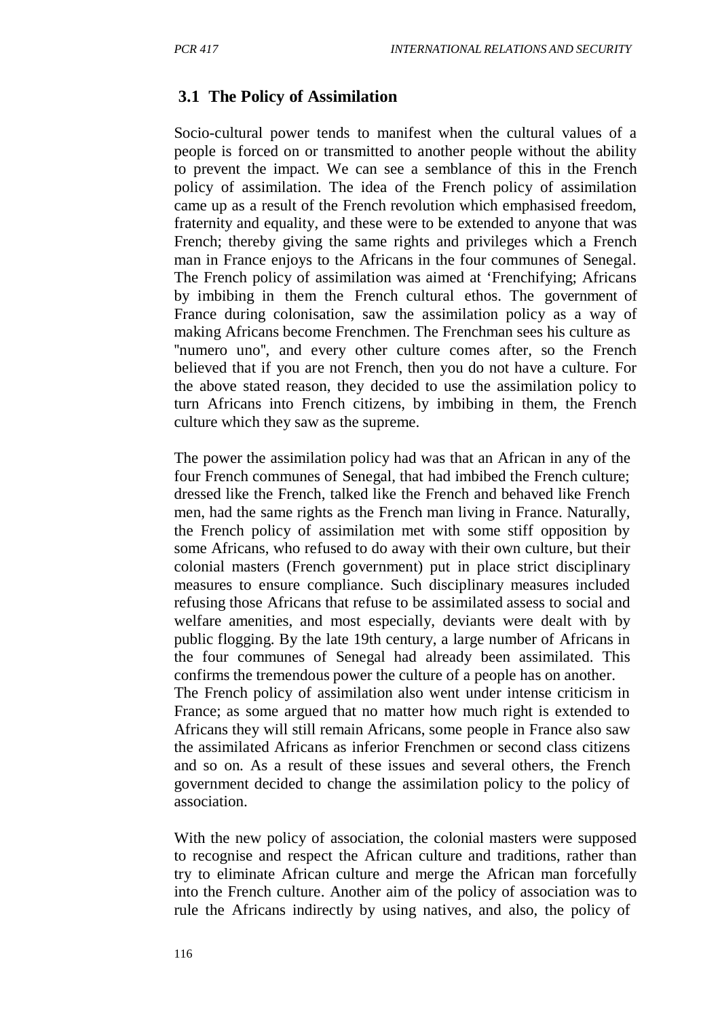## **3.1 The Policy of Assimilation**

Socio-cultural power tends to manifest when the cultural values of a people is forced on or transmitted to another people without the ability to prevent the impact. We can see a semblance of this in the French policy of assimilation. The idea of the French policy of assimilation came up as a result of the French revolution which emphasised freedom, fraternity and equality, and these were to be extended to anyone that was French; thereby giving the same rights and privileges which a French man in France enjoys to the Africans in the four communes of Senegal. The French policy of assimilation was aimed at 'Frenchifying; Africans by imbibing in them the French cultural ethos. The government of France during colonisation, saw the assimilation policy as a way of making Africans become Frenchmen. The Frenchman sees his culture as ''numero uno'', and every other culture comes after, so the French believed that if you are not French, then you do not have a culture. For the above stated reason, they decided to use the assimilation policy to turn Africans into French citizens, by imbibing in them, the French culture which they saw as the supreme.

The power the assimilation policy had was that an African in any of the four French communes of Senegal, that had imbibed the French culture; dressed like the French, talked like the French and behaved like French men, had the same rights as the French man living in France. Naturally, the French policy of assimilation met with some stiff opposition by some Africans, who refused to do away with their own culture, but their colonial masters (French government) put in place strict disciplinary measures to ensure compliance. Such disciplinary measures included refusing those Africans that refuse to be assimilated assess to social and welfare amenities, and most especially, deviants were dealt with by public flogging. By the late 19th century, a large number of Africans in the four communes of Senegal had already been assimilated. This confirms the tremendous power the culture of a people has on another. The French policy of assimilation also went under intense criticism in France; as some argued that no matter how much right is extended to Africans they will still remain Africans, some people in France also saw the assimilated Africans as inferior Frenchmen or second class citizens and so on. As a result of these issues and several others, the French government decided to change the assimilation policy to the policy of association.

With the new policy of association, the colonial masters were supposed to recognise and respect the African culture and traditions, rather than try to eliminate African culture and merge the African man forcefully into the French culture. Another aim of the policy of association was to rule the Africans indirectly by using natives, and also, the policy of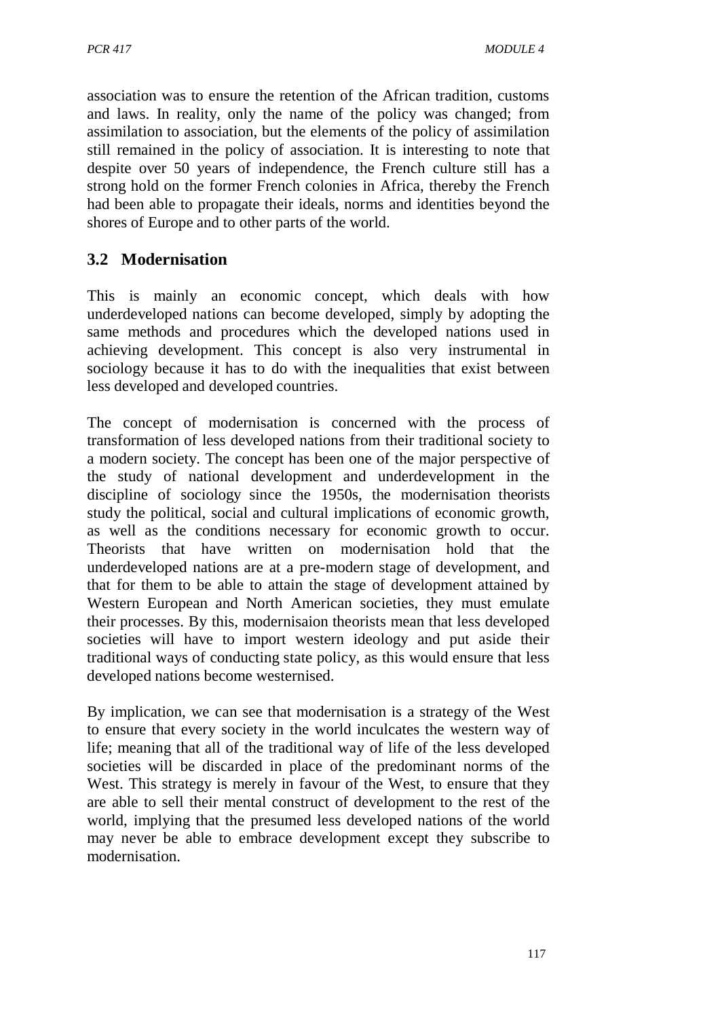association was to ensure the retention of the African tradition, customs and laws. In reality, only the name of the policy was changed; from assimilation to association, but the elements of the policy of assimilation still remained in the policy of association. It is interesting to note that despite over 50 years of independence, the French culture still has a strong hold on the former French colonies in Africa, thereby the French had been able to propagate their ideals, norms and identities beyond the shores of Europe and to other parts of the world.

# **3.2 Modernisation**

This is mainly an economic concept, which deals with how underdeveloped nations can become developed, simply by adopting the same methods and procedures which the developed nations used in achieving development. This concept is also very instrumental in sociology because it has to do with the inequalities that exist between less developed and developed countries.

The concept of modernisation is concerned with the process of transformation of less developed nations from their traditional society to a modern society. The concept has been one of the major perspective of the study of national development and underdevelopment in the discipline of sociology since the 1950s, the modernisation theorists study the political, social and cultural implications of economic growth, as well as the conditions necessary for economic growth to occur. Theorists that have written on modernisation hold that the underdeveloped nations are at a pre-modern stage of development, and that for them to be able to attain the stage of development attained by Western European and North American societies, they must emulate their processes. By this, modernisaion theorists mean that less developed societies will have to import western ideology and put aside their traditional ways of conducting state policy, as this would ensure that less developed nations become westernised.

By implication, we can see that modernisation is a strategy of the West to ensure that every society in the world inculcates the western way of life; meaning that all of the traditional way of life of the less developed societies will be discarded in place of the predominant norms of the West. This strategy is merely in favour of the West, to ensure that they are able to sell their mental construct of development to the rest of the world, implying that the presumed less developed nations of the world may never be able to embrace development except they subscribe to modernisation.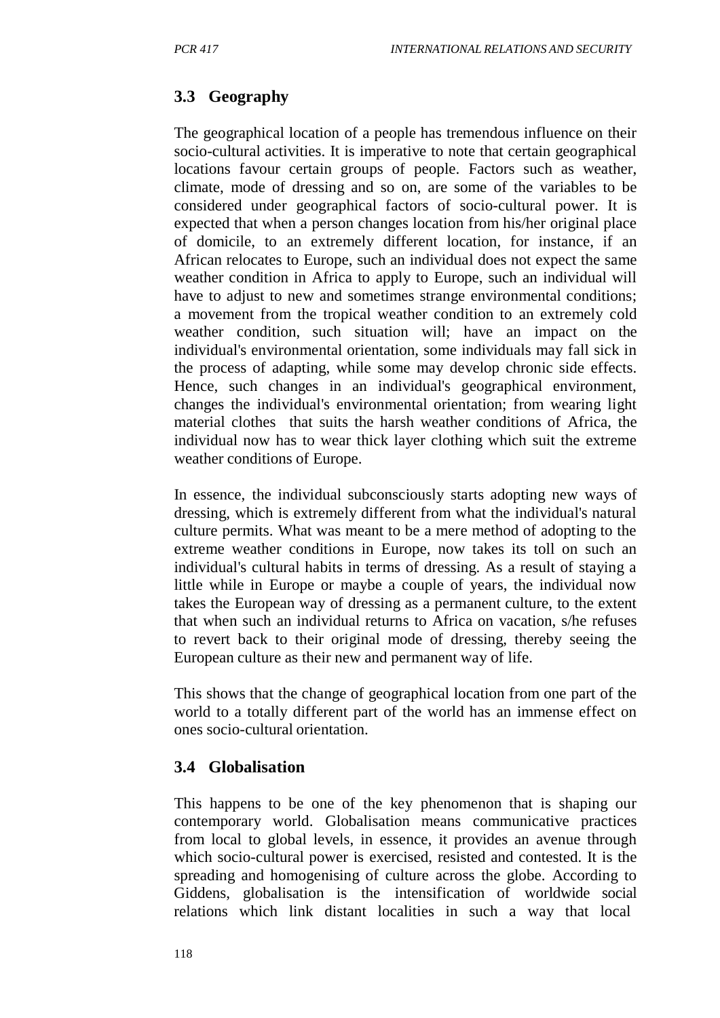# **3.3 Geography**

The geographical location of a people has tremendous influence on their socio-cultural activities. It is imperative to note that certain geographical locations favour certain groups of people. Factors such as weather, climate, mode of dressing and so on, are some of the variables to be considered under geographical factors of socio-cultural power. It is expected that when a person changes location from his/her original place of domicile, to an extremely different location, for instance, if an African relocates to Europe, such an individual does not expect the same weather condition in Africa to apply to Europe, such an individual will have to adjust to new and sometimes strange environmental conditions; a movement from the tropical weather condition to an extremely cold weather condition, such situation will; have an impact on the individual's environmental orientation, some individuals may fall sick in the process of adapting, while some may develop chronic side effects. Hence, such changes in an individual's geographical environment, changes the individual's environmental orientation; from wearing light material clothes that suits the harsh weather conditions of Africa, the individual now has to wear thick layer clothing which suit the extreme weather conditions of Europe.

In essence, the individual subconsciously starts adopting new ways of dressing, which is extremely different from what the individual's natural culture permits. What was meant to be a mere method of adopting to the extreme weather conditions in Europe, now takes its toll on such an individual's cultural habits in terms of dressing. As a result of staying a little while in Europe or maybe a couple of years, the individual now takes the European way of dressing as a permanent culture, to the extent that when such an individual returns to Africa on vacation, s/he refuses to revert back to their original mode of dressing, thereby seeing the European culture as their new and permanent way of life.

This shows that the change of geographical location from one part of the world to a totally different part of the world has an immense effect on ones socio-cultural orientation.

## **3.4 Globalisation**

This happens to be one of the key phenomenon that is shaping our contemporary world. Globalisation means communicative practices from local to global levels, in essence, it provides an avenue through which socio-cultural power is exercised, resisted and contested. It is the spreading and homogenising of culture across the globe. According to Giddens, globalisation is the intensification of worldwide social relations which link distant localities in such a way that local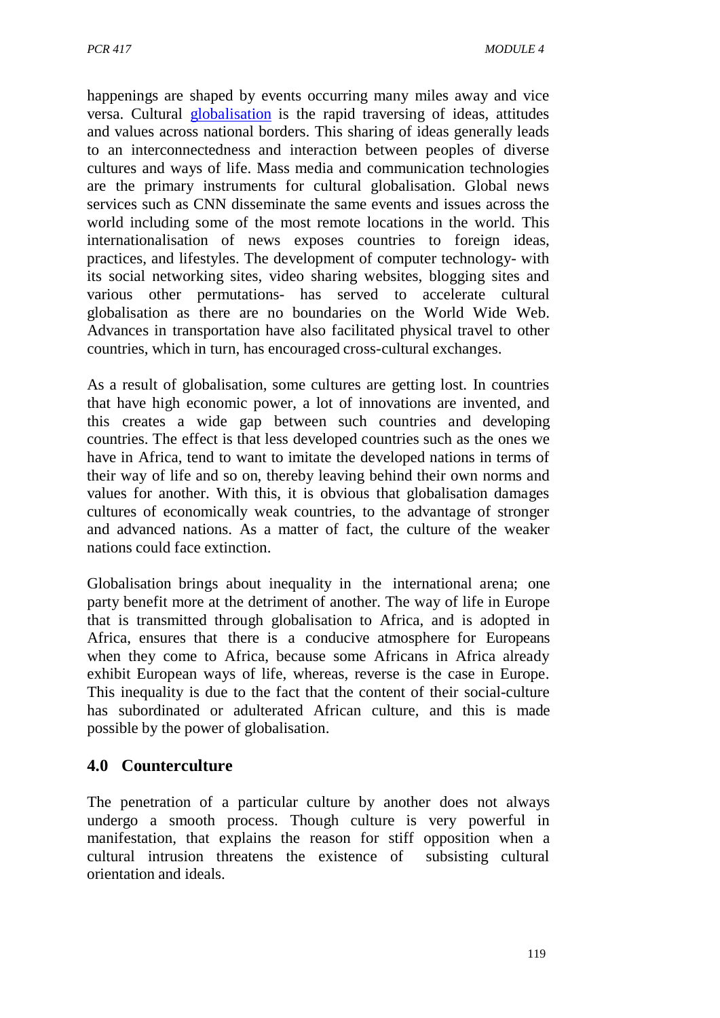happenings are shaped by events occurring many miles away and vice versa. Cultural globalisation is the rapid traversing of ideas, attitudes and values across national borders. This sharing of ideas generally leads to an interconnectedness and interaction between peoples of diverse cultures and ways of life. Mass media and communication technologies are the primary instruments for cultural globalisation. Global news services such as CNN disseminate the same events and issues across the world including some of the most remote locations in the world. This internationalisation of news exposes countries to foreign ideas, practices, and lifestyles. The development of computer technology- with its social networking sites, video sharing websites, blogging sites and various other permutations- has served to accelerate cultural globalisation as there are no boundaries on the World Wide Web. Advances in transportation have also facilitated physical travel to other countries, which in turn, has encouraged cross-cultural exchanges.

As a result of globalisation, some cultures are getting lost. In countries that have high economic power, a lot of innovations are invented, and this creates a wide gap between such countries and developing countries. The effect is that less developed countries such as the ones we have in Africa, tend to want to imitate the developed nations in terms of their way of life and so on, thereby leaving behind their own norms and values for another. With this, it is obvious that globalisation damages cultures of economically weak countries, to the advantage of stronger and advanced nations. As a matter of fact, the culture of the weaker nations could face extinction.

Globalisation brings about inequality in the international arena; one party benefit more at the detriment of another. The way of life in Europe that is transmitted through globalisation to Africa, and is adopted in Africa, ensures that there is a conducive atmosphere for Europeans when they come to Africa, because some Africans in Africa already exhibit European ways of life, whereas, reverse is the case in Europe. This inequality is due to the fact that the content of their social-culture has subordinated or adulterated African culture, and this is made possible by the power of globalisation.

## **4.0 Counterculture**

The penetration of a particular culture by another does not always undergo a smooth process. Though culture is very powerful in manifestation, that explains the reason for stiff opposition when a cultural intrusion threatens the existence of subsisting cultural orientation and ideals.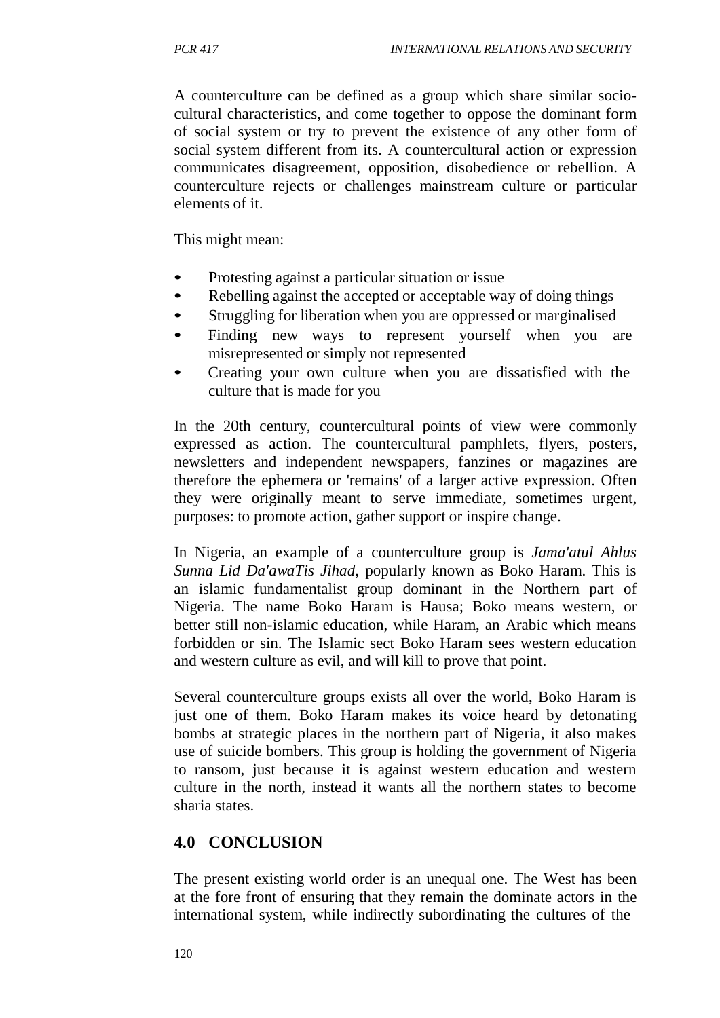A counterculture can be defined as a group which share similar sociocultural characteristics, and come together to oppose the dominant form of social system or try to prevent the existence of any other form of social system different from its. A countercultural action or expression communicates disagreement, opposition, disobedience or rebellion. A counterculture rejects or challenges mainstream culture or particular elements of it.

This might mean:

- Protesting against a particular situation or issue
- Rebelling against the accepted or acceptable way of doing things
- Struggling for liberation when you are oppressed or marginalised
- Finding new ways to represent yourself when you are misrepresented or simply not represented
- Creating your own culture when you are dissatisfied with the culture that is made for you

In the 20th century, countercultural points of view were commonly expressed as action. The countercultural pamphlets, flyers, posters, newsletters and independent newspapers, fanzines or magazines are therefore the ephemera or 'remains' of a larger active expression. Often they were originally meant to serve immediate, sometimes urgent, purposes: to promote action, gather support or inspire change.

In Nigeria, an example of a counterculture group is *Jama'atul Ahlus Sunna Lid Da'awaTis Jihad*, popularly known as Boko Haram. This is an islamic fundamentalist group dominant in the Northern part of Nigeria. The name Boko Haram is Hausa; Boko means western, or better still non-islamic education, while Haram, an Arabic which means forbidden or sin. The Islamic sect Boko Haram sees western education and western culture as evil, and will kill to prove that point.

Several counterculture groups exists all over the world, Boko Haram is just one of them. Boko Haram makes its voice heard by detonating bombs at strategic places in the northern part of Nigeria, it also makes use of suicide bombers. This group is holding the government of Nigeria to ransom, just because it is against western education and western culture in the north, instead it wants all the northern states to become sharia states.

## **4.0 CONCLUSION**

The present existing world order is an unequal one. The West has been at the fore front of ensuring that they remain the dominate actors in the international system, while indirectly subordinating the cultures of the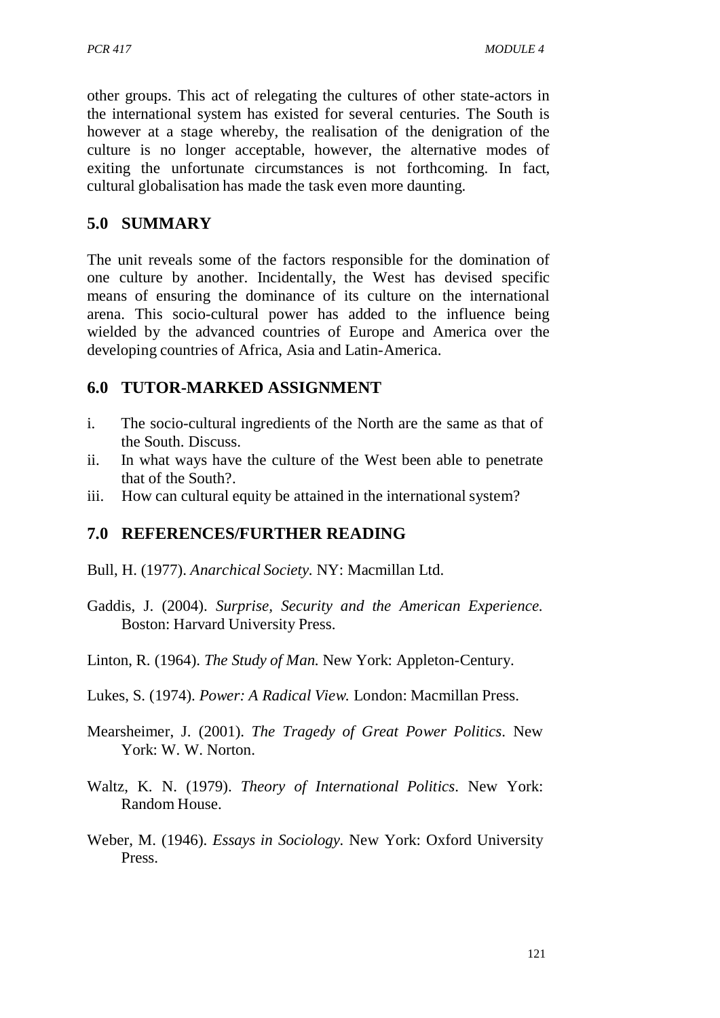other groups. This act of relegating the cultures of other state-actors in the international system has existed for several centuries. The South is however at a stage whereby, the realisation of the denigration of the culture is no longer acceptable, however, the alternative modes of exiting the unfortunate circumstances is not forthcoming. In fact, cultural globalisation has made the task even more daunting.

## **5.0 SUMMARY**

The unit reveals some of the factors responsible for the domination of one culture by another. Incidentally, the West has devised specific means of ensuring the dominance of its culture on the international arena. This socio-cultural power has added to the influence being wielded by the advanced countries of Europe and America over the developing countries of Africa, Asia and Latin-America.

# **6.0 TUTOR-MARKED ASSIGNMENT**

- i. The socio-cultural ingredients of the North are the same as that of the South. Discuss.
- ii. In what ways have the culture of the West been able to penetrate that of the South?.
- iii. How can cultural equity be attained in the international system?

# **7.0 REFERENCES/FURTHER READING**

- Bull, H. (1977). *Anarchical Society.* NY: Macmillan Ltd.
- Gaddis, J. (2004). *Surprise, Security and the American Experience.* Boston: Harvard University Press.
- Linton, R. (1964). *The Study of Man.* New York: Appleton-Century.
- Lukes, S. (1974). *Power: A Radical View.* London: Macmillan Press.
- Mearsheimer, J. (2001). *The Tragedy of Great Power Politics*. New York: W. W. Norton.
- Waltz, K. N. (1979). *Theory of International Politics*. New York: Random House.
- Weber, M. (1946). *Essays in Sociology.* New York: Oxford University Press.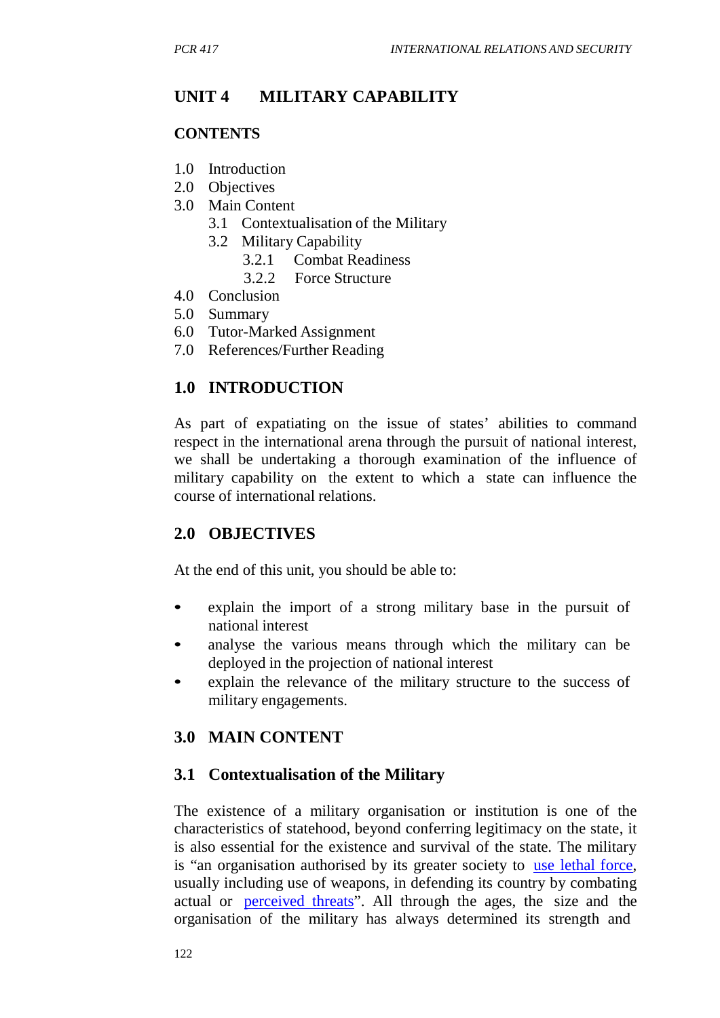# **UNIT 4 MILITARY CAPABILITY**

### **CONTENTS**

- 1.0 Introduction
- 2.0 Objectives
- 3.0 Main Content
	- 3.1 Contextualisation of the Military
	- 3.2 Military Capability
		- 3.2.1 Combat Readiness
		- 3.2.2 Force Structure
- 4.0 Conclusion
- 5.0 Summary
- 6.0 Tutor-Marked Assignment
- 7.0 References/Further Reading

## **1.0 INTRODUCTION**

As part of expatiating on the issue of states' abilities to command respect in the international arena through the pursuit of national interest, we shall be undertaking a thorough examination of the influence of military capability on the extent to which a state can influence the course of international relations.

## **2.0 OBJECTIVES**

At the end of this unit, you should be able to:

- explain the import of a strong military base in the pursuit of national interest
- analyse the various means through which the military can be deployed in the projection of national interest
- explain the relevance of the military structure to the success of military engagements.

## **3.0 MAIN CONTENT**

#### **3.1 Contextualisation of the Military**

The existence of a military organisation or institution is one of the characteristics of statehood, beyond conferring legitimacy on the state, it is also essential for the existence and survival of the state. The military is "an organisation authorised by its greater society to use lethal force, usually including use of weapons, in defending its country by combating actual or perceived threats". All through the ages, the size and the organisation of the military has always determined its strength and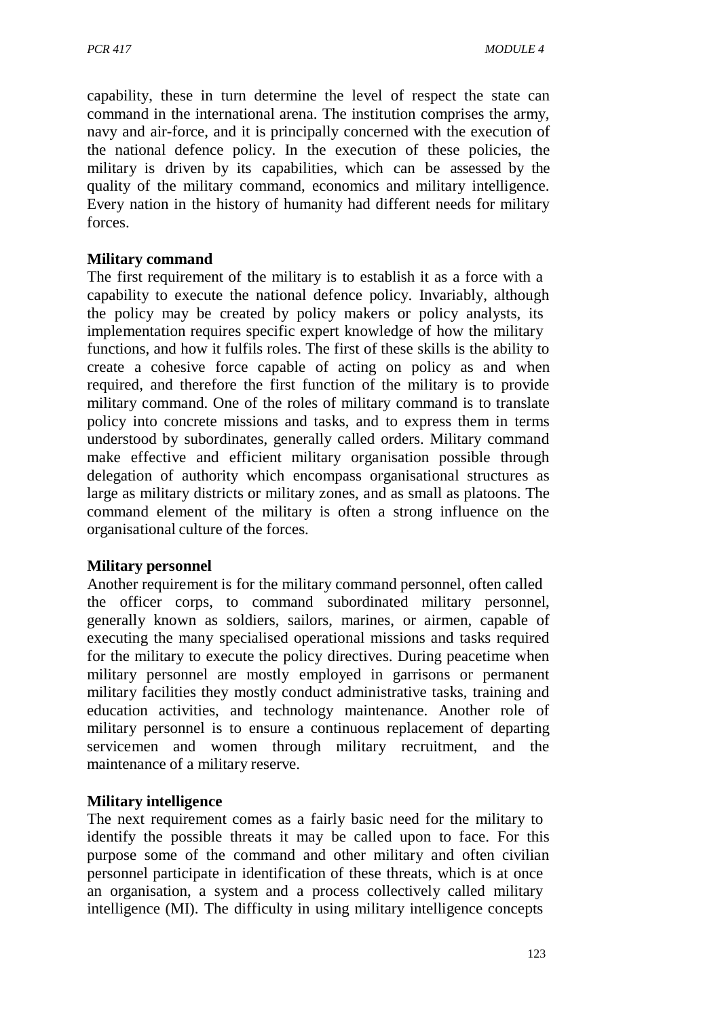capability, these in turn determine the level of respect the state can command in the international arena. The institution comprises the army, navy and air-force, and it is principally concerned with the execution of the national defence policy. In the execution of these policies, the military is driven by its capabilities, which can be assessed by the quality of the military command, economics and military intelligence. Every nation in the history of humanity had different needs for military forces.

#### **Military command**

The first requirement of the military is to establish it as a force with a capability to execute the national defence policy. Invariably, although the policy may be created by policy makers or policy analysts, its implementation requires specific expert knowledge of how the military functions, and how it fulfils roles. The first of these skills is the ability to create a cohesive force capable of acting on policy as and when required, and therefore the first function of the military is to provide military command. One of the roles of military command is to translate policy into concrete missions and tasks, and to express them in terms understood by subordinates, generally called orders. Military command make effective and efficient military organisation possible through delegation of authority which encompass organisational structures as large as military districts or military zones, and as small as platoons. The command element of the military is often a strong influence on the organisational culture of the forces.

#### **Military personnel**

Another requirement is for the military command personnel, often called the officer corps, to command subordinated military personnel, generally known as soldiers, sailors, marines, or airmen, capable of executing the many specialised operational missions and tasks required for the military to execute the policy directives. During peacetime when military personnel are mostly employed in garrisons or permanent military facilities they mostly conduct administrative tasks, training and education activities, and technology maintenance. Another role of military personnel is to ensure a continuous replacement of departing servicemen and women through military recruitment, and the maintenance of a military reserve.

#### **Military intelligence**

The next requirement comes as a fairly basic need for the military to identify the possible threats it may be called upon to face. For this purpose some of the command and other military and often civilian personnel participate in identification of these threats, which is at once an organisation, a system and a process collectively called military intelligence (MI). The difficulty in using military intelligence concepts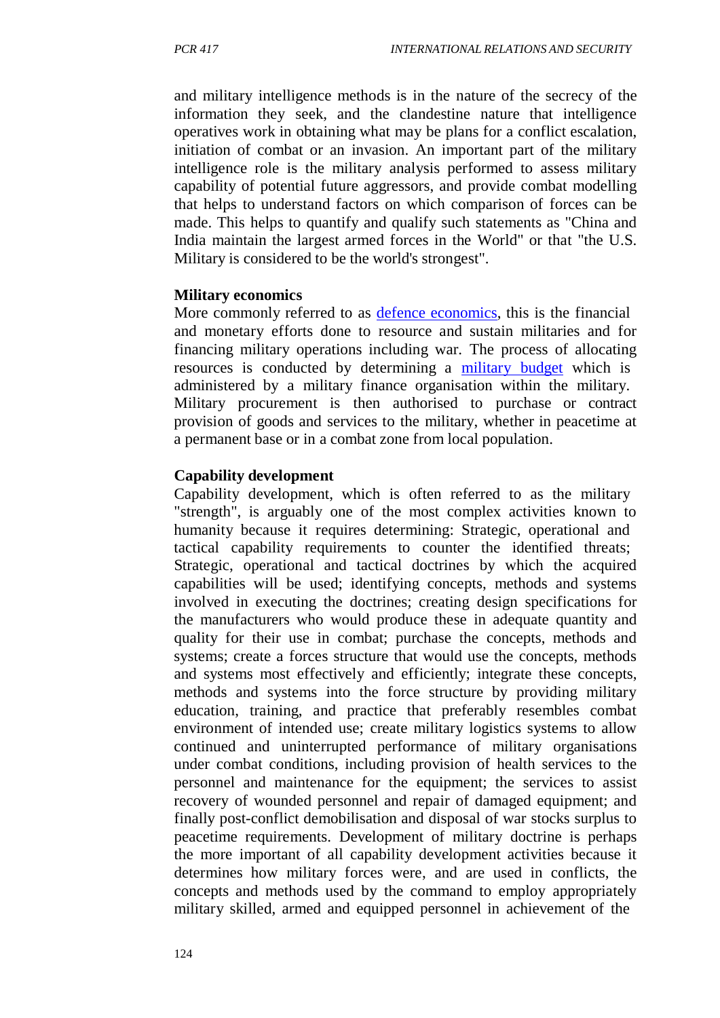and military intelligence methods is in the nature of the secrecy of the information they seek, and the clandestine nature that intelligence operatives work in obtaining what may be plans for a conflict escalation, initiation of combat or an invasion. An important part of the military intelligence role is the military analysis performed to assess military capability of potential future aggressors, and provide combat modelling that helps to understand factors on which comparison of forces can be made. This helps to quantify and qualify such statements as "China and India maintain the largest armed forces in the World" or that "the U.S. Military is considered to be the world's strongest".

#### **Military economics**

More commonly referred to as defence economics, this is the financial and monetary efforts done to resource and sustain militaries and for financing military operations including war. The process of allocating resources is conducted by determining a military budget which is administered by a military finance organisation within the military. Military procurement is then authorised to purchase or contract provision of goods and services to the military, whether in peacetime at a permanent base or in a combat zone from local population.

#### **Capability development**

Capability development, which is often referred to as the military "strength", is arguably one of the most complex activities known to humanity because it requires determining: Strategic, operational and tactical capability requirements to counter the identified threats; Strategic, operational and tactical doctrines by which the acquired capabilities will be used; identifying concepts, methods and systems involved in executing the doctrines; creating design specifications for the manufacturers who would produce these in adequate quantity and quality for their use in combat; purchase the concepts, methods and systems; create a forces structure that would use the concepts, methods and systems most effectively and efficiently; integrate these concepts, methods and systems into the force structure by providing military education, training, and practice that preferably resembles combat environment of intended use; create military logistics systems to allow continued and uninterrupted performance of military organisations under combat conditions, including provision of health services to the personnel and maintenance for the equipment; the services to assist recovery of wounded personnel and repair of damaged equipment; and finally post-conflict demobilisation and disposal of war stocks surplus to peacetime requirements. Development of military doctrine is perhaps the more important of all capability development activities because it determines how military forces were, and are used in conflicts, the concepts and methods used by the command to employ appropriately military skilled, armed and equipped personnel in achievement of the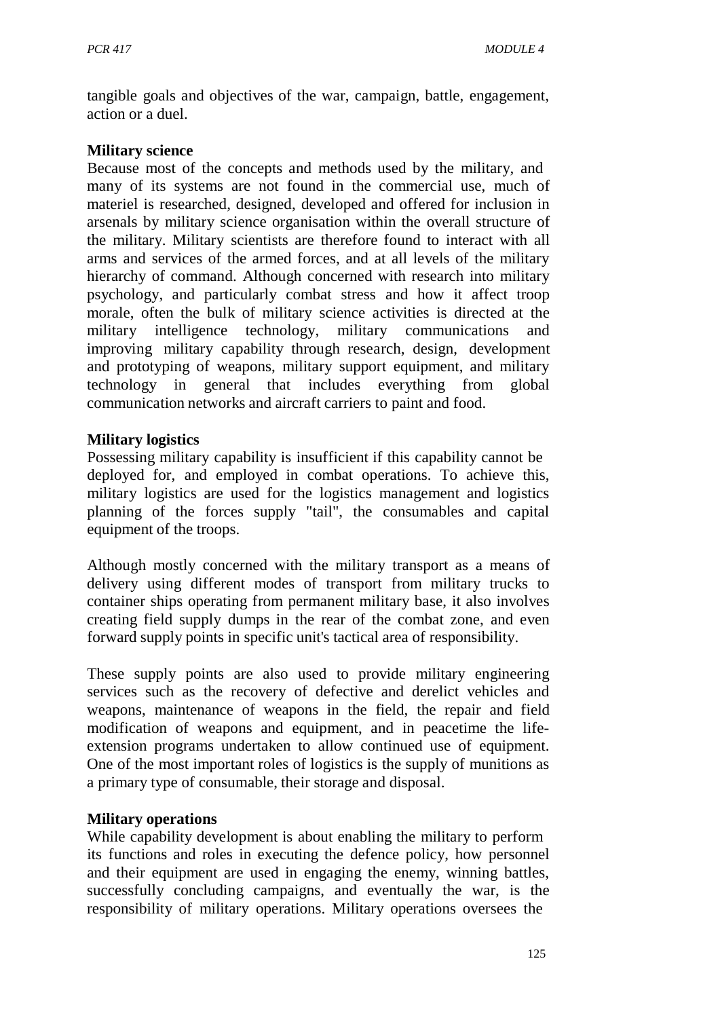tangible goals and objectives of the war, campaign, battle, engagement, action or a duel.

#### **Military science**

Because most of the concepts and methods used by the military, and many of its systems are not found in the commercial use, much of materiel is researched, designed, developed and offered for inclusion in arsenals by military science organisation within the overall structure of the military. Military scientists are therefore found to interact with all arms and services of the armed forces, and at all levels of the military hierarchy of command. Although concerned with research into military psychology, and particularly combat stress and how it affect troop morale, often the bulk of military science activities is directed at the military intelligence technology, military communications and improving military capability through research, design, development and prototyping of weapons, military support equipment, and military technology in general that includes everything from global communication networks and aircraft carriers to paint and food.

#### **Military logistics**

Possessing military capability is insufficient if this capability cannot be deployed for, and employed in combat operations. To achieve this, military logistics are used for the logistics management and logistics planning of the forces supply "tail", the consumables and capital equipment of the troops.

Although mostly concerned with the military transport as a means of delivery using different modes of transport from military trucks to container ships operating from permanent military base, it also involves creating field supply dumps in the rear of the combat zone, and even forward supply points in specific unit's tactical area of responsibility.

These supply points are also used to provide military engineering services such as the recovery of defective and derelict vehicles and weapons, maintenance of weapons in the field, the repair and field modification of weapons and equipment, and in peacetime the lifeextension programs undertaken to allow continued use of equipment. One of the most important roles of logistics is the supply of munitions as a primary type of consumable, their storage and disposal.

#### **Military operations**

While capability development is about enabling the military to perform its functions and roles in executing the defence policy, how personnel and their equipment are used in engaging the enemy, winning battles, successfully concluding campaigns, and eventually the war, is the responsibility of military operations. Military operations oversees the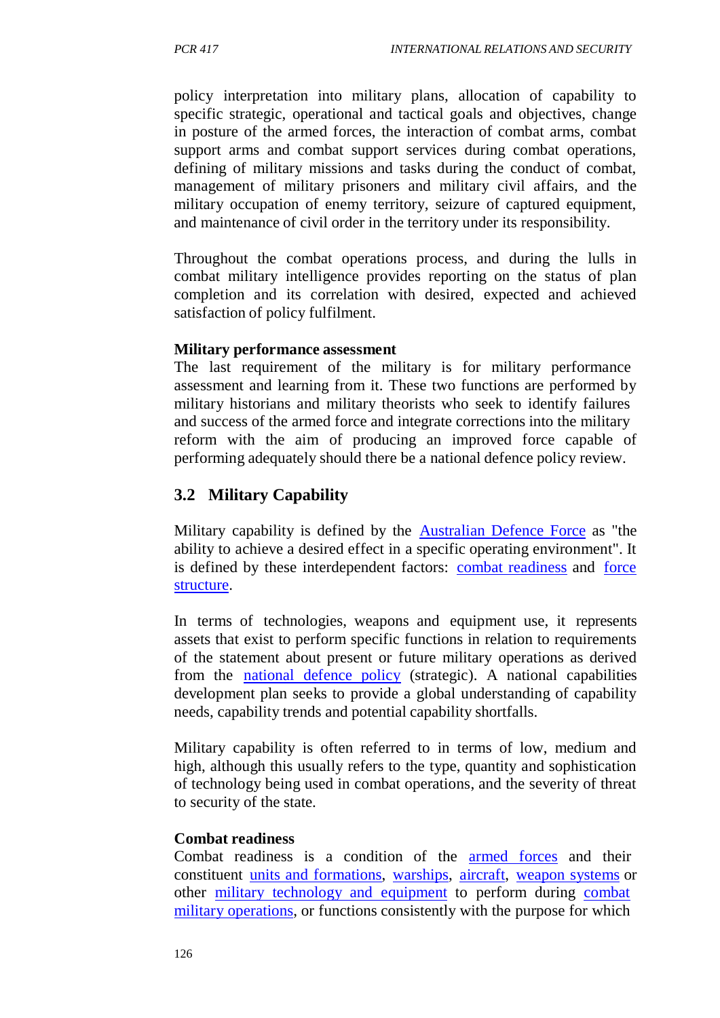policy interpretation into military plans, allocation of capability to specific strategic, operational and tactical goals and objectives, change in posture of the armed forces, the interaction of combat arms, combat support arms and combat support services during combat operations, defining of military missions and tasks during the conduct of combat, management of military prisoners and military civil affairs, and the military occupation of enemy territory, seizure of captured equipment, and maintenance of civil order in the territory under its responsibility.

Throughout the combat operations process, and during the lulls in combat military intelligence provides reporting on the status of plan completion and its correlation with desired, expected and achieved satisfaction of policy fulfilment.

#### **Military performance assessment**

The last requirement of the military is for military performance assessment and learning from it. These two functions are performed by military historians and military theorists who seek to identify failures and success of the armed force and integrate corrections into the military reform with the aim of producing an improved force capable of performing adequately should there be a national defence policy review.

## **3.2 Military Capability**

Military capability is defined by the Australian Defence Force as "the ability to achieve a desired effect in a specific operating environment". It is defined by these interdependent factors: combat readiness and force structure.

In terms of technologies, weapons and equipment use, it represents assets that exist to perform specific functions in relation to requirements of the statement about present or future military operations as derived from the national defence policy (strategic). A national capabilities development plan seeks to provide a global understanding of capability needs, capability trends and potential capability shortfalls.

Military capability is often referred to in terms of low, medium and high, although this usually refers to the type, quantity and sophistication of technology being used in combat operations, and the severity of threat to security of the state.

#### **Combat readiness**

Combat readiness is a condition of the armed forces and their constituent units and formations, warships, aircraft, weapon systems or other military technology and equipment to perform during combat military operations, or functions consistently with the purpose for which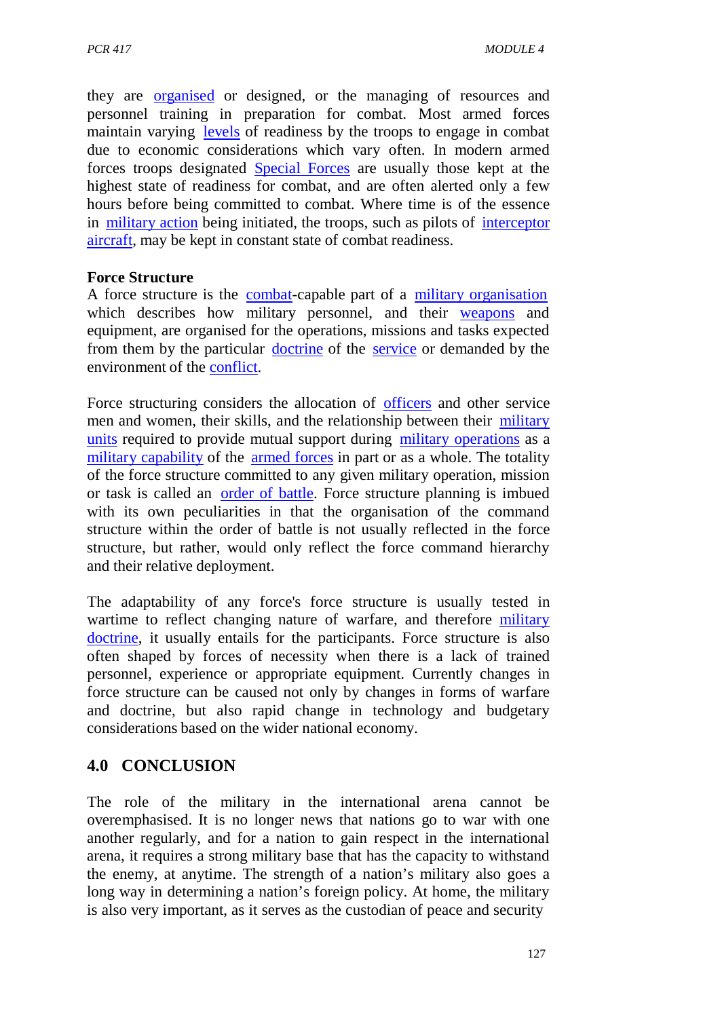they are organised or designed, or the managing of resources and personnel training in preparation for combat. Most armed forces maintain varying levels of readiness by the troops to engage in combat due to economic considerations which vary often. In modern armed forces troops designated Special Forces are usually those kept at the highest state of readiness for combat, and are often alerted only a few hours before being committed to combat. Where time is of the essence in military action being initiated, the troops, such as pilots of interceptor aircraft, may be kept in constant state of combat readiness.

#### **Force Structure**

A force structure is the combat-capable part of a military organisation which describes how military personnel, and their weapons and equipment, are organised for the operations, missions and tasks expected from them by the particular doctrine of the service or demanded by the environment of the conflict.

Force structuring considers the allocation of officers and other service men and women, their skills, and the relationship between their military units required to provide mutual support during military operations as a military capability of the armed forces in part or as a whole. The totality of the force structure committed to any given military operation, mission or task is called an order of battle. Force structure planning is imbued with its own peculiarities in that the organisation of the command structure within the order of battle is not usually reflected in the force structure, but rather, would only reflect the force command hierarchy and their relative deployment.

The adaptability of any force's force structure is usually tested in wartime to reflect changing nature of warfare, and therefore military doctrine, it usually entails for the participants. Force structure is also often shaped by forces of necessity when there is a lack of trained personnel, experience or appropriate equipment. Currently changes in force structure can be caused not only by changes in forms of warfare and doctrine, but also rapid change in technology and budgetary considerations based on the wider national economy.

## **4.0 CONCLUSION**

The role of the military in the international arena cannot be overemphasised. It is no longer news that nations go to war with one another regularly, and for a nation to gain respect in the international arena, it requires a strong military base that has the capacity to withstand the enemy, at anytime. The strength of a nation's military also goes a long way in determining a nation's foreign policy. At home, the military is also very important, as it serves as the custodian of peace and security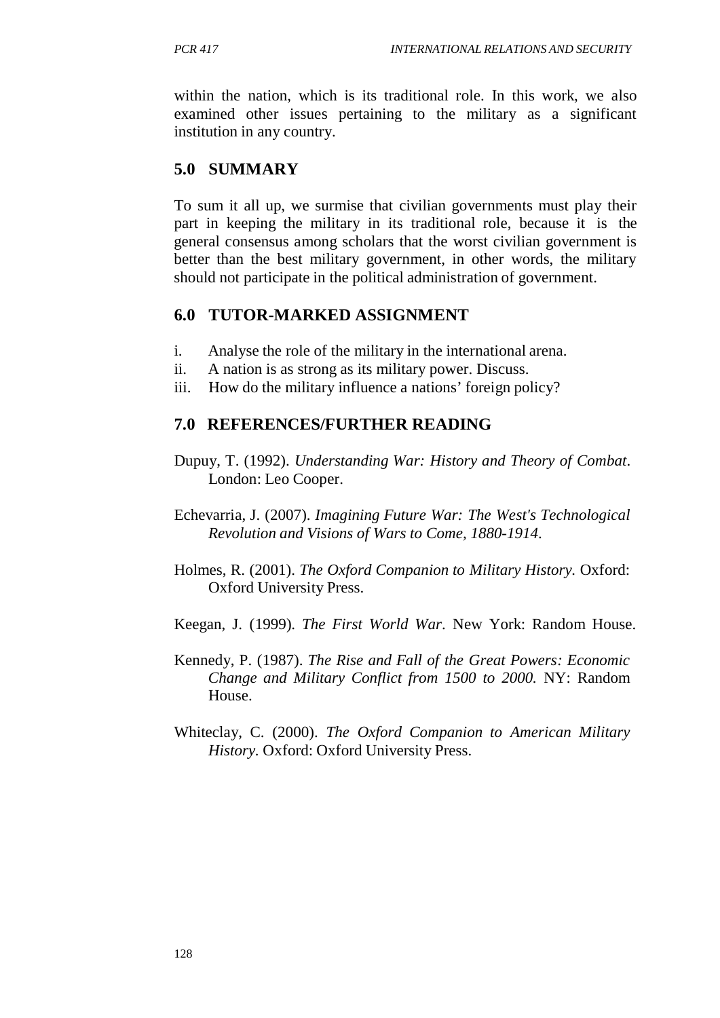within the nation, which is its traditional role. In this work, we also examined other issues pertaining to the military as a significant institution in any country.

## **5.0 SUMMARY**

To sum it all up, we surmise that civilian governments must play their part in keeping the military in its traditional role, because it is the general consensus among scholars that the worst civilian government is better than the best military government, in other words, the military should not participate in the political administration of government.

## **6.0 TUTOR-MARKED ASSIGNMENT**

- i. Analyse the role of the military in the international arena.
- ii. A nation is as strong as its military power. Discuss.
- iii. How do the military influence a nations' foreign policy?

## **7.0 REFERENCES/FURTHER READING**

- Dupuy, T. (1992). *Understanding War: History and Theory of Combat*. London: Leo Cooper.
- Echevarria, J. (2007). *Imagining Future War: The West's Technological Revolution and Visions of Wars to Come, 1880-1914*.
- Holmes, R. (2001). *The Oxford Companion to Military History.* Oxford: Oxford University Press.
- Keegan, J. (1999). *The First World War*. New York: Random House.
- Kennedy, P. (1987). *The Rise and Fall of the Great Powers: Economic Change and Military Conflict from 1500 to 2000.* NY: Random House.
- Whiteclay, C. (2000). *The Oxford Companion to American Military History.* Oxford: Oxford University Press.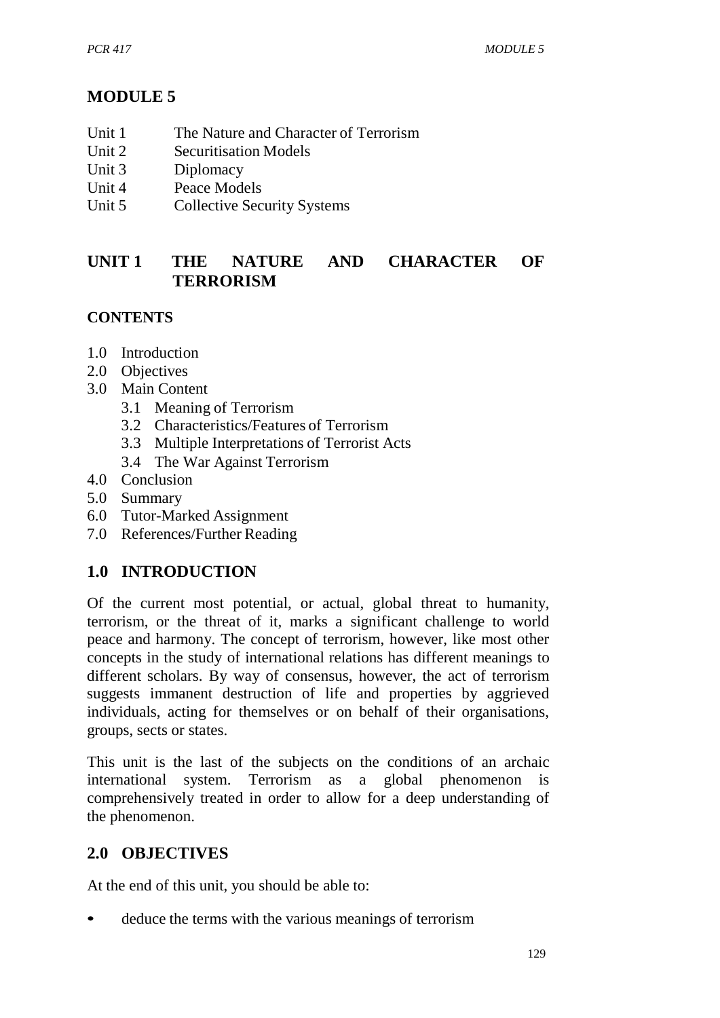# **MODULE 5**

- Unit 1 The Nature and Character of Terrorism
- Unit 2 Securitisation Models<br>Unit 3 Diplomacy
- Diplomacy
- Unit 4 Peace Models
- Unit 5 Collective Security Systems

## **UNIT 1 THE NATURE AND CHARACTER OF TERRORISM**

## **CONTENTS**

- 1.0 Introduction
- 2.0 Objectives
- 3.0 Main Content
	- 3.1 Meaning of Terrorism
	- 3.2 Characteristics/Features of Terrorism
	- 3.3 Multiple Interpretations of Terrorist Acts
	- 3.4 The War Against Terrorism
- 4.0 Conclusion
- 5.0 Summary
- 6.0 Tutor-Marked Assignment
- 7.0 References/Further Reading

## **1.0 INTRODUCTION**

Of the current most potential, or actual, global threat to humanity, terrorism, or the threat of it, marks a significant challenge to world peace and harmony. The concept of terrorism, however, like most other concepts in the study of international relations has different meanings to different scholars. By way of consensus, however, the act of terrorism suggests immanent destruction of life and properties by aggrieved individuals, acting for themselves or on behalf of their organisations, groups, sects or states.

This unit is the last of the subjects on the conditions of an archaic international system. Terrorism as a global phenomenon is comprehensively treated in order to allow for a deep understanding of the phenomenon.

# **2.0 OBJECTIVES**

At the end of this unit, you should be able to:

• deduce the terms with the various meanings of terrorism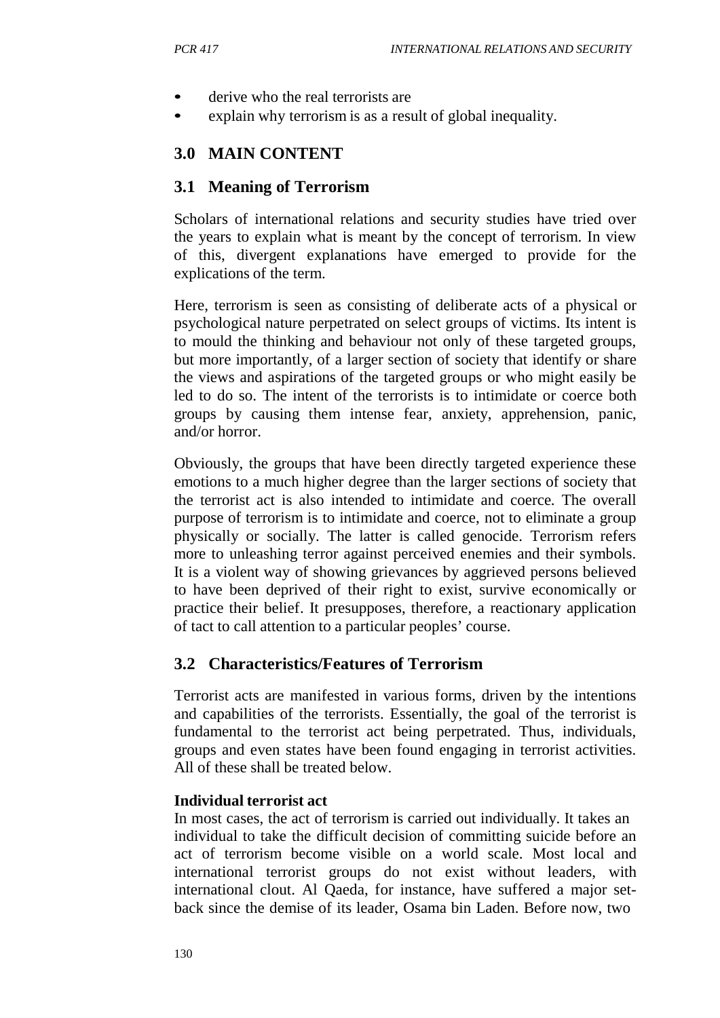- derive who the real terrorists are
- explain why terrorism is as a result of global inequality.

## **3.0 MAIN CONTENT**

### **3.1 Meaning of Terrorism**

Scholars of international relations and security studies have tried over the years to explain what is meant by the concept of terrorism. In view of this, divergent explanations have emerged to provide for the explications of the term.

Here, terrorism is seen as consisting of deliberate acts of a physical or psychological nature perpetrated on select groups of victims. Its intent is to mould the thinking and behaviour not only of these targeted groups, but more importantly, of a larger section of society that identify or share the views and aspirations of the targeted groups or who might easily be led to do so. The intent of the terrorists is to intimidate or coerce both groups by causing them intense fear, anxiety, apprehension, panic, and/or horror.

Obviously, the groups that have been directly targeted experience these emotions to a much higher degree than the larger sections of society that the terrorist act is also intended to intimidate and coerce. The overall purpose of terrorism is to intimidate and coerce, not to eliminate a group physically or socially. The latter is called genocide. Terrorism refers more to unleashing terror against perceived enemies and their symbols. It is a violent way of showing grievances by aggrieved persons believed to have been deprived of their right to exist, survive economically or practice their belief. It presupposes, therefore, a reactionary application of tact to call attention to a particular peoples' course.

## **3.2 Characteristics/Features of Terrorism**

Terrorist acts are manifested in various forms, driven by the intentions and capabilities of the terrorists. Essentially, the goal of the terrorist is fundamental to the terrorist act being perpetrated. Thus, individuals, groups and even states have been found engaging in terrorist activities. All of these shall be treated below.

#### **Individual terrorist act**

In most cases, the act of terrorism is carried out individually. It takes an individual to take the difficult decision of committing suicide before an act of terrorism become visible on a world scale. Most local and international terrorist groups do not exist without leaders, with international clout. Al Qaeda, for instance, have suffered a major setback since the demise of its leader, Osama bin Laden. Before now, two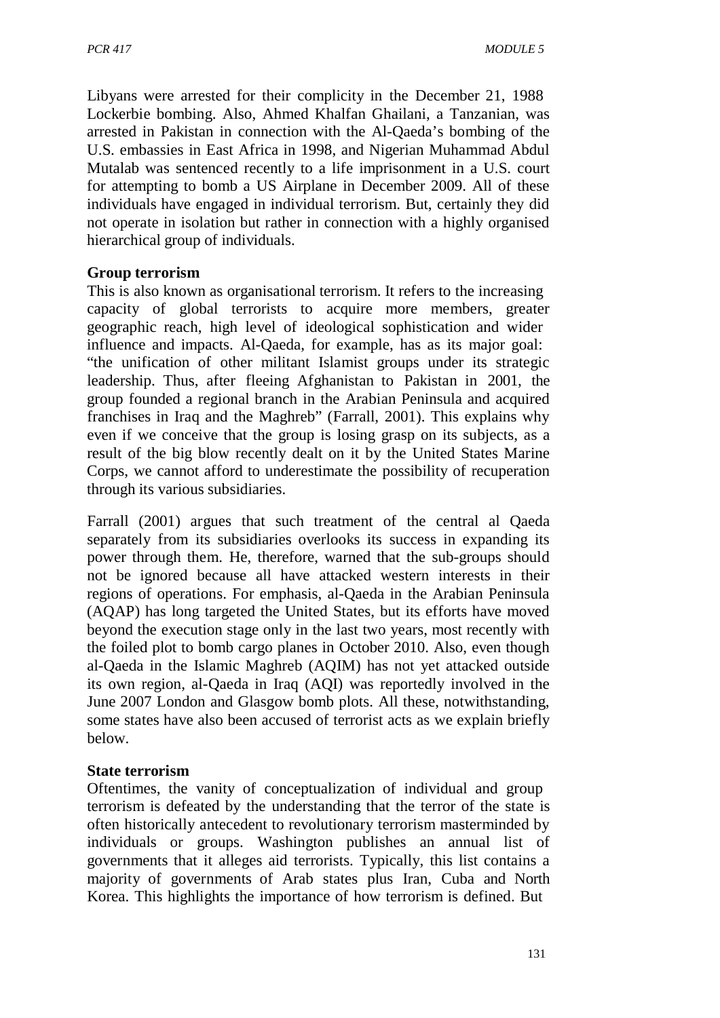Libyans were arrested for their complicity in the December 21, 1988 Lockerbie bombing. Also, Ahmed Khalfan Ghailani, a Tanzanian, was arrested in Pakistan in connection with the Al-Qaeda's bombing of the U.S. embassies in East Africa in 1998, and Nigerian Muhammad Abdul Mutalab was sentenced recently to a life imprisonment in a U.S. court for attempting to bomb a US Airplane in December 2009. All of these individuals have engaged in individual terrorism. But, certainly they did not operate in isolation but rather in connection with a highly organised hierarchical group of individuals.

#### **Group terrorism**

This is also known as organisational terrorism. It refers to the increasing capacity of global terrorists to acquire more members, greater geographic reach, high level of ideological sophistication and wider influence and impacts. Al-Qaeda, for example, has as its major goal: "the unification of other militant Islamist groups under its strategic leadership. Thus, after fleeing Afghanistan to Pakistan in 2001, the group founded a regional branch in the Arabian Peninsula and acquired franchises in Iraq and the Maghreb" (Farrall, 2001). This explains why even if we conceive that the group is losing grasp on its subjects, as a result of the big blow recently dealt on it by the United States Marine Corps, we cannot afford to underestimate the possibility of recuperation through its various subsidiaries.

Farrall (2001) argues that such treatment of the central al Qaeda separately from its subsidiaries overlooks its success in expanding its power through them. He, therefore, warned that the sub-groups should not be ignored because all have attacked western interests in their regions of operations. For emphasis, al-Qaeda in the Arabian Peninsula (AQAP) has long targeted the United States, but its efforts have moved beyond the execution stage only in the last two years, most recently with the foiled plot to bomb cargo planes in October 2010. Also, even though al-Qaeda in the Islamic Maghreb (AQIM) has not yet attacked outside its own region, al-Qaeda in Iraq (AQI) was reportedly involved in the June 2007 London and Glasgow bomb plots. All these, notwithstanding, some states have also been accused of terrorist acts as we explain briefly below.

#### **State terrorism**

Oftentimes, the vanity of conceptualization of individual and group terrorism is defeated by the understanding that the terror of the state is often historically antecedent to revolutionary terrorism masterminded by individuals or groups. Washington publishes an annual list of governments that it alleges aid terrorists. Typically, this list contains a majority of governments of Arab states plus Iran, Cuba and North Korea. This highlights the importance of how terrorism is defined. But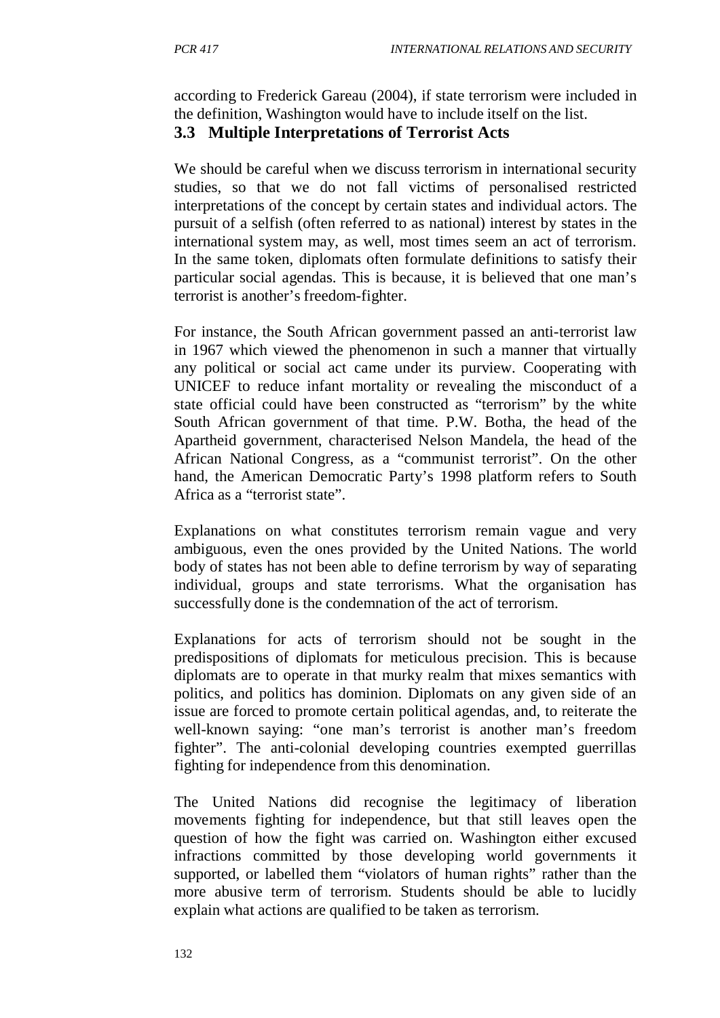according to Frederick Gareau (2004), if state terrorism were included in the definition, Washington would have to include itself on the list.

## **3.3 Multiple Interpretations of Terrorist Acts**

We should be careful when we discuss terrorism in international security studies, so that we do not fall victims of personalised restricted interpretations of the concept by certain states and individual actors. The pursuit of a selfish (often referred to as national) interest by states in the international system may, as well, most times seem an act of terrorism. In the same token, diplomats often formulate definitions to satisfy their particular social agendas. This is because, it is believed that one man's terrorist is another's freedom-fighter.

For instance, the South African government passed an anti-terrorist law in 1967 which viewed the phenomenon in such a manner that virtually any political or social act came under its purview. Cooperating with UNICEF to reduce infant mortality or revealing the misconduct of a state official could have been constructed as "terrorism" by the white South African government of that time. P.W. Botha, the head of the Apartheid government, characterised Nelson Mandela, the head of the African National Congress, as a "communist terrorist". On the other hand, the American Democratic Party's 1998 platform refers to South Africa as a "terrorist state".

Explanations on what constitutes terrorism remain vague and very ambiguous, even the ones provided by the United Nations. The world body of states has not been able to define terrorism by way of separating individual, groups and state terrorisms. What the organisation has successfully done is the condemnation of the act of terrorism.

Explanations for acts of terrorism should not be sought in the predispositions of diplomats for meticulous precision. This is because diplomats are to operate in that murky realm that mixes semantics with politics, and politics has dominion. Diplomats on any given side of an issue are forced to promote certain political agendas, and, to reiterate the well-known saying: "one man's terrorist is another man's freedom fighter". The anti-colonial developing countries exempted guerrillas fighting for independence from this denomination.

The United Nations did recognise the legitimacy of liberation movements fighting for independence, but that still leaves open the question of how the fight was carried on. Washington either excused infractions committed by those developing world governments it supported, or labelled them "violators of human rights" rather than the more abusive term of terrorism. Students should be able to lucidly explain what actions are qualified to be taken as terrorism.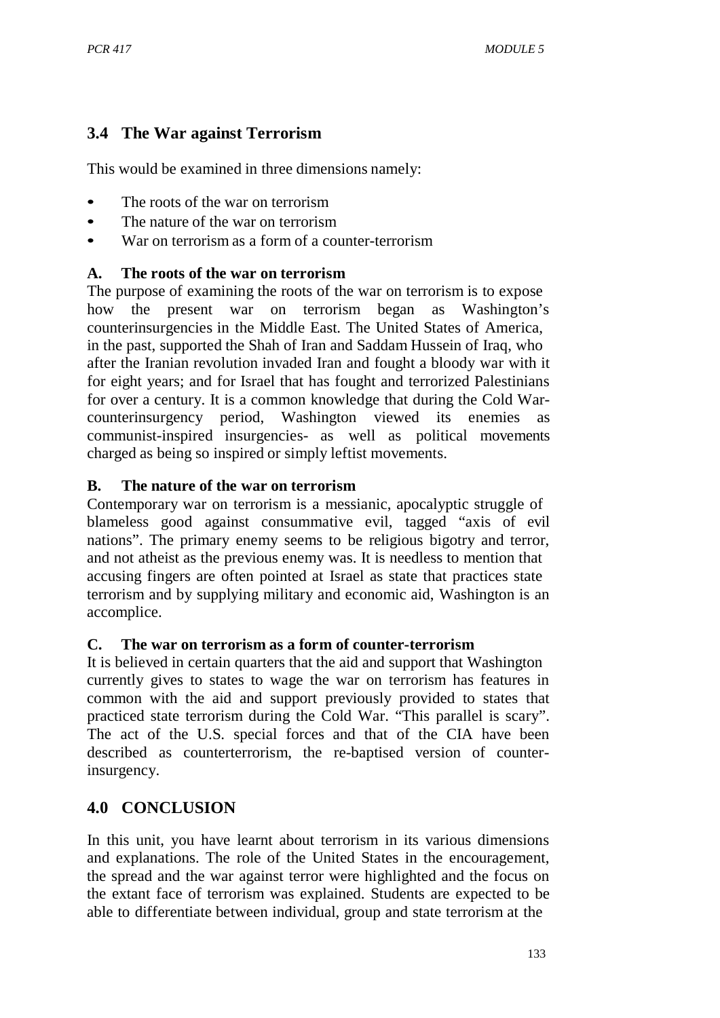## **3.4 The War against Terrorism**

This would be examined in three dimensions namely:

- The roots of the war on terrorism
- The nature of the war on terrorism
- War on terrorism as a form of a counter-terrorism

### **A. The roots of the war on terrorism**

The purpose of examining the roots of the war on terrorism is to expose how the present war on terrorism began as Washington's counterinsurgencies in the Middle East. The United States of America, in the past, supported the Shah of Iran and Saddam Hussein of Iraq, who after the Iranian revolution invaded Iran and fought a bloody war with it for eight years; and for Israel that has fought and terrorized Palestinians for over a century. It is a common knowledge that during the Cold Warcounterinsurgency period, Washington viewed its enemies as communist-inspired insurgencies- as well as political movements charged as being so inspired or simply leftist movements.

### **B. The nature of the war on terrorism**

Contemporary war on terrorism is a messianic, apocalyptic struggle of blameless good against consummative evil, tagged "axis of evil nations". The primary enemy seems to be religious bigotry and terror, and not atheist as the previous enemy was. It is needless to mention that accusing fingers are often pointed at Israel as state that practices state terrorism and by supplying military and economic aid, Washington is an accomplice.

#### **C. The war on terrorism as a form of counter-terrorism**

It is believed in certain quarters that the aid and support that Washington currently gives to states to wage the war on terrorism has features in common with the aid and support previously provided to states that practiced state terrorism during the Cold War. "This parallel is scary". The act of the U.S. special forces and that of the CIA have been described as counterterrorism, the re-baptised version of counterinsurgency.

# **4.0 CONCLUSION**

In this unit, you have learnt about terrorism in its various dimensions and explanations. The role of the United States in the encouragement, the spread and the war against terror were highlighted and the focus on the extant face of terrorism was explained. Students are expected to be able to differentiate between individual, group and state terrorism at the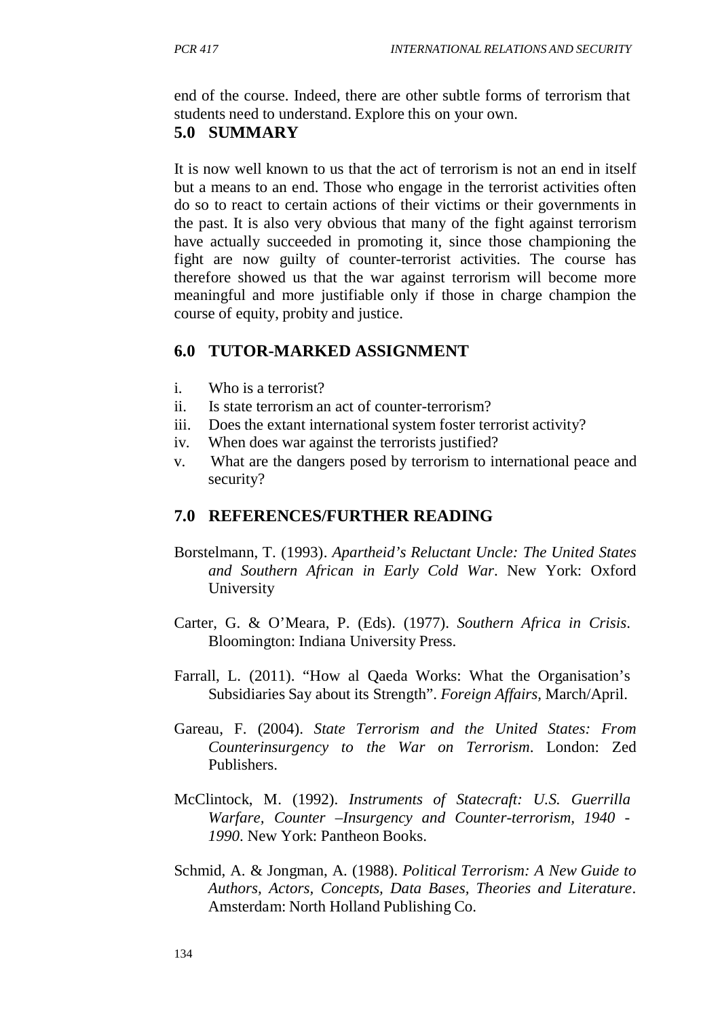end of the course. Indeed, there are other subtle forms of terrorism that students need to understand. Explore this on your own.

## **5.0 SUMMARY**

It is now well known to us that the act of terrorism is not an end in itself but a means to an end. Those who engage in the terrorist activities often do so to react to certain actions of their victims or their governments in the past. It is also very obvious that many of the fight against terrorism have actually succeeded in promoting it, since those championing the fight are now guilty of counter-terrorist activities. The course has therefore showed us that the war against terrorism will become more meaningful and more justifiable only if those in charge champion the course of equity, probity and justice.

## **6.0 TUTOR-MARKED ASSIGNMENT**

- i. Who is a terrorist?
- ii. Is state terrorism an act of counter-terrorism?
- iii. Does the extant international system foster terrorist activity?
- iv. When does war against the terrorists justified?
- v. What are the dangers posed by terrorism to international peace and security?

## **7.0 REFERENCES/FURTHER READING**

- Borstelmann, T. (1993). *Apartheid's Reluctant Uncle: The United States and Southern African in Early Cold War*. New York: Oxford University
- Carter, G. & O'Meara, P. (Eds). (1977). *Southern Africa in Crisis*. Bloomington: Indiana University Press.
- Farrall, L. (2011). "How al Qaeda Works: What the Organisation's Subsidiaries Say about its Strength". *Foreign Affairs,* March/April.
- Gareau, F. (2004). *State Terrorism and the United States: From Counterinsurgency to the War on Terrorism*. London: Zed Publishers.
- McClintock, M. (1992). *Instruments of Statecraft: U.S. Guerrilla Warfare, Counter –Insurgency and Counter-terrorism, 1940 - 1990*. New York: Pantheon Books.
- Schmid, A. & Jongman, A. (1988). *Political Terrorism: A New Guide to Authors, Actors, Concepts, Data Bases, Theories and Literature*. Amsterdam: North Holland Publishing Co.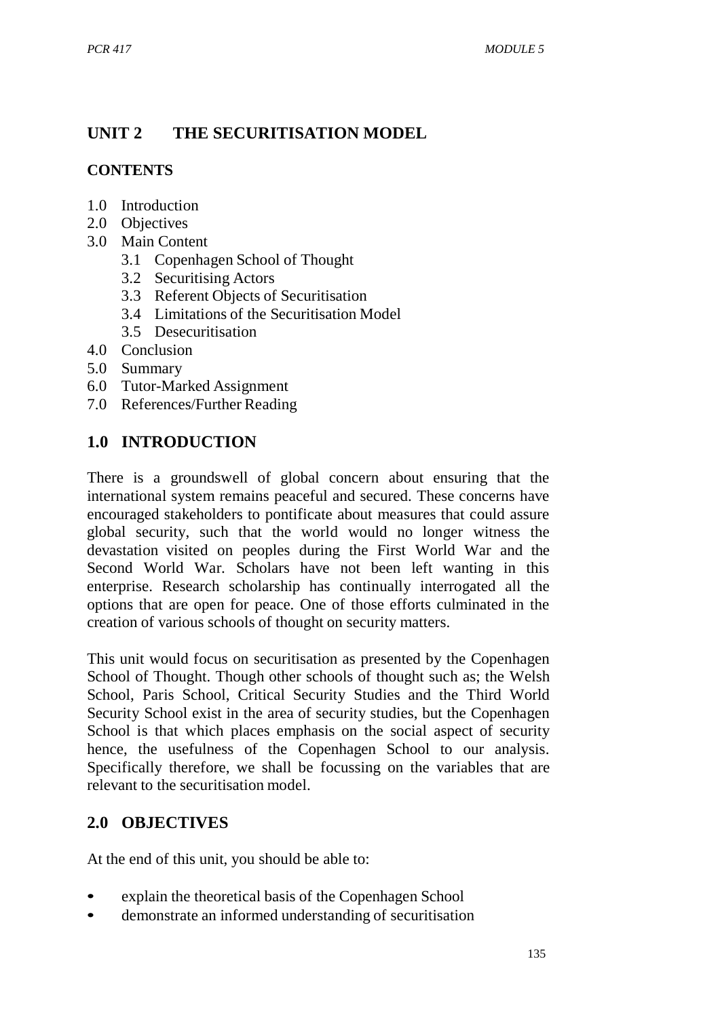# **UNIT 2 THE SECURITISATION MODEL**

## **CONTENTS**

- 1.0 Introduction
- 2.0 Objectives
- 3.0 Main Content
	- 3.1 Copenhagen School of Thought
	- 3.2 Securitising Actors
	- 3.3 Referent Objects of Securitisation
	- 3.4 Limitations of the Securitisation Model
	- 3.5 Desecuritisation
- 4.0 Conclusion
- 5.0 Summary
- 6.0 Tutor-Marked Assignment
- 7.0 References/Further Reading

# **1.0 INTRODUCTION**

There is a groundswell of global concern about ensuring that the international system remains peaceful and secured. These concerns have encouraged stakeholders to pontificate about measures that could assure global security, such that the world would no longer witness the devastation visited on peoples during the First World War and the Second World War. Scholars have not been left wanting in this enterprise. Research scholarship has continually interrogated all the options that are open for peace. One of those efforts culminated in the creation of various schools of thought on security matters.

This unit would focus on securitisation as presented by the Copenhagen School of Thought. Though other schools of thought such as; the Welsh School, Paris School, Critical Security Studies and the Third World Security School exist in the area of security studies, but the Copenhagen School is that which places emphasis on the social aspect of security hence, the usefulness of the Copenhagen School to our analysis. Specifically therefore, we shall be focussing on the variables that are relevant to the securitisation model.

# **2.0 OBJECTIVES**

At the end of this unit, you should be able to:

- explain the theoretical basis of the Copenhagen School
- demonstrate an informed understanding of securitisation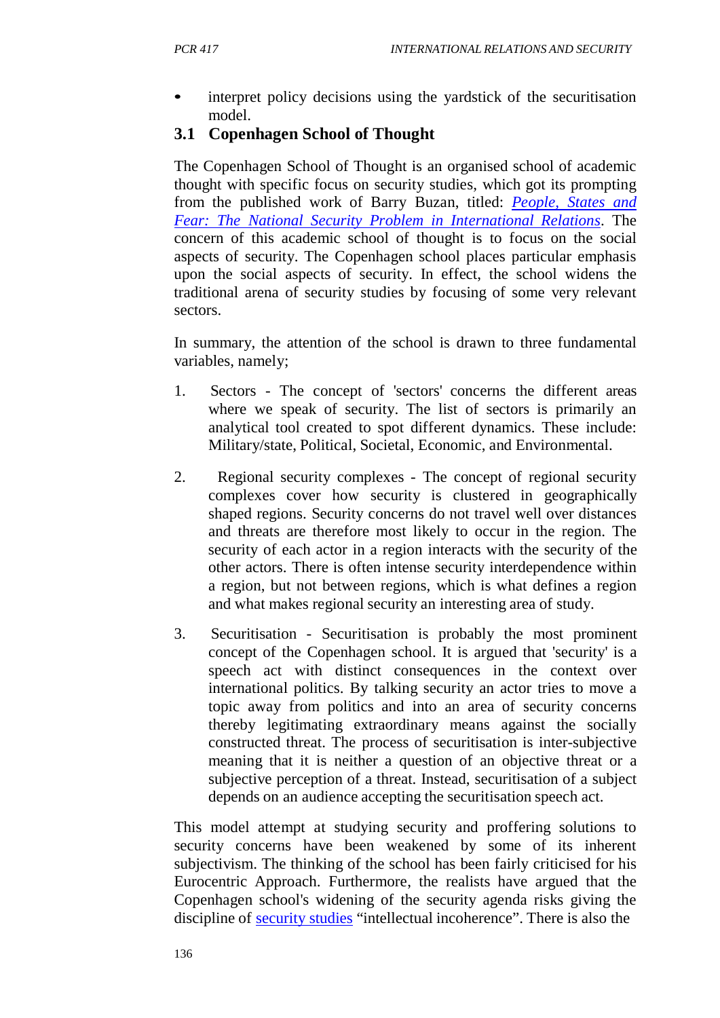interpret policy decisions using the yardstick of the securitisation model.

## **3.1 Copenhagen School of Thought**

The Copenhagen School of Thought is an organised school of academic thought with specific focus on security studies, which got its prompting from the published work of Barry Buzan, titled: *People, States and Fear: The National Security Problem in International Relations*. The concern of this academic school of thought is to focus on the social aspects of security. The Copenhagen school places particular emphasis upon the social aspects of security. In effect, the school widens the traditional arena of security studies by focusing of some very relevant sectors.

In summary, the attention of the school is drawn to three fundamental variables, namely;

- 1. Sectors The concept of 'sectors' concerns the different areas where we speak of security. The list of sectors is primarily an analytical tool created to spot different dynamics. These include: Military/state, Political, Societal, Economic, and Environmental.
- 2. Regional security complexes The concept of regional security complexes cover how security is clustered in geographically shaped regions. Security concerns do not travel well over distances and threats are therefore most likely to occur in the region. The security of each actor in a region interacts with the security of the other actors. There is often intense security interdependence within a region, but not between regions, which is what defines a region and what makes regional security an interesting area of study.
- 3. Securitisation Securitisation is probably the most prominent concept of the Copenhagen school. It is argued that 'security' is a speech act with distinct consequences in the context over international politics. By talking security an actor tries to move a topic away from politics and into an area of security concerns thereby legitimating extraordinary means against the socially constructed threat. The process of securitisation is inter-subjective meaning that it is neither a question of an objective threat or a subjective perception of a threat. Instead, securitisation of a subject depends on an audience accepting the securitisation speech act.

This model attempt at studying security and proffering solutions to security concerns have been weakened by some of its inherent subjectivism. The thinking of the school has been fairly criticised for his Eurocentric Approach. Furthermore, the realists have argued that the Copenhagen school's widening of the security agenda risks giving the discipline of security studies "intellectual incoherence". There is also the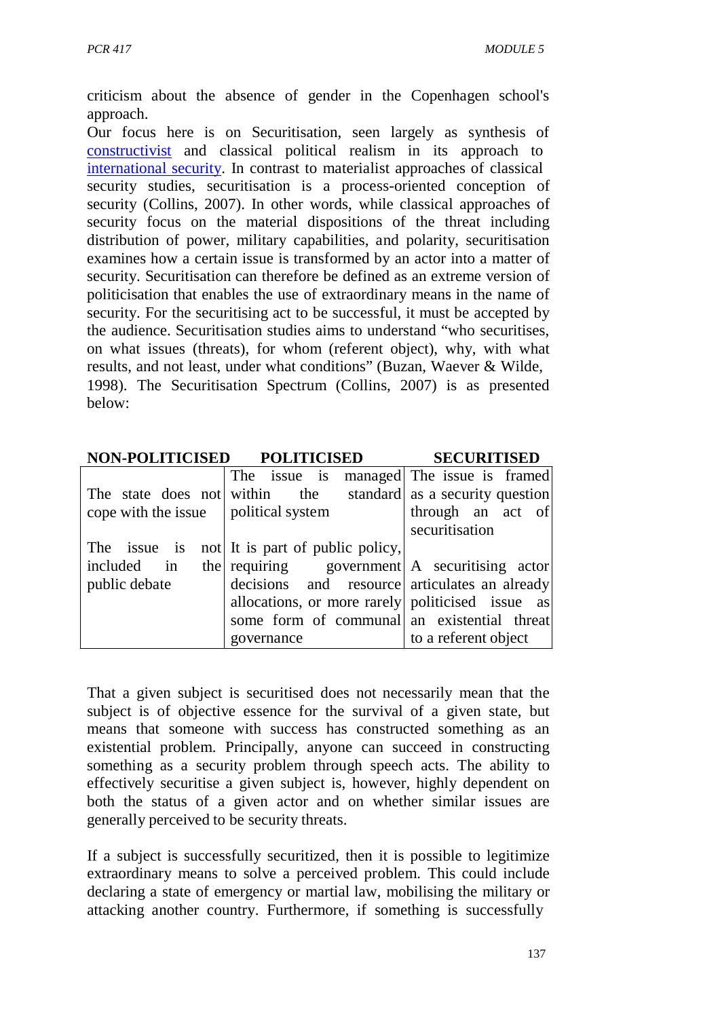criticism about the absence of gender in the Copenhagen school's approach.

Our focus here is on Securitisation, seen largely as synthesis of constructivist and classical political realism in its approach to international security. In contrast to materialist approaches of classical security studies, securitisation is a process-oriented conception of security (Collins, 2007). In other words, while classical approaches of security focus on the material dispositions of the threat including distribution of power, military capabilities, and polarity, securitisation examines how a certain issue is transformed by an actor into a matter of security. Securitisation can therefore be defined as an extreme version of politicisation that enables the use of extraordinary means in the name of security. For the securitising act to be successful, it must be accepted by the audience. Securitisation studies aims to understand "who securitises, on what issues (threats), for whom (referent object), why, with what results, and not least, under what conditions" (Buzan, Waever & Wilde, 1998). The Securitisation Spectrum (Collins, 2007) is as presented below:

|                                                  | NON-POLITICISED POLITICISED                      | <b>SECURITISED</b>              |
|--------------------------------------------------|--------------------------------------------------|---------------------------------|
|                                                  | The issue is                                     | managed The issue is framed     |
| The state does not within the                    |                                                  | standard as a security question |
| cope with the issue $\parallel$ political system |                                                  | through an act of               |
|                                                  |                                                  | securitisation                  |
| The issue is                                     | not It is part of public policy,                 |                                 |
| included in                                      | the requiring government A securitising actor    |                                 |
| public debate                                    | decisions and resource articulates an already    |                                 |
|                                                  | allocations, or more rarely politicised issue as |                                 |
|                                                  | some form of communal an existential threat      |                                 |
|                                                  | governance                                       | to a referent object            |

That a given subject is securitised does not necessarily mean that the subject is of objective essence for the survival of a given state, but means that someone with success has constructed something as an existential problem. Principally, anyone can succeed in constructing something as a security problem through speech acts. The ability to effectively securitise a given subject is, however, highly dependent on both the status of a given actor and on whether similar issues are generally perceived to be security threats.

If a subject is successfully securitized, then it is possible to legitimize extraordinary means to solve a perceived problem. This could include declaring a state of emergency or martial law, mobilising the military or attacking another country. Furthermore, if something is successfully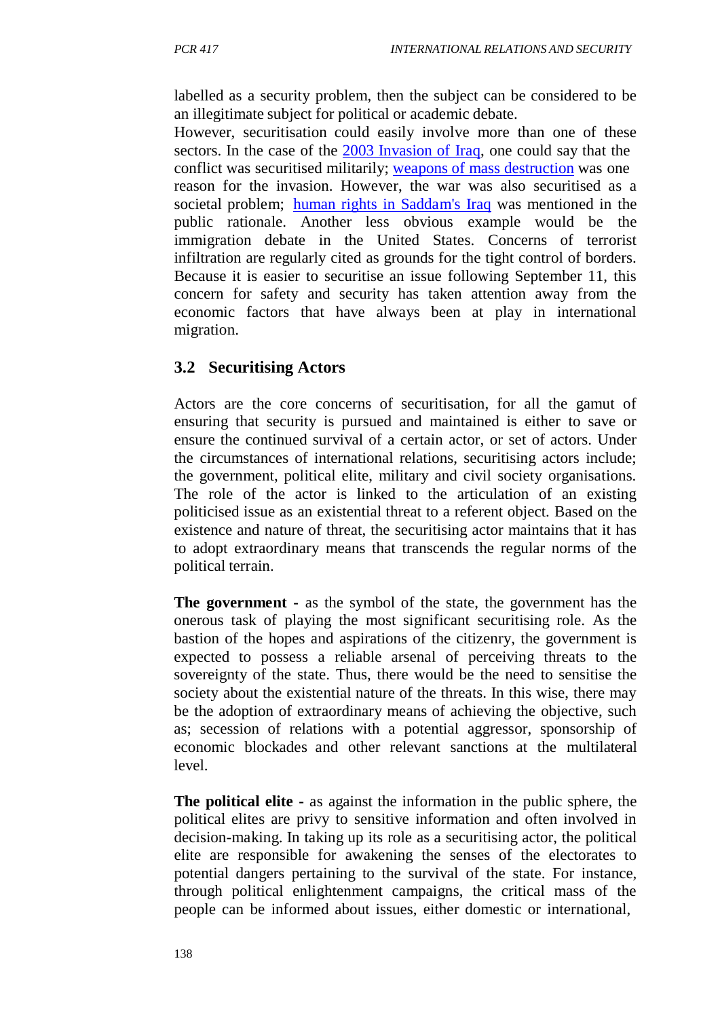labelled as a security problem, then the subject can be considered to be an illegitimate subject for political or academic debate.

However, securitisation could easily involve more than one of these sectors. In the case of the 2003 Invasion of Iraq, one could say that the conflict was securitised militarily; weapons of mass destruction was one reason for the invasion. However, the war was also securitised as a societal problem; human rights in Saddam's Iraq was mentioned in the public rationale. Another less obvious example would be the immigration debate in the United States. Concerns of terrorist infiltration are regularly cited as grounds for the tight control of borders. Because it is easier to securitise an issue following September 11, this concern for safety and security has taken attention away from the economic factors that have always been at play in international migration.

# **3.2 Securitising Actors**

Actors are the core concerns of securitisation, for all the gamut of ensuring that security is pursued and maintained is either to save or ensure the continued survival of a certain actor, or set of actors. Under the circumstances of international relations, securitising actors include; the government, political elite, military and civil society organisations. The role of the actor is linked to the articulation of an existing politicised issue as an existential threat to a referent object. Based on the existence and nature of threat, the securitising actor maintains that it has to adopt extraordinary means that transcends the regular norms of the political terrain.

**The government -** as the symbol of the state, the government has the onerous task of playing the most significant securitising role. As the bastion of the hopes and aspirations of the citizenry, the government is expected to possess a reliable arsenal of perceiving threats to the sovereignty of the state. Thus, there would be the need to sensitise the society about the existential nature of the threats. In this wise, there may be the adoption of extraordinary means of achieving the objective, such as; secession of relations with a potential aggressor, sponsorship of economic blockades and other relevant sanctions at the multilateral level.

**The political elite -** as against the information in the public sphere, the political elites are privy to sensitive information and often involved in decision-making. In taking up its role as a securitising actor, the political elite are responsible for awakening the senses of the electorates to potential dangers pertaining to the survival of the state. For instance, through political enlightenment campaigns, the critical mass of the people can be informed about issues, either domestic or international,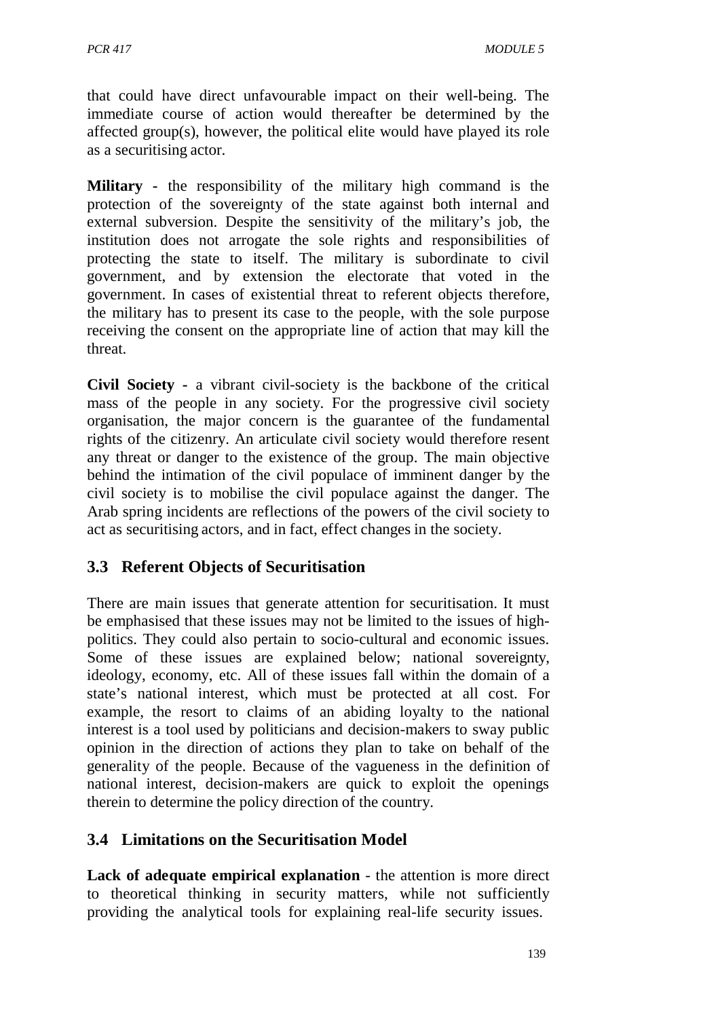that could have direct unfavourable impact on their well-being. The immediate course of action would thereafter be determined by the affected group(s), however, the political elite would have played its role as a securitising actor.

**Military -** the responsibility of the military high command is the protection of the sovereignty of the state against both internal and external subversion. Despite the sensitivity of the military's job, the institution does not arrogate the sole rights and responsibilities of protecting the state to itself. The military is subordinate to civil government, and by extension the electorate that voted in the government. In cases of existential threat to referent objects therefore, the military has to present its case to the people, with the sole purpose receiving the consent on the appropriate line of action that may kill the threat.

**Civil Society -** a vibrant civil-society is the backbone of the critical mass of the people in any society. For the progressive civil society organisation, the major concern is the guarantee of the fundamental rights of the citizenry. An articulate civil society would therefore resent any threat or danger to the existence of the group. The main objective behind the intimation of the civil populace of imminent danger by the civil society is to mobilise the civil populace against the danger. The Arab spring incidents are reflections of the powers of the civil society to act as securitising actors, and in fact, effect changes in the society.

# **3.3 Referent Objects of Securitisation**

There are main issues that generate attention for securitisation. It must be emphasised that these issues may not be limited to the issues of highpolitics. They could also pertain to socio-cultural and economic issues. Some of these issues are explained below; national sovereignty, ideology, economy, etc. All of these issues fall within the domain of a state's national interest, which must be protected at all cost. For example, the resort to claims of an abiding loyalty to the national interest is a tool used by politicians and decision-makers to sway public opinion in the direction of actions they plan to take on behalf of the generality of the people. Because of the vagueness in the definition of national interest, decision-makers are quick to exploit the openings therein to determine the policy direction of the country.

## **3.4 Limitations on the Securitisation Model**

**Lack of adequate empirical explanation** - the attention is more direct to theoretical thinking in security matters, while not sufficiently providing the analytical tools for explaining real-life security issues.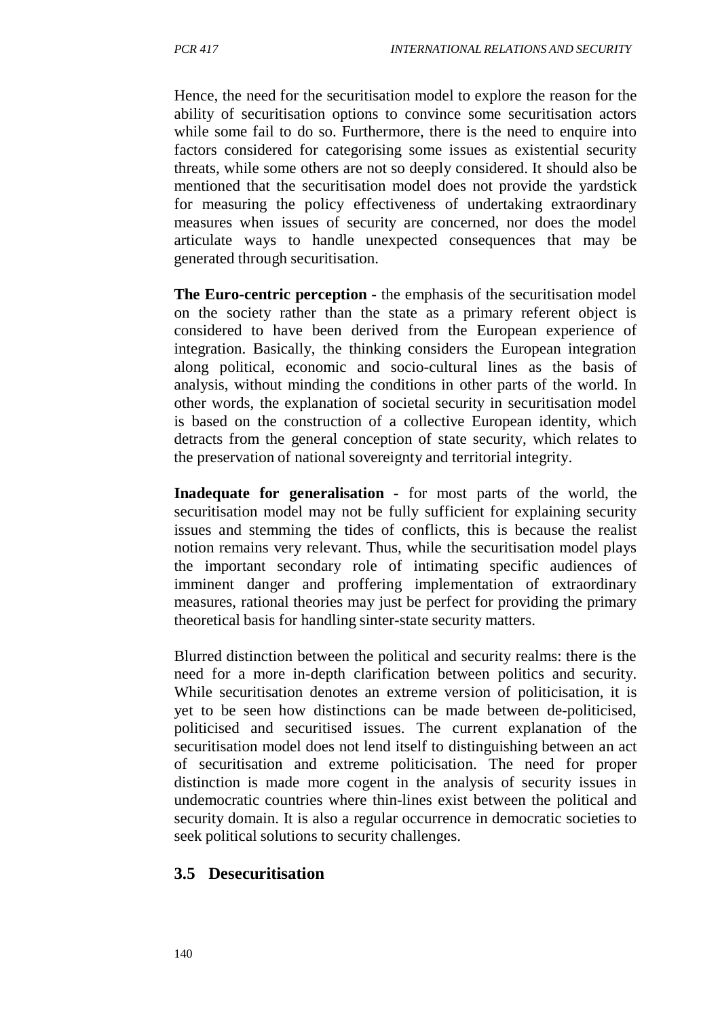Hence, the need for the securitisation model to explore the reason for the ability of securitisation options to convince some securitisation actors while some fail to do so. Furthermore, there is the need to enquire into factors considered for categorising some issues as existential security threats, while some others are not so deeply considered. It should also be mentioned that the securitisation model does not provide the yardstick for measuring the policy effectiveness of undertaking extraordinary measures when issues of security are concerned, nor does the model articulate ways to handle unexpected consequences that may be generated through securitisation.

**The Euro-centric perception** - the emphasis of the securitisation model on the society rather than the state as a primary referent object is considered to have been derived from the European experience of integration. Basically, the thinking considers the European integration along political, economic and socio-cultural lines as the basis of analysis, without minding the conditions in other parts of the world. In other words, the explanation of societal security in securitisation model is based on the construction of a collective European identity, which detracts from the general conception of state security, which relates to the preservation of national sovereignty and territorial integrity.

**Inadequate for generalisation** - for most parts of the world, the securitisation model may not be fully sufficient for explaining security issues and stemming the tides of conflicts, this is because the realist notion remains very relevant. Thus, while the securitisation model plays the important secondary role of intimating specific audiences of imminent danger and proffering implementation of extraordinary measures, rational theories may just be perfect for providing the primary theoretical basis for handling sinter-state security matters.

Blurred distinction between the political and security realms: there is the need for a more in-depth clarification between politics and security. While securitisation denotes an extreme version of politicisation, it is yet to be seen how distinctions can be made between de-politicised, politicised and securitised issues. The current explanation of the securitisation model does not lend itself to distinguishing between an act of securitisation and extreme politicisation. The need for proper distinction is made more cogent in the analysis of security issues in undemocratic countries where thin-lines exist between the political and security domain. It is also a regular occurrence in democratic societies to seek political solutions to security challenges.

## **3.5 Desecuritisation**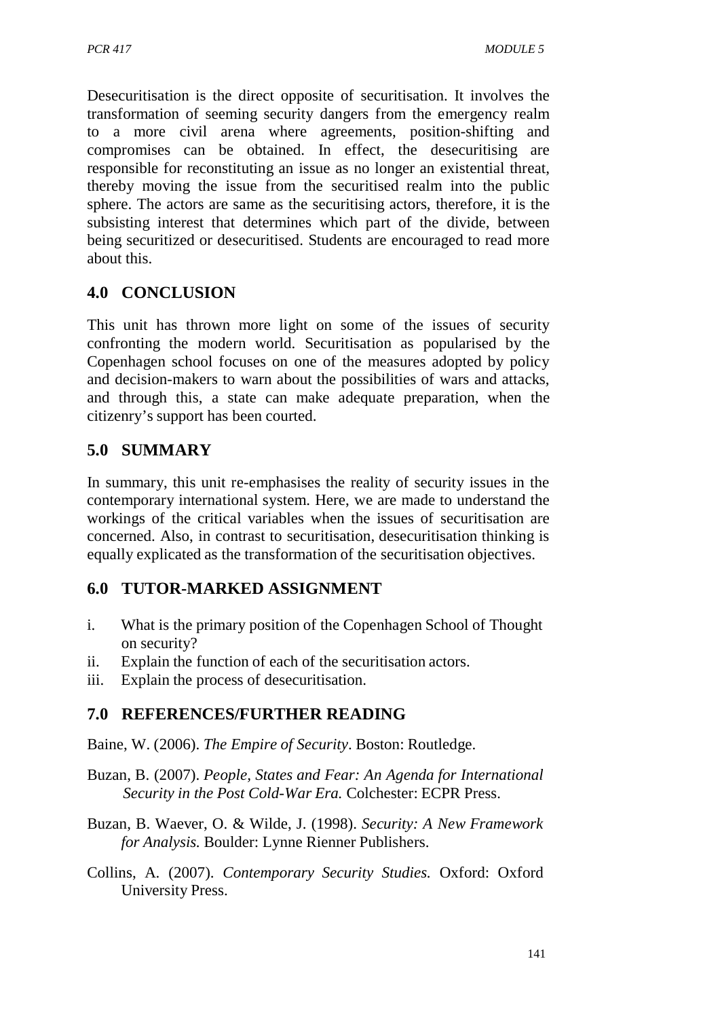Desecuritisation is the direct opposite of securitisation. It involves the transformation of seeming security dangers from the emergency realm to a more civil arena where agreements, position-shifting and compromises can be obtained. In effect, the desecuritising are responsible for reconstituting an issue as no longer an existential threat, thereby moving the issue from the securitised realm into the public sphere. The actors are same as the securitising actors, therefore, it is the subsisting interest that determines which part of the divide, between being securitized or desecuritised. Students are encouraged to read more about this.

# **4.0 CONCLUSION**

This unit has thrown more light on some of the issues of security confronting the modern world. Securitisation as popularised by the Copenhagen school focuses on one of the measures adopted by policy and decision-makers to warn about the possibilities of wars and attacks, and through this, a state can make adequate preparation, when the citizenry's support has been courted.

## **5.0 SUMMARY**

In summary, this unit re-emphasises the reality of security issues in the contemporary international system. Here, we are made to understand the workings of the critical variables when the issues of securitisation are concerned. Also, in contrast to securitisation, desecuritisation thinking is equally explicated as the transformation of the securitisation objectives.

## **6.0 TUTOR-MARKED ASSIGNMENT**

- i. What is the primary position of the Copenhagen School of Thought on security?
- ii. Explain the function of each of the securitisation actors.
- iii. Explain the process of desecuritisation.

# **7.0 REFERENCES/FURTHER READING**

Baine, W. (2006). *The Empire of Security*. Boston: Routledge.

- Buzan, B. (2007). *People, States and Fear: An Agenda for International Security in the Post Cold-War Era.* Colchester: ECPR Press.
- Buzan, B. Waever, O. & Wilde, J. (1998). *Security: A New Framework for Analysis.* Boulder: Lynne Rienner Publishers.
- Collins, A. (2007). *Contemporary Security Studies.* Oxford: Oxford University Press.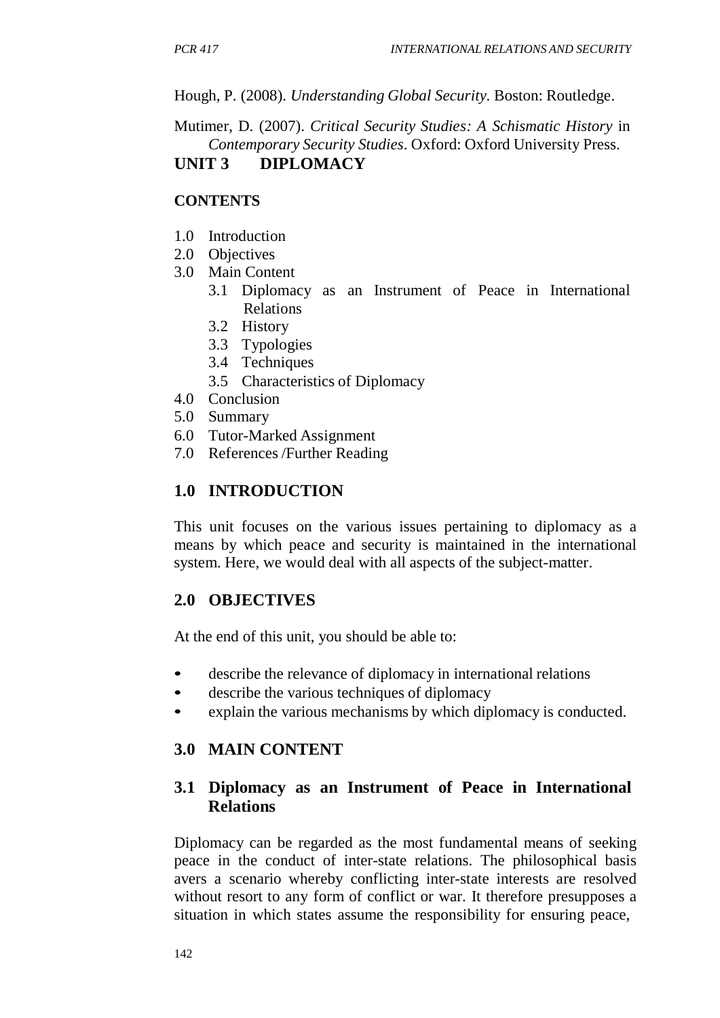Hough, P. (2008). *Understanding Global Security.* Boston: Routledge.

#### Mutimer, D. (2007). *Critical Security Studies: A Schismatic History* in *Contemporary Security Studies*. Oxford: Oxford University Press. **UNIT 3 DIPLOMACY**

#### **CONTENTS**

- 1.0 Introduction
- 2.0 Objectives
- 3.0 Main Content
	- 3.1 Diplomacy as an Instrument of Peace in International Relations
	- 3.2 History
	- 3.3 Typologies
	- 3.4 Techniques
	- 3.5 Characteristics of Diplomacy
- 4.0 Conclusion
- 5.0 Summary
- 6.0 Tutor-Marked Assignment
- 7.0 References /Further Reading

### **1.0 INTRODUCTION**

This unit focuses on the various issues pertaining to diplomacy as a means by which peace and security is maintained in the international system. Here, we would deal with all aspects of the subject-matter.

#### **2.0 OBJECTIVES**

At the end of this unit, you should be able to:

- describe the relevance of diplomacy in international relations
- describe the various techniques of diplomacy
- explain the various mechanisms by which diplomacy is conducted.

#### **3.0 MAIN CONTENT**

### **3.1 Diplomacy as an Instrument of Peace in International Relations**

Diplomacy can be regarded as the most fundamental means of seeking peace in the conduct of inter-state relations. The philosophical basis avers a scenario whereby conflicting inter-state interests are resolved without resort to any form of conflict or war. It therefore presupposes a situation in which states assume the responsibility for ensuring peace,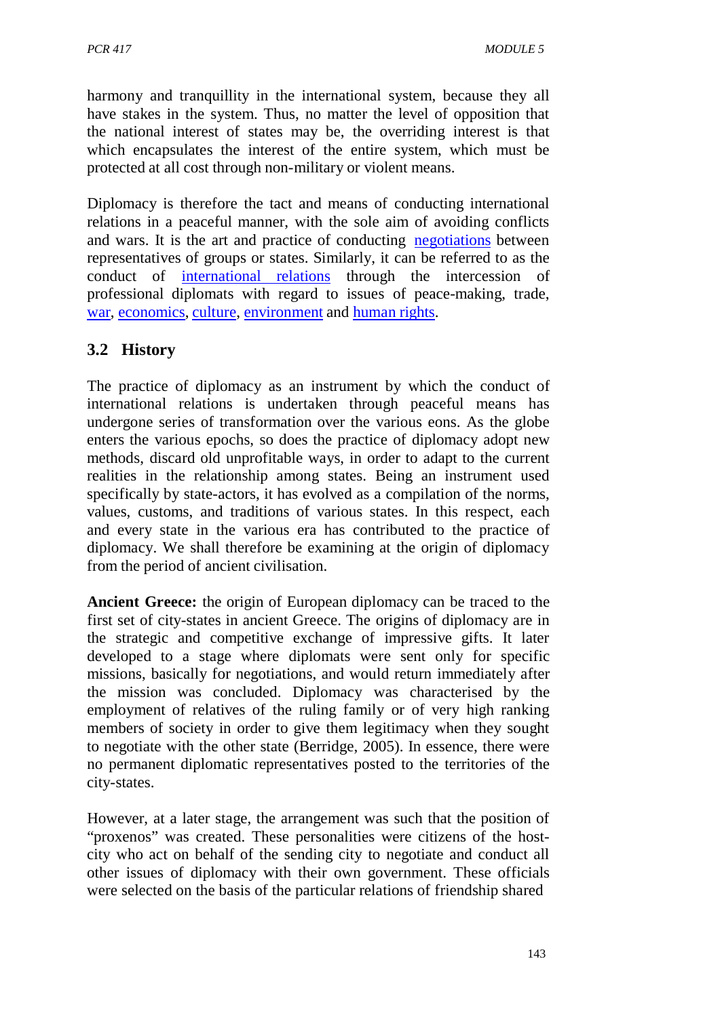harmony and tranquillity in the international system, because they all have stakes in the system. Thus, no matter the level of opposition that the national interest of states may be, the overriding interest is that which encapsulates the interest of the entire system, which must be protected at all cost through non-military or violent means.

Diplomacy is therefore the tact and means of conducting international relations in a peaceful manner, with the sole aim of avoiding conflicts and wars. It is the art and practice of conducting negotiations between representatives of groups or states. Similarly, it can be referred to as the conduct of international relations through the intercession of professional diplomats with regard to issues of peace-making, trade, war, economics, culture, environment and human rights.

## **3.2 History**

The practice of diplomacy as an instrument by which the conduct of international relations is undertaken through peaceful means has undergone series of transformation over the various eons. As the globe enters the various epochs, so does the practice of diplomacy adopt new methods, discard old unprofitable ways, in order to adapt to the current realities in the relationship among states. Being an instrument used specifically by state-actors, it has evolved as a compilation of the norms, values, customs, and traditions of various states. In this respect, each and every state in the various era has contributed to the practice of diplomacy. We shall therefore be examining at the origin of diplomacy from the period of ancient civilisation.

**Ancient Greece:** the origin of European diplomacy can be traced to the first set of city-states in ancient Greece. The origins of diplomacy are in the strategic and competitive exchange of impressive gifts. It later developed to a stage where diplomats were sent only for specific missions, basically for negotiations, and would return immediately after the mission was concluded. Diplomacy was characterised by the employment of relatives of the ruling family or of very high ranking members of society in order to give them legitimacy when they sought to negotiate with the other state (Berridge, 2005). In essence, there were no permanent diplomatic representatives posted to the territories of the city-states.

However, at a later stage, the arrangement was such that the position of "proxenos" was created. These personalities were citizens of the hostcity who act on behalf of the sending city to negotiate and conduct all other issues of diplomacy with their own government. These officials were selected on the basis of the particular relations of friendship shared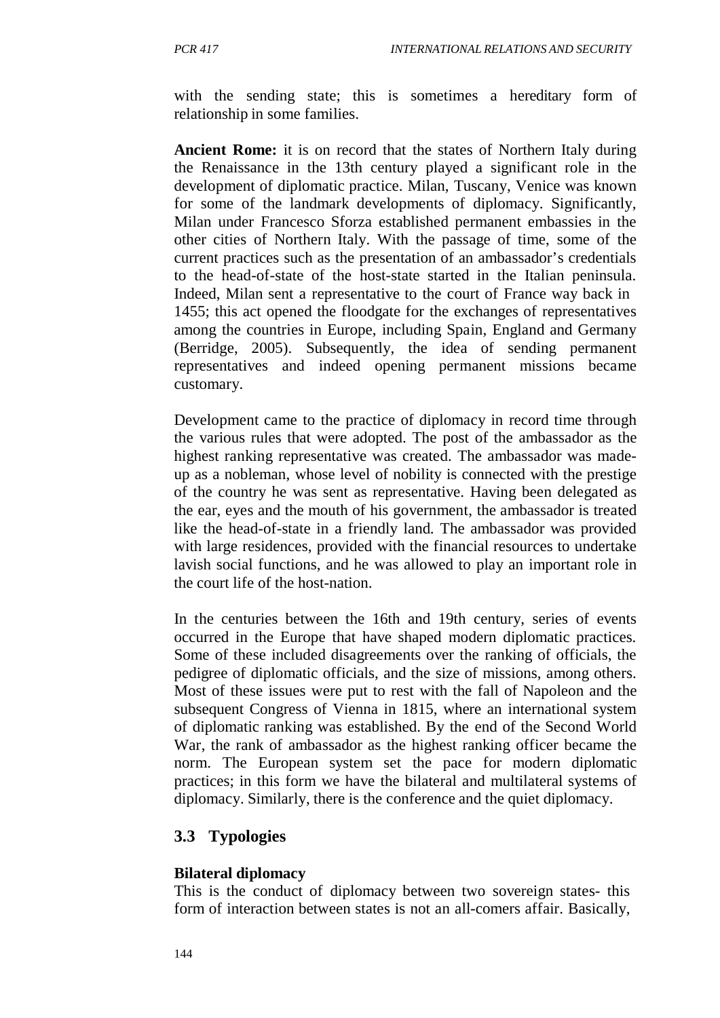with the sending state; this is sometimes a hereditary form of relationship in some families.

**Ancient Rome:** it is on record that the states of Northern Italy during the Renaissance in the 13th century played a significant role in the development of diplomatic practice. Milan, Tuscany, Venice was known for some of the landmark developments of diplomacy. Significantly, Milan under Francesco Sforza established permanent embassies in the other cities of Northern Italy. With the passage of time, some of the current practices such as the presentation of an ambassador's credentials to the head-of-state of the host-state started in the Italian peninsula. Indeed, Milan sent a representative to the court of France way back in 1455; this act opened the floodgate for the exchanges of representatives among the countries in Europe, including Spain, England and Germany (Berridge, 2005). Subsequently, the idea of sending permanent representatives and indeed opening permanent missions became customary.

Development came to the practice of diplomacy in record time through the various rules that were adopted. The post of the ambassador as the highest ranking representative was created. The ambassador was madeup as a nobleman, whose level of nobility is connected with the prestige of the country he was sent as representative. Having been delegated as the ear, eyes and the mouth of his government, the ambassador is treated like the head-of-state in a friendly land. The ambassador was provided with large residences, provided with the financial resources to undertake lavish social functions, and he was allowed to play an important role in the court life of the host-nation.

In the centuries between the 16th and 19th century, series of events occurred in the Europe that have shaped modern diplomatic practices. Some of these included disagreements over the ranking of officials, the pedigree of diplomatic officials, and the size of missions, among others. Most of these issues were put to rest with the fall of Napoleon and the subsequent Congress of Vienna in 1815, where an international system of diplomatic ranking was established. By the end of the Second World War, the rank of ambassador as the highest ranking officer became the norm. The European system set the pace for modern diplomatic practices; in this form we have the bilateral and multilateral systems of diplomacy. Similarly, there is the conference and the quiet diplomacy.

#### **3.3 Typologies**

#### **Bilateral diplomacy**

This is the conduct of diplomacy between two sovereign states- this form of interaction between states is not an all-comers affair. Basically,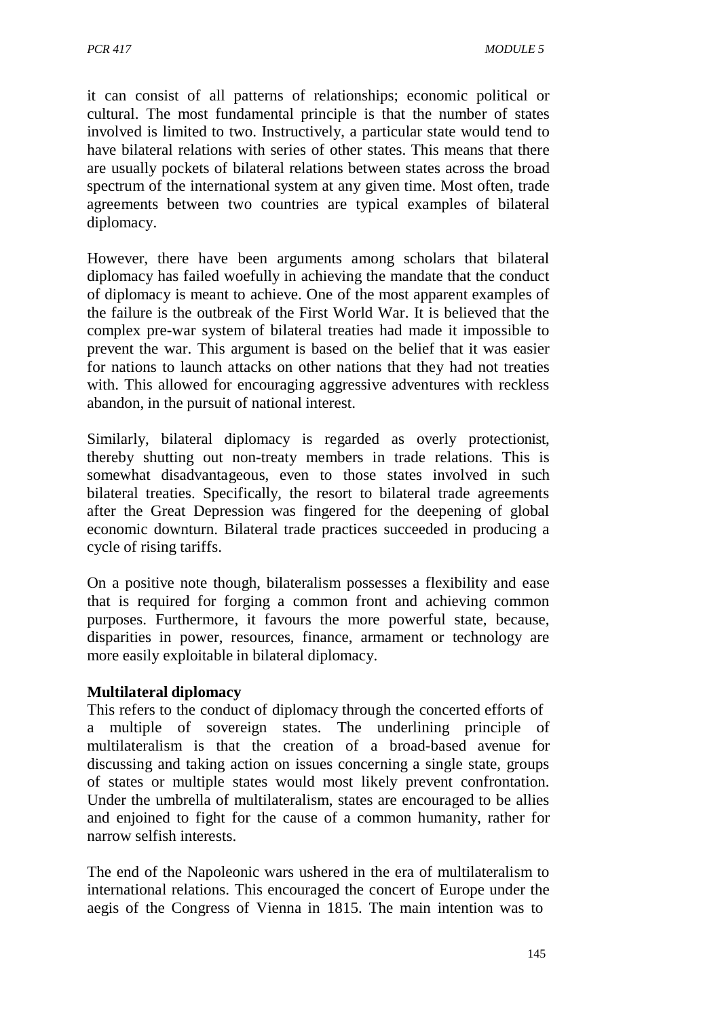it can consist of all patterns of relationships; economic political or cultural. The most fundamental principle is that the number of states involved is limited to two. Instructively, a particular state would tend to have bilateral relations with series of other states. This means that there are usually pockets of bilateral relations between states across the broad spectrum of the international system at any given time. Most often, trade agreements between two countries are typical examples of bilateral diplomacy.

However, there have been arguments among scholars that bilateral diplomacy has failed woefully in achieving the mandate that the conduct of diplomacy is meant to achieve. One of the most apparent examples of the failure is the outbreak of the First World War. It is believed that the complex pre-war system of bilateral treaties had made it impossible to prevent the war. This argument is based on the belief that it was easier for nations to launch attacks on other nations that they had not treaties with. This allowed for encouraging aggressive adventures with reckless abandon, in the pursuit of national interest.

Similarly, bilateral diplomacy is regarded as overly protectionist, thereby shutting out non-treaty members in trade relations. This is somewhat disadvantageous, even to those states involved in such bilateral treaties. Specifically, the resort to bilateral trade agreements after the Great Depression was fingered for the deepening of global economic downturn. Bilateral trade practices succeeded in producing a cycle of rising tariffs.

On a positive note though, bilateralism possesses a flexibility and ease that is required for forging a common front and achieving common purposes. Furthermore, it favours the more powerful state, because, disparities in power, resources, finance, armament or technology are more easily exploitable in bilateral diplomacy.

#### **Multilateral diplomacy**

This refers to the conduct of diplomacy through the concerted efforts of a multiple of sovereign states. The underlining principle of multilateralism is that the creation of a broad-based avenue for discussing and taking action on issues concerning a single state, groups of states or multiple states would most likely prevent confrontation. Under the umbrella of multilateralism, states are encouraged to be allies and enjoined to fight for the cause of a common humanity, rather for narrow selfish interests.

The end of the Napoleonic wars ushered in the era of multilateralism to international relations. This encouraged the concert of Europe under the aegis of the Congress of Vienna in 1815. The main intention was to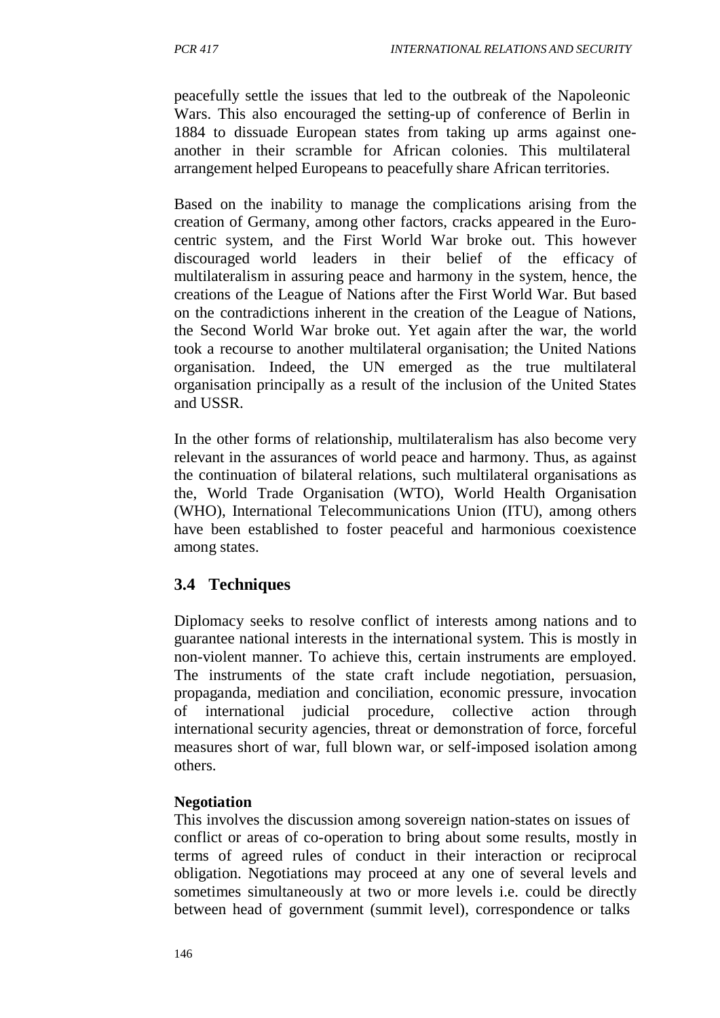peacefully settle the issues that led to the outbreak of the Napoleonic Wars. This also encouraged the setting-up of conference of Berlin in 1884 to dissuade European states from taking up arms against oneanother in their scramble for African colonies. This multilateral arrangement helped Europeans to peacefully share African territories.

Based on the inability to manage the complications arising from the creation of Germany, among other factors, cracks appeared in the Eurocentric system, and the First World War broke out. This however discouraged world leaders in their belief of the efficacy of multilateralism in assuring peace and harmony in the system, hence, the creations of the League of Nations after the First World War. But based on the contradictions inherent in the creation of the League of Nations, the Second World War broke out. Yet again after the war, the world took a recourse to another multilateral organisation; the United Nations organisation. Indeed, the UN emerged as the true multilateral organisation principally as a result of the inclusion of the United States and USSR.

In the other forms of relationship, multilateralism has also become very relevant in the assurances of world peace and harmony. Thus, as against the continuation of bilateral relations, such multilateral organisations as the, World Trade Organisation (WTO), World Health Organisation (WHO), International Telecommunications Union (ITU), among others have been established to foster peaceful and harmonious coexistence among states.

# **3.4 Techniques**

Diplomacy seeks to resolve conflict of interests among nations and to guarantee national interests in the international system. This is mostly in non-violent manner. To achieve this, certain instruments are employed. The instruments of the state craft include negotiation, persuasion, propaganda, mediation and conciliation, economic pressure, invocation of international judicial procedure, collective action through international security agencies, threat or demonstration of force, forceful measures short of war, full blown war, or self-imposed isolation among others.

## **Negotiation**

This involves the discussion among sovereign nation-states on issues of conflict or areas of co-operation to bring about some results, mostly in terms of agreed rules of conduct in their interaction or reciprocal obligation. Negotiations may proceed at any one of several levels and sometimes simultaneously at two or more levels i.e. could be directly between head of government (summit level), correspondence or talks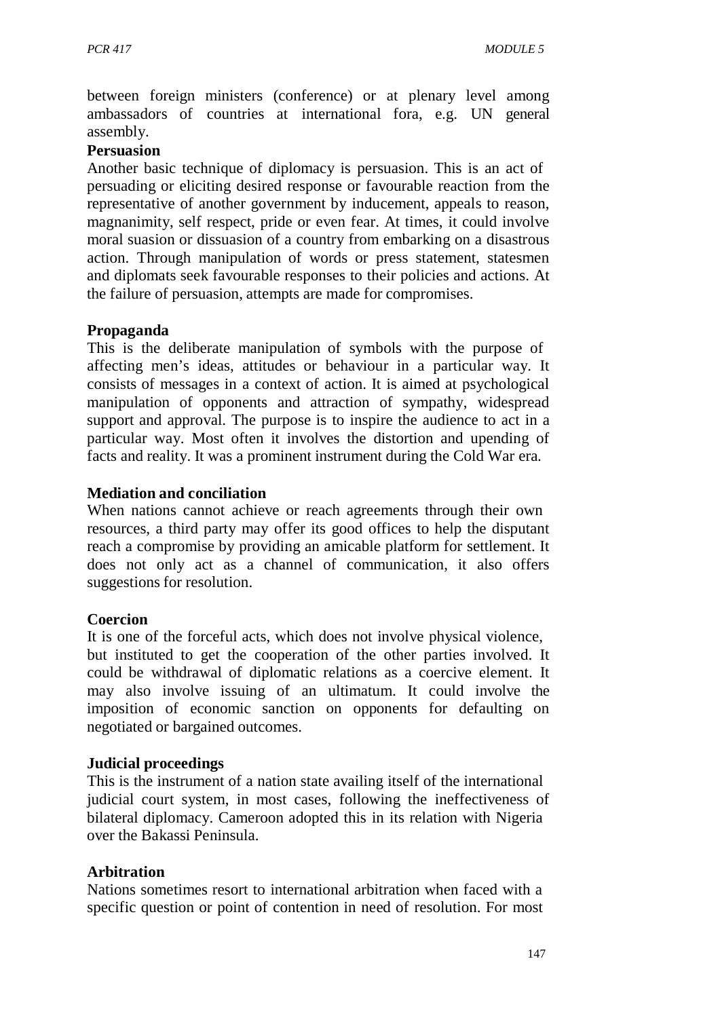between foreign ministers (conference) or at plenary level among ambassadors of countries at international fora, e.g. UN general assembly.

#### **Persuasion**

Another basic technique of diplomacy is persuasion. This is an act of persuading or eliciting desired response or favourable reaction from the representative of another government by inducement, appeals to reason, magnanimity, self respect, pride or even fear. At times, it could involve moral suasion or dissuasion of a country from embarking on a disastrous action. Through manipulation of words or press statement, statesmen and diplomats seek favourable responses to their policies and actions. At the failure of persuasion, attempts are made for compromises.

#### **Propaganda**

This is the deliberate manipulation of symbols with the purpose of affecting men's ideas, attitudes or behaviour in a particular way. It consists of messages in a context of action. It is aimed at psychological manipulation of opponents and attraction of sympathy, widespread support and approval. The purpose is to inspire the audience to act in a particular way. Most often it involves the distortion and upending of facts and reality. It was a prominent instrument during the Cold War era.

#### **Mediation and conciliation**

When nations cannot achieve or reach agreements through their own resources, a third party may offer its good offices to help the disputant reach a compromise by providing an amicable platform for settlement. It does not only act as a channel of communication, it also offers suggestions for resolution.

#### **Coercion**

It is one of the forceful acts, which does not involve physical violence, but instituted to get the cooperation of the other parties involved. It could be withdrawal of diplomatic relations as a coercive element. It may also involve issuing of an ultimatum. It could involve the imposition of economic sanction on opponents for defaulting on negotiated or bargained outcomes.

#### **Judicial proceedings**

This is the instrument of a nation state availing itself of the international judicial court system, in most cases, following the ineffectiveness of bilateral diplomacy. Cameroon adopted this in its relation with Nigeria over the Bakassi Peninsula.

#### **Arbitration**

Nations sometimes resort to international arbitration when faced with a specific question or point of contention in need of resolution. For most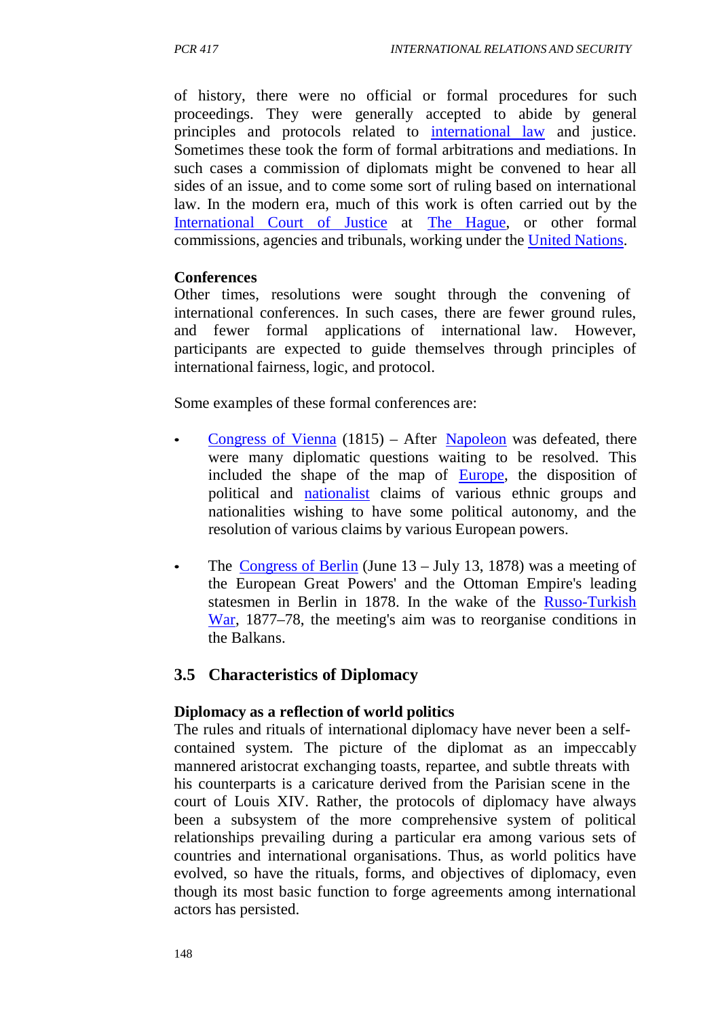of history, there were no official or formal procedures for such proceedings. They were generally accepted to abide by general principles and protocols related to international law and justice. Sometimes these took the form of formal arbitrations and mediations. In such cases a commission of diplomats might be convened to hear all sides of an issue, and to come some sort of ruling based on international law. In the modern era, much of this work is often carried out by the International Court of Justice at The Hague, or other formal commissions, agencies and tribunals, working under the United Nations.

#### **Conferences**

Other times, resolutions were sought through the convening of international conferences. In such cases, there are fewer ground rules, and fewer formal applications of international law. However, participants are expected to guide themselves through principles of international fairness, logic, and protocol.

Some examples of these formal conferences are:

- Congress of Vienna (1815) After Napoleon was defeated, there were many diplomatic questions waiting to be resolved. This included the shape of the map of Europe, the disposition of political and nationalist claims of various ethnic groups and nationalities wishing to have some political autonomy, and the resolution of various claims by various European powers.
- The Congress of Berlin (June  $13 \text{July } 13$ , 1878) was a meeting of the European Great Powers' and the Ottoman Empire's leading statesmen in Berlin in 1878. In the wake of the Russo-Turkish War, 1877–78, the meeting's aim was to reorganise conditions in the Balkans.

#### **3.5 Characteristics of Diplomacy**

#### **Diplomacy as a reflection of world politics**

The rules and rituals of international diplomacy have never been a selfcontained system. The picture of the diplomat as an impeccably mannered aristocrat exchanging toasts, repartee, and subtle threats with his counterparts is a caricature derived from the Parisian scene in the court of Louis XIV. Rather, the protocols of diplomacy have always been a subsystem of the more comprehensive system of political relationships prevailing during a particular era among various sets of countries and international organisations. Thus, as world politics have evolved, so have the rituals, forms, and objectives of diplomacy, even though its most basic function to forge agreements among international actors has persisted.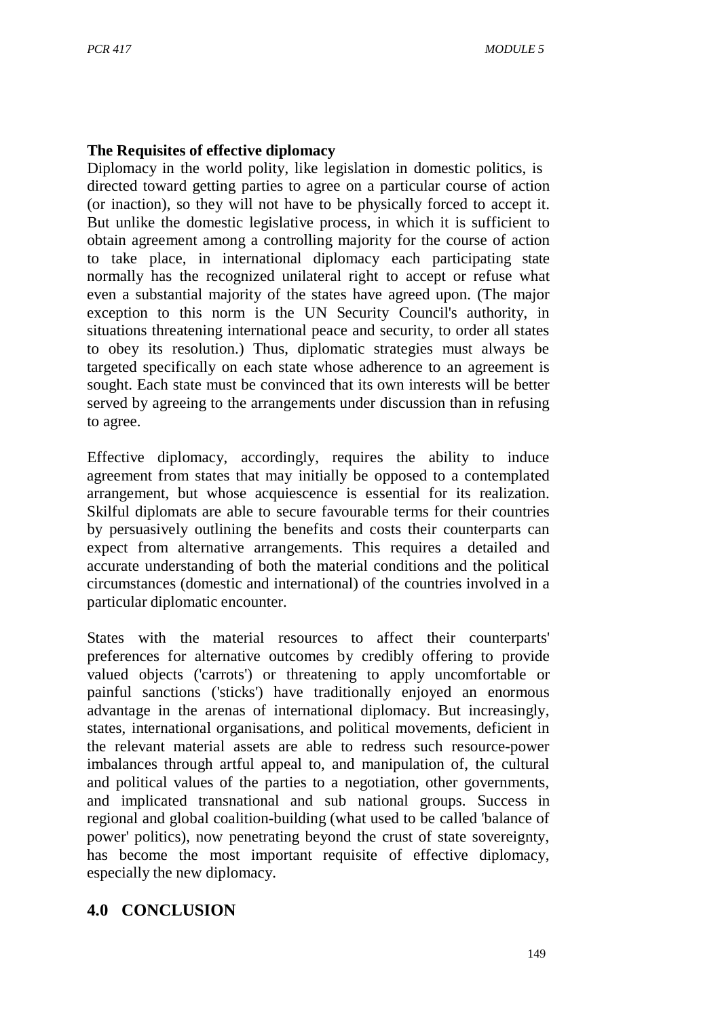### **The Requisites of effective diplomacy**

Diplomacy in the world polity, like legislation in domestic politics, is directed toward getting parties to agree on a particular course of action (or inaction), so they will not have to be physically forced to accept it. But unlike the domestic legislative process, in which it is sufficient to obtain agreement among a controlling majority for the course of action to take place, in international diplomacy each participating state normally has the recognized unilateral right to accept or refuse what even a substantial majority of the states have agreed upon. (The major exception to this norm is the UN Security Council's authority, in situations threatening international peace and security, to order all states to obey its resolution.) Thus, diplomatic strategies must always be targeted specifically on each state whose adherence to an agreement is sought. Each state must be convinced that its own interests will be better served by agreeing to the arrangements under discussion than in refusing to agree.

Effective diplomacy, accordingly, requires the ability to induce agreement from states that may initially be opposed to a contemplated arrangement, but whose acquiescence is essential for its realization. Skilful diplomats are able to secure favourable terms for their countries by persuasively outlining the benefits and costs their counterparts can expect from alternative arrangements. This requires a detailed and accurate understanding of both the material conditions and the political circumstances (domestic and international) of the countries involved in a particular diplomatic encounter.

States with the material resources to affect their counterparts' preferences for alternative outcomes by credibly offering to provide valued objects ('carrots') or threatening to apply uncomfortable or painful sanctions ('sticks') have traditionally enjoyed an enormous advantage in the arenas of international diplomacy. But increasingly, states, international organisations, and political movements, deficient in the relevant material assets are able to redress such resource-power imbalances through artful appeal to, and manipulation of, the cultural and political values of the parties to a negotiation, other governments, and implicated transnational and sub national groups. Success in regional and global coalition-building (what used to be called 'balance of power' politics), now penetrating beyond the crust of state sovereignty, has become the most important requisite of effective diplomacy, especially the new diplomacy.

# **4.0 CONCLUSION**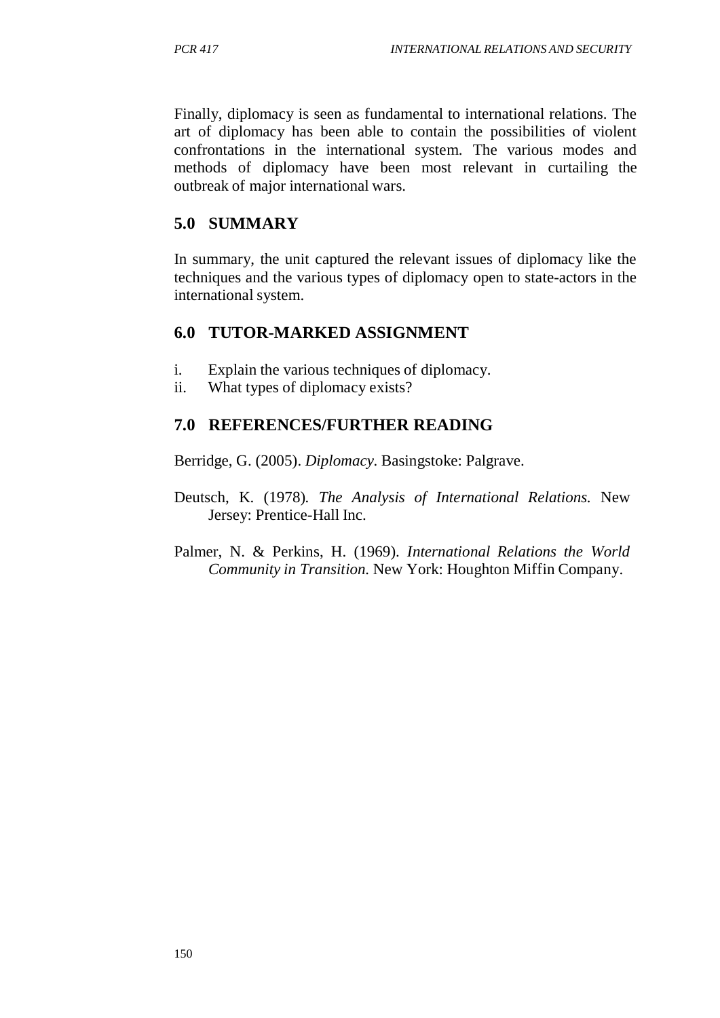Finally, diplomacy is seen as fundamental to international relations. The art of diplomacy has been able to contain the possibilities of violent confrontations in the international system. The various modes and methods of diplomacy have been most relevant in curtailing the outbreak of major international wars.

### **5.0 SUMMARY**

In summary, the unit captured the relevant issues of diplomacy like the techniques and the various types of diplomacy open to state-actors in the international system.

### **6.0 TUTOR-MARKED ASSIGNMENT**

- i. Explain the various techniques of diplomacy.
- ii. What types of diplomacy exists?

### **7.0 REFERENCES/FURTHER READING**

Berridge, G. (2005). *Diplomacy.* Basingstoke: Palgrave.

- Deutsch, K. (1978)*. The Analysis of International Relations.* New Jersey: Prentice-Hall Inc.
- Palmer, N. & Perkins, H. (1969). *International Relations the World Community in Transition.* New York: Houghton Miffin Company.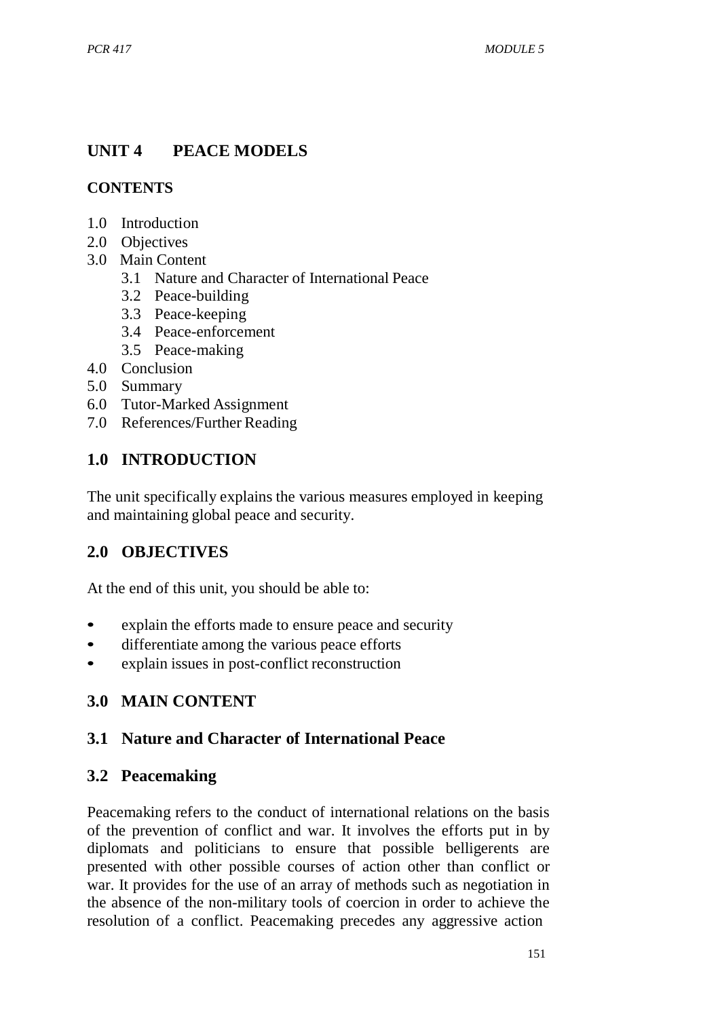# **UNIT 4 PEACE MODELS**

### **CONTENTS**

- 1.0 Introduction
- 2.0 Objectives
- 3.0 Main Content
	- 3.1 Nature and Character of International Peace
	- 3.2 Peace-building
	- 3.3 Peace-keeping
	- 3.4 Peace-enforcement
	- 3.5 Peace-making
- 4.0 Conclusion
- 5.0 Summary
- 6.0 Tutor-Marked Assignment
- 7.0 References/Further Reading

# **1.0 INTRODUCTION**

The unit specifically explains the various measures employed in keeping and maintaining global peace and security.

# **2.0 OBJECTIVES**

At the end of this unit, you should be able to:

- explain the efforts made to ensure peace and security
- differentiate among the various peace efforts
- explain issues in post-conflict reconstruction

# **3.0 MAIN CONTENT**

## **3.1 Nature and Character of International Peace**

## **3.2 Peacemaking**

Peacemaking refers to the conduct of international relations on the basis of the prevention of conflict and war. It involves the efforts put in by diplomats and politicians to ensure that possible belligerents are presented with other possible courses of action other than conflict or war. It provides for the use of an array of methods such as negotiation in the absence of the non-military tools of coercion in order to achieve the resolution of a conflict. Peacemaking precedes any aggressive action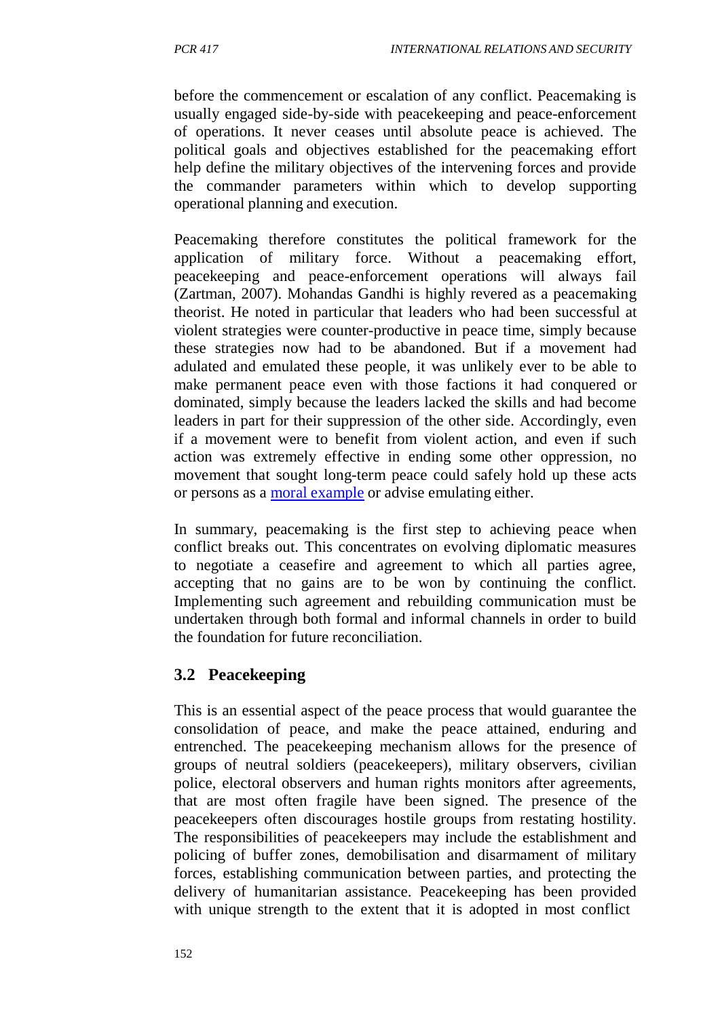before the commencement or escalation of any conflict. Peacemaking is usually engaged side-by-side with peacekeeping and peace-enforcement of operations. It never ceases until absolute peace is achieved. The political goals and objectives established for the peacemaking effort help define the military objectives of the intervening forces and provide the commander parameters within which to develop supporting operational planning and execution.

Peacemaking therefore constitutes the political framework for the application of military force. Without a peacemaking effort, peacekeeping and peace-enforcement operations will always fail (Zartman, 2007). Mohandas Gandhi is highly revered as a peacemaking theorist. He noted in particular that leaders who had been successful at violent strategies were counter-productive in peace time, simply because these strategies now had to be abandoned. But if a movement had adulated and emulated these people, it was unlikely ever to be able to make permanent peace even with those factions it had conquered or dominated, simply because the leaders lacked the skills and had become leaders in part for their suppression of the other side. Accordingly, even if a movement were to benefit from violent action, and even if such action was extremely effective in ending some other oppression, no movement that sought long-term peace could safely hold up these acts or persons as a moral example or advise emulating either.

In summary, peacemaking is the first step to achieving peace when conflict breaks out. This concentrates on evolving diplomatic measures to negotiate a ceasefire and agreement to which all parties agree, accepting that no gains are to be won by continuing the conflict. Implementing such agreement and rebuilding communication must be undertaken through both formal and informal channels in order to build the foundation for future reconciliation.

## **3.2 Peacekeeping**

This is an essential aspect of the peace process that would guarantee the consolidation of peace, and make the peace attained, enduring and entrenched. The peacekeeping mechanism allows for the presence of groups of neutral soldiers (peacekeepers), military observers, civilian police, electoral observers and human rights monitors after agreements, that are most often fragile have been signed. The presence of the peacekeepers often discourages hostile groups from restating hostility. The responsibilities of peacekeepers may include the establishment and policing of buffer zones, demobilisation and disarmament of military forces, establishing communication between parties, and protecting the delivery of humanitarian assistance. Peacekeeping has been provided with unique strength to the extent that it is adopted in most conflict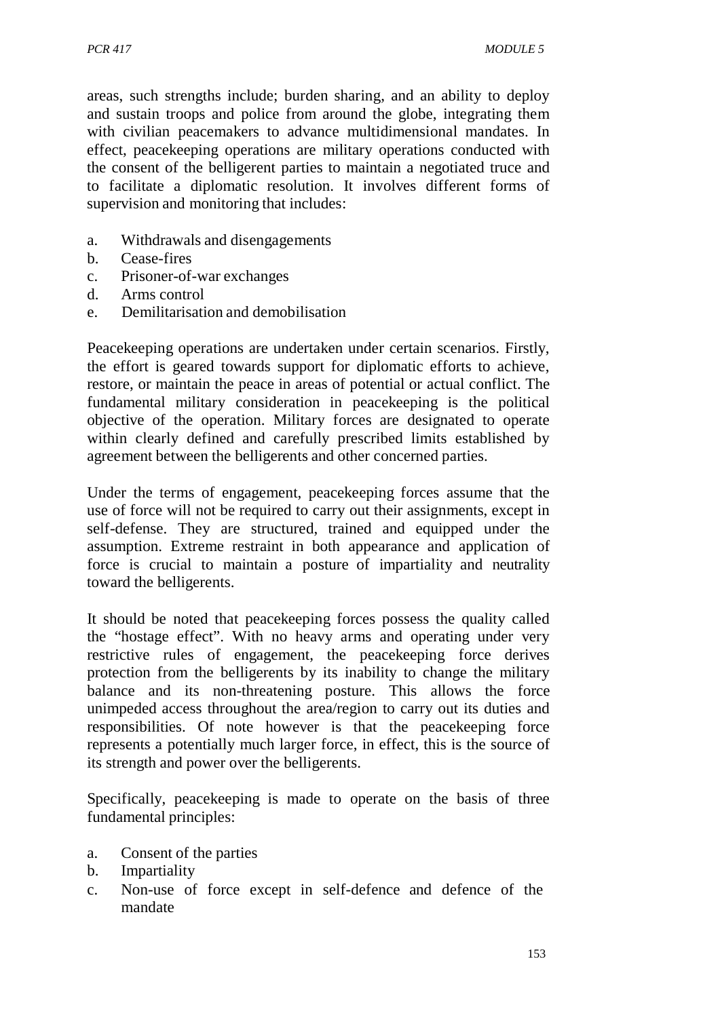areas, such strengths include; burden sharing, and an ability to deploy and sustain troops and police from around the globe, integrating them with civilian peacemakers to advance multidimensional mandates. In effect, peacekeeping operations are military operations conducted with the consent of the belligerent parties to maintain a negotiated truce and to facilitate a diplomatic resolution. It involves different forms of supervision and monitoring that includes:

- a. Withdrawals and disengagements
- b. Cease-fires
- c. Prisoner-of-war exchanges
- d. Arms control
- e. Demilitarisation and demobilisation

Peacekeeping operations are undertaken under certain scenarios. Firstly, the effort is geared towards support for diplomatic efforts to achieve, restore, or maintain the peace in areas of potential or actual conflict. The fundamental military consideration in peacekeeping is the political objective of the operation. Military forces are designated to operate within clearly defined and carefully prescribed limits established by agreement between the belligerents and other concerned parties.

Under the terms of engagement, peacekeeping forces assume that the use of force will not be required to carry out their assignments, except in self-defense. They are structured, trained and equipped under the assumption. Extreme restraint in both appearance and application of force is crucial to maintain a posture of impartiality and neutrality toward the belligerents.

It should be noted that peacekeeping forces possess the quality called the "hostage effect". With no heavy arms and operating under very restrictive rules of engagement, the peacekeeping force derives protection from the belligerents by its inability to change the military balance and its non-threatening posture. This allows the force unimpeded access throughout the area/region to carry out its duties and responsibilities. Of note however is that the peacekeeping force represents a potentially much larger force, in effect, this is the source of its strength and power over the belligerents.

Specifically, peacekeeping is made to operate on the basis of three fundamental principles:

- a. Consent of the parties
- b. Impartiality
- c. Non-use of force except in self-defence and defence of the mandate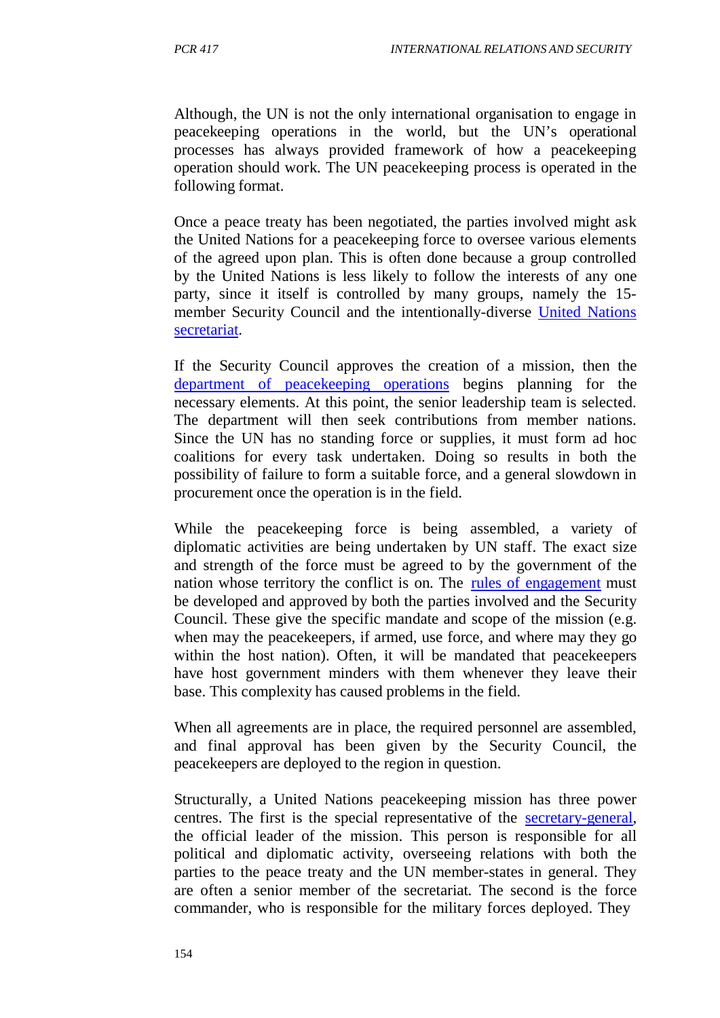Although, the UN is not the only international organisation to engage in peacekeeping operations in the world, but the UN's operational processes has always provided framework of how a peacekeeping operation should work. The UN peacekeeping process is operated in the following format.

Once a peace treaty has been negotiated, the parties involved might ask the United Nations for a peacekeeping force to oversee various elements of the agreed upon plan. This is often done because a group controlled by the United Nations is less likely to follow the interests of any one party, since it itself is controlled by many groups, namely the 15 member Security Council and the intentionally-diverse United Nations secretariat.

If the Security Council approves the creation of a mission, then the department of peacekeeping operations begins planning for the necessary elements. At this point, the senior leadership team is selected. The department will then seek contributions from member nations. Since the UN has no standing force or supplies, it must form ad hoc coalitions for every task undertaken. Doing so results in both the possibility of failure to form a suitable force, and a general slowdown in procurement once the operation is in the field.

While the peacekeeping force is being assembled, a variety of diplomatic activities are being undertaken by UN staff. The exact size and strength of the force must be agreed to by the government of the nation whose territory the conflict is on. The rules of engagement must be developed and approved by both the parties involved and the Security Council. These give the specific mandate and scope of the mission (e.g. when may the peacekeepers, if armed, use force, and where may they go within the host nation). Often, it will be mandated that peacekeepers have host government minders with them whenever they leave their base. This complexity has caused problems in the field.

When all agreements are in place, the required personnel are assembled, and final approval has been given by the Security Council, the peacekeepers are deployed to the region in question.

Structurally, a United Nations peacekeeping mission has three power centres. The first is the special representative of the secretary-general, the official leader of the mission. This person is responsible for all political and diplomatic activity, overseeing relations with both the parties to the peace treaty and the UN member-states in general. They are often a senior member of the secretariat. The second is the force commander, who is responsible for the military forces deployed. They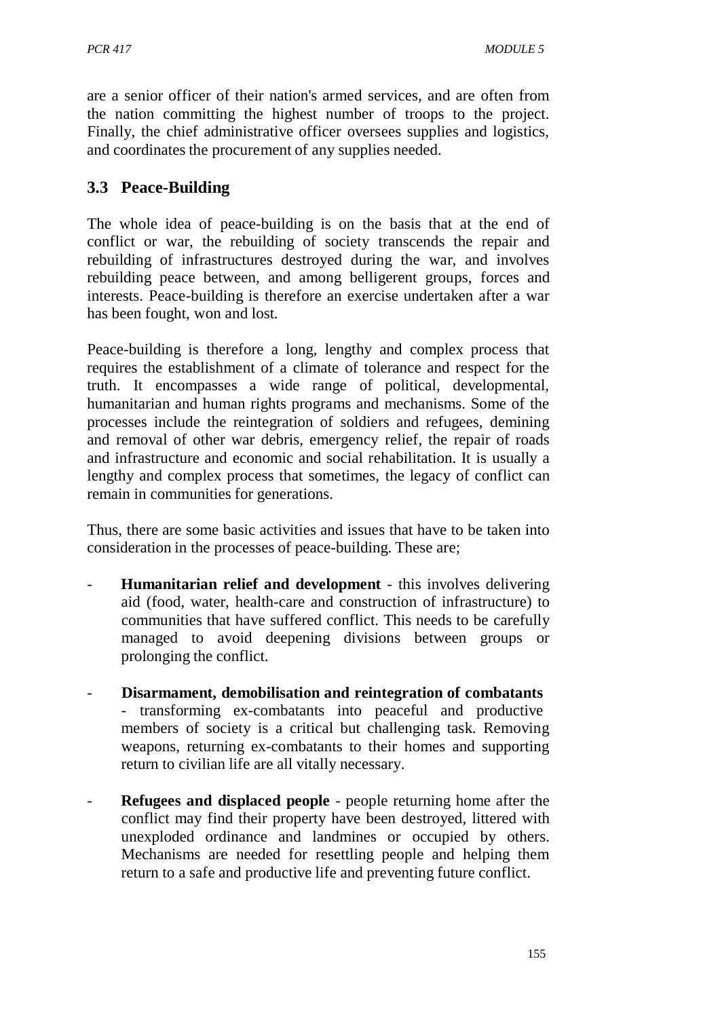are a senior officer of their nation's armed services, and are often from the nation committing the highest number of troops to the project. Finally, the chief administrative officer oversees supplies and logistics, and coordinates the procurement of any supplies needed.

# **3.3 Peace-Building**

The whole idea of peace-building is on the basis that at the end of conflict or war, the rebuilding of society transcends the repair and rebuilding of infrastructures destroyed during the war, and involves rebuilding peace between, and among belligerent groups, forces and interests. Peace-building is therefore an exercise undertaken after a war has been fought, won and lost.

Peace-building is therefore a long, lengthy and complex process that requires the establishment of a climate of tolerance and respect for the truth. It encompasses a wide range of political, developmental, humanitarian and human rights programs and mechanisms. Some of the processes include the reintegration of soldiers and refugees, demining and removal of other war debris, emergency relief, the repair of roads and infrastructure and economic and social rehabilitation. It is usually a lengthy and complex process that sometimes, the legacy of conflict can remain in communities for generations.

Thus, there are some basic activities and issues that have to be taken into consideration in the processes of peace-building. These are;

- **Humanitarian relief and development** this involves delivering aid (food, water, health-care and construction of infrastructure) to communities that have suffered conflict. This needs to be carefully managed to avoid deepening divisions between groups or prolonging the conflict.
- **Disarmament, demobilisation and reintegration of combatants** - transforming ex-combatants into peaceful and productive members of society is a critical but challenging task. Removing weapons, returning ex-combatants to their homes and supporting return to civilian life are all vitally necessary.
- **Refugees and displaced people** people returning home after the conflict may find their property have been destroyed, littered with unexploded ordinance and landmines or occupied by others. Mechanisms are needed for resettling people and helping them return to a safe and productive life and preventing future conflict.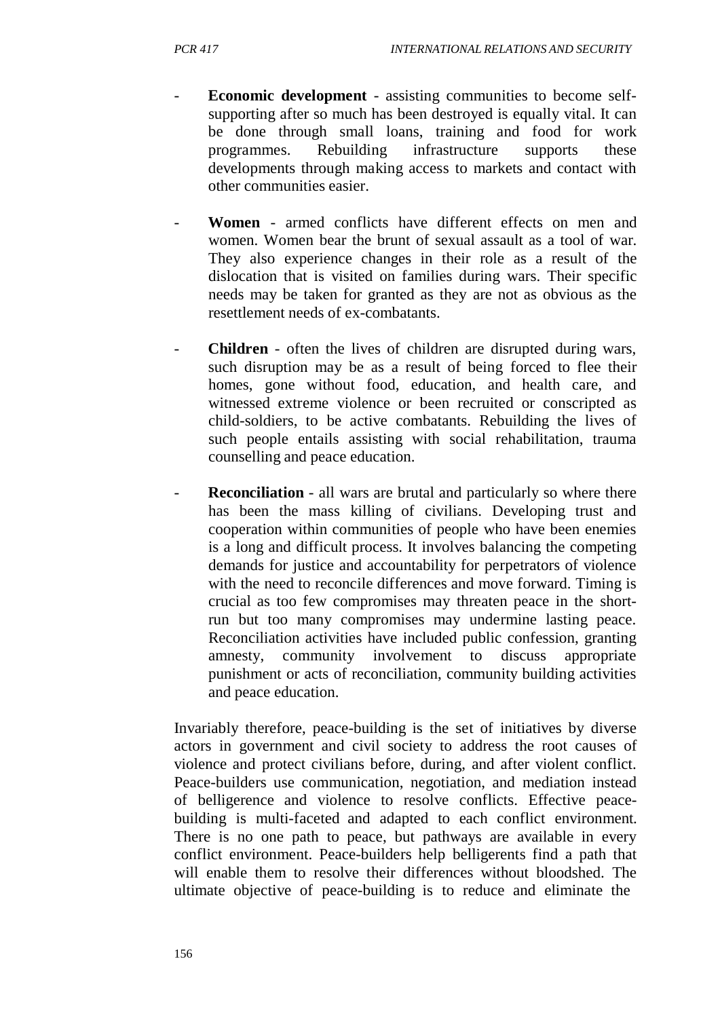- **Economic development** assisting communities to become selfsupporting after so much has been destroyed is equally vital. It can be done through small loans, training and food for work programmes. Rebuilding infrastructure supports these developments through making access to markets and contact with other communities easier.
- **Women**  armed conflicts have different effects on men and women. Women bear the brunt of sexual assault as a tool of war. They also experience changes in their role as a result of the dislocation that is visited on families during wars. Their specific needs may be taken for granted as they are not as obvious as the resettlement needs of ex-combatants.
- **Children** often the lives of children are disrupted during wars, such disruption may be as a result of being forced to flee their homes, gone without food, education, and health care, and witnessed extreme violence or been recruited or conscripted as child-soldiers, to be active combatants. Rebuilding the lives of such people entails assisting with social rehabilitation, trauma counselling and peace education.
- **Reconciliation** all wars are brutal and particularly so where there has been the mass killing of civilians. Developing trust and cooperation within communities of people who have been enemies is a long and difficult process. It involves balancing the competing demands for justice and accountability for perpetrators of violence with the need to reconcile differences and move forward. Timing is crucial as too few compromises may threaten peace in the shortrun but too many compromises may undermine lasting peace. Reconciliation activities have included public confession, granting amnesty, community involvement to discuss appropriate punishment or acts of reconciliation, community building activities and peace education.

Invariably therefore, peace-building is the set of initiatives by diverse actors in government and civil society to address the root causes of violence and protect civilians before, during, and after violent conflict. Peace-builders use communication, negotiation, and mediation instead of belligerence and violence to resolve conflicts. Effective peacebuilding is multi-faceted and adapted to each conflict environment. There is no one path to peace, but pathways are available in every conflict environment. Peace-builders help belligerents find a path that will enable them to resolve their differences without bloodshed. The ultimate objective of peace-building is to reduce and eliminate the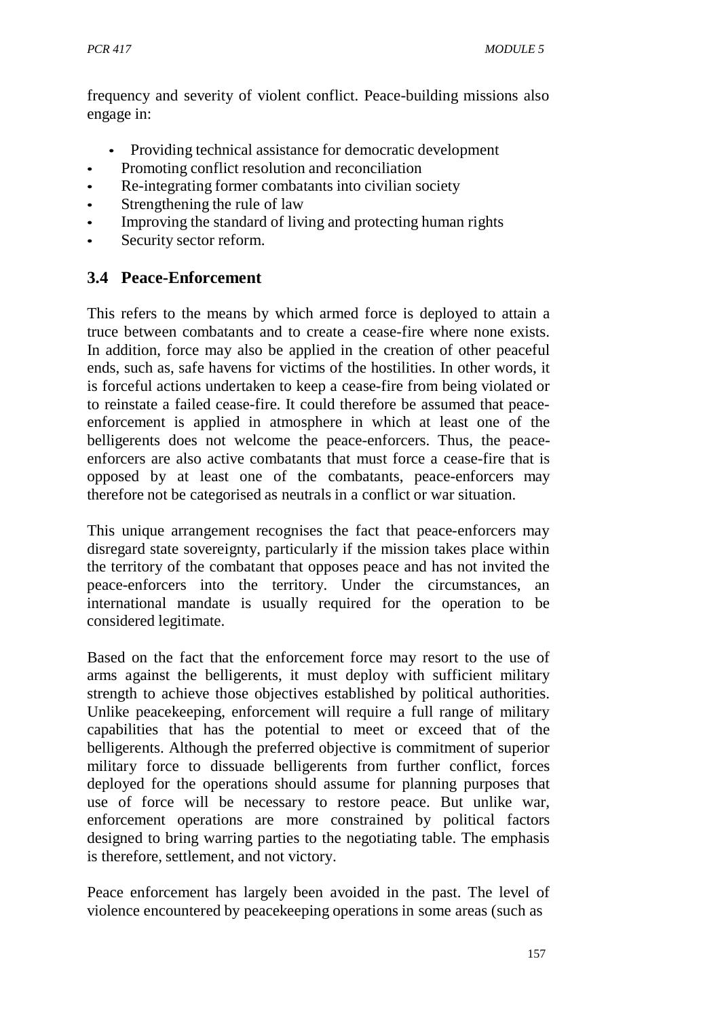frequency and severity of violent conflict. Peace-building missions also engage in:

- Providing technical assistance for democratic development
- Promoting conflict resolution and reconciliation
- Re-integrating former combatants into civilian society
- Strengthening the rule of law
- Improving the standard of living and protecting human rights
- Security sector reform.

# **3.4 Peace-Enforcement**

This refers to the means by which armed force is deployed to attain a truce between combatants and to create a cease-fire where none exists. In addition, force may also be applied in the creation of other peaceful ends, such as, safe havens for victims of the hostilities. In other words, it is forceful actions undertaken to keep a cease-fire from being violated or to reinstate a failed cease-fire. It could therefore be assumed that peaceenforcement is applied in atmosphere in which at least one of the belligerents does not welcome the peace-enforcers. Thus, the peaceenforcers are also active combatants that must force a cease-fire that is opposed by at least one of the combatants, peace-enforcers may therefore not be categorised as neutrals in a conflict or war situation.

This unique arrangement recognises the fact that peace-enforcers may disregard state sovereignty, particularly if the mission takes place within the territory of the combatant that opposes peace and has not invited the peace-enforcers into the territory. Under the circumstances, an international mandate is usually required for the operation to be considered legitimate.

Based on the fact that the enforcement force may resort to the use of arms against the belligerents, it must deploy with sufficient military strength to achieve those objectives established by political authorities. Unlike peacekeeping, enforcement will require a full range of military capabilities that has the potential to meet or exceed that of the belligerents. Although the preferred objective is commitment of superior military force to dissuade belligerents from further conflict, forces deployed for the operations should assume for planning purposes that use of force will be necessary to restore peace. But unlike war, enforcement operations are more constrained by political factors designed to bring warring parties to the negotiating table. The emphasis is therefore, settlement, and not victory.

Peace enforcement has largely been avoided in the past. The level of violence encountered by peacekeeping operations in some areas (such as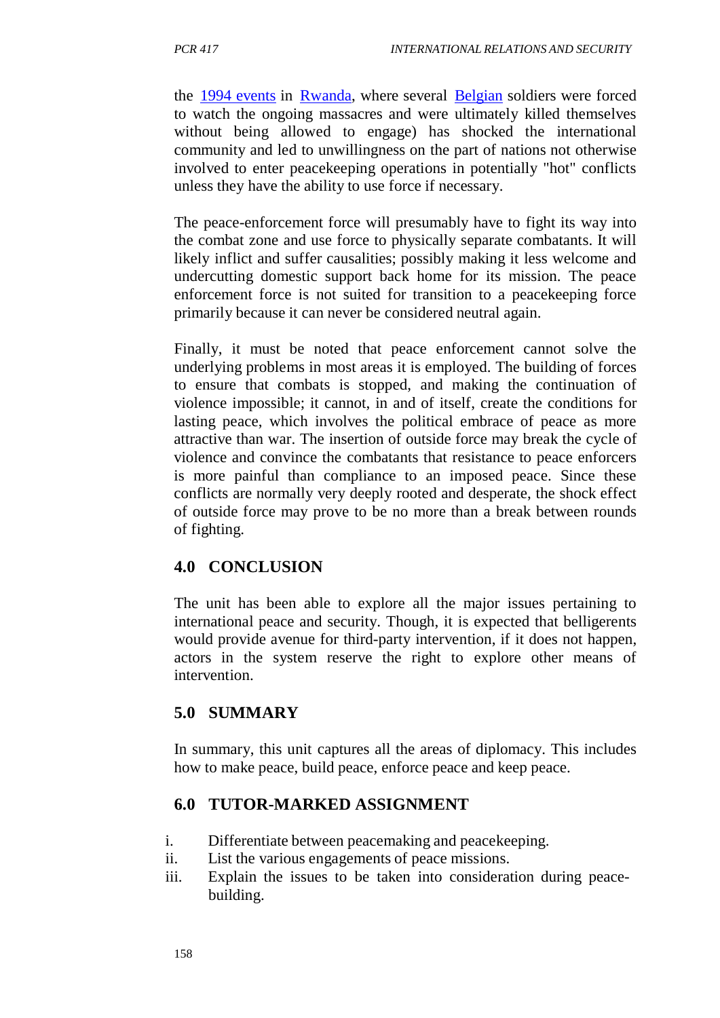the 1994 events in Rwanda, where several Belgian soldiers were forced to watch the ongoing massacres and were ultimately killed themselves without being allowed to engage) has shocked the international community and led to unwillingness on the part of nations not otherwise involved to enter peacekeeping operations in potentially "hot" conflicts unless they have the ability to use force if necessary.

The peace-enforcement force will presumably have to fight its way into the combat zone and use force to physically separate combatants. It will likely inflict and suffer causalities; possibly making it less welcome and undercutting domestic support back home for its mission. The peace enforcement force is not suited for transition to a peacekeeping force primarily because it can never be considered neutral again.

Finally, it must be noted that peace enforcement cannot solve the underlying problems in most areas it is employed. The building of forces to ensure that combats is stopped, and making the continuation of violence impossible; it cannot, in and of itself, create the conditions for lasting peace, which involves the political embrace of peace as more attractive than war. The insertion of outside force may break the cycle of violence and convince the combatants that resistance to peace enforcers is more painful than compliance to an imposed peace. Since these conflicts are normally very deeply rooted and desperate, the shock effect of outside force may prove to be no more than a break between rounds of fighting.

## **4.0 CONCLUSION**

The unit has been able to explore all the major issues pertaining to international peace and security. Though, it is expected that belligerents would provide avenue for third-party intervention, if it does not happen, actors in the system reserve the right to explore other means of intervention.

## **5.0 SUMMARY**

In summary, this unit captures all the areas of diplomacy. This includes how to make peace, build peace, enforce peace and keep peace.

## **6.0 TUTOR-MARKED ASSIGNMENT**

- i. Differentiate between peacemaking and peacekeeping.
- ii. List the various engagements of peace missions.
- iii. Explain the issues to be taken into consideration during peacebuilding.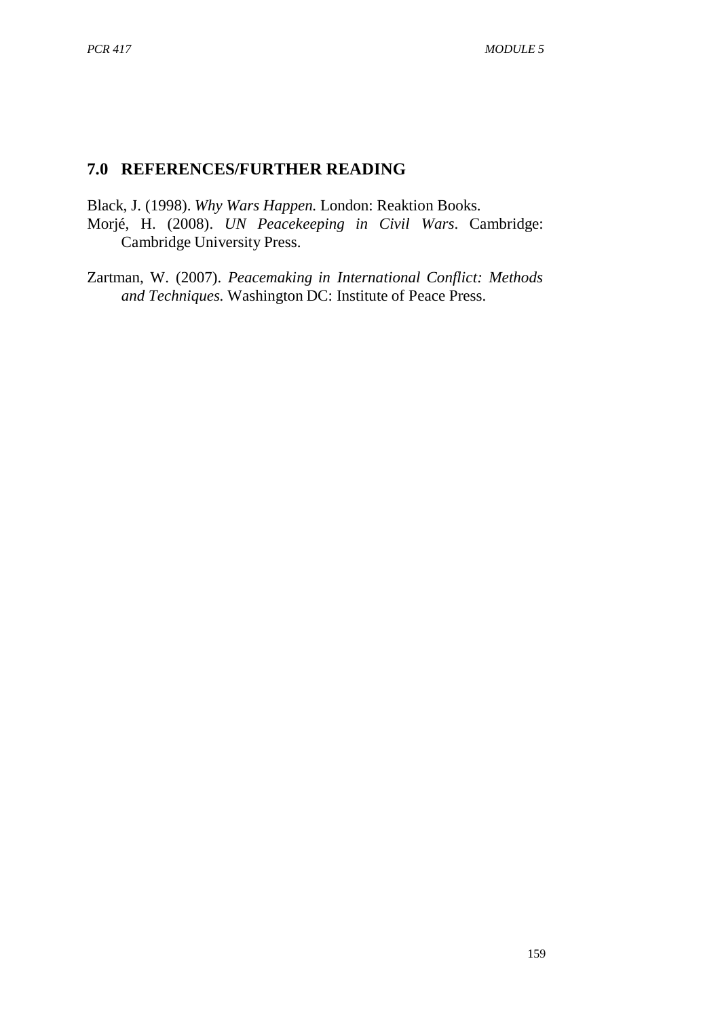# **7.0 REFERENCES/FURTHER READING**

Black, J. (1998). *Why Wars Happen.* London: Reaktion Books. Morjé, H. (2008). *UN Peacekeeping in Civil Wars*. Cambridge: Cambridge University Press.

Zartman, W. (2007). *Peacemaking in International Conflict: Methods and Techniques.* Washington DC: Institute of Peace Press.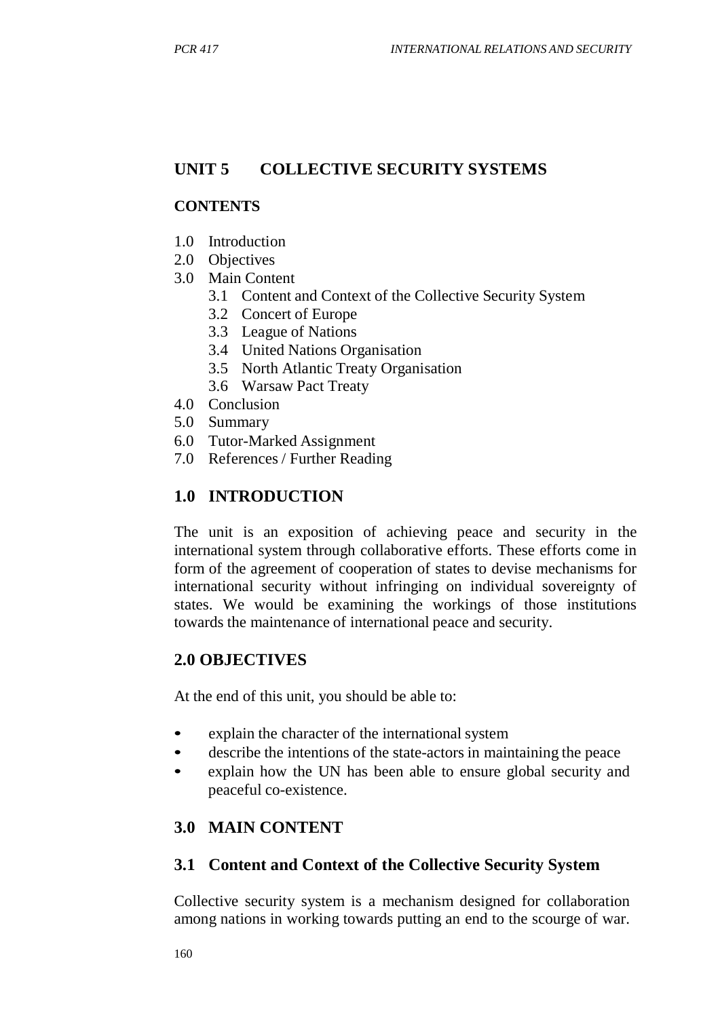# **UNIT 5 COLLECTIVE SECURITY SYSTEMS**

### **CONTENTS**

- 1.0 Introduction
- 2.0 Objectives
- 3.0 Main Content
	- 3.1 Content and Context of the Collective Security System
	- 3.2 Concert of Europe
	- 3.3 League of Nations
	- 3.4 United Nations Organisation
	- 3.5 North Atlantic Treaty Organisation
	- 3.6 Warsaw Pact Treaty
- 4.0 Conclusion
- 5.0 Summary
- 6.0 Tutor-Marked Assignment
- 7.0 References / Further Reading

## **1.0 INTRODUCTION**

The unit is an exposition of achieving peace and security in the international system through collaborative efforts. These efforts come in form of the agreement of cooperation of states to devise mechanisms for international security without infringing on individual sovereignty of states. We would be examining the workings of those institutions towards the maintenance of international peace and security.

## **2.0 OBJECTIVES**

At the end of this unit, you should be able to:

- explain the character of the international system
- describe the intentions of the state-actors in maintaining the peace
- explain how the UN has been able to ensure global security and peaceful co-existence.

# **3.0 MAIN CONTENT**

## **3.1 Content and Context of the Collective Security System**

Collective security system is a mechanism designed for collaboration among nations in working towards putting an end to the scourge of war.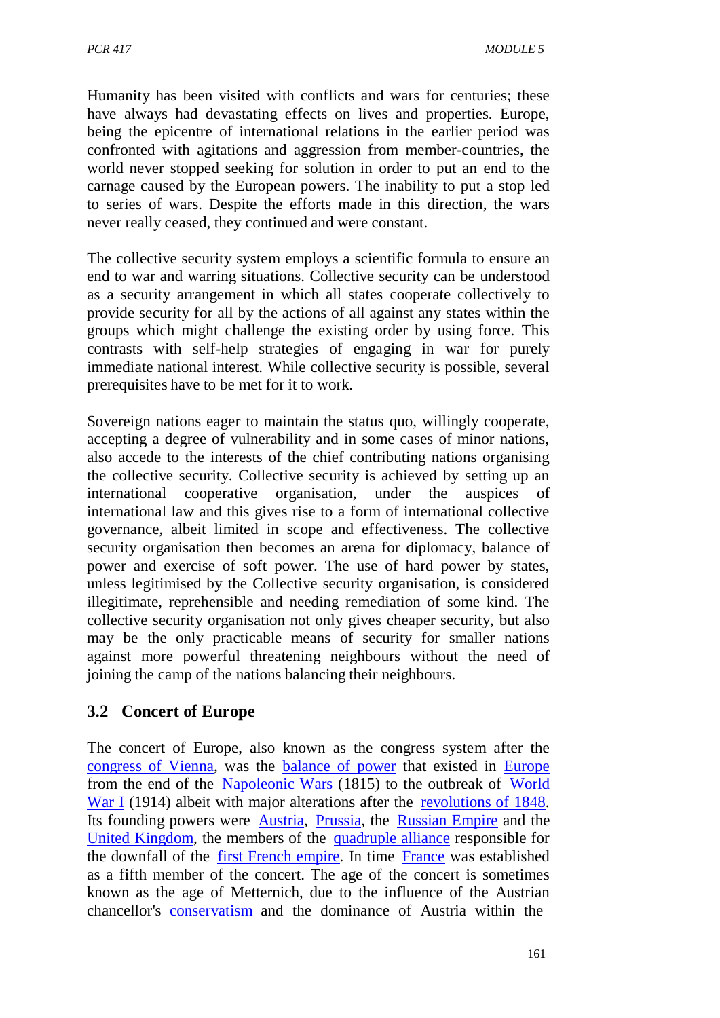Humanity has been visited with conflicts and wars for centuries; these have always had devastating effects on lives and properties. Europe, being the epicentre of international relations in the earlier period was confronted with agitations and aggression from member-countries, the world never stopped seeking for solution in order to put an end to the carnage caused by the European powers. The inability to put a stop led to series of wars. Despite the efforts made in this direction, the wars never really ceased, they continued and were constant.

The collective security system employs a scientific formula to ensure an end to war and warring situations. Collective security can be understood as a security arrangement in which all states cooperate collectively to provide security for all by the actions of all against any states within the groups which might challenge the existing order by using force. This contrasts with self-help strategies of engaging in war for purely immediate national interest. While collective security is possible, several prerequisites have to be met for it to work.

Sovereign nations eager to maintain the status quo, willingly cooperate, accepting a degree of vulnerability and in some cases of minor nations, also accede to the interests of the chief contributing nations organising the collective security. Collective security is achieved by setting up an international cooperative organisation, under the auspices of international law and this gives rise to a form of international collective governance, albeit limited in scope and effectiveness. The collective security organisation then becomes an arena for diplomacy, balance of power and exercise of soft power. The use of hard power by states, unless legitimised by the Collective security organisation, is considered illegitimate, reprehensible and needing remediation of some kind. The collective security organisation not only gives cheaper security, but also may be the only practicable means of security for smaller nations against more powerful threatening neighbours without the need of joining the camp of the nations balancing their neighbours.

## **3.2 Concert of Europe**

The concert of Europe, also known as the congress system after the congress of Vienna, was the balance of power that existed in Europe from the end of the Napoleonic Wars (1815) to the outbreak of World War I (1914) albeit with major alterations after the revolutions of 1848. Its founding powers were Austria, Prussia, the Russian Empire and the United Kingdom, the members of the quadruple alliance responsible for the downfall of the first French empire. In time France was established as a fifth member of the concert. The age of the concert is sometimes known as the age of Metternich, due to the influence of the Austrian chancellor's conservatism and the dominance of Austria within the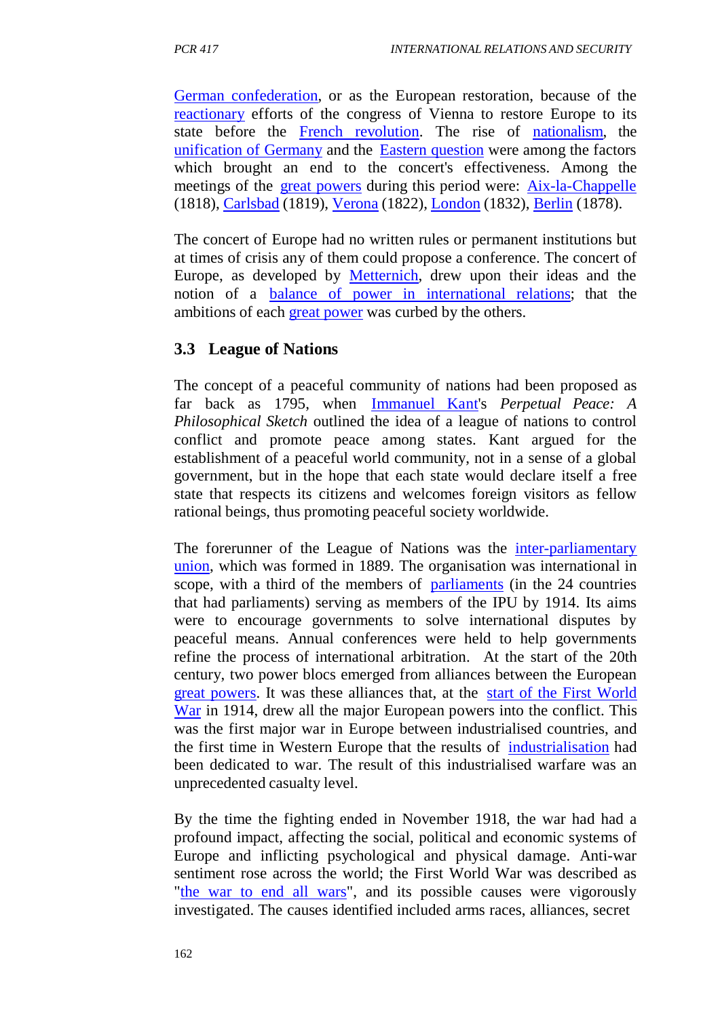German confederation, or as the European restoration, because of the reactionary efforts of the congress of Vienna to restore Europe to its state before the French revolution. The rise of nationalism, the unification of Germany and the Eastern question were among the factors which brought an end to the concert's effectiveness. Among the meetings of the great powers during this period were: Aix-la-Chappelle (1818), Carlsbad (1819), Verona (1822), London (1832), Berlin (1878).

The concert of Europe had no written rules or permanent institutions but at times of crisis any of them could propose a conference. The concert of Europe, as developed by Metternich, drew upon their ideas and the notion of a balance of power in international relations; that the ambitions of each great power was curbed by the others.

# **3.3 League of Nations**

The concept of a peaceful community of nations had been proposed as far back as 1795, when Immanuel Kant's *Perpetual Peace: A Philosophical Sketch* outlined the idea of a league of nations to control conflict and promote peace among states. Kant argued for the establishment of a peaceful world community, not in a sense of a global government, but in the hope that each state would declare itself a free state that respects its citizens and welcomes foreign visitors as fellow rational beings, thus promoting peaceful society worldwide.

The forerunner of the League of Nations was the inter-parliamentary union, which was formed in 1889. The organisation was international in scope, with a third of the members of parliaments (in the 24 countries that had parliaments) serving as members of the IPU by 1914. Its aims were to encourage governments to solve international disputes by peaceful means. Annual conferences were held to help governments refine the process of international arbitration. At the start of the 20th century, two power blocs emerged from alliances between the European great powers. It was these alliances that, at the start of the First World War in 1914, drew all the major European powers into the conflict. This was the first major war in Europe between industrialised countries, and the first time in Western Europe that the results of industrialisation had been dedicated to war. The result of this industrialised warfare was an unprecedented casualty level.

By the time the fighting ended in November 1918, the war had had a profound impact, affecting the social, political and economic systems of Europe and inflicting psychological and physical damage. Anti-war sentiment rose across the world; the First World War was described as "the war to end all wars", and its possible causes were vigorously investigated. The causes identified included arms races, alliances, secret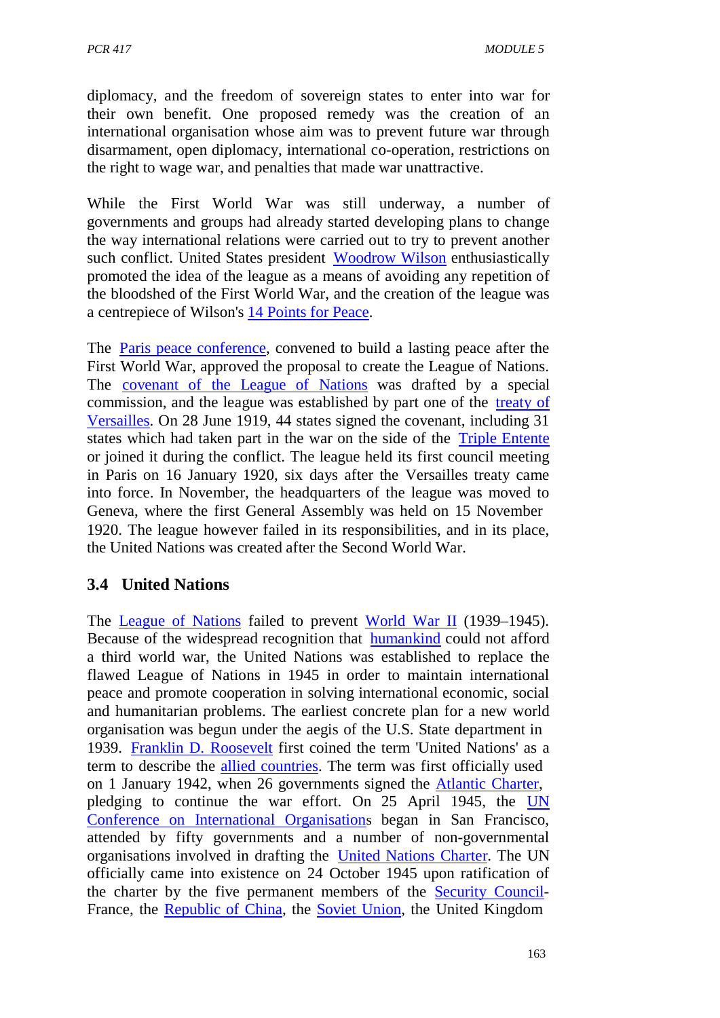diplomacy, and the freedom of sovereign states to enter into war for their own benefit. One proposed remedy was the creation of an international organisation whose aim was to prevent future war through disarmament, open diplomacy, international co-operation, restrictions on the right to wage war, and penalties that made war unattractive.

While the First World War was still underway, a number of governments and groups had already started developing plans to change the way international relations were carried out to try to prevent another such conflict. United States president Woodrow Wilson enthusiastically promoted the idea of the league as a means of avoiding any repetition of the bloodshed of the First World War, and the creation of the league was a centrepiece of Wilson's 14 Points for Peace.

The Paris peace conference, convened to build a lasting peace after the First World War, approved the proposal to create the League of Nations. The covenant of the League of Nations was drafted by a special commission, and the league was established by part one of the treaty of Versailles. On 28 June 1919, 44 states signed the covenant, including 31 states which had taken part in the war on the side of the Triple Entente or joined it during the conflict. The league held its first council meeting in Paris on 16 January 1920, six days after the Versailles treaty came into force. In November, the headquarters of the league was moved to Geneva, where the first General Assembly was held on 15 November 1920. The league however failed in its responsibilities, and in its place, the United Nations was created after the Second World War.

## **3.4 United Nations**

The League of Nations failed to prevent World War II (1939–1945). Because of the widespread recognition that humankind could not afford a third world war, the United Nations was established to replace the flawed League of Nations in 1945 in order to maintain international peace and promote cooperation in solving international economic, social and humanitarian problems. The earliest concrete plan for a new world organisation was begun under the aegis of the U.S. State department in 1939. Franklin D. Roosevelt first coined the term 'United Nations' as a term to describe the allied countries. The term was first officially used on 1 January 1942, when 26 governments signed the Atlantic Charter, pledging to continue the war effort. On 25 April 1945, the UN Conference on International Organisations began in San Francisco, attended by fifty governments and a number of non-governmental organisations involved in drafting the United Nations Charter. The UN officially came into existence on 24 October 1945 upon ratification of the charter by the five permanent members of the Security Council-France, the Republic of China, the Soviet Union, the United Kingdom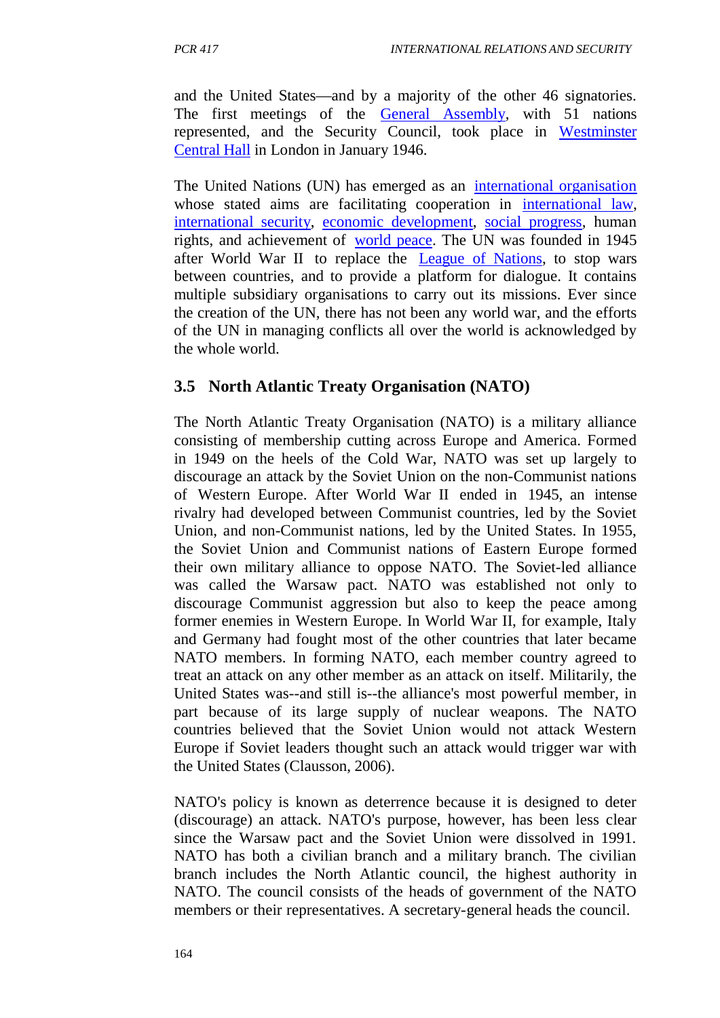and the United States—and by a majority of the other 46 signatories. The first meetings of the General Assembly, with 51 nations represented, and the Security Council, took place in Westminster Central Hall in London in January 1946.

The United Nations (UN) has emerged as an international organisation whose stated aims are facilitating cooperation in international law, international security, economic development, social progress, human rights, and achievement of world peace. The UN was founded in 1945 after World War II to replace the League of Nations, to stop wars between countries, and to provide a platform for dialogue. It contains multiple subsidiary organisations to carry out its missions. Ever since the creation of the UN, there has not been any world war, and the efforts of the UN in managing conflicts all over the world is acknowledged by the whole world.

# **3.5 North Atlantic Treaty Organisation (NATO)**

The North Atlantic Treaty Organisation (NATO) is a military alliance consisting of membership cutting across Europe and America. Formed in 1949 on the heels of the Cold War, NATO was set up largely to discourage an attack by the Soviet Union on the non-Communist nations of Western Europe. After World War II ended in 1945, an intense rivalry had developed between Communist countries, led by the Soviet Union, and non-Communist nations, led by the United States. In 1955, the Soviet Union and Communist nations of Eastern Europe formed their own military alliance to oppose NATO. The Soviet-led alliance was called the Warsaw pact. NATO was established not only to discourage Communist aggression but also to keep the peace among former enemies in Western Europe. In World War II, for example, Italy and Germany had fought most of the other countries that later became NATO members. In forming NATO, each member country agreed to treat an attack on any other member as an attack on itself. Militarily, the United States was--and still is--the alliance's most powerful member, in part because of its large supply of nuclear weapons. The NATO countries believed that the Soviet Union would not attack Western Europe if Soviet leaders thought such an attack would trigger war with the United States (Clausson, 2006).

NATO's policy is known as deterrence because it is designed to deter (discourage) an attack. NATO's purpose, however, has been less clear since the Warsaw pact and the Soviet Union were dissolved in 1991. NATO has both a civilian branch and a military branch. The civilian branch includes the North Atlantic council, the highest authority in NATO. The council consists of the heads of government of the NATO members or their representatives. A secretary-general heads the council.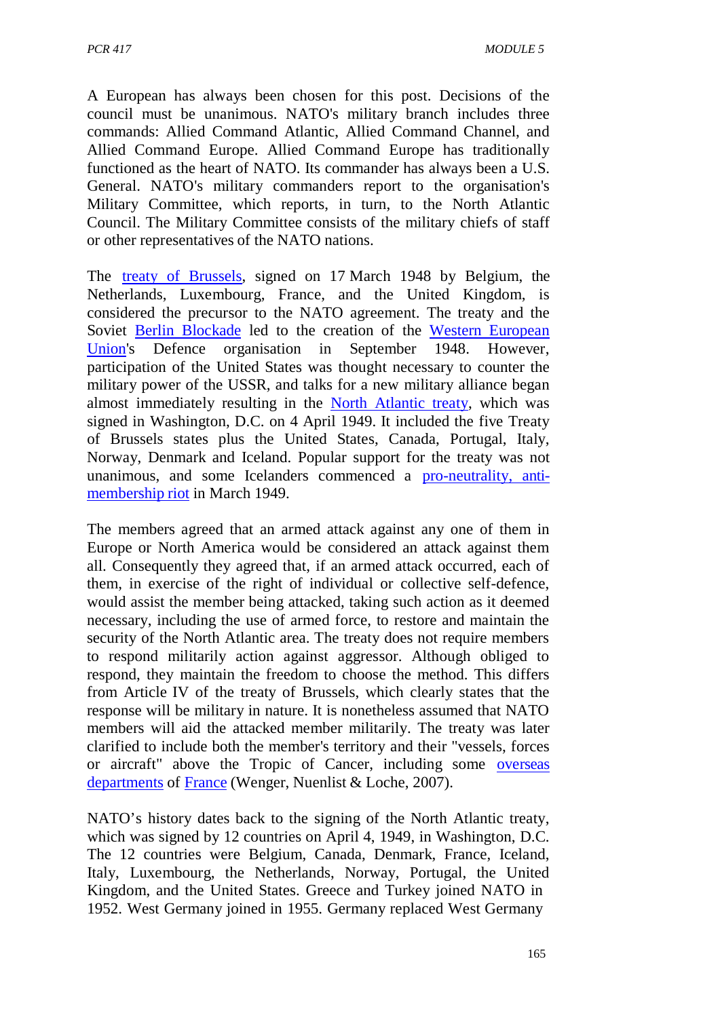A European has always been chosen for this post. Decisions of the council must be unanimous. NATO's military branch includes three commands: Allied Command Atlantic, Allied Command Channel, and Allied Command Europe. Allied Command Europe has traditionally functioned as the heart of NATO. Its commander has always been a U.S. General. NATO's military commanders report to the organisation's Military Committee, which reports, in turn, to the North Atlantic Council. The Military Committee consists of the military chiefs of staff or other representatives of the NATO nations.

The treaty of Brussels, signed on 17 March 1948 by Belgium, the Netherlands, Luxembourg, France, and the United Kingdom, is considered the precursor to the NATO agreement. The treaty and the Soviet Berlin Blockade led to the creation of the Western European Union's Defence organisation in September 1948. However, participation of the United States was thought necessary to counter the military power of the USSR, and talks for a new military alliance began almost immediately resulting in the North Atlantic treaty, which was signed in Washington, D.C. on 4 April 1949. It included the five Treaty of Brussels states plus the United States, Canada, Portugal, Italy, Norway, Denmark and Iceland. Popular support for the treaty was not unanimous, and some Icelanders commenced a pro-neutrality, antimembership riot in March 1949.

The members agreed that an armed attack against any one of them in Europe or North America would be considered an attack against them all. Consequently they agreed that, if an armed attack occurred, each of them, in exercise of the right of individual or collective self-defence, would assist the member being attacked, taking such action as it deemed necessary, including the use of armed force, to restore and maintain the security of the North Atlantic area. The treaty does not require members to respond militarily action against aggressor. Although obliged to respond, they maintain the freedom to choose the method. This differs from Article IV of the treaty of Brussels, which clearly states that the response will be military in nature. It is nonetheless assumed that NATO members will aid the attacked member militarily. The treaty was later clarified to include both the member's territory and their "vessels, forces or aircraft" above the Tropic of Cancer, including some overseas departments of France (Wenger, Nuenlist & Loche, 2007).

NATO's history dates back to the signing of the North Atlantic treaty, which was signed by 12 countries on April 4, 1949, in Washington, D.C. The 12 countries were Belgium, Canada, Denmark, France, Iceland, Italy, Luxembourg, the Netherlands, Norway, Portugal, the United Kingdom, and the United States. Greece and Turkey joined NATO in 1952. West Germany joined in 1955. Germany replaced West Germany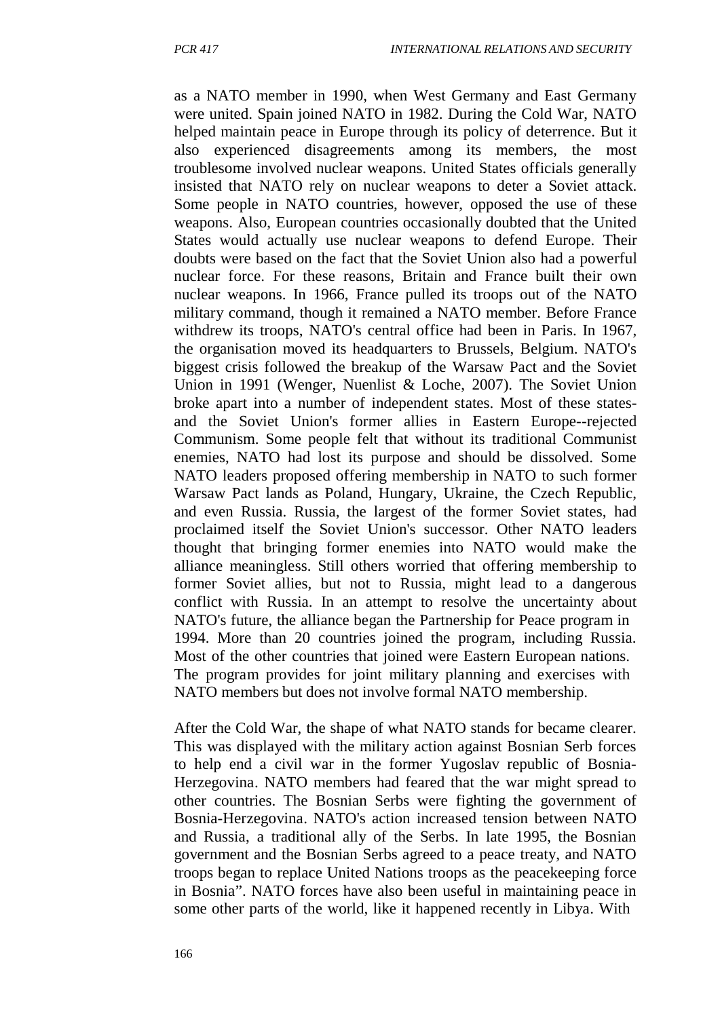as a NATO member in 1990, when West Germany and East Germany were united. Spain joined NATO in 1982. During the Cold War, NATO helped maintain peace in Europe through its policy of deterrence. But it also experienced disagreements among its members, the most troublesome involved nuclear weapons. United States officials generally insisted that NATO rely on nuclear weapons to deter a Soviet attack. Some people in NATO countries, however, opposed the use of these weapons. Also, European countries occasionally doubted that the United States would actually use nuclear weapons to defend Europe. Their doubts were based on the fact that the Soviet Union also had a powerful nuclear force. For these reasons, Britain and France built their own nuclear weapons. In 1966, France pulled its troops out of the NATO military command, though it remained a NATO member. Before France withdrew its troops, NATO's central office had been in Paris. In 1967, the organisation moved its headquarters to Brussels, Belgium. NATO's biggest crisis followed the breakup of the Warsaw Pact and the Soviet Union in 1991 (Wenger, Nuenlist & Loche, 2007). The Soviet Union broke apart into a number of independent states. Most of these statesand the Soviet Union's former allies in Eastern Europe--rejected Communism. Some people felt that without its traditional Communist enemies, NATO had lost its purpose and should be dissolved. Some NATO leaders proposed offering membership in NATO to such former Warsaw Pact lands as Poland, Hungary, Ukraine, the Czech Republic, and even Russia. Russia, the largest of the former Soviet states, had proclaimed itself the Soviet Union's successor. Other NATO leaders thought that bringing former enemies into NATO would make the alliance meaningless. Still others worried that offering membership to former Soviet allies, but not to Russia, might lead to a dangerous conflict with Russia. In an attempt to resolve the uncertainty about NATO's future, the alliance began the Partnership for Peace program in 1994. More than 20 countries joined the program, including Russia. Most of the other countries that joined were Eastern European nations. The program provides for joint military planning and exercises with NATO members but does not involve formal NATO membership.

After the Cold War, the shape of what NATO stands for became clearer. This was displayed with the military action against Bosnian Serb forces to help end a civil war in the former Yugoslav republic of Bosnia-Herzegovina. NATO members had feared that the war might spread to other countries. The Bosnian Serbs were fighting the government of Bosnia-Herzegovina. NATO's action increased tension between NATO and Russia, a traditional ally of the Serbs. In late 1995, the Bosnian government and the Bosnian Serbs agreed to a peace treaty, and NATO troops began to replace United Nations troops as the peacekeeping force in Bosnia". NATO forces have also been useful in maintaining peace in some other parts of the world, like it happened recently in Libya. With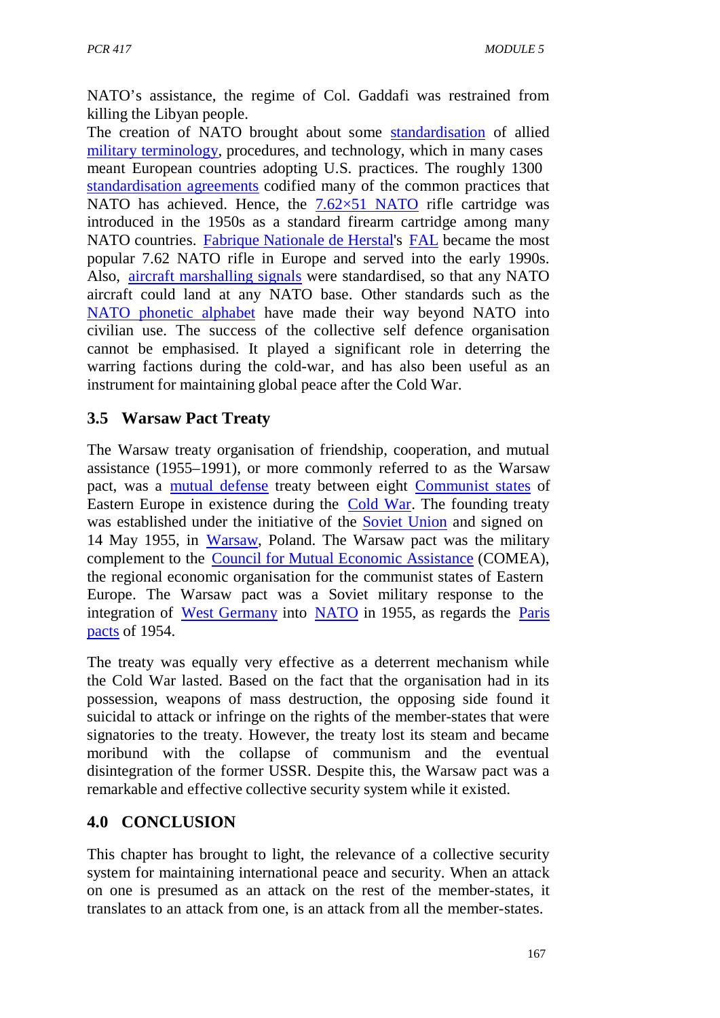NATO's assistance, the regime of Col. Gaddafi was restrained from killing the Libyan people.

The creation of NATO brought about some standardisation of allied military terminology, procedures, and technology, which in many cases meant European countries adopting U.S. practices. The roughly 1300 standardisation agreements codified many of the common practices that NATO has achieved. Hence, the  $7.62\times51$  NATO rifle cartridge was introduced in the 1950s as a standard firearm cartridge among many NATO countries. Fabrique Nationale de Herstal's FAL became the most popular 7.62 NATO rifle in Europe and served into the early 1990s. Also, aircraft marshalling signals were standardised, so that any NATO aircraft could land at any NATO base. Other standards such as the NATO phonetic alphabet have made their way beyond NATO into civilian use. The success of the collective self defence organisation cannot be emphasised. It played a significant role in deterring the warring factions during the cold-war, and has also been useful as an instrument for maintaining global peace after the Cold War.

# **3.5 Warsaw Pact Treaty**

The Warsaw treaty organisation of friendship, cooperation, and mutual assistance (1955–1991), or more commonly referred to as the Warsaw pact, was a mutual defense treaty between eight Communist states of Eastern Europe in existence during the Cold War. The founding treaty was established under the initiative of the Soviet Union and signed on 14 May 1955, in Warsaw, Poland. The Warsaw pact was the military complement to the Council for Mutual Economic Assistance (COMEA), the regional economic organisation for the communist states of Eastern Europe. The Warsaw pact was a Soviet military response to the integration of West Germany into NATO in 1955, as regards the Paris pacts of 1954.

The treaty was equally very effective as a deterrent mechanism while the Cold War lasted. Based on the fact that the organisation had in its possession, weapons of mass destruction, the opposing side found it suicidal to attack or infringe on the rights of the member-states that were signatories to the treaty. However, the treaty lost its steam and became moribund with the collapse of communism and the eventual disintegration of the former USSR. Despite this, the Warsaw pact was a remarkable and effective collective security system while it existed.

## **4.0 CONCLUSION**

This chapter has brought to light, the relevance of a collective security system for maintaining international peace and security. When an attack on one is presumed as an attack on the rest of the member-states, it translates to an attack from one, is an attack from all the member-states.